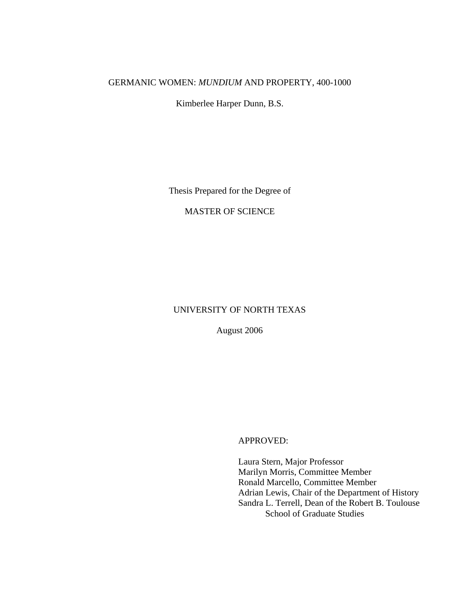# GERMANIC WOMEN: *MUNDIUM* AND PROPERTY, 400-1000

Kimberlee Harper Dunn, B.S.

Thesis Prepared for the Degree of

# MASTER OF SCIENCE

# UNIVERSITY OF NORTH TEXAS

August 2006

APPROVED:

Laura Stern, Major Professor Marilyn Morris, Committee Member Ronald Marcello, Committee Member Adrian Lewis, Chair of the Department of History Sandra L. Terrell, Dean of the Robert B. Toulouse School of Graduate Studies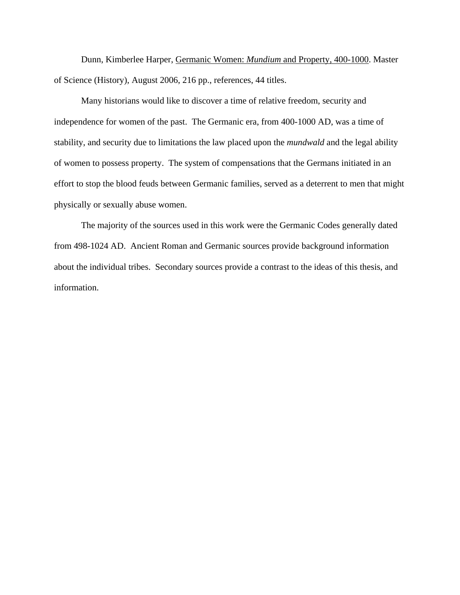Dunn, Kimberlee Harper, Germanic Women: *Mundium* and Property, 400-1000. Master of Science (History), August 2006, 216 pp., references, 44 titles.

 Many historians would like to discover a time of relative freedom, security and independence for women of the past. The Germanic era, from 400-1000 AD, was a time of stability, and security due to limitations the law placed upon the *mundwald* and the legal ability of women to possess property. The system of compensations that the Germans initiated in an effort to stop the blood feuds between Germanic families, served as a deterrent to men that might physically or sexually abuse women.

The majority of the sources used in this work were the Germanic Codes generally dated from 498-1024 AD. Ancient Roman and Germanic sources provide background information about the individual tribes. Secondary sources provide a contrast to the ideas of this thesis, and information.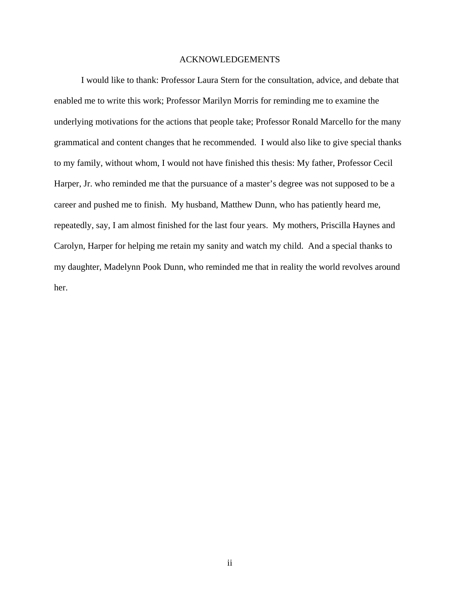#### ACKNOWLEDGEMENTS

 I would like to thank: Professor Laura Stern for the consultation, advice, and debate that enabled me to write this work; Professor Marilyn Morris for reminding me to examine the underlying motivations for the actions that people take; Professor Ronald Marcello for the many grammatical and content changes that he recommended. I would also like to give special thanks to my family, without whom, I would not have finished this thesis: My father, Professor Cecil Harper, Jr. who reminded me that the pursuance of a master's degree was not supposed to be a career and pushed me to finish. My husband, Matthew Dunn, who has patiently heard me, repeatedly, say, I am almost finished for the last four years. My mothers, Priscilla Haynes and Carolyn, Harper for helping me retain my sanity and watch my child. And a special thanks to my daughter, Madelynn Pook Dunn, who reminded me that in reality the world revolves around her.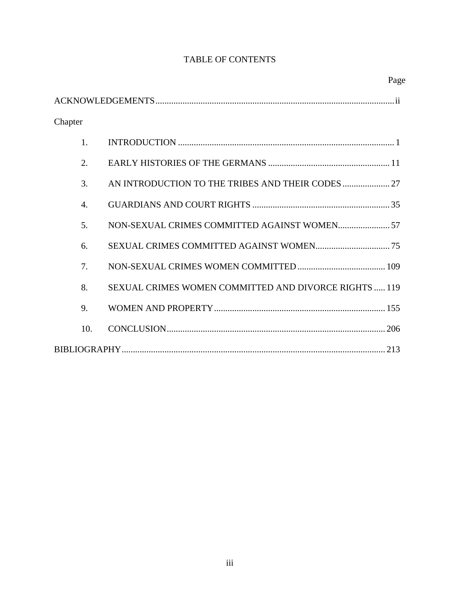# TABLE OF CONTENTS

|                  | Page                                                  |
|------------------|-------------------------------------------------------|
|                  |                                                       |
| Chapter          |                                                       |
| 1 <sub>1</sub>   |                                                       |
| 2.               |                                                       |
| 3.               |                                                       |
| $\overline{4}$ . |                                                       |
| 5.               |                                                       |
| 6.               |                                                       |
| 7.               |                                                       |
| 8.               | SEXUAL CRIMES WOMEN COMMITTED AND DIVORCE RIGHTS  119 |
| 9.               |                                                       |
| 10.              |                                                       |
|                  |                                                       |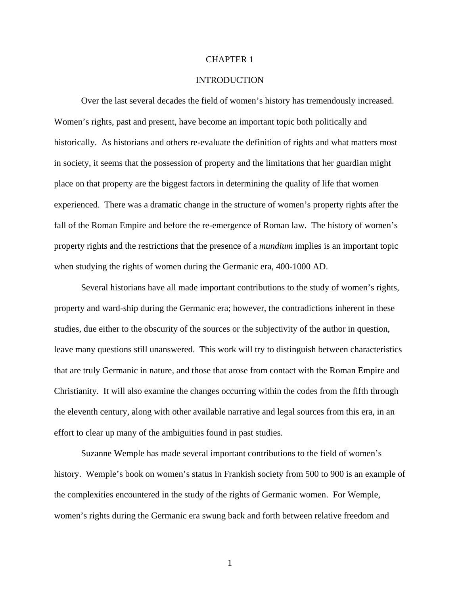#### CHAPTER 1

### INTRODUCTION

Over the last several decades the field of women's history has tremendously increased. Women's rights, past and present, have become an important topic both politically and historically. As historians and others re-evaluate the definition of rights and what matters most in society, it seems that the possession of property and the limitations that her guardian might place on that property are the biggest factors in determining the quality of life that women experienced. There was a dramatic change in the structure of women's property rights after the fall of the Roman Empire and before the re-emergence of Roman law. The history of women's property rights and the restrictions that the presence of a *mundium* implies is an important topic when studying the rights of women during the Germanic era, 400-1000 AD.

Several historians have all made important contributions to the study of women's rights, property and ward-ship during the Germanic era; however, the contradictions inherent in these studies, due either to the obscurity of the sources or the subjectivity of the author in question, leave many questions still unanswered. This work will try to distinguish between characteristics that are truly Germanic in nature, and those that arose from contact with the Roman Empire and Christianity. It will also examine the changes occurring within the codes from the fifth through the eleventh century, along with other available narrative and legal sources from this era, in an effort to clear up many of the ambiguities found in past studies.

Suzanne Wemple has made several important contributions to the field of women's history. Wemple's book on women's status in Frankish society from 500 to 900 is an example of the complexities encountered in the study of the rights of Germanic women. For Wemple, women's rights during the Germanic era swung back and forth between relative freedom and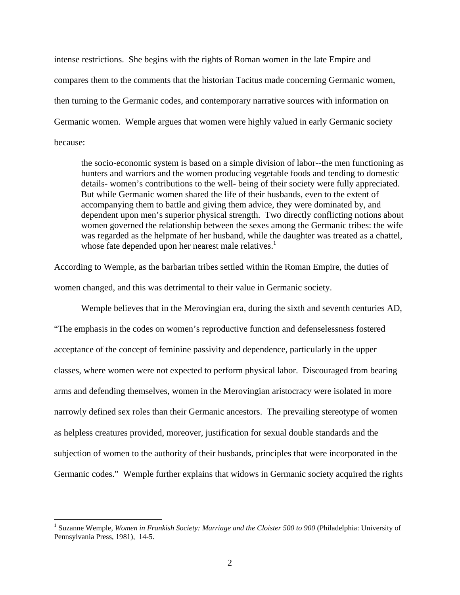intense restrictions. She begins with the rights of Roman women in the late Empire and compares them to the comments that the historian Tacitus made concerning Germanic women, then turning to the Germanic codes, and contemporary narrative sources with information on Germanic women. Wemple argues that women were highly valued in early Germanic society because:

the socio-economic system is based on a simple division of labor--the men functioning as hunters and warriors and the women producing vegetable foods and tending to domestic details- women's contributions to the well- being of their society were fully appreciated. But while Germanic women shared the life of their husbands, even to the extent of accompanying them to battle and giving them advice, they were dominated by, and dependent upon men's superior physical strength. Two directly conflicting notions about women governed the relationship between the sexes among the Germanic tribes: the wife was regarded as the helpmate of her husband, while the daughter was treated as a chattel, whose fate depended upon her nearest male relatives.<sup>1</sup>

According to Wemple, as the barbarian tribes settled within the Roman Empire, the duties of women changed, and this was detrimental to their value in Germanic society.

Wemple believes that in the Merovingian era, during the sixth and seventh centuries AD, "The emphasis in the codes on women's reproductive function and defenselessness fostered acceptance of the concept of feminine passivity and dependence, particularly in the upper classes, where women were not expected to perform physical labor. Discouraged from bearing arms and defending themselves, women in the Merovingian aristocracy were isolated in more narrowly defined sex roles than their Germanic ancestors. The prevailing stereotype of women as helpless creatures provided, moreover, justification for sexual double standards and the subjection of women to the authority of their husbands, principles that were incorporated in the Germanic codes." Wemple further explains that widows in Germanic society acquired the rights

<sup>&</sup>lt;sup>1</sup> Suzanne Wemple, *Women in Frankish Society: Marriage and the Cloister 500 to 900* (Philadelphia: University of Pennsylvania Press, 1981), 14-5.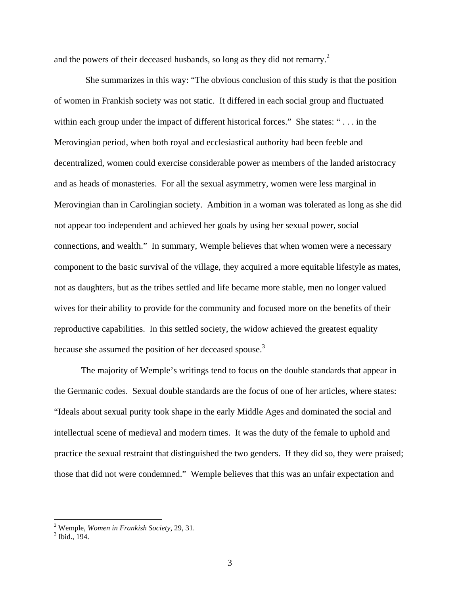and the powers of their deceased husbands, so long as they did not remarry.<sup>2</sup>

 She summarizes in this way: "The obvious conclusion of this study is that the position of women in Frankish society was not static. It differed in each social group and fluctuated within each group under the impact of different historical forces." She states: "... in the Merovingian period, when both royal and ecclesiastical authority had been feeble and decentralized, women could exercise considerable power as members of the landed aristocracy and as heads of monasteries. For all the sexual asymmetry, women were less marginal in Merovingian than in Carolingian society. Ambition in a woman was tolerated as long as she did not appear too independent and achieved her goals by using her sexual power, social connections, and wealth." In summary, Wemple believes that when women were a necessary component to the basic survival of the village, they acquired a more equitable lifestyle as mates, not as daughters, but as the tribes settled and life became more stable, men no longer valued wives for their ability to provide for the community and focused more on the benefits of their reproductive capabilities. In this settled society, the widow achieved the greatest equality because she assumed the position of her deceased spouse.<sup>3</sup>

The majority of Wemple's writings tend to focus on the double standards that appear in the Germanic codes. Sexual double standards are the focus of one of her articles, where states: "Ideals about sexual purity took shape in the early Middle Ages and dominated the social and intellectual scene of medieval and modern times. It was the duty of the female to uphold and practice the sexual restraint that distinguished the two genders. If they did so, they were praised; those that did not were condemned." Wemple believes that this was an unfair expectation and

<sup>&</sup>lt;sup>2</sup> Wemple, *Women in Frankish Society*, 29, 31.

 $3$  Ibid., 194.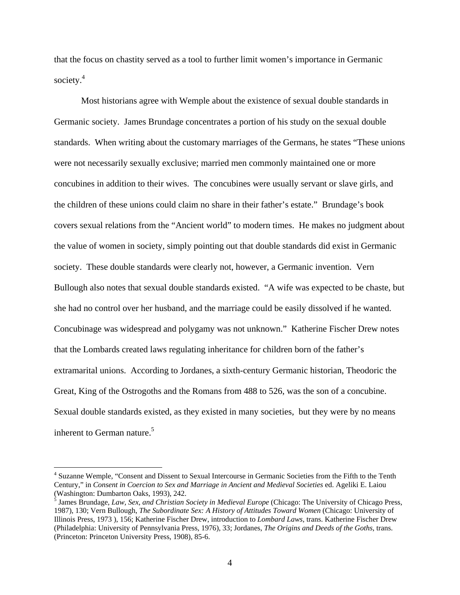that the focus on chastity served as a tool to further limit women's importance in Germanic society.<sup>4</sup>

Most historians agree with Wemple about the existence of sexual double standards in Germanic society. James Brundage concentrates a portion of his study on the sexual double standards. When writing about the customary marriages of the Germans, he states "These unions were not necessarily sexually exclusive; married men commonly maintained one or more concubines in addition to their wives. The concubines were usually servant or slave girls, and the children of these unions could claim no share in their father's estate." Brundage's book covers sexual relations from the "Ancient world" to modern times. He makes no judgment about the value of women in society, simply pointing out that double standards did exist in Germanic society. These double standards were clearly not, however, a Germanic invention. Vern Bullough also notes that sexual double standards existed. "A wife was expected to be chaste, but she had no control over her husband, and the marriage could be easily dissolved if he wanted. Concubinage was widespread and polygamy was not unknown." Katherine Fischer Drew notes that the Lombards created laws regulating inheritance for children born of the father's extramarital unions. According to Jordanes, a sixth-century Germanic historian, Theodoric the Great, King of the Ostrogoths and the Romans from 488 to 526, was the son of a concubine. Sexual double standards existed, as they existed in many societies, but they were by no means inherent to German nature.<sup>5</sup>

<sup>&</sup>lt;sup>4</sup> Suzanne Wemple, "Consent and Dissent to Sexual Intercourse in Germanic Societies from the Fifth to the Tenth Century," in *Consent in Coercion to Sex and Marriage in Ancient and Medieval Societies* ed. Ageliki E. Laiou (Washington: Dumbarton Oaks, 1993), 242.

<sup>5</sup> James Brundage, *Law, Sex, and Christian Society in Medieval Europe* (Chicago: The University of Chicago Press, 1987), 130; Vern Bullough, *The Subordinate Sex: A History of Attitudes Toward Women* (Chicago: University of Illinois Press, 1973 ), 156; Katherine Fischer Drew, introduction to *Lombard Laws*, trans. Katherine Fischer Drew (Philadelphia: University of Pennsylvania Press, 1976), 33; Jordanes, *The Origins and Deeds of the Goths*, trans. (Princeton: Princeton University Press, 1908), 85-6.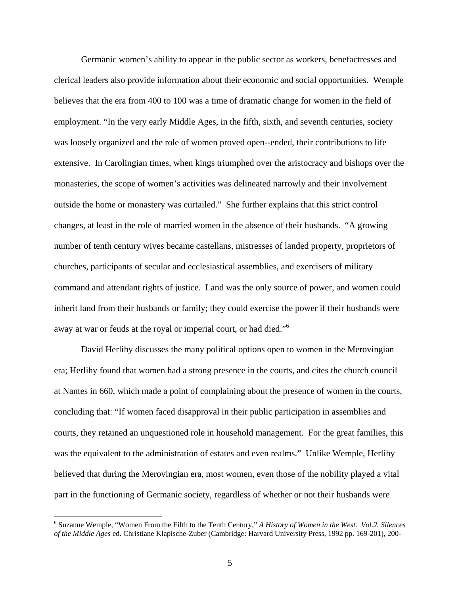Germanic women's ability to appear in the public sector as workers, benefactresses and clerical leaders also provide information about their economic and social opportunities. Wemple believes that the era from 400 to 100 was a time of dramatic change for women in the field of employment. "In the very early Middle Ages, in the fifth, sixth, and seventh centuries, society was loosely organized and the role of women proved open--ended, their contributions to life extensive. In Carolingian times, when kings triumphed over the aristocracy and bishops over the monasteries, the scope of women's activities was delineated narrowly and their involvement outside the home or monastery was curtailed." She further explains that this strict control changes, at least in the role of married women in the absence of their husbands. "A growing number of tenth century wives became castellans, mistresses of landed property, proprietors of churches, participants of secular and ecclesiastical assemblies, and exercisers of military command and attendant rights of justice. Land was the only source of power, and women could inherit land from their husbands or family; they could exercise the power if their husbands were away at war or feuds at the royal or imperial court, or had died."6

David Herlihy discusses the many political options open to women in the Merovingian era; Herlihy found that women had a strong presence in the courts, and cites the church council at Nantes in 660, which made a point of complaining about the presence of women in the courts, concluding that: "If women faced disapproval in their public participation in assemblies and courts, they retained an unquestioned role in household management. For the great families, this was the equivalent to the administration of estates and even realms." Unlike Wemple, Herlihy believed that during the Merovingian era, most women, even those of the nobility played a vital part in the functioning of Germanic society, regardless of whether or not their husbands were

<sup>6</sup> Suzanne Wemple, "Women From the Fifth to the Tenth Century," *A History of Women in the West. Vol.2. Silences of the Middle Ages* ed. Christiane Klapische-Zuber (Cambridge: Harvard University Press, 1992 pp. 169-201), 200-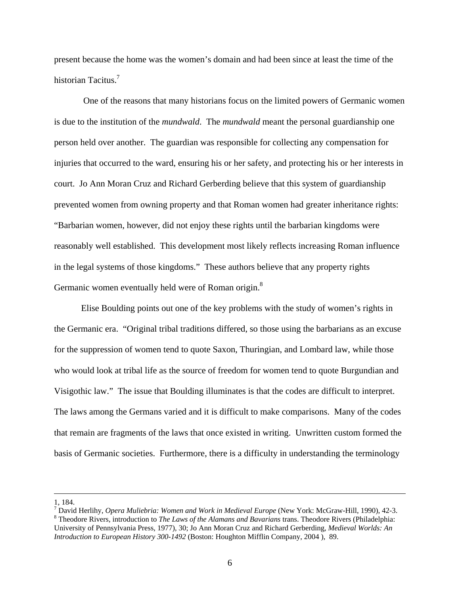present because the home was the women's domain and had been since at least the time of the historian Tacitus.<sup>7</sup>

 One of the reasons that many historians focus on the limited powers of Germanic women is due to the institution of the *mundwald*. The *mundwald* meant the personal guardianship one person held over another. The guardian was responsible for collecting any compensation for injuries that occurred to the ward, ensuring his or her safety, and protecting his or her interests in court. Jo Ann Moran Cruz and Richard Gerberding believe that this system of guardianship prevented women from owning property and that Roman women had greater inheritance rights: "Barbarian women, however, did not enjoy these rights until the barbarian kingdoms were reasonably well established. This development most likely reflects increasing Roman influence in the legal systems of those kingdoms." These authors believe that any property rights Germanic women eventually held were of Roman origin.<sup>8</sup>

 Elise Boulding points out one of the key problems with the study of women's rights in the Germanic era. "Original tribal traditions differed, so those using the barbarians as an excuse for the suppression of women tend to quote Saxon, Thuringian, and Lombard law, while those who would look at tribal life as the source of freedom for women tend to quote Burgundian and Visigothic law." The issue that Boulding illuminates is that the codes are difficult to interpret. The laws among the Germans varied and it is difficult to make comparisons. Many of the codes that remain are fragments of the laws that once existed in writing. Unwritten custom formed the basis of Germanic societies. Furthermore, there is a difficulty in understanding the terminology

 <sup>1, 184.</sup> 

<sup>&</sup>lt;sup>7</sup> David Herlihy, *Opera Muliebria: Women and Work in Medieval Europe* (New York: McGraw-Hill, 1990), 42-3.<br><sup>8</sup> Theodore Biyers, introduction to *The Lawe of the Alamans and Bayanians* trans. Theodore Biyers (Philadelphia Theodore Rivers, introduction to *The Laws of the Alamans and Bavarians* trans. Theodore Rivers (Philadelphia: University of Pennsylvania Press, 1977), 30; Jo Ann Moran Cruz and Richard Gerberding, *Medieval Worlds: An Introduction to European History 300-1492* (Boston: Houghton Mifflin Company, 2004 ), 89.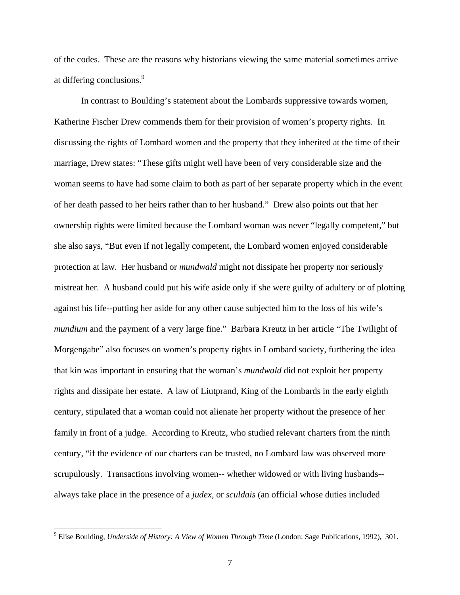of the codes. These are the reasons why historians viewing the same material sometimes arrive at differing conclusions.9

In contrast to Boulding's statement about the Lombards suppressive towards women, Katherine Fischer Drew commends them for their provision of women's property rights. In discussing the rights of Lombard women and the property that they inherited at the time of their marriage, Drew states: "These gifts might well have been of very considerable size and the woman seems to have had some claim to both as part of her separate property which in the event of her death passed to her heirs rather than to her husband." Drew also points out that her ownership rights were limited because the Lombard woman was never "legally competent," but she also says, "But even if not legally competent, the Lombard women enjoyed considerable protection at law. Her husband or *mundwald* might not dissipate her property nor seriously mistreat her. A husband could put his wife aside only if she were guilty of adultery or of plotting against his life--putting her aside for any other cause subjected him to the loss of his wife's *mundium* and the payment of a very large fine." Barbara Kreutz in her article "The Twilight of Morgengabe" also focuses on women's property rights in Lombard society, furthering the idea that kin was important in ensuring that the woman's *mundwald* did not exploit her property rights and dissipate her estate. A law of Liutprand, King of the Lombards in the early eighth century, stipulated that a woman could not alienate her property without the presence of her family in front of a judge. According to Kreutz, who studied relevant charters from the ninth century, "if the evidence of our charters can be trusted, no Lombard law was observed more scrupulously. Transactions involving women-- whether widowed or with living husbands- always take place in the presence of a *judex,* or *sculdais* (an official whose duties included

<sup>9</sup> Elise Boulding, *Underside of History: A View of Women Through Time* (London: Sage Publications, 1992), 301.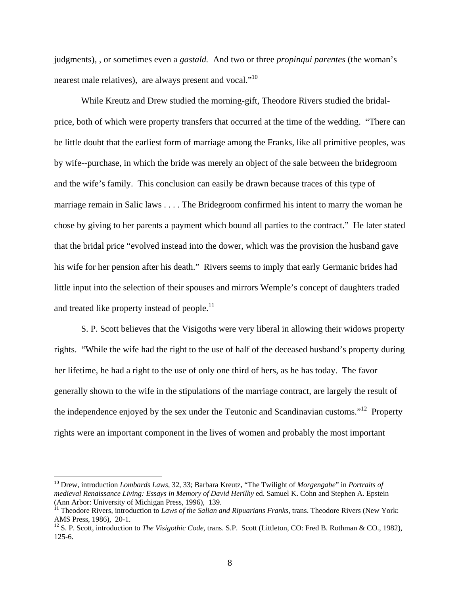judgments), , or sometimes even a *gastald.* And two or three *propinqui parentes* (the woman's nearest male relatives), are always present and vocal."<sup>10</sup>

While Kreutz and Drew studied the morning-gift, Theodore Rivers studied the bridalprice, both of which were property transfers that occurred at the time of the wedding. "There can be little doubt that the earliest form of marriage among the Franks, like all primitive peoples, was by wife--purchase, in which the bride was merely an object of the sale between the bridegroom and the wife's family. This conclusion can easily be drawn because traces of this type of marriage remain in Salic laws . . . . The Bridegroom confirmed his intent to marry the woman he chose by giving to her parents a payment which bound all parties to the contract." He later stated that the bridal price "evolved instead into the dower, which was the provision the husband gave his wife for her pension after his death." Rivers seems to imply that early Germanic brides had little input into the selection of their spouses and mirrors Wemple's concept of daughters traded and treated like property instead of people.<sup>11</sup>

S. P. Scott believes that the Visigoths were very liberal in allowing their widows property rights. "While the wife had the right to the use of half of the deceased husband's property during her lifetime, he had a right to the use of only one third of hers, as he has today. The favor generally shown to the wife in the stipulations of the marriage contract, are largely the result of the independence enjoyed by the sex under the Teutonic and Scandinavian customs."<sup>12</sup> Property rights were an important component in the lives of women and probably the most important

<sup>10</sup> Drew, introduction *Lombards Laws*, 32, 33; Barbara Kreutz, "The Twilight of *Morgengabe*" in *Portraits of medieval Renaissance Living: Essays in Memory of David Herilhy* ed. Samuel K. Cohn and Stephen A. Epstein (Ann Arbor: University of Michigan Press, 1996), 139.

<sup>&</sup>lt;sup>11</sup> Theodore Rivers, introduction to *Laws of the Salian and Ripuarians Franks*, trans. Theodore Rivers (New York: AMS Press, 1986), 20-1.

<sup>&</sup>lt;sup>12</sup> S. P. Scott, introduction to *The Visigothic Code*, trans. S.P. Scott (Littleton, CO: Fred B. Rothman & CO., 1982), 125-6.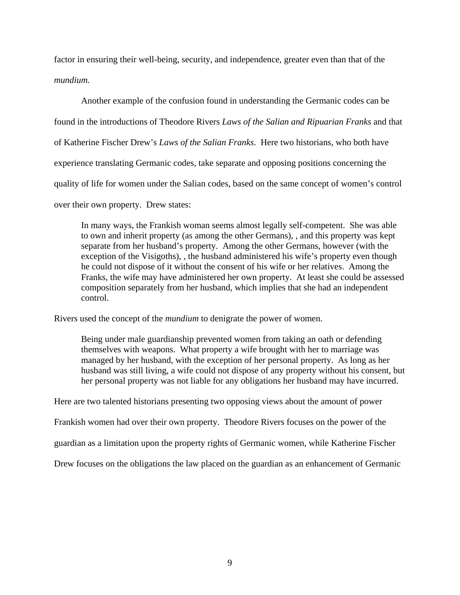factor in ensuring their well-being, security, and independence, greater even than that of the *mundium.*

Another example of the confusion found in understanding the Germanic codes can be found in the introductions of Theodore Rivers *Laws of the Salian and Ripuarian Franks* and that of Katherine Fischer Drew's *Laws of the Salian Franks*. Here two historians, who both have experience translating Germanic codes, take separate and opposing positions concerning the quality of life for women under the Salian codes, based on the same concept of women's control over their own property. Drew states:

In many ways, the Frankish woman seems almost legally self-competent. She was able to own and inherit property (as among the other Germans), , and this property was kept separate from her husband's property. Among the other Germans, however (with the exception of the Visigoths), , the husband administered his wife's property even though he could not dispose of it without the consent of his wife or her relatives. Among the Franks, the wife may have administered her own property. At least she could be assessed composition separately from her husband, which implies that she had an independent control.

Rivers used the concept of the *mundium* to denigrate the power of women.

Being under male guardianship prevented women from taking an oath or defending themselves with weapons. What property a wife brought with her to marriage was managed by her husband, with the exception of her personal property. As long as her husband was still living, a wife could not dispose of any property without his consent, but her personal property was not liable for any obligations her husband may have incurred.

Here are two talented historians presenting two opposing views about the amount of power

Frankish women had over their own property. Theodore Rivers focuses on the power of the

guardian as a limitation upon the property rights of Germanic women, while Katherine Fischer

Drew focuses on the obligations the law placed on the guardian as an enhancement of Germanic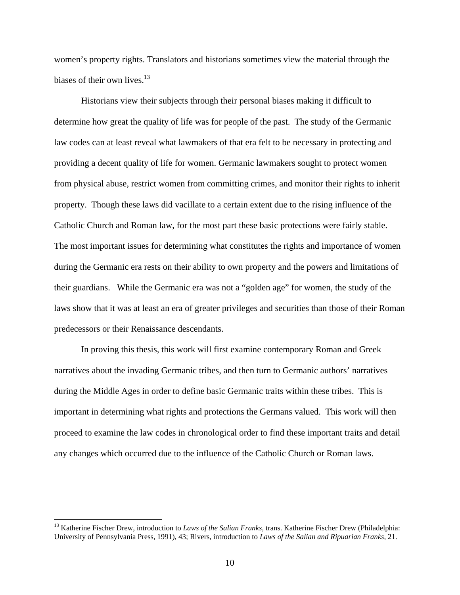women's property rights. Translators and historians sometimes view the material through the biases of their own lives. $13$ 

 Historians view their subjects through their personal biases making it difficult to determine how great the quality of life was for people of the past. The study of the Germanic law codes can at least reveal what lawmakers of that era felt to be necessary in protecting and providing a decent quality of life for women. Germanic lawmakers sought to protect women from physical abuse, restrict women from committing crimes, and monitor their rights to inherit property. Though these laws did vacillate to a certain extent due to the rising influence of the Catholic Church and Roman law, for the most part these basic protections were fairly stable. The most important issues for determining what constitutes the rights and importance of women during the Germanic era rests on their ability to own property and the powers and limitations of their guardians. While the Germanic era was not a "golden age" for women, the study of the laws show that it was at least an era of greater privileges and securities than those of their Roman predecessors or their Renaissance descendants.

In proving this thesis, this work will first examine contemporary Roman and Greek narratives about the invading Germanic tribes, and then turn to Germanic authors' narratives during the Middle Ages in order to define basic Germanic traits within these tribes. This is important in determining what rights and protections the Germans valued. This work will then proceed to examine the law codes in chronological order to find these important traits and detail any changes which occurred due to the influence of the Catholic Church or Roman laws.

<sup>&</sup>lt;sup>13</sup> Katherine Fischer Drew, introduction to *Laws of the Salian Franks*, trans. Katherine Fischer Drew (Philadelphia: University of Pennsylvania Press, 1991), 43; Rivers, introduction to *Laws of the Salian and Ripuarian Franks,* 21.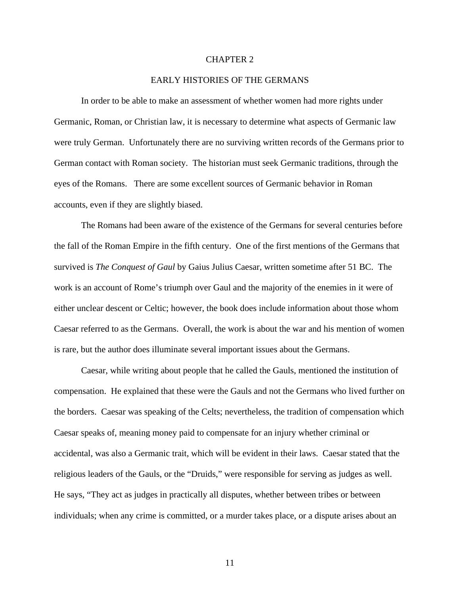#### CHAPTER 2

## EARLY HISTORIES OF THE GERMANS

In order to be able to make an assessment of whether women had more rights under Germanic, Roman, or Christian law, it is necessary to determine what aspects of Germanic law were truly German. Unfortunately there are no surviving written records of the Germans prior to German contact with Roman society. The historian must seek Germanic traditions, through the eyes of the Romans. There are some excellent sources of Germanic behavior in Roman accounts, even if they are slightly biased.

 The Romans had been aware of the existence of the Germans for several centuries before the fall of the Roman Empire in the fifth century. One of the first mentions of the Germans that survived is *The Conquest of Gaul* by Gaius Julius Caesar, written sometime after 51 BC. The work is an account of Rome's triumph over Gaul and the majority of the enemies in it were of either unclear descent or Celtic; however, the book does include information about those whom Caesar referred to as the Germans. Overall, the work is about the war and his mention of women is rare, but the author does illuminate several important issues about the Germans.

Caesar, while writing about people that he called the Gauls, mentioned the institution of compensation. He explained that these were the Gauls and not the Germans who lived further on the borders. Caesar was speaking of the Celts; nevertheless, the tradition of compensation which Caesar speaks of, meaning money paid to compensate for an injury whether criminal or accidental, was also a Germanic trait, which will be evident in their laws. Caesar stated that the religious leaders of the Gauls, or the "Druids," were responsible for serving as judges as well. He says, "They act as judges in practically all disputes, whether between tribes or between individuals; when any crime is committed, or a murder takes place, or a dispute arises about an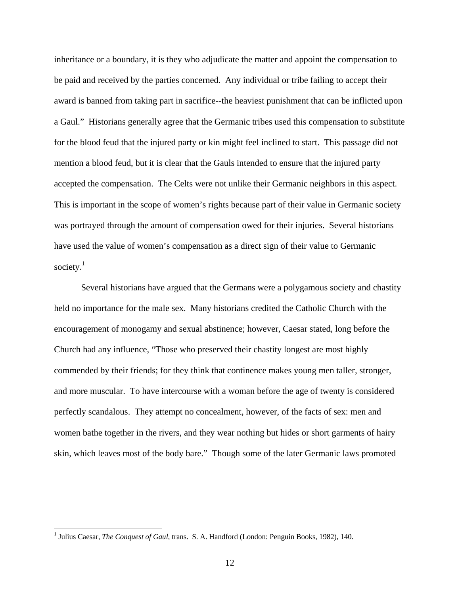inheritance or a boundary, it is they who adjudicate the matter and appoint the compensation to be paid and received by the parties concerned. Any individual or tribe failing to accept their award is banned from taking part in sacrifice--the heaviest punishment that can be inflicted upon a Gaul." Historians generally agree that the Germanic tribes used this compensation to substitute for the blood feud that the injured party or kin might feel inclined to start. This passage did not mention a blood feud, but it is clear that the Gauls intended to ensure that the injured party accepted the compensation. The Celts were not unlike their Germanic neighbors in this aspect. This is important in the scope of women's rights because part of their value in Germanic society was portrayed through the amount of compensation owed for their injuries. Several historians have used the value of women's compensation as a direct sign of their value to Germanic society.<sup>1</sup>

 Several historians have argued that the Germans were a polygamous society and chastity held no importance for the male sex. Many historians credited the Catholic Church with the encouragement of monogamy and sexual abstinence; however, Caesar stated, long before the Church had any influence, "Those who preserved their chastity longest are most highly commended by their friends; for they think that continence makes young men taller, stronger, and more muscular. To have intercourse with a woman before the age of twenty is considered perfectly scandalous. They attempt no concealment, however, of the facts of sex: men and women bathe together in the rivers, and they wear nothing but hides or short garments of hairy skin, which leaves most of the body bare." Though some of the later Germanic laws promoted

<u>.</u>

<sup>&</sup>lt;sup>1</sup> Julius Caesar, *The Conquest of Gaul*, trans. S. A. Handford (London: Penguin Books, 1982), 140.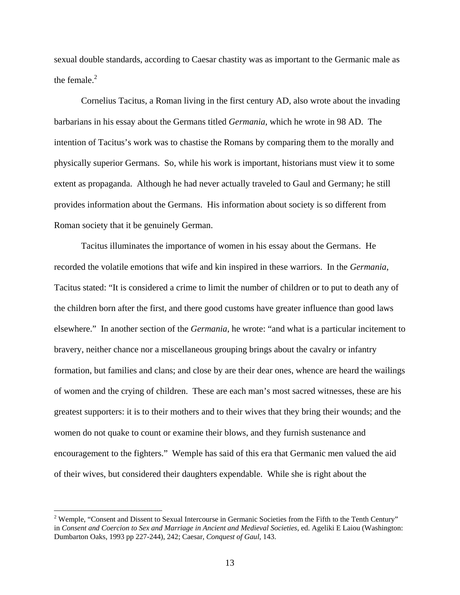sexual double standards, according to Caesar chastity was as important to the Germanic male as the female. $^{2}$ 

 Cornelius Tacitus, a Roman living in the first century AD, also wrote about the invading barbarians in his essay about the Germans titled *Germania*, which he wrote in 98 AD. The intention of Tacitus's work was to chastise the Romans by comparing them to the morally and physically superior Germans. So, while his work is important, historians must view it to some extent as propaganda. Although he had never actually traveled to Gaul and Germany; he still provides information about the Germans. His information about society is so different from Roman society that it be genuinely German.

Tacitus illuminates the importance of women in his essay about the Germans. He recorded the volatile emotions that wife and kin inspired in these warriors. In the *Germania*, Tacitus stated: "It is considered a crime to limit the number of children or to put to death any of the children born after the first, and there good customs have greater influence than good laws elsewhere." In another section of the *Germania*, he wrote: "and what is a particular incitement to bravery, neither chance nor a miscellaneous grouping brings about the cavalry or infantry formation, but families and clans; and close by are their dear ones, whence are heard the wailings of women and the crying of children. These are each man's most sacred witnesses, these are his greatest supporters: it is to their mothers and to their wives that they bring their wounds; and the women do not quake to count or examine their blows, and they furnish sustenance and encouragement to the fighters." Wemple has said of this era that Germanic men valued the aid of their wives, but considered their daughters expendable. While she is right about the

<sup>&</sup>lt;sup>2</sup> Wemple, "Consent and Dissent to Sexual Intercourse in Germanic Societies from the Fifth to the Tenth Century" in *Consent and Coercion to Sex and Marriage in Ancient and Medieval Societies*, ed. Ageliki E Laiou (Washington: Dumbarton Oaks, 1993 pp 227-244), 242; Caesar, *Conquest of Gaul*, 143.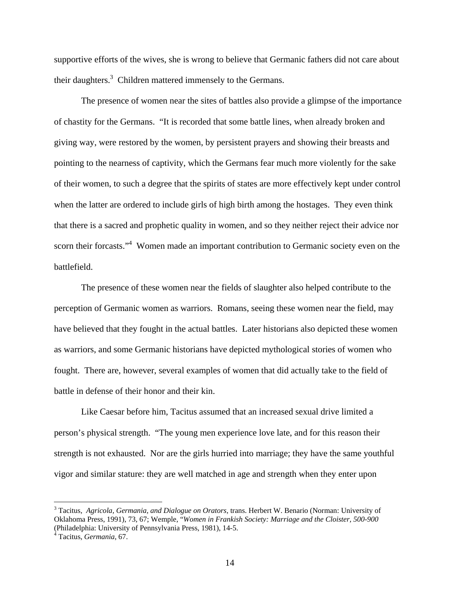supportive efforts of the wives, she is wrong to believe that Germanic fathers did not care about their daughters.<sup>3</sup> Children mattered immensely to the Germans.

The presence of women near the sites of battles also provide a glimpse of the importance of chastity for the Germans. "It is recorded that some battle lines, when already broken and giving way, were restored by the women, by persistent prayers and showing their breasts and pointing to the nearness of captivity, which the Germans fear much more violently for the sake of their women, to such a degree that the spirits of states are more effectively kept under control when the latter are ordered to include girls of high birth among the hostages. They even think that there is a sacred and prophetic quality in women, and so they neither reject their advice nor scorn their forcasts."<sup>4</sup> Women made an important contribution to Germanic society even on the battlefield.

The presence of these women near the fields of slaughter also helped contribute to the perception of Germanic women as warriors. Romans, seeing these women near the field, may have believed that they fought in the actual battles. Later historians also depicted these women as warriors, and some Germanic historians have depicted mythological stories of women who fought. There are, however, several examples of women that did actually take to the field of battle in defense of their honor and their kin.

Like Caesar before him, Tacitus assumed that an increased sexual drive limited a person's physical strength. "The young men experience love late, and for this reason their strength is not exhausted. Nor are the girls hurried into marriage; they have the same youthful vigor and similar stature: they are well matched in age and strength when they enter upon

<sup>3</sup> Tacitus, *Agricola, Germania, and Dialogue on Orators*, trans. Herbert W. Benario (Norman: University of Oklahoma Press, 1991), 73, 67; Wemple, "*Women in Frankish Society: Marriage and the Cloister, 500-900* (Philadelphia: University of Pennsylvania Press, 1981), 14-5.<sup>4</sup>

Tacitus, *Germania*, 67.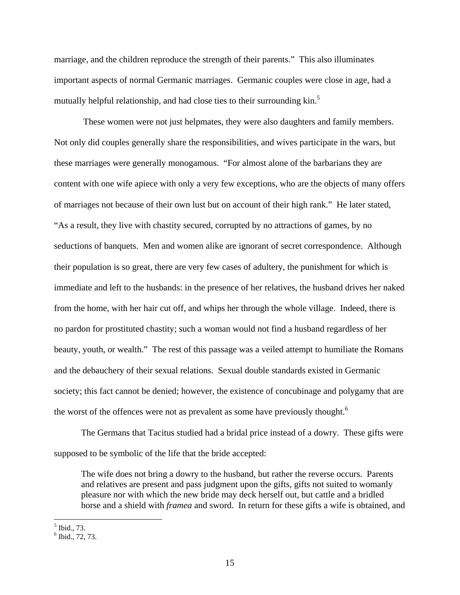marriage, and the children reproduce the strength of their parents." This also illuminates important aspects of normal Germanic marriages. Germanic couples were close in age, had a mutually helpful relationship, and had close ties to their surrounding kin.<sup>5</sup>

 These women were not just helpmates, they were also daughters and family members. Not only did couples generally share the responsibilities, and wives participate in the wars, but these marriages were generally monogamous. "For almost alone of the barbarians they are content with one wife apiece with only a very few exceptions, who are the objects of many offers of marriages not because of their own lust but on account of their high rank." He later stated, "As a result, they live with chastity secured, corrupted by no attractions of games, by no seductions of banquets. Men and women alike are ignorant of secret correspondence. Although their population is so great, there are very few cases of adultery, the punishment for which is immediate and left to the husbands: in the presence of her relatives, the husband drives her naked from the home, with her hair cut off, and whips her through the whole village. Indeed, there is no pardon for prostituted chastity; such a woman would not find a husband regardless of her beauty, youth, or wealth." The rest of this passage was a veiled attempt to humiliate the Romans and the debauchery of their sexual relations. Sexual double standards existed in Germanic society; this fact cannot be denied; however, the existence of concubinage and polygamy that are the worst of the offences were not as prevalent as some have previously thought.<sup>6</sup>

The Germans that Tacitus studied had a bridal price instead of a dowry. These gifts were supposed to be symbolic of the life that the bride accepted:

The wife does not bring a dowry to the husband, but rather the reverse occurs. Parents and relatives are present and pass judgment upon the gifts, gifts not suited to womanly pleasure nor with which the new bride may deck herself out, but cattle and a bridled horse and a shield with *framea* and sword. In return for these gifts a wife is obtained, and

<sup>5</sup> Ibid., 73.

 $<sup>6</sup>$  Ibid., 72, 73.</sup>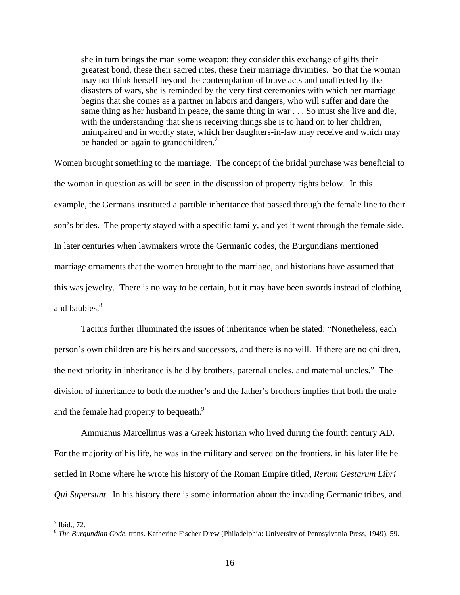she in turn brings the man some weapon: they consider this exchange of gifts their greatest bond, these their sacred rites, these their marriage divinities. So that the woman may not think herself beyond the contemplation of brave acts and unaffected by the disasters of wars, she is reminded by the very first ceremonies with which her marriage begins that she comes as a partner in labors and dangers, who will suffer and dare the same thing as her husband in peace, the same thing in war . . . So must she live and die, with the understanding that she is receiving things she is to hand on to her children, unimpaired and in worthy state, which her daughters-in-law may receive and which may be handed on again to grandchildren. $<sup>7</sup>$ </sup>

Women brought something to the marriage. The concept of the bridal purchase was beneficial to the woman in question as will be seen in the discussion of property rights below. In this example, the Germans instituted a partible inheritance that passed through the female line to their son's brides. The property stayed with a specific family, and yet it went through the female side. In later centuries when lawmakers wrote the Germanic codes, the Burgundians mentioned marriage ornaments that the women brought to the marriage, and historians have assumed that this was jewelry. There is no way to be certain, but it may have been swords instead of clothing and baubles.<sup>8</sup>

Tacitus further illuminated the issues of inheritance when he stated: "Nonetheless, each person's own children are his heirs and successors, and there is no will. If there are no children, the next priority in inheritance is held by brothers, paternal uncles, and maternal uncles." The division of inheritance to both the mother's and the father's brothers implies that both the male and the female had property to bequeath.<sup>9</sup>

Ammianus Marcellinus was a Greek historian who lived during the fourth century AD. For the majority of his life, he was in the military and served on the frontiers, in his later life he settled in Rome where he wrote his history of the Roman Empire titled, *Rerum Gestarum Libri Qui Supersunt*.In his history there is some information about the invading Germanic tribes, and

 $<sup>7</sup>$  Ibid., 72.</sup>

<sup>8</sup> *The Burgundian Code*, trans. Katherine Fischer Drew (Philadelphia: University of Pennsylvania Press, 1949), 59.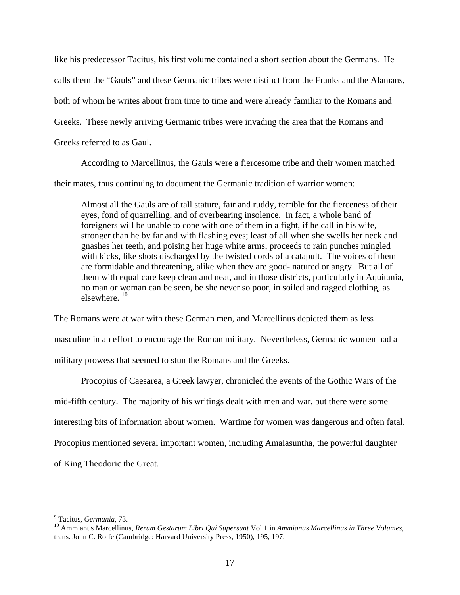like his predecessor Tacitus, his first volume contained a short section about the Germans. He calls them the "Gauls" and these Germanic tribes were distinct from the Franks and the Alamans, both of whom he writes about from time to time and were already familiar to the Romans and Greeks. These newly arriving Germanic tribes were invading the area that the Romans and Greeks referred to as Gaul.

According to Marcellinus, the Gauls were a fiercesome tribe and their women matched their mates, thus continuing to document the Germanic tradition of warrior women:

Almost all the Gauls are of tall stature, fair and ruddy, terrible for the fierceness of their eyes, fond of quarrelling, and of overbearing insolence. In fact, a whole band of foreigners will be unable to cope with one of them in a fight, if he call in his wife, stronger than he by far and with flashing eyes; least of all when she swells her neck and gnashes her teeth, and poising her huge white arms, proceeds to rain punches mingled with kicks, like shots discharged by the twisted cords of a catapult. The voices of them are formidable and threatening, alike when they are good- natured or angry. But all of them with equal care keep clean and neat, and in those districts, particularly in Aquitania, no man or woman can be seen, be she never so poor, in soiled and ragged clothing, as elsewhere. 10

The Romans were at war with these German men, and Marcellinus depicted them as less masculine in an effort to encourage the Roman military. Nevertheless, Germanic women had a military prowess that seemed to stun the Romans and the Greeks.

 Procopius of Caesarea, a Greek lawyer, chronicled the events of the Gothic Wars of the mid-fifth century. The majority of his writings dealt with men and war, but there were some interesting bits of information about women. Wartime for women was dangerous and often fatal. Procopius mentioned several important women, including Amalasuntha, the powerful daughter of King Theodoric the Great.

<sup>-&</sup>lt;br>9

<sup>&</sup>lt;sup>9</sup> Tacitus, *Germania*, 73.<br><sup>10</sup> Ammianus Marcellinus, *Rerum Gestarum Libri Qui Supersunt* Vol.1 in *Ammianus Marcellinus in Three Volumes*, trans. John C. Rolfe (Cambridge: Harvard University Press, 1950), 195, 197.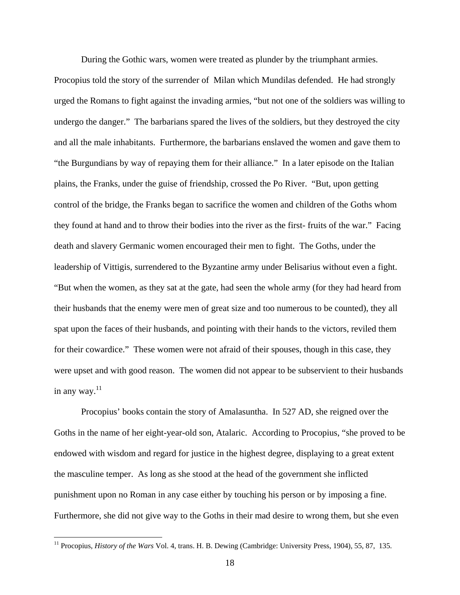During the Gothic wars, women were treated as plunder by the triumphant armies.

Procopius told the story of the surrender of Milan which Mundilas defended. He had strongly urged the Romans to fight against the invading armies, "but not one of the soldiers was willing to undergo the danger." The barbarians spared the lives of the soldiers, but they destroyed the city and all the male inhabitants. Furthermore, the barbarians enslaved the women and gave them to "the Burgundians by way of repaying them for their alliance." In a later episode on the Italian plains, the Franks, under the guise of friendship, crossed the Po River. "But, upon getting control of the bridge, the Franks began to sacrifice the women and children of the Goths whom they found at hand and to throw their bodies into the river as the first- fruits of the war." Facing death and slavery Germanic women encouraged their men to fight. The Goths, under the leadership of Vittigis, surrendered to the Byzantine army under Belisarius without even a fight. "But when the women, as they sat at the gate, had seen the whole army (for they had heard from their husbands that the enemy were men of great size and too numerous to be counted), they all spat upon the faces of their husbands, and pointing with their hands to the victors, reviled them for their cowardice." These women were not afraid of their spouses, though in this case, they were upset and with good reason. The women did not appear to be subservient to their husbands in any way. $11$ 

 Procopius' books contain the story of Amalasuntha. In 527 AD, she reigned over the Goths in the name of her eight-year-old son, Atalaric. According to Procopius, "she proved to be endowed with wisdom and regard for justice in the highest degree, displaying to a great extent the masculine temper. As long as she stood at the head of the government she inflicted punishment upon no Roman in any case either by touching his person or by imposing a fine. Furthermore, she did not give way to the Goths in their mad desire to wrong them, but she even

<sup>&</sup>lt;sup>11</sup> Procopius, *History of the Wars Vol. 4, trans. H. B. Dewing (Cambridge: University Press, 1904), 55, 87, 135.*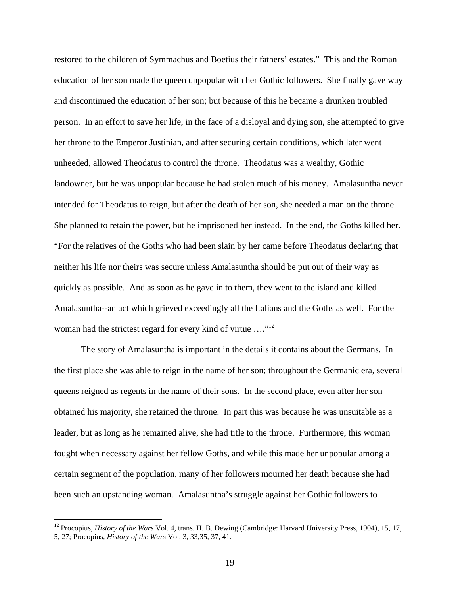restored to the children of Symmachus and Boetius their fathers' estates." This and the Roman education of her son made the queen unpopular with her Gothic followers. She finally gave way and discontinued the education of her son; but because of this he became a drunken troubled person. In an effort to save her life, in the face of a disloyal and dying son, she attempted to give her throne to the Emperor Justinian, and after securing certain conditions, which later went unheeded, allowed Theodatus to control the throne. Theodatus was a wealthy, Gothic landowner, but he was unpopular because he had stolen much of his money. Amalasuntha never intended for Theodatus to reign, but after the death of her son, she needed a man on the throne. She planned to retain the power, but he imprisoned her instead. In the end, the Goths killed her. "For the relatives of the Goths who had been slain by her came before Theodatus declaring that neither his life nor theirs was secure unless Amalasuntha should be put out of their way as quickly as possible. And as soon as he gave in to them, they went to the island and killed Amalasuntha--an act which grieved exceedingly all the Italians and the Goths as well. For the woman had the strictest regard for every kind of virtue  $\dots$ <sup>12</sup>

 The story of Amalasuntha is important in the details it contains about the Germans. In the first place she was able to reign in the name of her son; throughout the Germanic era, several queens reigned as regents in the name of their sons. In the second place, even after her son obtained his majority, she retained the throne. In part this was because he was unsuitable as a leader, but as long as he remained alive, she had title to the throne. Furthermore, this woman fought when necessary against her fellow Goths, and while this made her unpopular among a certain segment of the population, many of her followers mourned her death because she had been such an upstanding woman. Amalasuntha's struggle against her Gothic followers to

<sup>&</sup>lt;sup>12</sup> Procopius, *History of the Wars* Vol. 4, trans. H. B. Dewing (Cambridge: Harvard University Press, 1904), 15, 17, 5, 27; Procopius, *History of the Wars* Vol. 3, 33,35, 37, 41.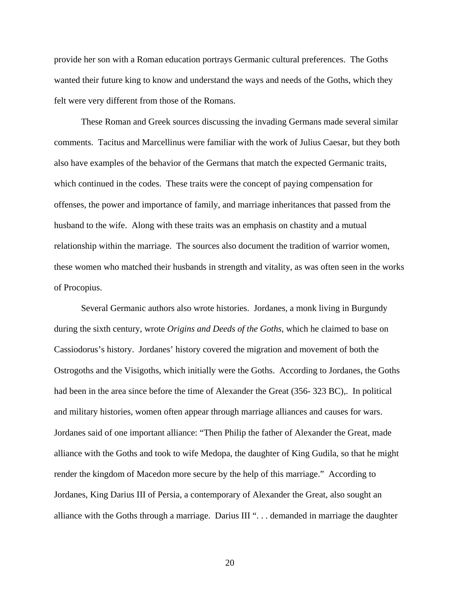provide her son with a Roman education portrays Germanic cultural preferences. The Goths wanted their future king to know and understand the ways and needs of the Goths, which they felt were very different from those of the Romans.

These Roman and Greek sources discussing the invading Germans made several similar comments. Tacitus and Marcellinus were familiar with the work of Julius Caesar, but they both also have examples of the behavior of the Germans that match the expected Germanic traits, which continued in the codes. These traits were the concept of paying compensation for offenses, the power and importance of family, and marriage inheritances that passed from the husband to the wife. Along with these traits was an emphasis on chastity and a mutual relationship within the marriage. The sources also document the tradition of warrior women, these women who matched their husbands in strength and vitality, as was often seen in the works of Procopius.

Several Germanic authors also wrote histories. Jordanes, a monk living in Burgundy during the sixth century, wrote *Origins and Deeds of the Goths*, which he claimed to base on Cassiodorus's history. Jordanes' history covered the migration and movement of both the Ostrogoths and the Visigoths, which initially were the Goths. According to Jordanes, the Goths had been in the area since before the time of Alexander the Great (356- 323 BC),. In political and military histories, women often appear through marriage alliances and causes for wars. Jordanes said of one important alliance: "Then Philip the father of Alexander the Great, made alliance with the Goths and took to wife Medopa, the daughter of King Gudila, so that he might render the kingdom of Macedon more secure by the help of this marriage." According to Jordanes, King Darius III of Persia, a contemporary of Alexander the Great, also sought an alliance with the Goths through a marriage. Darius III ". . . demanded in marriage the daughter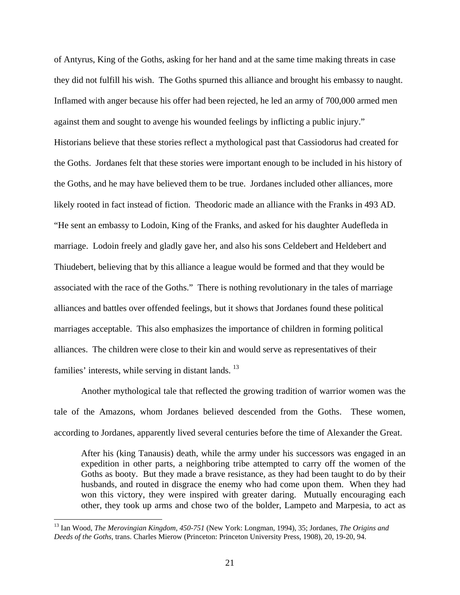of Antyrus, King of the Goths, asking for her hand and at the same time making threats in case they did not fulfill his wish. The Goths spurned this alliance and brought his embassy to naught. Inflamed with anger because his offer had been rejected, he led an army of 700,000 armed men against them and sought to avenge his wounded feelings by inflicting a public injury." Historians believe that these stories reflect a mythological past that Cassiodorus had created for the Goths. Jordanes felt that these stories were important enough to be included in his history of the Goths, and he may have believed them to be true. Jordanes included other alliances, more likely rooted in fact instead of fiction. Theodoric made an alliance with the Franks in 493 AD. "He sent an embassy to Lodoin, King of the Franks, and asked for his daughter Audefleda in marriage. Lodoin freely and gladly gave her, and also his sons Celdebert and Heldebert and Thiudebert, believing that by this alliance a league would be formed and that they would be associated with the race of the Goths." There is nothing revolutionary in the tales of marriage alliances and battles over offended feelings, but it shows that Jordanes found these political marriages acceptable. This also emphasizes the importance of children in forming political alliances. The children were close to their kin and would serve as representatives of their families' interests, while serving in distant lands.  $^{13}$ 

Another mythological tale that reflected the growing tradition of warrior women was the tale of the Amazons, whom Jordanes believed descended from the Goths. These women, according to Jordanes, apparently lived several centuries before the time of Alexander the Great.

After his (king Tanausis) death, while the army under his successors was engaged in an expedition in other parts, a neighboring tribe attempted to carry off the women of the Goths as booty. But they made a brave resistance, as they had been taught to do by their husbands, and routed in disgrace the enemy who had come upon them. When they had won this victory, they were inspired with greater daring. Mutually encouraging each other, they took up arms and chose two of the bolder, Lampeto and Marpesia, to act as

<sup>13</sup> Ian Wood, *The Merovingian Kingdom, 450-751* (New York: Longman, 1994), 35; Jordanes, *The Origins and Deeds of the Goths*, trans. Charles Mierow (Princeton: Princeton University Press, 1908), 20, 19-20, 94.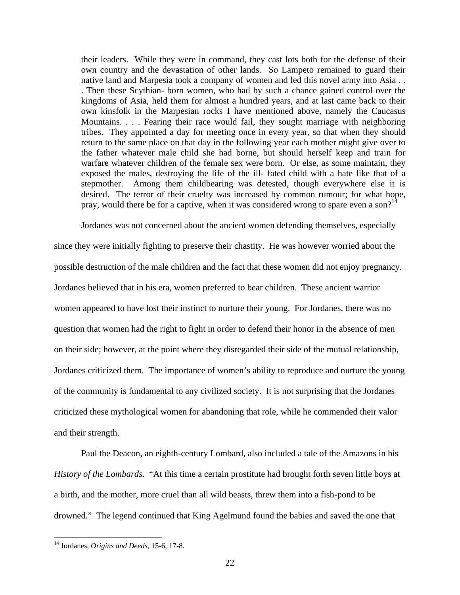their leaders. While they were in command, they cast lots both for the defense of their own country and the devastation of other lands. So Lampeto remained to guard their native land and Marpesia took a company of women and led this novel army into Asia . . . Then these Scythian- born women, who had by such a chance gained control over the kingdoms of Asia, held them for almost a hundred years, and at last came back to their own kinsfolk in the Marpesian rocks I have mentioned above, namely the Caucasus Mountains. . . . Fearing their race would fail, they sought marriage with neighboring tribes. They appointed a day for meeting once in every year, so that when they should return to the same place on that day in the following year each mother might give over to the father whatever male child she had borne, but should herself keep and train for warfare whatever children of the female sex were born. Or else, as some maintain, they exposed the males, destroying the life of the ill- fated child with a hate like that of a stepmother. Among them childbearing was detested, though everywhere else it is desired. The terror of their cruelty was increased by common rumour; for what hope, pray, would there be for a captive, when it was considered wrong to spare even a son?<sup>14</sup>

Jordanes was not concerned about the ancient women defending themselves, especially

since they were initially fighting to preserve their chastity. He was however worried about the possible destruction of the male children and the fact that these women did not enjoy pregnancy. Jordanes believed that in his era, women preferred to bear children. These ancient warrior women appeared to have lost their instinct to nurture their young. For Jordanes, there was no question that women had the right to fight in order to defend their honor in the absence of men on their side; however, at the point where they disregarded their side of the mutual relationship, Jordanes criticized them. The importance of women's ability to reproduce and nurture the young of the community is fundamental to any civilized society. It is not surprising that the Jordanes criticized these mythological women for abandoning that role, while he commended their valor and their strength.

Paul the Deacon, an eighth-century Lombard, also included a tale of the Amazons in his *History of the Lombards*. "At this time a certain prostitute had brought forth seven little boys at a birth, and the mother, more cruel than all wild beasts, threw them into a fish-pond to be drowned." The legend continued that King Agelmund found the babies and saved the one that

<sup>14</sup> Jordanes, *Origins and Deeds*, 15-6, 17-8.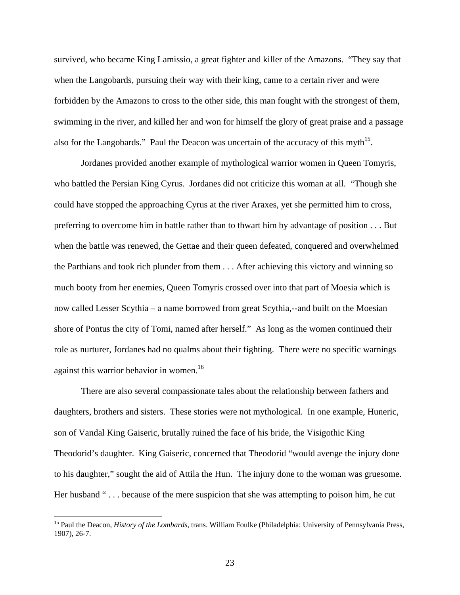survived, who became King Lamissio, a great fighter and killer of the Amazons. "They say that when the Langobards, pursuing their way with their king, came to a certain river and were forbidden by the Amazons to cross to the other side, this man fought with the strongest of them, swimming in the river, and killed her and won for himself the glory of great praise and a passage also for the Langobards." Paul the Deacon was uncertain of the accuracy of this myth $^{15}$ .

Jordanes provided another example of mythological warrior women in Queen Tomyris, who battled the Persian King Cyrus. Jordanes did not criticize this woman at all. "Though she could have stopped the approaching Cyrus at the river Araxes, yet she permitted him to cross, preferring to overcome him in battle rather than to thwart him by advantage of position . . . But when the battle was renewed, the Gettae and their queen defeated, conquered and overwhelmed the Parthians and took rich plunder from them . . . After achieving this victory and winning so much booty from her enemies, Queen Tomyris crossed over into that part of Moesia which is now called Lesser Scythia – a name borrowed from great Scythia,--and built on the Moesian shore of Pontus the city of Tomi, named after herself." As long as the women continued their role as nurturer, Jordanes had no qualms about their fighting. There were no specific warnings against this warrior behavior in women.<sup>16</sup>

There are also several compassionate tales about the relationship between fathers and daughters, brothers and sisters. These stories were not mythological. In one example, Huneric, son of Vandal King Gaiseric, brutally ruined the face of his bride, the Visigothic King Theodorid's daughter. King Gaiseric, concerned that Theodorid "would avenge the injury done to his daughter," sought the aid of Attila the Hun. The injury done to the woman was gruesome. Her husband "... because of the mere suspicion that she was attempting to poison him, he cut

<sup>&</sup>lt;sup>15</sup> Paul the Deacon, *History of the Lombards*, trans. William Foulke (Philadelphia: University of Pennsylvania Press, 1907), 26-7.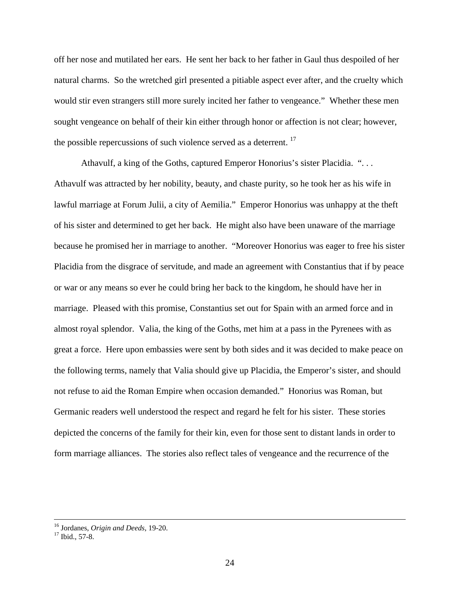off her nose and mutilated her ears. He sent her back to her father in Gaul thus despoiled of her natural charms. So the wretched girl presented a pitiable aspect ever after, and the cruelty which would stir even strangers still more surely incited her father to vengeance." Whether these men sought vengeance on behalf of their kin either through honor or affection is not clear; however, the possible repercussions of such violence served as a deterrent.  $17$ 

Athavulf, a king of the Goths, captured Emperor Honorius's sister Placidia. ". . . Athavulf was attracted by her nobility, beauty, and chaste purity, so he took her as his wife in lawful marriage at Forum Julii, a city of Aemilia." Emperor Honorius was unhappy at the theft of his sister and determined to get her back. He might also have been unaware of the marriage because he promised her in marriage to another. "Moreover Honorius was eager to free his sister Placidia from the disgrace of servitude, and made an agreement with Constantius that if by peace or war or any means so ever he could bring her back to the kingdom, he should have her in marriage. Pleased with this promise, Constantius set out for Spain with an armed force and in almost royal splendor. Valia, the king of the Goths, met him at a pass in the Pyrenees with as great a force. Here upon embassies were sent by both sides and it was decided to make peace on the following terms, namely that Valia should give up Placidia, the Emperor's sister, and should not refuse to aid the Roman Empire when occasion demanded." Honorius was Roman, but Germanic readers well understood the respect and regard he felt for his sister. These stories depicted the concerns of the family for their kin, even for those sent to distant lands in order to form marriage alliances. The stories also reflect tales of vengeance and the recurrence of the

<sup>&</sup>lt;sup>16</sup> Jordanes, *Origin and Deeds*, 19-20.<br><sup>17</sup> Ibid., 57-8.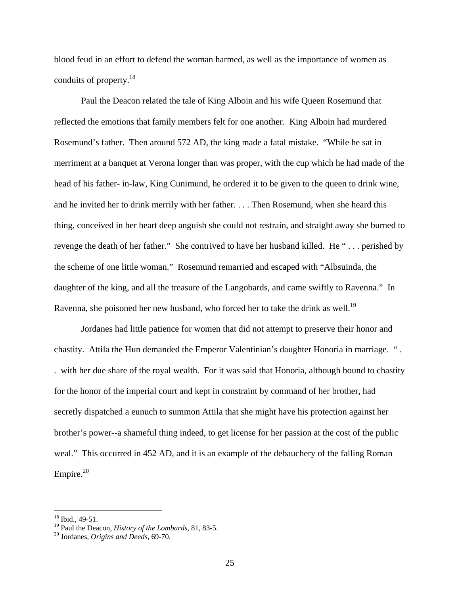blood feud in an effort to defend the woman harmed, as well as the importance of women as conduits of property.<sup>18</sup>

Paul the Deacon related the tale of King Alboin and his wife Queen Rosemund that reflected the emotions that family members felt for one another. King Alboin had murdered Rosemund's father. Then around 572 AD, the king made a fatal mistake. "While he sat in merriment at a banquet at Verona longer than was proper, with the cup which he had made of the head of his father- in-law, King Cunimund, he ordered it to be given to the queen to drink wine, and he invited her to drink merrily with her father. . . . Then Rosemund, when she heard this thing, conceived in her heart deep anguish she could not restrain, and straight away she burned to revenge the death of her father." She contrived to have her husband killed. He " . . . perished by the scheme of one little woman." Rosemund remarried and escaped with "Albsuinda, the daughter of the king, and all the treasure of the Langobards, and came swiftly to Ravenna." In Ravenna, she poisoned her new husband, who forced her to take the drink as well.<sup>19</sup>

Jordanes had little patience for women that did not attempt to preserve their honor and chastity. Attila the Hun demanded the Emperor Valentinian's daughter Honoria in marriage. " . . with her due share of the royal wealth. For it was said that Honoria, although bound to chastity for the honor of the imperial court and kept in constraint by command of her brother, had secretly dispatched a eunuch to summon Attila that she might have his protection against her brother's power--a shameful thing indeed, to get license for her passion at the cost of the public weal." This occurred in 452 AD, and it is an example of the debauchery of the falling Roman Empire.<sup>20</sup>

<sup>18</sup> Ibid., 49-51.

<sup>19</sup> Paul the Deacon, *History of the Lombards*, 81, 83-5. 20 Jordanes, *Origins and Deeds*, 69-70.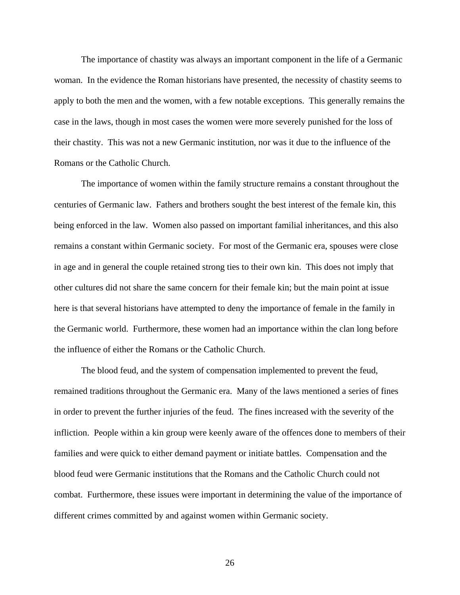The importance of chastity was always an important component in the life of a Germanic woman. In the evidence the Roman historians have presented, the necessity of chastity seems to apply to both the men and the women, with a few notable exceptions. This generally remains the case in the laws, though in most cases the women were more severely punished for the loss of their chastity. This was not a new Germanic institution, nor was it due to the influence of the Romans or the Catholic Church.

 The importance of women within the family structure remains a constant throughout the centuries of Germanic law. Fathers and brothers sought the best interest of the female kin, this being enforced in the law. Women also passed on important familial inheritances, and this also remains a constant within Germanic society. For most of the Germanic era, spouses were close in age and in general the couple retained strong ties to their own kin. This does not imply that other cultures did not share the same concern for their female kin; but the main point at issue here is that several historians have attempted to deny the importance of female in the family in the Germanic world. Furthermore, these women had an importance within the clan long before the influence of either the Romans or the Catholic Church.

 The blood feud, and the system of compensation implemented to prevent the feud, remained traditions throughout the Germanic era. Many of the laws mentioned a series of fines in order to prevent the further injuries of the feud. The fines increased with the severity of the infliction. People within a kin group were keenly aware of the offences done to members of their families and were quick to either demand payment or initiate battles. Compensation and the blood feud were Germanic institutions that the Romans and the Catholic Church could not combat. Furthermore, these issues were important in determining the value of the importance of different crimes committed by and against women within Germanic society.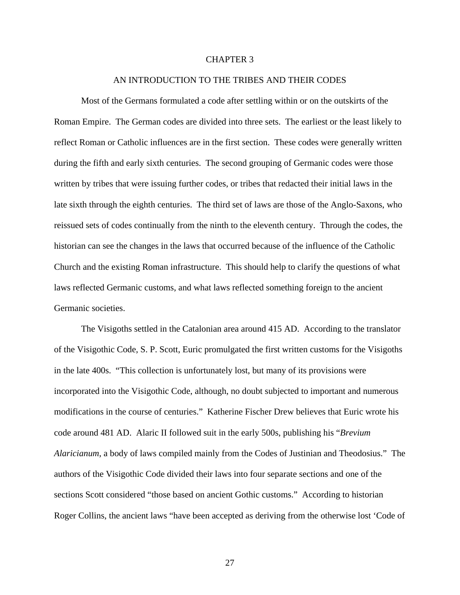#### CHAPTER 3

## AN INTRODUCTION TO THE TRIBES AND THEIR CODES

Most of the Germans formulated a code after settling within or on the outskirts of the Roman Empire. The German codes are divided into three sets. The earliest or the least likely to reflect Roman or Catholic influences are in the first section. These codes were generally written during the fifth and early sixth centuries. The second grouping of Germanic codes were those written by tribes that were issuing further codes, or tribes that redacted their initial laws in the late sixth through the eighth centuries. The third set of laws are those of the Anglo-Saxons, who reissued sets of codes continually from the ninth to the eleventh century. Through the codes, the historian can see the changes in the laws that occurred because of the influence of the Catholic Church and the existing Roman infrastructure. This should help to clarify the questions of what laws reflected Germanic customs, and what laws reflected something foreign to the ancient Germanic societies.

The Visigoths settled in the Catalonian area around 415 AD. According to the translator of the Visigothic Code, S. P. Scott, Euric promulgated the first written customs for the Visigoths in the late 400s. "This collection is unfortunately lost, but many of its provisions were incorporated into the Visigothic Code, although, no doubt subjected to important and numerous modifications in the course of centuries." Katherine Fischer Drew believes that Euric wrote his code around 481 AD. Alaric II followed suit in the early 500s, publishing his "*Brevium Alaricianum*, a body of laws compiled mainly from the Codes of Justinian and Theodosius." The authors of the Visigothic Code divided their laws into four separate sections and one of the sections Scott considered "those based on ancient Gothic customs." According to historian Roger Collins, the ancient laws "have been accepted as deriving from the otherwise lost 'Code of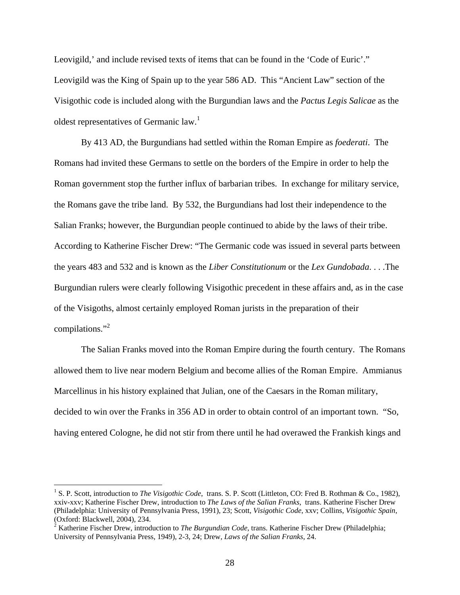Leovigild,' and include revised texts of items that can be found in the 'Code of Euric'." Leovigild was the King of Spain up to the year 586 AD. This "Ancient Law" section of the Visigothic code is included along with the Burgundian laws and the *Pactus Legis Salicae* as the oldest representatives of Germanic law.<sup>1</sup>

By 413 AD, the Burgundians had settled within the Roman Empire as *foederati*. The Romans had invited these Germans to settle on the borders of the Empire in order to help the Roman government stop the further influx of barbarian tribes. In exchange for military service, the Romans gave the tribe land. By 532, the Burgundians had lost their independence to the Salian Franks; however, the Burgundian people continued to abide by the laws of their tribe. According to Katherine Fischer Drew: "The Germanic code was issued in several parts between the years 483 and 532 and is known as the *Liber Constitutionum* or the *Lex Gundobada*. . . .The Burgundian rulers were clearly following Visigothic precedent in these affairs and, as in the case of the Visigoths, almost certainly employed Roman jurists in the preparation of their compilations."<sup>2</sup>

The Salian Franks moved into the Roman Empire during the fourth century. The Romans allowed them to live near modern Belgium and become allies of the Roman Empire. Ammianus Marcellinus in his history explained that Julian, one of the Caesars in the Roman military, decided to win over the Franks in 356 AD in order to obtain control of an important town. "So, having entered Cologne, he did not stir from there until he had overawed the Frankish kings and

<sup>&</sup>lt;sup>1</sup> S. P. Scott, introduction to *The Visigothic Code*, trans. S. P. Scott (Littleton, CO: Fred B. Rothman & Co., 1982), xxiv-xxv; Katherine Fischer Drew, introduction to *The Laws of the Salian Franks*, trans. Katherine Fischer Drew (Philadelphia: University of Pennsylvania Press, 1991), 23; Scott, *Visigothic Code*, xxv; Collins, *Visigothic Spain*, (Oxford: Blackwell, 2004), 234.

<sup>&</sup>lt;sup>2</sup> Katherine Fischer Drew, introduction to *The Burgundian Code*, trans. Katherine Fischer Drew (Philadelphia; University of Pennsylvania Press, 1949), 2-3, 24; Drew, *Laws of the Salian Franks*, 24.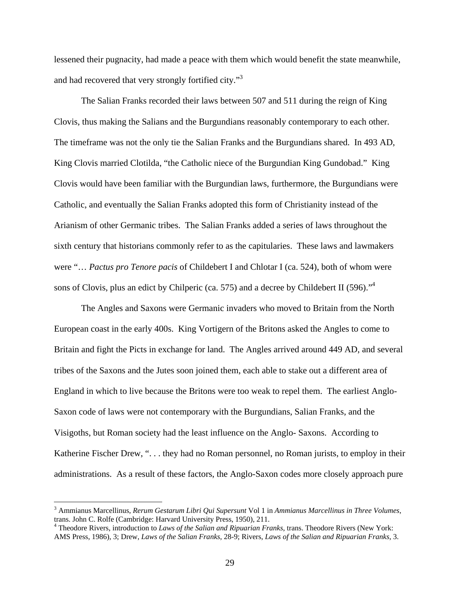lessened their pugnacity, had made a peace with them which would benefit the state meanwhile, and had recovered that very strongly fortified city."<sup>3</sup>

The Salian Franks recorded their laws between 507 and 511 during the reign of King Clovis, thus making the Salians and the Burgundians reasonably contemporary to each other. The timeframe was not the only tie the Salian Franks and the Burgundians shared. In 493 AD, King Clovis married Clotilda, "the Catholic niece of the Burgundian King Gundobad." King Clovis would have been familiar with the Burgundian laws, furthermore, the Burgundians were Catholic, and eventually the Salian Franks adopted this form of Christianity instead of the Arianism of other Germanic tribes. The Salian Franks added a series of laws throughout the sixth century that historians commonly refer to as the capitularies. These laws and lawmakers were "… *Pactus pro Tenore pacis* of Childebert I and Chlotar I (ca. 524), both of whom were sons of Clovis, plus an edict by Chilperic (ca. 575) and a decree by Childebert II (596).<sup>4</sup>

The Angles and Saxons were Germanic invaders who moved to Britain from the North European coast in the early 400s. King Vortigern of the Britons asked the Angles to come to Britain and fight the Picts in exchange for land. The Angles arrived around 449 AD, and several tribes of the Saxons and the Jutes soon joined them, each able to stake out a different area of England in which to live because the Britons were too weak to repel them. The earliest Anglo-Saxon code of laws were not contemporary with the Burgundians, Salian Franks, and the Visigoths, but Roman society had the least influence on the Anglo- Saxons. According to Katherine Fischer Drew, ". . . they had no Roman personnel, no Roman jurists, to employ in their administrations. As a result of these factors, the Anglo-Saxon codes more closely approach pure

<u>.</u>

<sup>3</sup> Ammianus Marcellinus, *Rerum Gestarum Libri Qui Supersunt* Vol 1 in *Ammianus Marcellinus in Three Volumes*, trans. John C. Rolfe (Cambridge: Harvard University Press, 1950), 211. 4

Theodore Rivers, introduction to *Laws of the Salian and Ripuarian Franks*, trans. Theodore Rivers (New York: AMS Press, 1986), 3; Drew, *Laws of the Salian Franks*, 28-9; Rivers, *Laws of the Salian and Ripuarian Franks,* 3.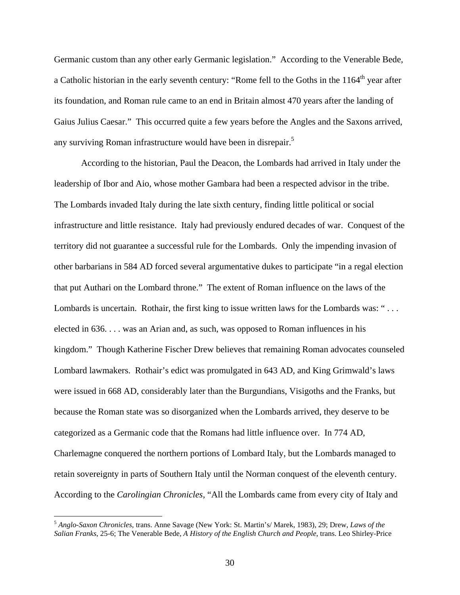Germanic custom than any other early Germanic legislation." According to the Venerable Bede, a Catholic historian in the early seventh century: "Rome fell to the Goths in the  $1164<sup>th</sup>$  year after its foundation, and Roman rule came to an end in Britain almost 470 years after the landing of Gaius Julius Caesar." This occurred quite a few years before the Angles and the Saxons arrived, any surviving Roman infrastructure would have been in disrepair.<sup>5</sup>

According to the historian, Paul the Deacon, the Lombards had arrived in Italy under the leadership of Ibor and Aio, whose mother Gambara had been a respected advisor in the tribe. The Lombards invaded Italy during the late sixth century, finding little political or social infrastructure and little resistance. Italy had previously endured decades of war. Conquest of the territory did not guarantee a successful rule for the Lombards. Only the impending invasion of other barbarians in 584 AD forced several argumentative dukes to participate "in a regal election that put Authari on the Lombard throne." The extent of Roman influence on the laws of the Lombards is uncertain. Rothair, the first king to issue written laws for the Lombards was: "... elected in 636. . . . was an Arian and, as such, was opposed to Roman influences in his kingdom." Though Katherine Fischer Drew believes that remaining Roman advocates counseled Lombard lawmakers. Rothair's edict was promulgated in 643 AD, and King Grimwald's laws were issued in 668 AD, considerably later than the Burgundians, Visigoths and the Franks, but because the Roman state was so disorganized when the Lombards arrived, they deserve to be categorized as a Germanic code that the Romans had little influence over. In 774 AD, Charlemagne conquered the northern portions of Lombard Italy, but the Lombards managed to retain sovereignty in parts of Southern Italy until the Norman conquest of the eleventh century. According to the *Carolingian Chronicles,* "All the Lombards came from every city of Italy and

<sup>5</sup> *Anglo-Saxon Chronicles*, trans. Anne Savage (New York: St. Martin's/ Marek, 1983), 29; Drew, *Laws of the Salian Franks*, 25-6; The Venerable Bede, *A History of the English Church and People*, trans. Leo Shirley-Price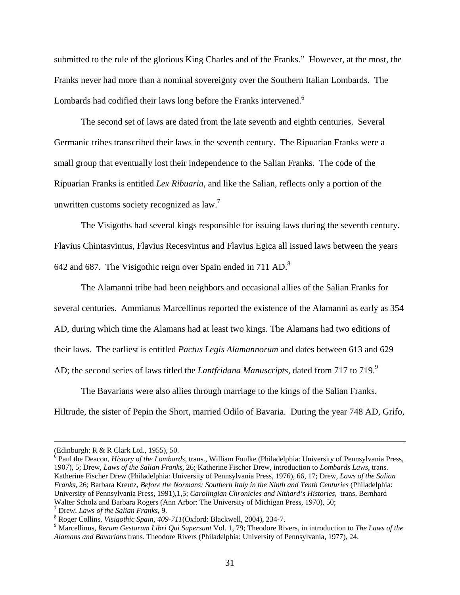submitted to the rule of the glorious King Charles and of the Franks." However, at the most, the Franks never had more than a nominal sovereignty over the Southern Italian Lombards. The Lombards had codified their laws long before the Franks intervened.<sup>6</sup>

 The second set of laws are dated from the late seventh and eighth centuries. Several Germanic tribes transcribed their laws in the seventh century. The Ripuarian Franks were a small group that eventually lost their independence to the Salian Franks. The code of the Ripuarian Franks is entitled *Lex Ribuaria*, and like the Salian, reflects only a portion of the unwritten customs society recognized as  $law<sup>7</sup>$ .

 The Visigoths had several kings responsible for issuing laws during the seventh century. Flavius Chintasvintus, Flavius Recesvintus and Flavius Egica all issued laws between the years 642 and 687. The Visigothic reign over Spain ended in 711 AD. $8$ 

The Alamanni tribe had been neighbors and occasional allies of the Salian Franks for several centuries. Ammianus Marcellinus reported the existence of the Alamanni as early as 354 AD, during which time the Alamans had at least two kings. The Alamans had two editions of their laws. The earliest is entitled *Pactus Legis Alamannorum* and dates between 613 and 629 AD; the second series of laws titled the *Lantfridana Manuscripts*, dated from 717 to 719.<sup>9</sup>

The Bavarians were also allies through marriage to the kings of the Salian Franks. Hiltrude, the sister of Pepin the Short, married Odilo of Bavaria. During the year 748 AD, Grifo,

 <sup>(</sup>Edinburgh: R & R Clark Ltd., 1955), 50.

<sup>&</sup>lt;sup>6</sup> Paul the Deacon, *History of the Lombards*, trans., William Foulke (Philadelphia: University of Pennsylvania Press, 1907), 5; Drew, *Laws of the Salian Franks*, 26; Katherine Fischer Drew, introduction to *Lombards Laws*, trans. Katherine Fischer Drew (Philadelphia: University of Pennsylvania Press, 1976), 66, 17; Drew, *Laws of the Salian Franks,* 26; Barbara Kreutz, *Before the Normans: Southern Italy in the Ninth and Tenth Centuries* (Philadelphia: University of Pennsylvania Press, 1991),1,5; *Carolingian Chronicles and Nithard's Histories*, trans. Bernhard Walter Scholz and Barbara Rogers (Ann Arbor: The University of Michigan Press, 1970), 50;

<sup>&</sup>lt;sup>7</sup> Drew, *Laws of the Salian Franks*, 9.<br><sup>8</sup> Poger Colling, *Visigothic Spain, 400* 

Roger Collins, *Visigothic Spain, 409-711*(Oxford: Blackwell, 2004), 234-7. 9

Marcellinus, *Rerum Gestarum Libri Qui Supersunt* Vol. 1, 79; Theodore Rivers, in introduction to *The Laws of the Alamans and Bavarians* trans. Theodore Rivers (Philadelphia: University of Pennsylvania, 1977), 24.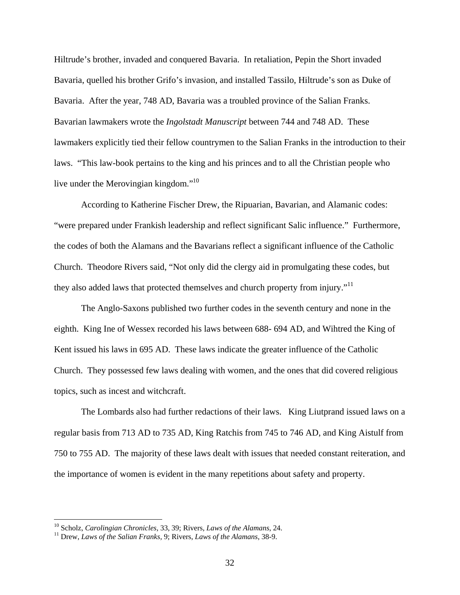Hiltrude's brother, invaded and conquered Bavaria. In retaliation, Pepin the Short invaded Bavaria, quelled his brother Grifo's invasion, and installed Tassilo, Hiltrude's son as Duke of Bavaria. After the year, 748 AD, Bavaria was a troubled province of the Salian Franks. Bavarian lawmakers wrote the *Ingolstadt Manuscript* between 744 and 748 AD. These lawmakers explicitly tied their fellow countrymen to the Salian Franks in the introduction to their laws. "This law-book pertains to the king and his princes and to all the Christian people who live under the Merovingian kingdom."<sup>10</sup>

According to Katherine Fischer Drew, the Ripuarian, Bavarian, and Alamanic codes: "were prepared under Frankish leadership and reflect significant Salic influence." Furthermore, the codes of both the Alamans and the Bavarians reflect a significant influence of the Catholic Church. Theodore Rivers said, "Not only did the clergy aid in promulgating these codes, but they also added laws that protected themselves and church property from injury."<sup>11</sup>

The Anglo-Saxons published two further codes in the seventh century and none in the eighth. King Ine of Wessex recorded his laws between 688- 694 AD, and Wihtred the King of Kent issued his laws in 695 AD. These laws indicate the greater influence of the Catholic Church. They possessed few laws dealing with women, and the ones that did covered religious topics, such as incest and witchcraft.

The Lombards also had further redactions of their laws. King Liutprand issued laws on a regular basis from 713 AD to 735 AD, King Ratchis from 745 to 746 AD, and King Aistulf from 750 to 755 AD. The majority of these laws dealt with issues that needed constant reiteration, and the importance of women is evident in the many repetitions about safety and property.

<sup>10</sup> Scholz, *Carolingian Chronicles*, 33, 39; Rivers, *Laws of the Alamans*, 24. 11 Drew, *Laws of the Salian Franks,* 9; Rivers, *Laws of the Alamans*, 38-9.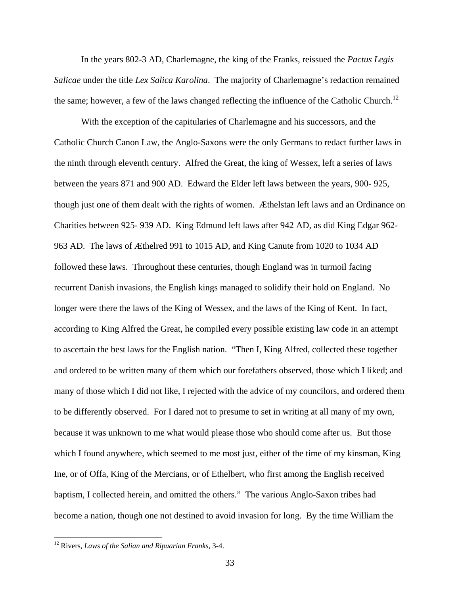In the years 802-3 AD, Charlemagne, the king of the Franks, reissued the *Pactus Legis Salicae* under the title *Lex Salica Karolina*. The majority of Charlemagne's redaction remained the same; however, a few of the laws changed reflecting the influence of the Catholic Church.<sup>12</sup>

With the exception of the capitularies of Charlemagne and his successors, and the Catholic Church Canon Law, the Anglo-Saxons were the only Germans to redact further laws in the ninth through eleventh century. Alfred the Great, the king of Wessex, left a series of laws between the years 871 and 900 AD. Edward the Elder left laws between the years, 900- 925, though just one of them dealt with the rights of women. Æthelstan left laws and an Ordinance on Charities between 925- 939 AD. King Edmund left laws after 942 AD, as did King Edgar 962- 963 AD. The laws of Æthelred 991 to 1015 AD, and King Canute from 1020 to 1034 AD followed these laws. Throughout these centuries, though England was in turmoil facing recurrent Danish invasions, the English kings managed to solidify their hold on England. No longer were there the laws of the King of Wessex, and the laws of the King of Kent. In fact, according to King Alfred the Great, he compiled every possible existing law code in an attempt to ascertain the best laws for the English nation. "Then I, King Alfred, collected these together and ordered to be written many of them which our forefathers observed, those which I liked; and many of those which I did not like, I rejected with the advice of my councilors, and ordered them to be differently observed. For I dared not to presume to set in writing at all many of my own, because it was unknown to me what would please those who should come after us. But those which I found anywhere, which seemed to me most just, either of the time of my kinsman, King Ine, or of Offa, King of the Mercians, or of Ethelbert, who first among the English received baptism, I collected herein, and omitted the others." The various Anglo-Saxon tribes had become a nation, though one not destined to avoid invasion for long. By the time William the

1

<sup>12</sup> Rivers, *Laws of the Salian and Ripuarian Franks,* 3-4.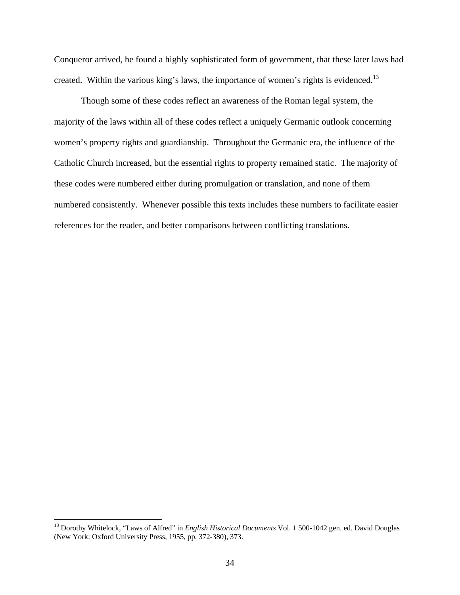Conqueror arrived, he found a highly sophisticated form of government, that these later laws had created. Within the various king's laws, the importance of women's rights is evidenced.<sup>13</sup>

Though some of these codes reflect an awareness of the Roman legal system, the majority of the laws within all of these codes reflect a uniquely Germanic outlook concerning women's property rights and guardianship. Throughout the Germanic era, the influence of the Catholic Church increased, but the essential rights to property remained static. The majority of these codes were numbered either during promulgation or translation, and none of them numbered consistently. Whenever possible this texts includes these numbers to facilitate easier references for the reader, and better comparisons between conflicting translations.

1

<sup>&</sup>lt;sup>13</sup> Dorothy Whitelock, "Laws of Alfred" in *English Historical Documents* Vol. 1 500-1042 gen. ed. David Douglas (New York: Oxford University Press, 1955, pp. 372-380), 373.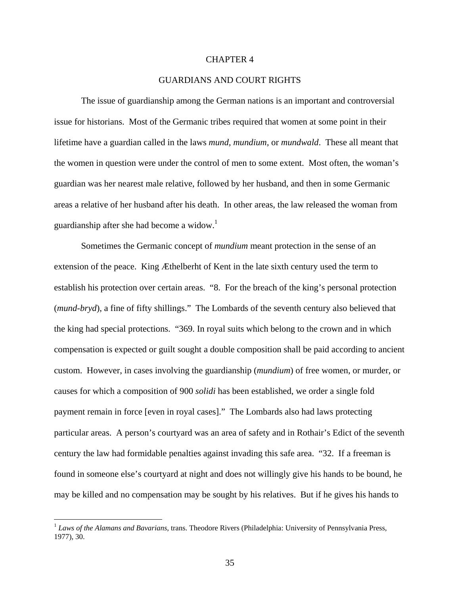### CHAPTER 4

# GUARDIANS AND COURT RIGHTS

 The issue of guardianship among the German nations is an important and controversial issue for historians. Most of the Germanic tribes required that women at some point in their lifetime have a guardian called in the laws *mund, mundium,* or *mundwald*. These all meant that the women in question were under the control of men to some extent. Most often, the woman's guardian was her nearest male relative, followed by her husband, and then in some Germanic areas a relative of her husband after his death. In other areas, the law released the woman from guardianship after she had become a widow.<sup>1</sup>

Sometimes the Germanic concept of *mundium* meant protection in the sense of an extension of the peace. King Æthelberht of Kent in the late sixth century used the term to establish his protection over certain areas. "8. For the breach of the king's personal protection (*mund*-*bryd*), a fine of fifty shillings." The Lombards of the seventh century also believed that the king had special protections. "369. In royal suits which belong to the crown and in which compensation is expected or guilt sought a double composition shall be paid according to ancient custom. However, in cases involving the guardianship (*mundium*) of free women, or murder, or causes for which a composition of 900 *solidi* has been established, we order a single fold payment remain in force [even in royal cases]." The Lombards also had laws protecting particular areas. A person's courtyard was an area of safety and in Rothair's Edict of the seventh century the law had formidable penalties against invading this safe area. "32. If a freeman is found in someone else's courtyard at night and does not willingly give his hands to be bound, he may be killed and no compensation may be sought by his relatives. But if he gives his hands to

<sup>1</sup> *Laws of the Alamans and Bavarians*, trans. Theodore Rivers (Philadelphia: University of Pennsylvania Press, 1977), 30.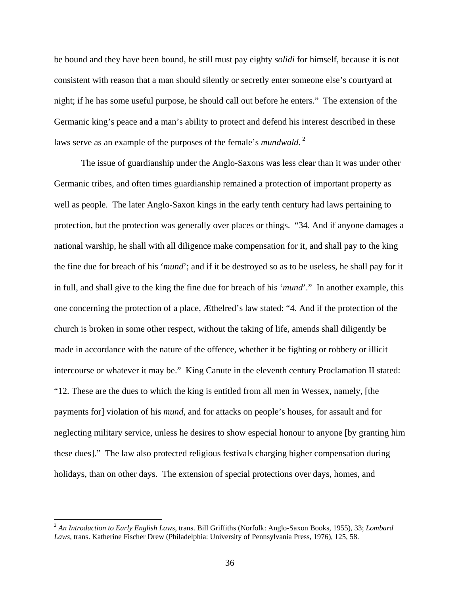be bound and they have been bound, he still must pay eighty *solidi* for himself, because it is not consistent with reason that a man should silently or secretly enter someone else's courtyard at night; if he has some useful purpose, he should call out before he enters." The extension of the Germanic king's peace and a man's ability to protect and defend his interest described in these laws serve as an example of the purposes of the female's *mundwald*.<sup>2</sup>

The issue of guardianship under the Anglo-Saxons was less clear than it was under other Germanic tribes, and often times guardianship remained a protection of important property as well as people. The later Anglo-Saxon kings in the early tenth century had laws pertaining to protection, but the protection was generally over places or things. "34. And if anyone damages a national warship, he shall with all diligence make compensation for it, and shall pay to the king the fine due for breach of his '*mund*'; and if it be destroyed so as to be useless, he shall pay for it in full, and shall give to the king the fine due for breach of his '*mund*'." In another example, this one concerning the protection of a place, Æthelred's law stated: "4. And if the protection of the church is broken in some other respect, without the taking of life, amends shall diligently be made in accordance with the nature of the offence, whether it be fighting or robbery or illicit intercourse or whatever it may be." King Canute in the eleventh century Proclamation II stated: "12. These are the dues to which the king is entitled from all men in Wessex, namely, [the payments for] violation of his *mund*, and for attacks on people's houses, for assault and for neglecting military service, unless he desires to show especial honour to anyone [by granting him these dues]." The law also protected religious festivals charging higher compensation during holidays, than on other days. The extension of special protections over days, homes, and

<sup>2</sup> *An Introduction to Early English Laws*, trans. Bill Griffiths (Norfolk: Anglo-Saxon Books, 1955), 33; *Lombard Laws*, trans. Katherine Fischer Drew (Philadelphia: University of Pennsylvania Press, 1976), 125, 58.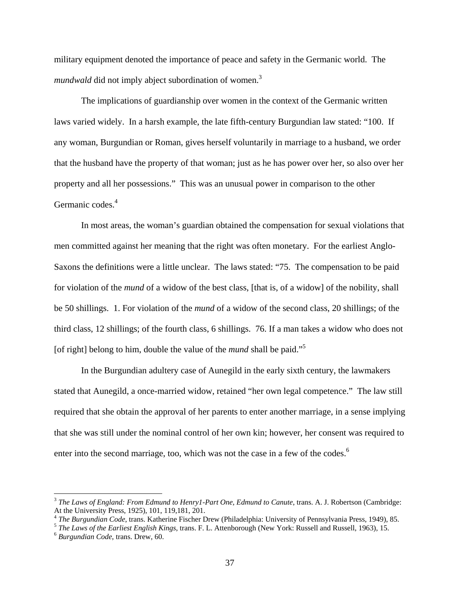military equipment denoted the importance of peace and safety in the Germanic world. The *mundwald* did not imply abject subordination of women.<sup>3</sup>

The implications of guardianship over women in the context of the Germanic written laws varied widely. In a harsh example, the late fifth-century Burgundian law stated: "100. If any woman, Burgundian or Roman, gives herself voluntarily in marriage to a husband, we order that the husband have the property of that woman; just as he has power over her, so also over her property and all her possessions." This was an unusual power in comparison to the other Germanic codes.<sup>4</sup>

In most areas, the woman's guardian obtained the compensation for sexual violations that men committed against her meaning that the right was often monetary. For the earliest Anglo-Saxons the definitions were a little unclear. The laws stated: "75. The compensation to be paid for violation of the *mund* of a widow of the best class, [that is, of a widow] of the nobility, shall be 50 shillings. 1. For violation of the *mund* of a widow of the second class, 20 shillings; of the third class, 12 shillings; of the fourth class, 6 shillings. 76. If a man takes a widow who does not [of right] belong to him, double the value of the *mund* shall be paid."5

In the Burgundian adultery case of Aunegild in the early sixth century, the lawmakers stated that Aunegild, a once-married widow, retained "her own legal competence." The law still required that she obtain the approval of her parents to enter another marriage, in a sense implying that she was still under the nominal control of her own kin; however, her consent was required to enter into the second marriage, too, which was not the case in a few of the codes.<sup>6</sup>

1

<sup>&</sup>lt;sup>3</sup> The Laws of England: From Edmund to Henry1-Part One, Edmund to Canute, trans. A. J. Robertson (Cambridge: At the University Press, 1925), 101, 119,181, 201.<br><sup>4</sup> The Burgundian Code, trans. Katherine Fischer Drew (Philadelphia: University of Pennsylvania Press, 1949), 85.

<sup>&</sup>lt;sup>5</sup> The Laws of the Earliest English Kings, trans. F. L. Attenborough (New York: Russell and Russell, 1963), 15.  $^6$  Burgundian Code, trans. Drew, 60.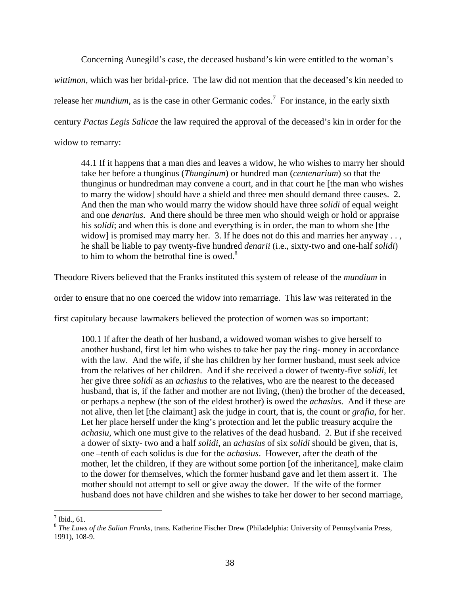Concerning Aunegild's case, the deceased husband's kin were entitled to the woman's *wittimon,* which was her bridal-price. The law did not mention that the deceased's kin needed to release her *mundium*, as is the case in other Germanic codes.<sup>7</sup> For instance, in the early sixth century *Pactus Legis Salicae* the law required the approval of the deceased's kin in order for the widow to remarry:

44.1 If it happens that a man dies and leaves a widow, he who wishes to marry her should take her before a thunginus (*Thunginum*) or hundred man (*centenarium*) so that the thunginus or hundredman may convene a court, and in that court he [the man who wishes to marry the widow] should have a shield and three men should demand three causes. 2. And then the man who would marry the widow should have three *solidi* of equal weight and one *denarius*. And there should be three men who should weigh or hold or appraise his *solidi*; and when this is done and everything is in order, the man to whom she [the widow] is promised may marry her. 3. If he does not do this and marries her anyway . . , he shall be liable to pay twenty-five hundred *denarii* (i.e., sixty-two and one-half *solidi*) to him to whom the betrothal fine is owed. $8$ 

Theodore Rivers believed that the Franks instituted this system of release of the *mundium* in

order to ensure that no one coerced the widow into remarriage. This law was reiterated in the

first capitulary because lawmakers believed the protection of women was so important:

100.1 If after the death of her husband, a widowed woman wishes to give herself to another husband, first let him who wishes to take her pay the ring- money in accordance with the law. And the wife, if she has children by her former husband, must seek advice from the relatives of her children. And if she received a dower of twenty-five *solidi*, let her give three *solidi* as an *achasius* to the relatives, who are the nearest to the deceased husband, that is, if the father and mother are not living, (then) the brother of the deceased, or perhaps a nephew (the son of the eldest brother) is owed the *achasius*. And if these are not alive, then let [the claimant] ask the judge in court, that is, the count or *grafia*, for her. Let her place herself under the king's protection and let the public treasury acquire the *achasiu,* which one must give to the relatives of the dead husband. 2. But if she received a dower of sixty- two and a half *solidi*, an *achasius* of six *solidi* should be given, that is, one –tenth of each solidus is due for the *achasius*. However, after the death of the mother, let the children, if they are without some portion [of the inheritance], make claim to the dower for themselves, which the former husband gave and let them assert it. The mother should not attempt to sell or give away the dower. If the wife of the former husband does not have children and she wishes to take her dower to her second marriage,

 $^7$  Ibid., 61.

<sup>8</sup> *The Laws of the Salian Franks*, trans. Katherine Fischer Drew (Philadelphia: University of Pennsylvania Press, 1991), 108-9.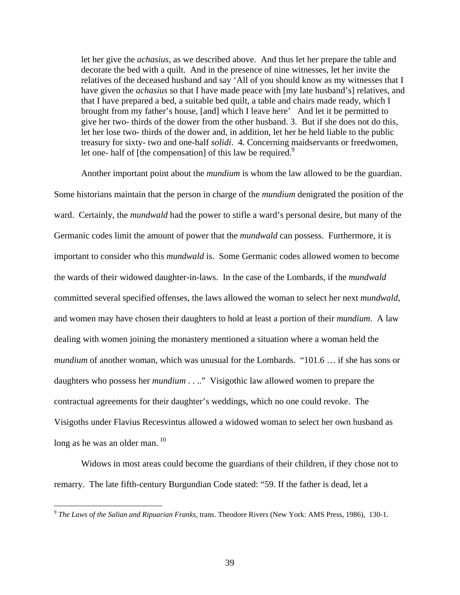let her give the *achasius*, as we described above. And thus let her prepare the table and decorate the bed with a quilt. And in the presence of nine witnesses, let her invite the relatives of the deceased husband and say 'All of you should know as my witnesses that I have given the *achasius* so that I have made peace with [my late husband's] relatives, and that I have prepared a bed, a suitable bed quilt, a table and chairs made ready, which I brought from my father's house, [and] which I leave here' And let it be permitted to give her two- thirds of the dower from the other husband. 3. But if she does not do this, let her lose two- thirds of the dower and, in addition, let her be held liable to the public treasury for sixty- two and one-half *solidi*. 4. Concerning maidservants or freedwomen, let one- half of [the compensation] of this law be required.<sup>9</sup>

Another important point about the *mundium* is whom the law allowed to be the guardian. Some historians maintain that the person in charge of the *mundium* denigrated the position of the ward. Certainly, the *mundwald* had the power to stifle a ward's personal desire, but many of the Germanic codes limit the amount of power that the *mundwald* can possess. Furthermore, it is important to consider who this *mundwald* is. Some Germanic codes allowed women to become the wards of their widowed daughter-in-laws. In the case of the Lombards, if the *mundwald* committed several specified offenses, the laws allowed the woman to select her next *mundwald*, and women may have chosen their daughters to hold at least a portion of their *mundium*. A law dealing with women joining the monastery mentioned a situation where a woman held the *mundium* of another woman, which was unusual for the Lombards. "101.6 … if she has sons or daughters who possess her *mundium* . . .." Visigothic law allowed women to prepare the contractual agreements for their daughter's weddings, which no one could revoke. The Visigoths under Flavius Recesvintus allowed a widowed woman to select her own husband as long as he was an older man. $10$ 

Widows in most areas could become the guardians of their children, if they chose not to remarry. The late fifth-century Burgundian Code stated: "59. If the father is dead, let a

<sup>9</sup> *The Laws of the Salian and Ripuarian Franks*, trans. Theodore Rivers (New York: AMS Press, 1986), 130-1.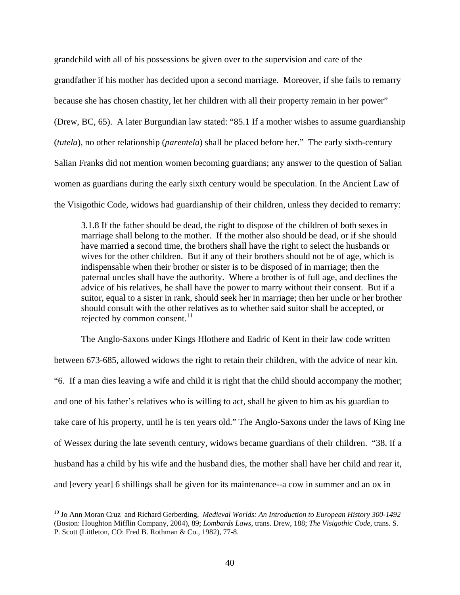grandchild with all of his possessions be given over to the supervision and care of the grandfather if his mother has decided upon a second marriage. Moreover, if she fails to remarry because she has chosen chastity, let her children with all their property remain in her power" (Drew, BC, 65). A later Burgundian law stated: "85.1 If a mother wishes to assume guardianship (*tutela*), no other relationship (*parentela*) shall be placed before her." The early sixth-century Salian Franks did not mention women becoming guardians; any answer to the question of Salian women as guardians during the early sixth century would be speculation. In the Ancient Law of the Visigothic Code, widows had guardianship of their children, unless they decided to remarry:

3.1.8 If the father should be dead, the right to dispose of the children of both sexes in marriage shall belong to the mother. If the mother also should be dead, or if she should have married a second time, the brothers shall have the right to select the husbands or wives for the other children. But if any of their brothers should not be of age, which is indispensable when their brother or sister is to be disposed of in marriage; then the paternal uncles shall have the authority. Where a brother is of full age, and declines the advice of his relatives, he shall have the power to marry without their consent. But if a suitor, equal to a sister in rank, should seek her in marriage; then her uncle or her brother should consult with the other relatives as to whether said suitor shall be accepted, or rejected by common consent. $11$ 

The Anglo-Saxons under Kings Hlothere and Eadric of Kent in their law code written between 673-685, allowed widows the right to retain their children, with the advice of near kin. "6. If a man dies leaving a wife and child it is right that the child should accompany the mother; and one of his father's relatives who is willing to act, shall be given to him as his guardian to take care of his property, until he is ten years old." The Anglo-Saxons under the laws of King Ine of Wessex during the late seventh century, widows became guardians of their children. "38. If a husband has a child by his wife and the husband dies, the mother shall have her child and rear it, and [every year] 6 shillings shall be given for its maintenance--a cow in summer and an ox in

 <sup>10</sup> Jo Ann Moran Cruz and Richard Gerberding, *Medieval Worlds: An Introduction to European History 300-1492* (Boston: Houghton Mifflin Company, 2004), 89; *Lombards Laws*, trans. Drew, 188; *The Visigothic Code,* trans. S. P. Scott (Littleton, CO: Fred B. Rothman & Co., 1982), 77-8.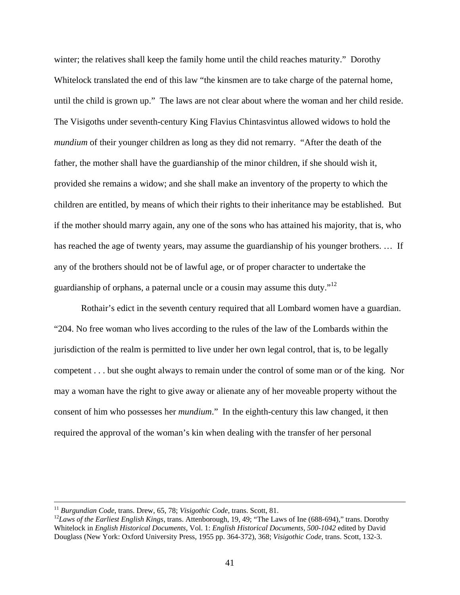winter; the relatives shall keep the family home until the child reaches maturity." Dorothy Whitelock translated the end of this law "the kinsmen are to take charge of the paternal home, until the child is grown up." The laws are not clear about where the woman and her child reside. The Visigoths under seventh-century King Flavius Chintasvintus allowed widows to hold the *mundium* of their younger children as long as they did not remarry. "After the death of the father, the mother shall have the guardianship of the minor children, if she should wish it, provided she remains a widow; and she shall make an inventory of the property to which the children are entitled, by means of which their rights to their inheritance may be established. But if the mother should marry again, any one of the sons who has attained his majority, that is, who has reached the age of twenty years, may assume the guardianship of his younger brothers. ... If any of the brothers should not be of lawful age, or of proper character to undertake the guardianship of orphans, a paternal uncle or a cousin may assume this duty."<sup>12</sup>

Rothair's edict in the seventh century required that all Lombard women have a guardian. "204. No free woman who lives according to the rules of the law of the Lombards within the jurisdiction of the realm is permitted to live under her own legal control, that is, to be legally competent . . . but she ought always to remain under the control of some man or of the king. Nor may a woman have the right to give away or alienate any of her moveable property without the consent of him who possesses her *mundium*." In the eighth-century this law changed, it then required the approval of the woman's kin when dealing with the transfer of her personal

<sup>&</sup>lt;sup>11</sup> *Burgundian Code*, trans. Drew, 65, 78; *Visigothic Code*, trans. Scott, 81.<br><sup>12</sup>*Laws of the Earliest English Kings*, trans. Attenborough, 19, 49; "The Laws of Ine (688-694)," trans. Dorothy Whitelock in *English Historical Documents,* Vol. 1: *English Historical Documents, 500-1042* edited by David Douglass (New York: Oxford University Press, 1955 pp. 364-372), 368; *Visigothic Code*, trans. Scott, 132-3.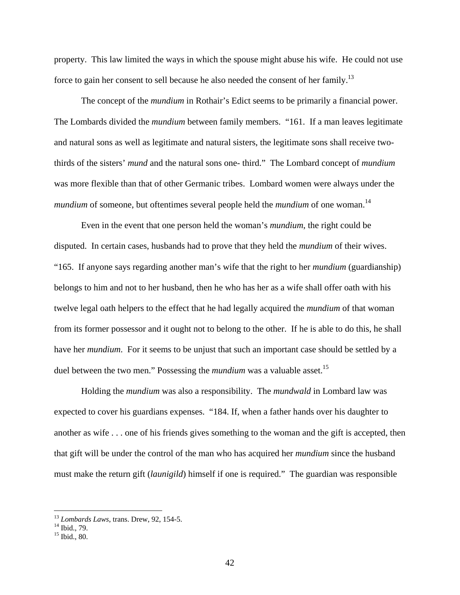property. This law limited the ways in which the spouse might abuse his wife. He could not use force to gain her consent to sell because he also needed the consent of her family.<sup>13</sup>

The concept of the *mundium* in Rothair's Edict seems to be primarily a financial power. The Lombards divided the *mundium* between family members. "161. If a man leaves legitimate and natural sons as well as legitimate and natural sisters, the legitimate sons shall receive twothirds of the sisters' *mund* and the natural sons one- third." The Lombard concept of *mundium* was more flexible than that of other Germanic tribes. Lombard women were always under the *mundium* of someone, but oftentimes several people held the *mundium* of one woman.<sup>14</sup>

Even in the event that one person held the woman's *mundium*, the right could be disputed. In certain cases, husbands had to prove that they held the *mundium* of their wives. "165. If anyone says regarding another man's wife that the right to her *mundium* (guardianship) belongs to him and not to her husband, then he who has her as a wife shall offer oath with his twelve legal oath helpers to the effect that he had legally acquired the *mundium* of that woman from its former possessor and it ought not to belong to the other. If he is able to do this, he shall have her *mundium*. For it seems to be unjust that such an important case should be settled by a duel between the two men." Possessing the *mundium* was a valuable asset.<sup>15</sup>

Holding the *mundium* was also a responsibility. The *mundwald* in Lombard law was expected to cover his guardians expenses. "184. If, when a father hands over his daughter to another as wife . . . one of his friends gives something to the woman and the gift is accepted, then that gift will be under the control of the man who has acquired her *mundium* since the husband must make the return gift (*launigild*) himself if one is required." The guardian was responsible

<sup>&</sup>lt;sup>13</sup> *Lombards Laws*, trans. Drew, 92, 154-5.<br><sup>14</sup> Ibid., 79.

 $^{15}$  Ibid., 80.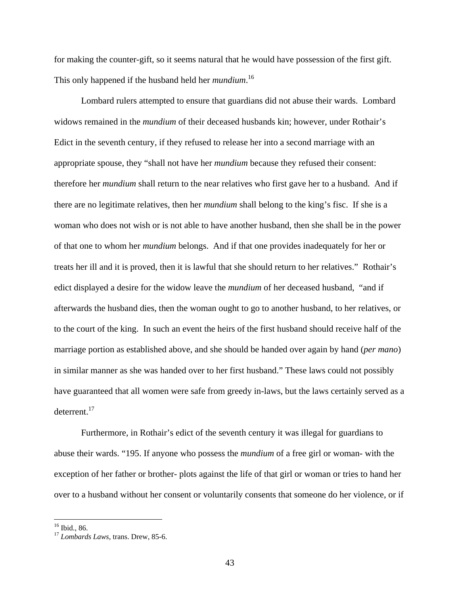for making the counter-gift, so it seems natural that he would have possession of the first gift. This only happened if the husband held her *mundium*. 16

Lombard rulers attempted to ensure that guardians did not abuse their wards. Lombard widows remained in the *mundium* of their deceased husbands kin; however, under Rothair's Edict in the seventh century, if they refused to release her into a second marriage with an appropriate spouse, they "shall not have her *mundium* because they refused their consent: therefore her *mundium* shall return to the near relatives who first gave her to a husband. And if there are no legitimate relatives, then her *mundium* shall belong to the king's fisc. If she is a woman who does not wish or is not able to have another husband, then she shall be in the power of that one to whom her *mundium* belongs. And if that one provides inadequately for her or treats her ill and it is proved, then it is lawful that she should return to her relatives." Rothair's edict displayed a desire for the widow leave the *mundium* of her deceased husband, "and if afterwards the husband dies, then the woman ought to go to another husband, to her relatives, or to the court of the king. In such an event the heirs of the first husband should receive half of the marriage portion as established above, and she should be handed over again by hand (*per mano*) in similar manner as she was handed over to her first husband." These laws could not possibly have guaranteed that all women were safe from greedy in-laws, but the laws certainly served as a deterrent.<sup>17</sup>

Furthermore, in Rothair's edict of the seventh century it was illegal for guardians to abuse their wards. "195. If anyone who possess the *mundium* of a free girl or woman- with the exception of her father or brother- plots against the life of that girl or woman or tries to hand her over to a husband without her consent or voluntarily consents that someone do her violence, or if

 $16$  Ibid., 86.

<sup>17</sup> *Lombards Laws*, trans. Drew, 85-6.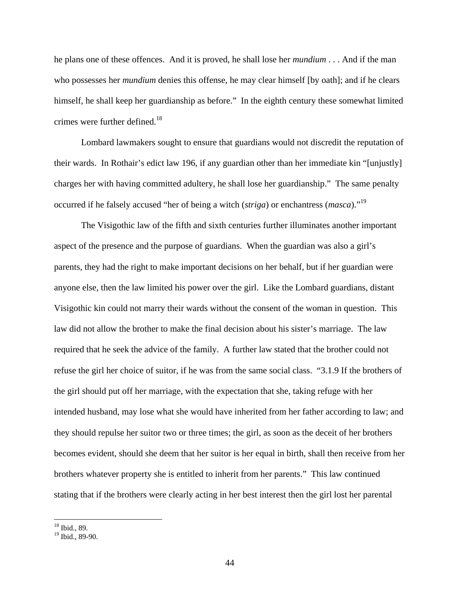he plans one of these offences. And it is proved, he shall lose her *mundium* . . . And if the man who possesses her *mundium* denies this offense, he may clear himself [by oath]; and if he clears himself, he shall keep her guardianship as before." In the eighth century these somewhat limited crimes were further defined.<sup>18</sup>

Lombard lawmakers sought to ensure that guardians would not discredit the reputation of their wards. In Rothair's edict law 196, if any guardian other than her immediate kin "[unjustly] charges her with having committed adultery, he shall lose her guardianship." The same penalty occurred if he falsely accused "her of being a witch (*striga*) or enchantress (*masca*)."19

The Visigothic law of the fifth and sixth centuries further illuminates another important aspect of the presence and the purpose of guardians. When the guardian was also a girl's parents, they had the right to make important decisions on her behalf, but if her guardian were anyone else, then the law limited his power over the girl. Like the Lombard guardians, distant Visigothic kin could not marry their wards without the consent of the woman in question. This law did not allow the brother to make the final decision about his sister's marriage. The law required that he seek the advice of the family. A further law stated that the brother could not refuse the girl her choice of suitor, if he was from the same social class. "3.1.9 If the brothers of the girl should put off her marriage, with the expectation that she, taking refuge with her intended husband, may lose what she would have inherited from her father according to law; and they should repulse her suitor two or three times; the girl, as soon as the deceit of her brothers becomes evident, should she deem that her suitor is her equal in birth, shall then receive from her brothers whatever property she is entitled to inherit from her parents." This law continued stating that if the brothers were clearly acting in her best interest then the girl lost her parental

<sup>18</sup> Ibid., 89.

<sup>&</sup>lt;sup>19</sup> Ibid., 89-90.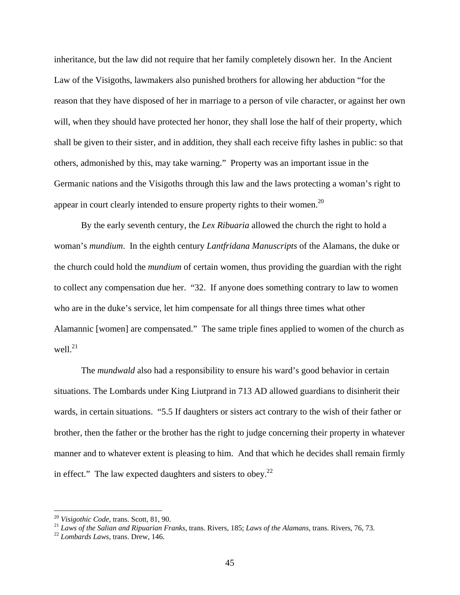inheritance, but the law did not require that her family completely disown her. In the Ancient Law of the Visigoths, lawmakers also punished brothers for allowing her abduction "for the reason that they have disposed of her in marriage to a person of vile character, or against her own will, when they should have protected her honor, they shall lose the half of their property, which shall be given to their sister, and in addition, they shall each receive fifty lashes in public: so that others, admonished by this, may take warning." Property was an important issue in the Germanic nations and the Visigoths through this law and the laws protecting a woman's right to appear in court clearly intended to ensure property rights to their women.<sup>20</sup>

By the early seventh century, the *Lex Ribuaria* allowed the church the right to hold a woman's *mundium*. In the eighth century *Lantfridana Manuscripts* of the Alamans, the duke or the church could hold the *mundium* of certain women, thus providing the guardian with the right to collect any compensation due her. "32. If anyone does something contrary to law to women who are in the duke's service, let him compensate for all things three times what other Alamannic [women] are compensated." The same triple fines applied to women of the church as well. $^{21}$ 

The *mundwald* also had a responsibility to ensure his ward's good behavior in certain situations. The Lombards under King Liutprand in 713 AD allowed guardians to disinherit their wards, in certain situations. "5.5 If daughters or sisters act contrary to the wish of their father or brother, then the father or the brother has the right to judge concerning their property in whatever manner and to whatever extent is pleasing to him. And that which he decides shall remain firmly in effect." The law expected daughters and sisters to obey. $^{22}$ 

<sup>20</sup> *Visigothic Code*, trans. Scott, 81, 90. 21 *Laws of the Salian and Ripuarian Franks*, trans. Rivers, 185; *Laws of the Alamans*, trans. Rivers, 76, 73. 22 *Lombards Laws*, trans. Drew, 146.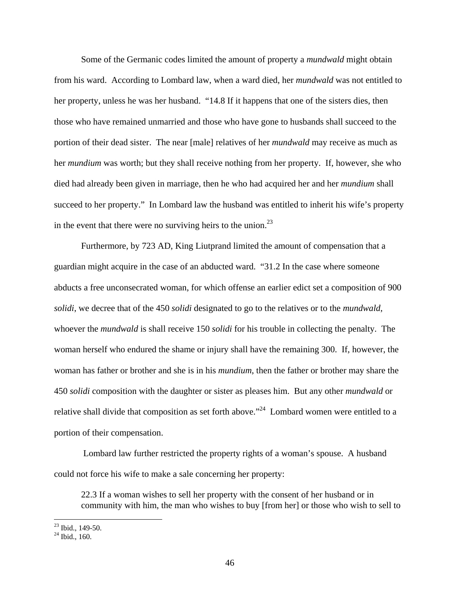Some of the Germanic codes limited the amount of property a *mundwald* might obtain from his ward. According to Lombard law, when a ward died, her *mundwald* was not entitled to her property, unless he was her husband. "14.8 If it happens that one of the sisters dies, then those who have remained unmarried and those who have gone to husbands shall succeed to the portion of their dead sister. The near [male] relatives of her *mundwald* may receive as much as her *mundium* was worth; but they shall receive nothing from her property. If, however, she who died had already been given in marriage, then he who had acquired her and her *mundium* shall succeed to her property." In Lombard law the husband was entitled to inherit his wife's property in the event that there were no surviving heirs to the union.<sup>23</sup>

Furthermore, by 723 AD, King Liutprand limited the amount of compensation that a guardian might acquire in the case of an abducted ward. "31.2 In the case where someone abducts a free unconsecrated woman, for which offense an earlier edict set a composition of 900 *solidi*, we decree that of the 450 *solidi* designated to go to the relatives or to the *mundwald*, whoever the *mundwald* is shall receive 150 *solidi* for his trouble in collecting the penalty. The woman herself who endured the shame or injury shall have the remaining 300. If, however, the woman has father or brother and she is in his *mundium*, then the father or brother may share the 450 *solidi* composition with the daughter or sister as pleases him. But any other *mundwald* or relative shall divide that composition as set forth above."<sup>24</sup> Lombard women were entitled to a portion of their compensation.

 Lombard law further restricted the property rights of a woman's spouse. A husband could not force his wife to make a sale concerning her property:

22.3 If a woman wishes to sell her property with the consent of her husband or in community with him, the man who wishes to buy [from her] or those who wish to sell to

 $23$  Ibid., 149-50.

 $^{24}$  Ibid., 160.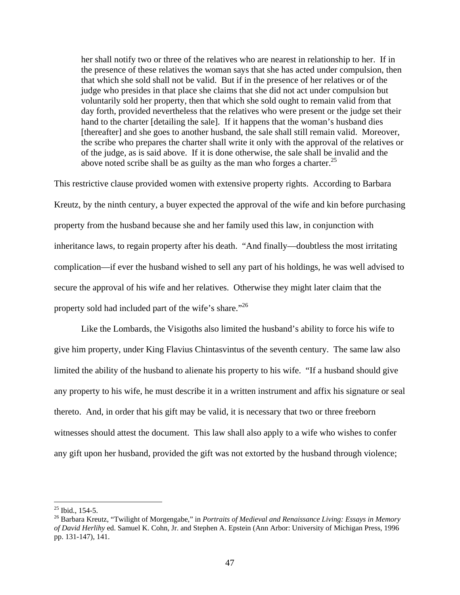her shall notify two or three of the relatives who are nearest in relationship to her. If in the presence of these relatives the woman says that she has acted under compulsion, then that which she sold shall not be valid. But if in the presence of her relatives or of the judge who presides in that place she claims that she did not act under compulsion but voluntarily sold her property, then that which she sold ought to remain valid from that day forth, provided nevertheless that the relatives who were present or the judge set their hand to the charter [detailing the sale]. If it happens that the woman's husband dies [thereafter] and she goes to another husband, the sale shall still remain valid. Moreover, the scribe who prepares the charter shall write it only with the approval of the relatives or of the judge, as is said above. If it is done otherwise, the sale shall be invalid and the above noted scribe shall be as guilty as the man who forges a charter.<sup>25</sup>

This restrictive clause provided women with extensive property rights. According to Barbara Kreutz, by the ninth century, a buyer expected the approval of the wife and kin before purchasing property from the husband because she and her family used this law, in conjunction with inheritance laws, to regain property after his death. "And finally—doubtless the most irritating complication—if ever the husband wished to sell any part of his holdings, he was well advised to secure the approval of his wife and her relatives. Otherwise they might later claim that the property sold had included part of the wife's share."<sup>26</sup>

Like the Lombards, the Visigoths also limited the husband's ability to force his wife to give him property, under King Flavius Chintasvintus of the seventh century. The same law also limited the ability of the husband to alienate his property to his wife. "If a husband should give any property to his wife, he must describe it in a written instrument and affix his signature or seal thereto. And, in order that his gift may be valid, it is necessary that two or three freeborn witnesses should attest the document. This law shall also apply to a wife who wishes to confer any gift upon her husband, provided the gift was not extorted by the husband through violence;

<u>.</u>

 $^{25}$  Ibid., 154-5.

<sup>26</sup> Barbara Kreutz, "Twilight of Morgengabe," in *Portraits of Medieval and Renaissance Living: Essays in Memory of David Herlihy* ed. Samuel K. Cohn, Jr. and Stephen A. Epstein (Ann Arbor: University of Michigan Press, 1996 pp. 131-147), 141.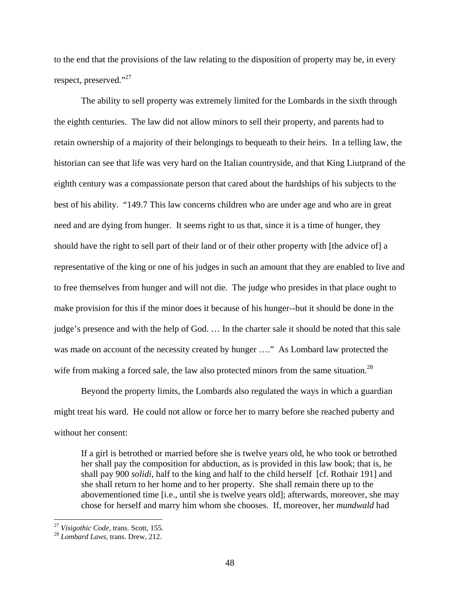to the end that the provisions of the law relating to the disposition of property may be, in every respect, preserved."<sup>27</sup>

The ability to sell property was extremely limited for the Lombards in the sixth through the eighth centuries. The law did not allow minors to sell their property, and parents had to retain ownership of a majority of their belongings to bequeath to their heirs. In a telling law, the historian can see that life was very hard on the Italian countryside, and that King Liutprand of the eighth century was a compassionate person that cared about the hardships of his subjects to the best of his ability. "149.7 This law concerns children who are under age and who are in great need and are dying from hunger. It seems right to us that, since it is a time of hunger, they should have the right to sell part of their land or of their other property with [the advice of] a representative of the king or one of his judges in such an amount that they are enabled to live and to free themselves from hunger and will not die. The judge who presides in that place ought to make provision for this if the minor does it because of his hunger--but it should be done in the judge's presence and with the help of God. … In the charter sale it should be noted that this sale was made on account of the necessity created by hunger ...." As Lombard law protected the wife from making a forced sale, the law also protected minors from the same situation.<sup>28</sup>

 Beyond the property limits, the Lombards also regulated the ways in which a guardian might treat his ward. He could not allow or force her to marry before she reached puberty and without her consent:

If a girl is betrothed or married before she is twelve years old, he who took or betrothed her shall pay the composition for abduction, as is provided in this law book; that is, he shall pay 900 *solidi*, half to the king and half to the child herself [cf. Rothair 191] and she shall return to her home and to her property. She shall remain there up to the abovementioned time [i.e., until she is twelve years old]; afterwards, moreover, she may chose for herself and marry him whom she chooses. If, moreover, her *mundwald* had

<sup>&</sup>lt;sup>27</sup> Visigothic Code, trans. Scott, 155.

<sup>&</sup>lt;sup>28</sup> *Lombard Laws*, trans. Drew, 212.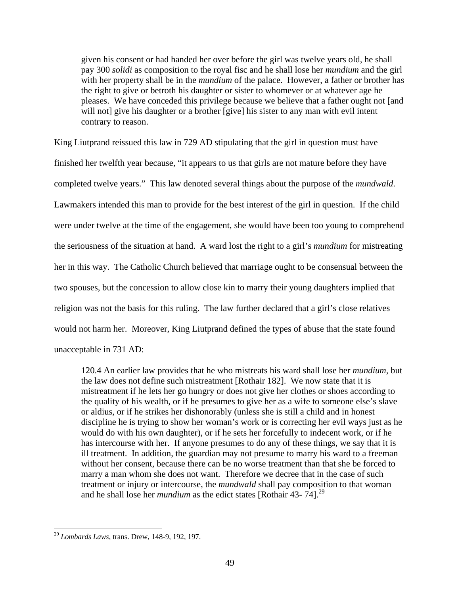given his consent or had handed her over before the girl was twelve years old, he shall pay 300 *solidi* as composition to the royal fisc and he shall lose her *mundium* and the girl with her property shall be in the *mundium* of the palace. However, a father or brother has the right to give or betroth his daughter or sister to whomever or at whatever age he pleases. We have conceded this privilege because we believe that a father ought not [and will not] give his daughter or a brother [give] his sister to any man with evil intent contrary to reason.

King Liutprand reissued this law in 729 AD stipulating that the girl in question must have finished her twelfth year because, "it appears to us that girls are not mature before they have completed twelve years." This law denoted several things about the purpose of the *mundwald*. Lawmakers intended this man to provide for the best interest of the girl in question. If the child were under twelve at the time of the engagement, she would have been too young to comprehend the seriousness of the situation at hand. A ward lost the right to a girl's *mundium* for mistreating her in this way. The Catholic Church believed that marriage ought to be consensual between the two spouses, but the concession to allow close kin to marry their young daughters implied that religion was not the basis for this ruling. The law further declared that a girl's close relatives would not harm her. Moreover, King Liutprand defined the types of abuse that the state found unacceptable in 731 AD:

120.4 An earlier law provides that he who mistreats his ward shall lose her *mundium*, but the law does not define such mistreatment [Rothair 182]. We now state that it is mistreatment if he lets her go hungry or does not give her clothes or shoes according to the quality of his wealth, or if he presumes to give her as a wife to someone else's slave or aldius, or if he strikes her dishonorably (unless she is still a child and in honest discipline he is trying to show her woman's work or is correcting her evil ways just as he would do with his own daughter), or if he sets her forcefully to indecent work, or if he has intercourse with her. If anyone presumes to do any of these things, we say that it is ill treatment. In addition, the guardian may not presume to marry his ward to a freeman without her consent, because there can be no worse treatment than that she be forced to marry a man whom she does not want. Therefore we decree that in the case of such treatment or injury or intercourse, the *mundwald* shall pay composition to that woman and he shall lose her *mundium* as the edict states [Rothair 43-74].<sup>29</sup>

<sup>29</sup> *Lombards Laws*, trans. Drew, 148-9, 192, 197.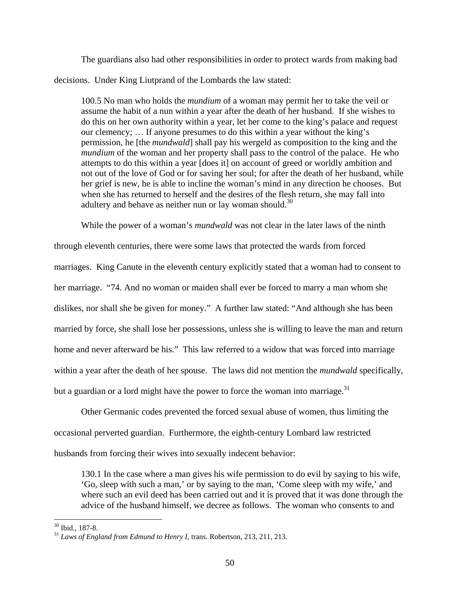The guardians also had other responsibilities in order to protect wards from making bad decisions. Under King Liutprand of the Lombards the law stated:

100.5 No man who holds the *mundium* of a woman may permit her to take the veil or assume the habit of a nun within a year after the death of her husband. If she wishes to do this on her own authority within a year, let her come to the king's palace and request our clemency; … If anyone presumes to do this within a year without the king's permission, he [the *mundwald*] shall pay his wergeld as composition to the king and the *mundium* of the woman and her property shall pass to the control of the palace. He who attempts to do this within a year [does it] on account of greed or worldly ambition and not out of the love of God or for saving her soul; for after the death of her husband, while her grief is new, he is able to incline the woman's mind in any direction he chooses. But when she has returned to herself and the desires of the flesh return, she may fall into adultery and behave as neither nun or lay woman should.<sup>30</sup>

While the power of a woman's *mundwald* was not clear in the later laws of the ninth

through eleventh centuries, there were some laws that protected the wards from forced marriages. King Canute in the eleventh century explicitly stated that a woman had to consent to her marriage. "74. And no woman or maiden shall ever be forced to marry a man whom she dislikes, nor shall she be given for money." A further law stated: "And although she has been married by force, she shall lose her possessions, unless she is willing to leave the man and return home and never afterward be his." This law referred to a widow that was forced into marriage within a year after the death of her spouse. The laws did not mention the *mundwald* specifically, but a guardian or a lord might have the power to force the woman into marriage.<sup>31</sup>

Other Germanic codes prevented the forced sexual abuse of women, thus limiting the occasional perverted guardian. Furthermore, the eighth-century Lombard law restricted husbands from forcing their wives into sexually indecent behavior:

130.1 In the case where a man gives his wife permission to do evil by saying to his wife, 'Go, sleep with such a man,' or by saying to the man, 'Come sleep with my wife,' and where such an evil deed has been carried out and it is proved that it was done through the advice of the husband himself, we decree as follows. The woman who consents to and

 $30$  Ibid., 187-8.

<sup>31</sup> *Laws of England from Edmund to Henry I*, trans. Robertson, 213, 211, 213.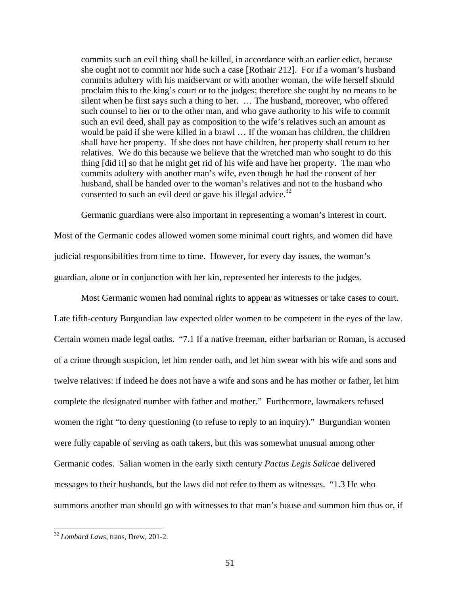commits such an evil thing shall be killed, in accordance with an earlier edict, because she ought not to commit nor hide such a case [Rothair 212]. For if a woman's husband commits adultery with his maidservant or with another woman, the wife herself should proclaim this to the king's court or to the judges; therefore she ought by no means to be silent when he first says such a thing to her. … The husband, moreover, who offered such counsel to her or to the other man, and who gave authority to his wife to commit such an evil deed, shall pay as composition to the wife's relatives such an amount as would be paid if she were killed in a brawl … If the woman has children, the children shall have her property. If she does not have children, her property shall return to her relatives. We do this because we believe that the wretched man who sought to do this thing [did it] so that he might get rid of his wife and have her property. The man who commits adultery with another man's wife, even though he had the consent of her husband, shall be handed over to the woman's relatives and not to the husband who consented to such an evil deed or gave his illegal advice.<sup>32</sup>

Germanic guardians were also important in representing a woman's interest in court.

Most of the Germanic codes allowed women some minimal court rights, and women did have judicial responsibilities from time to time. However, for every day issues, the woman's guardian, alone or in conjunction with her kin, represented her interests to the judges.

Most Germanic women had nominal rights to appear as witnesses or take cases to court. Late fifth-century Burgundian law expected older women to be competent in the eyes of the law. Certain women made legal oaths. "7.1 If a native freeman, either barbarian or Roman, is accused of a crime through suspicion, let him render oath, and let him swear with his wife and sons and twelve relatives: if indeed he does not have a wife and sons and he has mother or father, let him complete the designated number with father and mother." Furthermore, lawmakers refused women the right "to deny questioning (to refuse to reply to an inquiry)." Burgundian women were fully capable of serving as oath takers, but this was somewhat unusual among other Germanic codes. Salian women in the early sixth century *Pactus Legis Salicae* delivered messages to their husbands, but the laws did not refer to them as witnesses. "1.3 He who summons another man should go with witnesses to that man's house and summon him thus or, if

<u>.</u>

<sup>32</sup> *Lombard Laws*, trans, Drew, 201-2.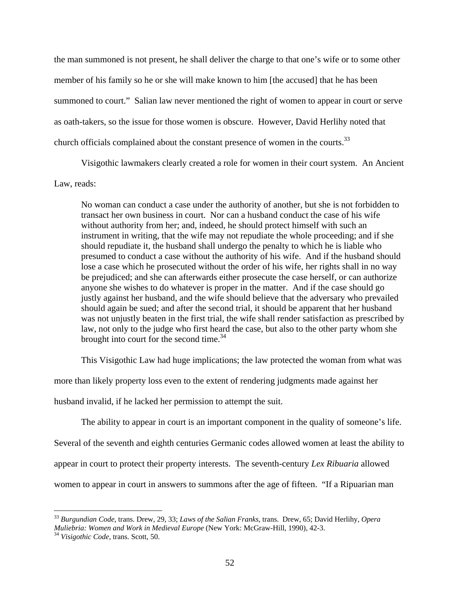the man summoned is not present, he shall deliver the charge to that one's wife or to some other member of his family so he or she will make known to him [the accused] that he has been summoned to court." Salian law never mentioned the right of women to appear in court or serve as oath-takers, so the issue for those women is obscure. However, David Herlihy noted that church officials complained about the constant presence of women in the courts.<sup>33</sup>

Visigothic lawmakers clearly created a role for women in their court system. An Ancient

## Law, reads:

No woman can conduct a case under the authority of another, but she is not forbidden to transact her own business in court. Nor can a husband conduct the case of his wife without authority from her; and, indeed, he should protect himself with such an instrument in writing, that the wife may not repudiate the whole proceeding; and if she should repudiate it, the husband shall undergo the penalty to which he is liable who presumed to conduct a case without the authority of his wife. And if the husband should lose a case which he prosecuted without the order of his wife, her rights shall in no way be prejudiced; and she can afterwards either prosecute the case herself, or can authorize anyone she wishes to do whatever is proper in the matter. And if the case should go justly against her husband, and the wife should believe that the adversary who prevailed should again be sued; and after the second trial, it should be apparent that her husband was not unjustly beaten in the first trial, the wife shall render satisfaction as prescribed by law, not only to the judge who first heard the case, but also to the other party whom she brought into court for the second time. $34$ 

This Visigothic Law had huge implications; the law protected the woman from what was

more than likely property loss even to the extent of rendering judgments made against her

husband invalid, if he lacked her permission to attempt the suit.

The ability to appear in court is an important component in the quality of someone's life.

Several of the seventh and eighth centuries Germanic codes allowed women at least the ability to

appear in court to protect their property interests. The seventh-century *Lex Ribuaria* allowed

women to appear in court in answers to summons after the age of fifteen. "If a Ripuarian man

1

<sup>33</sup> *Burgundian Code*, trans. Drew, 29, 33; *Laws of the Salian Franks,* trans. Drew, 65; David Herlihy, *Opera Muliebria: Women and Work in Medieval Europe* (New York: McGraw-Hill, 1990), 42-3. 34 *Visigothic Code*, trans. Scott, 50.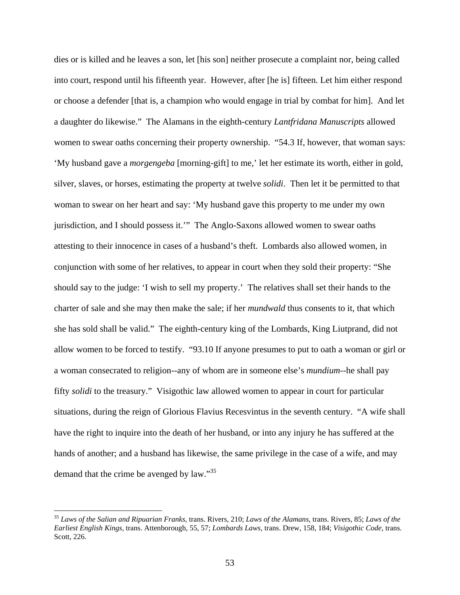dies or is killed and he leaves a son, let [his son] neither prosecute a complaint nor, being called into court, respond until his fifteenth year. However, after [he is] fifteen. Let him either respond or choose a defender [that is, a champion who would engage in trial by combat for him]. And let a daughter do likewise." The Alamans in the eighth-century *Lantfridana Manuscripts* allowed women to swear oaths concerning their property ownership. "54.3 If, however, that woman says: 'My husband gave a *morgengeba* [morning-gift] to me,' let her estimate its worth, either in gold, silver, slaves, or horses, estimating the property at twelve *solidi*. Then let it be permitted to that woman to swear on her heart and say: 'My husband gave this property to me under my own jurisdiction, and I should possess it.'" The Anglo-Saxons allowed women to swear oaths attesting to their innocence in cases of a husband's theft. Lombards also allowed women, in conjunction with some of her relatives, to appear in court when they sold their property: "She should say to the judge: 'I wish to sell my property.' The relatives shall set their hands to the charter of sale and she may then make the sale; if her *mundwald* thus consents to it, that which she has sold shall be valid." The eighth-century king of the Lombards, King Liutprand, did not allow women to be forced to testify. "93.10 If anyone presumes to put to oath a woman or girl or a woman consecrated to religion--any of whom are in someone else's *mundium*--he shall pay fifty *solidi* to the treasury." Visigothic law allowed women to appear in court for particular situations, during the reign of Glorious Flavius Recesvintus in the seventh century. "A wife shall have the right to inquire into the death of her husband, or into any injury he has suffered at the hands of another; and a husband has likewise, the same privilege in the case of a wife, and may demand that the crime be avenged by law."<sup>35</sup>

<sup>35</sup> *Laws of the Salian and Ripuarian Franks*, trans. Rivers, 210; *Laws of the Alamans*, trans. Rivers, 85; *Laws of the Earliest English Kings,* trans. Attenborough, 55, 57; *Lombards Laws*, trans. Drew, 158, 184; *Visigothic Code*, trans. Scott, 226.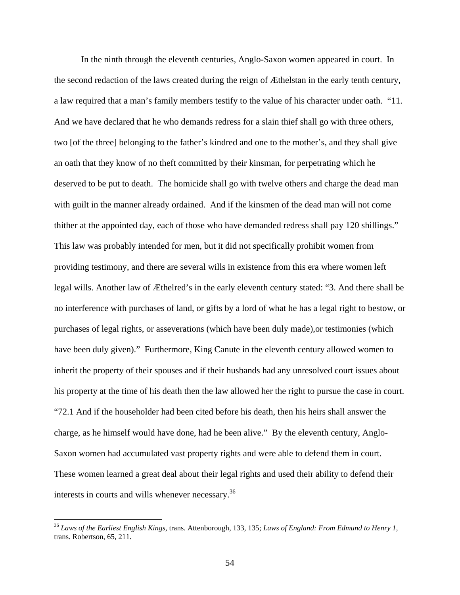In the ninth through the eleventh centuries, Anglo-Saxon women appeared in court. In the second redaction of the laws created during the reign of Æthelstan in the early tenth century, a law required that a man's family members testify to the value of his character under oath. "11. And we have declared that he who demands redress for a slain thief shall go with three others, two [of the three] belonging to the father's kindred and one to the mother's, and they shall give an oath that they know of no theft committed by their kinsman, for perpetrating which he deserved to be put to death. The homicide shall go with twelve others and charge the dead man with guilt in the manner already ordained. And if the kinsmen of the dead man will not come thither at the appointed day, each of those who have demanded redress shall pay 120 shillings." This law was probably intended for men, but it did not specifically prohibit women from providing testimony, and there are several wills in existence from this era where women left legal wills. Another law of Æthelred's in the early eleventh century stated: "3. And there shall be no interference with purchases of land, or gifts by a lord of what he has a legal right to bestow, or purchases of legal rights, or asseverations (which have been duly made),or testimonies (which have been duly given)." Furthermore, King Canute in the eleventh century allowed women to inherit the property of their spouses and if their husbands had any unresolved court issues about his property at the time of his death then the law allowed her the right to pursue the case in court. "72.1 And if the householder had been cited before his death, then his heirs shall answer the charge, as he himself would have done, had he been alive." By the eleventh century, Anglo-Saxon women had accumulated vast property rights and were able to defend them in court. These women learned a great deal about their legal rights and used their ability to defend their interests in courts and wills whenever necessary.36

<sup>36</sup> *Laws of the Earliest English Kings,* trans. Attenborough, 133, 135; *Laws of England: From Edmund to Henry 1*, trans. Robertson, 65, 211.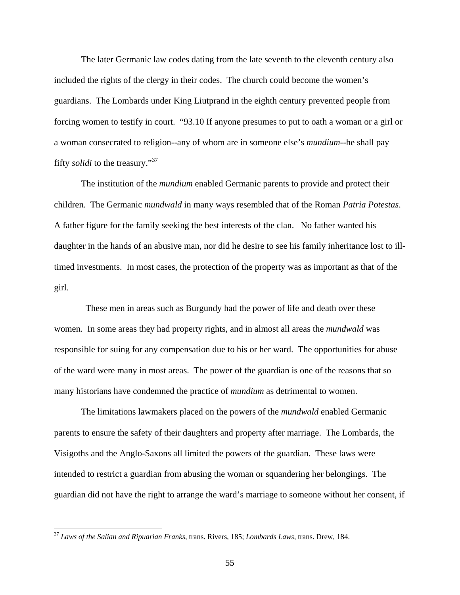The later Germanic law codes dating from the late seventh to the eleventh century also included the rights of the clergy in their codes. The church could become the women's guardians. The Lombards under King Liutprand in the eighth century prevented people from forcing women to testify in court. "93.10 If anyone presumes to put to oath a woman or a girl or a woman consecrated to religion--any of whom are in someone else's *mundium*--he shall pay fifty *solidi* to the treasury."37

The institution of the *mundium* enabled Germanic parents to provide and protect their children. The Germanic *mundwald* in many ways resembled that of the Roman *Patria Potestas*. A father figure for the family seeking the best interests of the clan. No father wanted his daughter in the hands of an abusive man, nor did he desire to see his family inheritance lost to illtimed investments. In most cases, the protection of the property was as important as that of the girl.

 These men in areas such as Burgundy had the power of life and death over these women. In some areas they had property rights, and in almost all areas the *mundwald* was responsible for suing for any compensation due to his or her ward. The opportunities for abuse of the ward were many in most areas. The power of the guardian is one of the reasons that so many historians have condemned the practice of *mundium* as detrimental to women.

The limitations lawmakers placed on the powers of the *mundwald* enabled Germanic parents to ensure the safety of their daughters and property after marriage. The Lombards, the Visigoths and the Anglo-Saxons all limited the powers of the guardian. These laws were intended to restrict a guardian from abusing the woman or squandering her belongings. The guardian did not have the right to arrange the ward's marriage to someone without her consent, if

<sup>37</sup> *Laws of the Salian and Ripuarian Franks*, trans. Rivers, 185; *Lombards Laws*, trans. Drew, 184.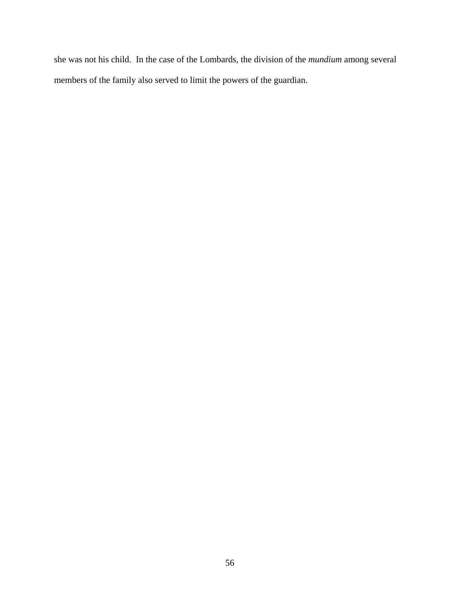she was not his child. In the case of the Lombards, the division of the *mundium* among several members of the family also served to limit the powers of the guardian.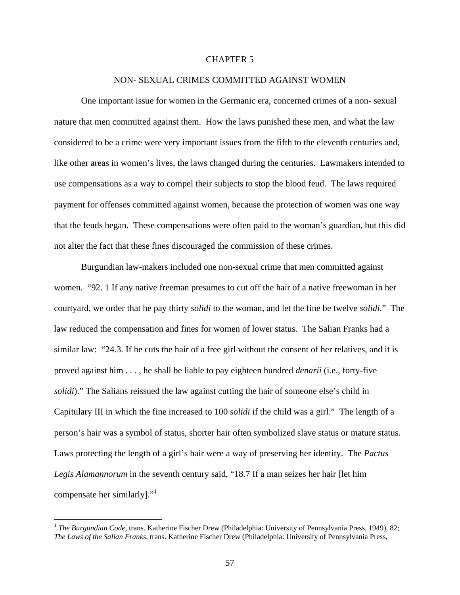### CHAPTER 5

### NON- SEXUAL CRIMES COMMITTED AGAINST WOMEN

One important issue for women in the Germanic era, concerned crimes of a non- sexual nature that men committed against them. How the laws punished these men, and what the law considered to be a crime were very important issues from the fifth to the eleventh centuries and, like other areas in women's lives, the laws changed during the centuries. Lawmakers intended to use compensations as a way to compel their subjects to stop the blood feud. The laws required payment for offenses committed against women, because the protection of women was one way that the feuds began. These compensations were often paid to the woman's guardian, but this did not alter the fact that these fines discouraged the commission of these crimes.

Burgundian law-makers included one non-sexual crime that men committed against women. "92. 1 If any native freeman presumes to cut off the hair of a native freewoman in her courtyard, we order that he pay thirty *solidi* to the woman, and let the fine be twelve *solidi*." The law reduced the compensation and fines for women of lower status. The Salian Franks had a similar law: "24.3. If he cuts the hair of a free girl without the consent of her relatives, and it is proved against him . . . , he shall be liable to pay eighteen hundred *denarii* (i.e., forty-five *solidi*)." The Salians reissued the law against cutting the hair of someone else's child in Capitulary III in which the fine increased to 100 *solidi* if the child was a girl." The length of a person's hair was a symbol of status, shorter hair often symbolized slave status or mature status. Laws protecting the length of a girl's hair were a way of preserving her identity. The *Pactus Legis Alamannorum* in the seventh century said, "18.7 If a man seizes her hair [let him compensate her similarly]." $1$ 

<sup>&</sup>lt;sup>1</sup> The Burgundian Code, trans. Katherine Fischer Drew (Philadelphia: University of Pennsylvania Press, 1949), 82; *The Laws of the Salian Franks*, trans. Katherine Fischer Drew (Philadelphia: University of Pennsylvania Press,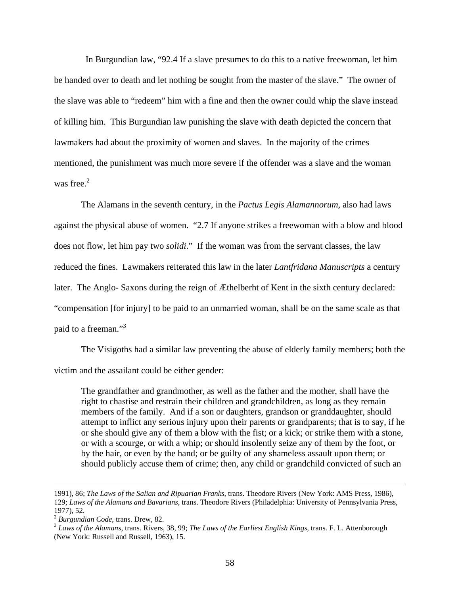In Burgundian law, "92.4 If a slave presumes to do this to a native freewoman, let him be handed over to death and let nothing be sought from the master of the slave." The owner of the slave was able to "redeem" him with a fine and then the owner could whip the slave instead of killing him. This Burgundian law punishing the slave with death depicted the concern that lawmakers had about the proximity of women and slaves. In the majority of the crimes mentioned, the punishment was much more severe if the offender was a slave and the woman was free. $2$ 

The Alamans in the seventh century, in the *Pactus Legis Alamannorum*, also had laws against the physical abuse of women. "2.7 If anyone strikes a freewoman with a blow and blood does not flow, let him pay two *solidi*." If the woman was from the servant classes, the law reduced the fines. Lawmakers reiterated this law in the later *Lantfridana Manuscripts* a century later. The Anglo- Saxons during the reign of Æthelberht of Kent in the sixth century declared: "compensation [for injury] to be paid to an unmarried woman, shall be on the same scale as that paid to a freeman."<sup>3</sup>

The Visigoths had a similar law preventing the abuse of elderly family members; both the victim and the assailant could be either gender:

The grandfather and grandmother, as well as the father and the mother, shall have the right to chastise and restrain their children and grandchildren, as long as they remain members of the family. And if a son or daughters, grandson or granddaughter, should attempt to inflict any serious injury upon their parents or grandparents; that is to say, if he or she should give any of them a blow with the fist; or a kick; or strike them with a stone, or with a scourge, or with a whip; or should insolently seize any of them by the foot, or by the hair, or even by the hand; or be guilty of any shameless assault upon them; or should publicly accuse them of crime; then, any child or grandchild convicted of such an

 <sup>1991), 86;</sup> *The Laws of the Salian and Ripuarian Franks*, trans. Theodore Rivers (New York: AMS Press, 1986), 129; *Laws of the Alamans and Bavarians*, trans. Theodore Rivers (Philadelphia: University of Pennsylvania Press, 1977), 52.<br><sup>2</sup> Burgundian Code, trans. Drew, 82.

<sup>&</sup>lt;sup>3</sup> Laws of the Alamans, trans. Rivers, 38, 99; *The Laws of the Earliest English Kings*, trans. F. L. Attenborough (New York: Russell and Russell, 1963), 15.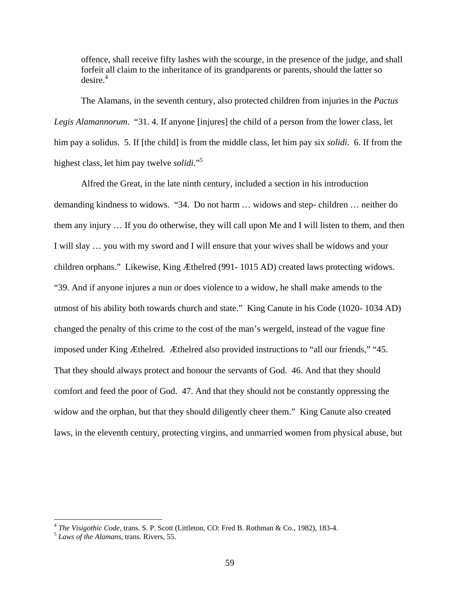offence, shall receive fifty lashes with the scourge, in the presence of the judge, and shall forfeit all claim to the inheritance of its grandparents or parents, should the latter so  $desire<sup>4</sup>$ 

 The Alamans, in the seventh century, also protected children from injuries in the *Pactus Legis Alamannorum*. "31. 4. If anyone [injures] the child of a person from the lower class, let him pay a solidus. 5. If [the child] is from the middle class, let him pay six *solidi*. 6. If from the highest class, let him pay twelve *solidi*."5

Alfred the Great, in the late ninth century, included a section in his introduction demanding kindness to widows. "34. Do not harm … widows and step- children … neither do them any injury … If you do otherwise, they will call upon Me and I will listen to them, and then I will slay … you with my sword and I will ensure that your wives shall be widows and your children orphans." Likewise, King Æthelred (991- 1015 AD) created laws protecting widows. "39. And if anyone injures a nun or does violence to a widow, he shall make amends to the utmost of his ability both towards church and state." King Canute in his Code (1020- 1034 AD) changed the penalty of this crime to the cost of the man's wergeld, instead of the vague fine imposed under King Æthelred. Æthelred also provided instructions to "all our friends," "45. That they should always protect and honour the servants of God. 46. And that they should comfort and feed the poor of God. 47. And that they should not be constantly oppressing the widow and the orphan, but that they should diligently cheer them." King Canute also created laws, in the eleventh century, protecting virgins, and unmarried women from physical abuse, but

<sup>&</sup>lt;sup>4</sup> *The Visigothic Code*, trans. S. P. Scott (Littleton, CO: Fred B. Rothman & Co., 1982), 183-4. <sup>5</sup> *Laws of the Alamans*, trans. Rivers, 55.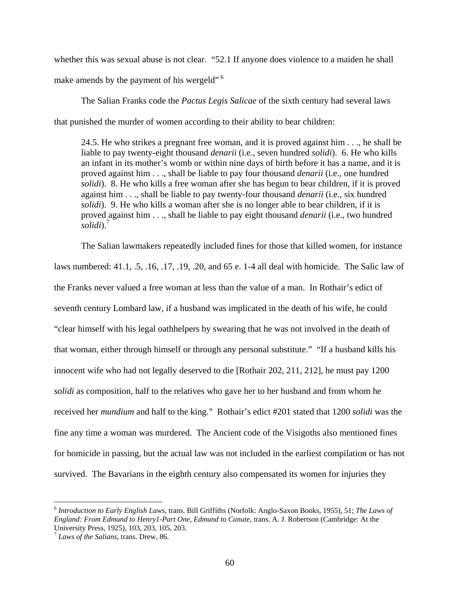whether this was sexual abuse is not clear. "52.1 If anyone does violence to a maiden he shall make amends by the payment of his wergeld"<sup>6</sup>

The Salian Franks code the *Pactus Legis Salicae* of the sixth century had several laws that punished the murder of women according to their ability to bear children:

24.5. He who strikes a pregnant free woman, and it is proved against him . . ., he shall be liable to pay twenty-eight thousand *denarii* (i.e., seven hundred *solidi*). 6. He who kills an infant in its mother's womb or within nine days of birth before it has a name, and it is proved against him . . ., shall be liable to pay four thousand *denarii* (i.e., one hundred *solidi*). 8. He who kills a free woman after she has begun to bear children, if it is proved against him . . ., shall be liable to pay twenty-four thousand *denarii* (i.e., six hundred *solidi*). 9. He who kills a woman after she is no longer able to bear children, if it is proved against him . . ., shall be liable to pay eight thousand *denarii* (i.e., two hundred *solidi*).7

The Salian lawmakers repeatedly included fines for those that killed women, for instance laws numbered: 41.1, .5, .16, .17, .19, .20, and 65 e. 1-4 all deal with homicide. The Salic law of the Franks never valued a free woman at less than the value of a man. In Rothair's edict of seventh century Lombard law, if a husband was implicated in the death of his wife, he could "clear himself with his legal oathhelpers by swearing that he was not involved in the death of that woman, either through himself or through any personal substitute." "If a husband kills his innocent wife who had not legally deserved to die [Rothair 202, 211, 212], he must pay 1200 *solidi* as composition, half to the relatives who gave her to her husband and from whom he received her *mundium* and half to the king." Rothair's edict #201 stated that 1200 *solidi* was the fine any time a woman was murdered. The Ancient code of the Visigoths also mentioned fines for homicide in passing, but the actual law was not included in the earliest compilation or has not survived. The Bavarians in the eighth century also compensated its women for injuries they

<sup>6</sup> *Introduction to Early English Laws*, trans. Bill Griffiths (Norfolk: Anglo-Saxon Books, 1955), 51; *The Laws of England: From Edmund to Henry1-Part One, Edmund to Canute*, trans. A. J. Robertson (Cambridge: At the University Press, 1925), 103, 203, 105, 203.

<sup>7</sup> *Laws of the Salians*, trans. Drew, 86.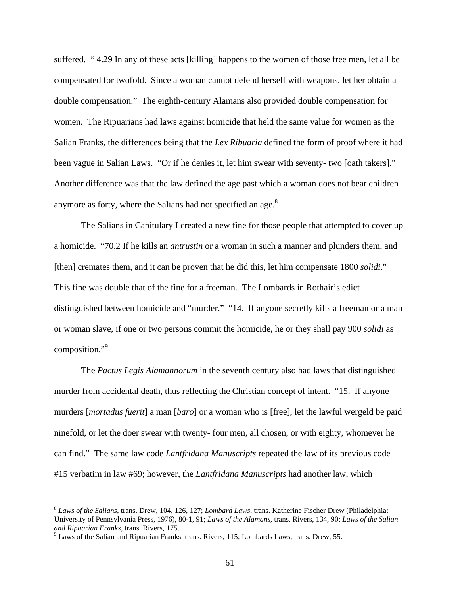suffered. " 4.29 In any of these acts [killing] happens to the women of those free men, let all be compensated for twofold. Since a woman cannot defend herself with weapons, let her obtain a double compensation." The eighth-century Alamans also provided double compensation for women. The Ripuarians had laws against homicide that held the same value for women as the Salian Franks, the differences being that the *Lex Ribuaria* defined the form of proof where it had been vague in Salian Laws. "Or if he denies it, let him swear with seventy- two [oath takers]." Another difference was that the law defined the age past which a woman does not bear children anymore as forty, where the Salians had not specified an age.<sup>8</sup>

The Salians in Capitulary I created a new fine for those people that attempted to cover up a homicide. "70.2 If he kills an *antrustin* or a woman in such a manner and plunders them, and [then] cremates them, and it can be proven that he did this, let him compensate 1800 *solidi*." This fine was double that of the fine for a freeman. The Lombards in Rothair's edict distinguished between homicide and "murder." "14. If anyone secretly kills a freeman or a man or woman slave, if one or two persons commit the homicide, he or they shall pay 900 *solidi* as composition."<sup>9</sup>

The *Pactus Legis Alamannorum* in the seventh century also had laws that distinguished murder from accidental death, thus reflecting the Christian concept of intent. "15. If anyone murders [*mortadus fuerit*] a man [*baro*] or a woman who is [free], let the lawful wergeld be paid ninefold, or let the doer swear with twenty- four men, all chosen, or with eighty, whomever he can find." The same law code *Lantfridana Manuscripts* repeated the law of its previous code #15 verbatim in law #69; however, the *Lantfridana Manuscripts* had another law, which

<sup>8</sup> *Laws of the Salians*, trans. Drew, 104, 126, 127; *Lombard Laws*, trans. Katherine Fischer Drew (Philadelphia: University of Pennsylvania Press, 1976), 80-1, 91; *Laws of the Alamans*, trans. Rivers, 134, 90; *Laws of the Salian and Ripuarian Franks*, trans. Rivers, 175. 9

 $9$  Laws of the Salian and Ripuarian Franks, trans. Rivers, 115; Lombards Laws, trans. Drew, 55.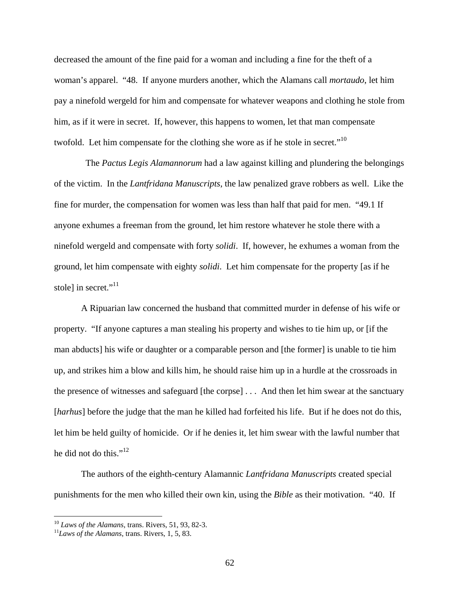decreased the amount of the fine paid for a woman and including a fine for the theft of a woman's apparel. "48. If anyone murders another, which the Alamans call *mortaudo*, let him pay a ninefold wergeld for him and compensate for whatever weapons and clothing he stole from him, as if it were in secret. If, however, this happens to women, let that man compensate twofold. Let him compensate for the clothing she wore as if he stole in secret."<sup>10</sup>

 The *Pactus Legis Alamannorum* had a law against killing and plundering the belongings of the victim. In the *Lantfridana Manuscripts*, the law penalized grave robbers as well. Like the fine for murder, the compensation for women was less than half that paid for men. "49.1 If anyone exhumes a freeman from the ground, let him restore whatever he stole there with a ninefold wergeld and compensate with forty *solidi*. If, however, he exhumes a woman from the ground, let him compensate with eighty *solidi*. Let him compensate for the property [as if he stole] in secret." $^{11}$ 

A Ripuarian law concerned the husband that committed murder in defense of his wife or property. "If anyone captures a man stealing his property and wishes to tie him up, or [if the man abducts] his wife or daughter or a comparable person and [the former] is unable to tie him up, and strikes him a blow and kills him, he should raise him up in a hurdle at the crossroads in the presence of witnesses and safeguard [the corpse] . . . And then let him swear at the sanctuary [*harhus*] before the judge that the man he killed had forfeited his life. But if he does not do this, let him be held guilty of homicide. Or if he denies it, let him swear with the lawful number that he did not do this." $^{12}$ 

The authors of the eighth-century Alamannic *Lantfridana Manuscripts* created special punishments for the men who killed their own kin, using the *Bible* as their motivation. "40. If

<sup>&</sup>lt;sup>10</sup> *Laws of the Alamans*, trans. Rivers, 51, 93, 82-3.<br><sup>11</sup>*Laws of the Alamans*, trans. Rivers, 1, 5, 83.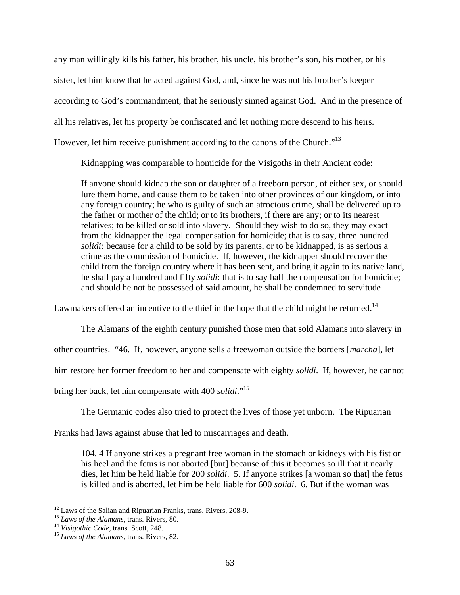any man willingly kills his father, his brother, his uncle, his brother's son, his mother, or his sister, let him know that he acted against God, and, since he was not his brother's keeper according to God's commandment, that he seriously sinned against God. And in the presence of all his relatives, let his property be confiscated and let nothing more descend to his heirs. However, let him receive punishment according to the canons of the Church.<sup>"13</sup>

Kidnapping was comparable to homicide for the Visigoths in their Ancient code:

If anyone should kidnap the son or daughter of a freeborn person, of either sex, or should lure them home, and cause them to be taken into other provinces of our kingdom, or into any foreign country; he who is guilty of such an atrocious crime, shall be delivered up to the father or mother of the child; or to its brothers, if there are any; or to its nearest relatives; to be killed or sold into slavery. Should they wish to do so, they may exact from the kidnapper the legal compensation for homicide; that is to say, three hundred *solidi:* because for a child to be sold by its parents, or to be kidnapped, is as serious a crime as the commission of homicide. If, however, the kidnapper should recover the child from the foreign country where it has been sent, and bring it again to its native land, he shall pay a hundred and fifty *solidi*: that is to say half the compensation for homicide; and should he not be possessed of said amount, he shall be condemned to servitude

Lawmakers offered an incentive to the thief in the hope that the child might be returned.<sup>14</sup>

The Alamans of the eighth century punished those men that sold Alamans into slavery in

other countries. "46. If, however, anyone sells a freewoman outside the borders [*marcha*], let

him restore her former freedom to her and compensate with eighty *solidi*. If, however, he cannot

bring her back, let him compensate with 400 *solidi*."15

The Germanic codes also tried to protect the lives of those yet unborn. The Ripuarian

Franks had laws against abuse that led to miscarriages and death.

104. 4 If anyone strikes a pregnant free woman in the stomach or kidneys with his fist or his heel and the fetus is not aborted [but] because of this it becomes so ill that it nearly dies, let him be held liable for 200 *solidi*. 5. If anyone strikes [a woman so that] the fetus is killed and is aborted, let him be held liable for 600 *solidi*. 6. But if the woman was

<sup>&</sup>lt;sup>12</sup> Laws of the Salian and Ripuarian Franks, trans. Rivers, 208-9.

<sup>&</sup>lt;sup>13</sup> *Laws of the Alamans*, trans. Rivers, 80.<br><sup>14</sup> *Visigothic Code*, trans. Scott, 248.<br><sup>15</sup> *Laws of the Alamans*, trans. Rivers, 82.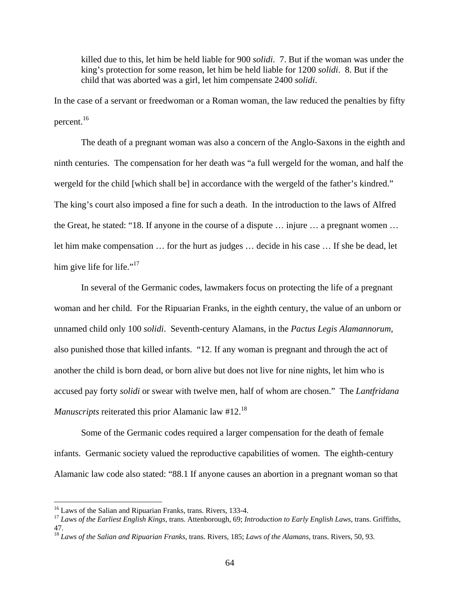killed due to this, let him be held liable for 900 *solidi*. 7. But if the woman was under the king's protection for some reason, let him be held liable for 1200 *solidi*. 8. But if the child that was aborted was a girl, let him compensate 2400 *solidi*.

In the case of a servant or freedwoman or a Roman woman, the law reduced the penalties by fifty percent.16

The death of a pregnant woman was also a concern of the Anglo-Saxons in the eighth and ninth centuries. The compensation for her death was "a full wergeld for the woman, and half the wergeld for the child [which shall be] in accordance with the wergeld of the father's kindred." The king's court also imposed a fine for such a death. In the introduction to the laws of Alfred the Great, he stated: "18. If anyone in the course of a dispute … injure … a pregnant women … let him make compensation … for the hurt as judges … decide in his case … If she be dead, let him give life for life." $17$ 

 In several of the Germanic codes, lawmakers focus on protecting the life of a pregnant woman and her child. For the Ripuarian Franks, in the eighth century, the value of an unborn or unnamed child only 100 *solidi*. Seventh-century Alamans, in the *Pactus Legis Alamannorum,* also punished those that killed infants. "12. If any woman is pregnant and through the act of another the child is born dead, or born alive but does not live for nine nights, let him who is accused pay forty *solidi* or swear with twelve men, half of whom are chosen." The *Lantfridana Manuscripts* reiterated this prior Alamanic law #12.<sup>18</sup>

Some of the Germanic codes required a larger compensation for the death of female infants. Germanic society valued the reproductive capabilities of women. The eighth-century Alamanic law code also stated: "88.1 If anyone causes an abortion in a pregnant woman so that

<u>.</u>

<sup>&</sup>lt;sup>16</sup> Laws of the Salian and Ripuarian Franks, trans. Rivers, 133-4.

<sup>17</sup> *Laws of the Earliest English Kings,* trans. Attenborough, 69; *Introduction to Early English Laws*, trans. Griffiths, 47.

<sup>18</sup> *Laws of the Salian and Ripuarian Franks*, trans. Rivers, 185; *Laws of the Alamans*, trans. Rivers, 50, 93.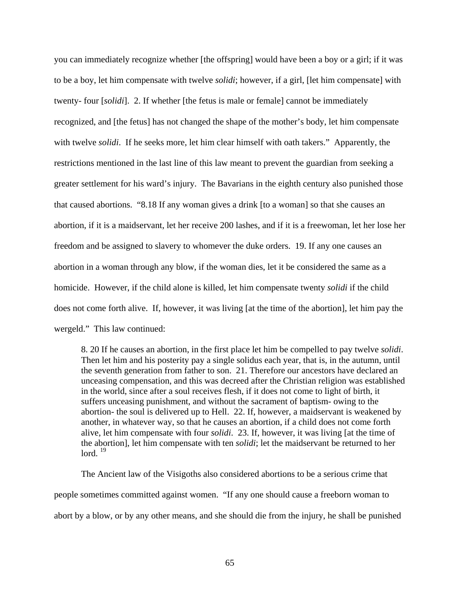you can immediately recognize whether [the offspring] would have been a boy or a girl; if it was to be a boy, let him compensate with twelve *solidi*; however, if a girl, [let him compensate] with twenty- four [*solidi*]. 2. If whether [the fetus is male or female] cannot be immediately recognized, and [the fetus] has not changed the shape of the mother's body, let him compensate with twelve *solidi*. If he seeks more, let him clear himself with oath takers." Apparently, the restrictions mentioned in the last line of this law meant to prevent the guardian from seeking a greater settlement for his ward's injury. The Bavarians in the eighth century also punished those that caused abortions. "8.18 If any woman gives a drink [to a woman] so that she causes an abortion, if it is a maidservant, let her receive 200 lashes, and if it is a freewoman, let her lose her freedom and be assigned to slavery to whomever the duke orders. 19. If any one causes an abortion in a woman through any blow, if the woman dies, let it be considered the same as a homicide. However, if the child alone is killed, let him compensate twenty *solidi* if the child does not come forth alive. If, however, it was living [at the time of the abortion], let him pay the wergeld." This law continued:

8. 20 If he causes an abortion, in the first place let him be compelled to pay twelve *solidi*. Then let him and his posterity pay a single solidus each year, that is, in the autumn, until the seventh generation from father to son. 21. Therefore our ancestors have declared an unceasing compensation, and this was decreed after the Christian religion was established in the world, since after a soul receives flesh, if it does not come to light of birth, it suffers unceasing punishment, and without the sacrament of baptism- owing to the abortion- the soul is delivered up to Hell. 22. If, however, a maidservant is weakened by another, in whatever way, so that he causes an abortion, if a child does not come forth alive, let him compensate with four *solidi*. 23. If, however, it was living [at the time of the abortion], let him compensate with ten *solidi*; let the maidservant be returned to her  $\frac{1}{2}$ lord.  $\frac{19}{2}$ 

The Ancient law of the Visigoths also considered abortions to be a serious crime that people sometimes committed against women. "If any one should cause a freeborn woman to abort by a blow, or by any other means, and she should die from the injury, he shall be punished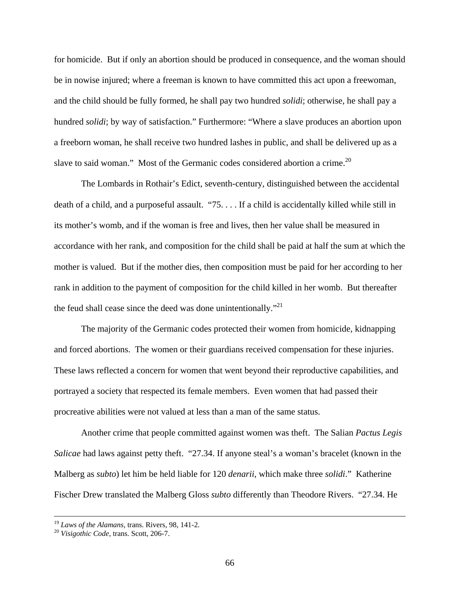for homicide. But if only an abortion should be produced in consequence, and the woman should be in nowise injured; where a freeman is known to have committed this act upon a freewoman, and the child should be fully formed, he shall pay two hundred *solidi*; otherwise, he shall pay a hundred *solidi*; by way of satisfaction." Furthermore: "Where a slave produces an abortion upon a freeborn woman, he shall receive two hundred lashes in public, and shall be delivered up as a slave to said woman." Most of the Germanic codes considered abortion a crime.<sup>20</sup>

The Lombards in Rothair's Edict, seventh-century, distinguished between the accidental death of a child, and a purposeful assault. "75. . . . If a child is accidentally killed while still in its mother's womb, and if the woman is free and lives, then her value shall be measured in accordance with her rank, and composition for the child shall be paid at half the sum at which the mother is valued. But if the mother dies, then composition must be paid for her according to her rank in addition to the payment of composition for the child killed in her womb. But thereafter the feud shall cease since the deed was done unintentionally."<sup>21</sup>

The majority of the Germanic codes protected their women from homicide, kidnapping and forced abortions. The women or their guardians received compensation for these injuries. These laws reflected a concern for women that went beyond their reproductive capabilities, and portrayed a society that respected its female members. Even women that had passed their procreative abilities were not valued at less than a man of the same status.

Another crime that people committed against women was theft. The Salian *Pactus Legis Salicae* had laws against petty theft. "27.34. If anyone steal's a woman's bracelet (known in the Malberg as *subto*) let him be held liable for 120 *denarii*, which make three *solidi*." Katherine Fischer Drew translated the Malberg Gloss *subto* differently than Theodore Rivers. "27.34. He

<sup>19</sup> *Laws of the Alamans*, trans. Rivers, 98, 141-2. 20 *Visigothic Code*, trans. Scott, 206-7.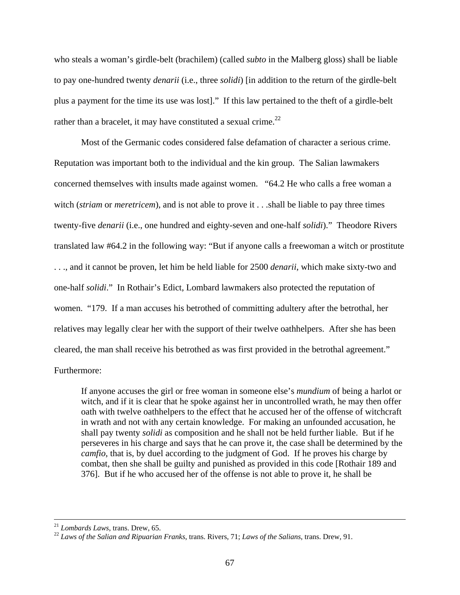who steals a woman's girdle-belt (brachilem) (called *subto* in the Malberg gloss) shall be liable to pay one-hundred twenty *denarii* (i.e., three *solidi*) [in addition to the return of the girdle-belt plus a payment for the time its use was lost]." If this law pertained to the theft of a girdle-belt rather than a bracelet, it may have constituted a sexual crime.<sup>22</sup>

Most of the Germanic codes considered false defamation of character a serious crime. Reputation was important both to the individual and the kin group. The Salian lawmakers concerned themselves with insults made against women. "64.2 He who calls a free woman a witch (*striam* or *meretricem*), and is not able to prove it . . .shall be liable to pay three times twenty-five *denarii* (i.e., one hundred and eighty-seven and one-half *solidi*)." Theodore Rivers translated law #64.2 in the following way: "But if anyone calls a freewoman a witch or prostitute . . ., and it cannot be proven, let him be held liable for 2500 *denarii*, which make sixty-two and one-half *solidi*." In Rothair's Edict, Lombard lawmakers also protected the reputation of women. "179. If a man accuses his betrothed of committing adultery after the betrothal, her relatives may legally clear her with the support of their twelve oathhelpers. After she has been cleared, the man shall receive his betrothed as was first provided in the betrothal agreement." Furthermore:

If anyone accuses the girl or free woman in someone else's *mundium* of being a harlot or witch, and if it is clear that he spoke against her in uncontrolled wrath, he may then offer oath with twelve oathhelpers to the effect that he accused her of the offense of witchcraft in wrath and not with any certain knowledge. For making an unfounded accusation, he shall pay twenty *solidi* as composition and he shall not be held further liable. But if he perseveres in his charge and says that he can prove it, the case shall be determined by the *camfio*, that is, by duel according to the judgment of God. If he proves his charge by combat, then she shall be guilty and punished as provided in this code [Rothair 189 and 376]. But if he who accused her of the offense is not able to prove it, he shall be

<sup>&</sup>lt;sup>21</sup> *Lombards Laws*, trans. Drew, 65.<br><sup>22</sup> *Laws of the Salian and Ripuarian Franks*, trans. Rivers, 71; *Laws of the Salians*, trans. Drew, 91.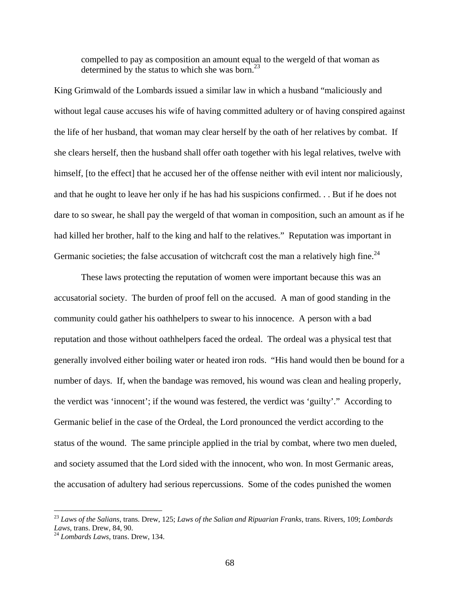compelled to pay as composition an amount equal to the wergeld of that woman as determined by the status to which she was born.<sup>23</sup>

King Grimwald of the Lombards issued a similar law in which a husband "maliciously and without legal cause accuses his wife of having committed adultery or of having conspired against the life of her husband, that woman may clear herself by the oath of her relatives by combat. If she clears herself, then the husband shall offer oath together with his legal relatives, twelve with himself, [to the effect] that he accused her of the offense neither with evil intent nor maliciously, and that he ought to leave her only if he has had his suspicions confirmed. . . But if he does not dare to so swear, he shall pay the wergeld of that woman in composition, such an amount as if he had killed her brother, half to the king and half to the relatives." Reputation was important in Germanic societies; the false accusation of witchcraft cost the man a relatively high fine.<sup>24</sup>

These laws protecting the reputation of women were important because this was an accusatorial society. The burden of proof fell on the accused. A man of good standing in the community could gather his oathhelpers to swear to his innocence. A person with a bad reputation and those without oathhelpers faced the ordeal. The ordeal was a physical test that generally involved either boiling water or heated iron rods. "His hand would then be bound for a number of days. If, when the bandage was removed, his wound was clean and healing properly, the verdict was 'innocent'; if the wound was festered, the verdict was 'guilty'." According to Germanic belief in the case of the Ordeal, the Lord pronounced the verdict according to the status of the wound. The same principle applied in the trial by combat, where two men dueled, and society assumed that the Lord sided with the innocent, who won. In most Germanic areas, the accusation of adultery had serious repercussions. Some of the codes punished the women

<sup>23</sup> *Laws of the Salians*, trans. Drew, 125; *Laws of the Salian and Ripuarian Franks*, trans. Rivers, 109; *Lombards Laws*, trans. Drew, 84, 90. 24 *Lombards Laws*, trans. Drew, 134.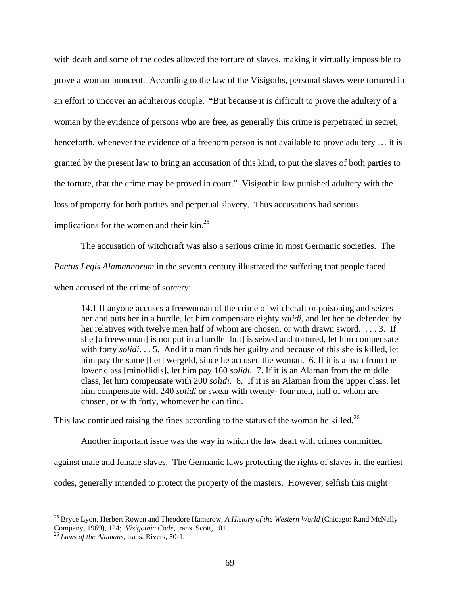with death and some of the codes allowed the torture of slaves, making it virtually impossible to prove a woman innocent. According to the law of the Visigoths, personal slaves were tortured in an effort to uncover an adulterous couple. "But because it is difficult to prove the adultery of a woman by the evidence of persons who are free, as generally this crime is perpetrated in secret; henceforth, whenever the evidence of a freeborn person is not available to prove adultery … it is granted by the present law to bring an accusation of this kind, to put the slaves of both parties to the torture, that the crime may be proved in court." Visigothic law punished adultery with the loss of property for both parties and perpetual slavery. Thus accusations had serious implications for the women and their  $\text{kin.}^{25}$ 

The accusation of witchcraft was also a serious crime in most Germanic societies. The *Pactus Legis Alamannorum* in the seventh century illustrated the suffering that people faced when accused of the crime of sorcery:

14.1 If anyone accuses a freewoman of the crime of witchcraft or poisoning and seizes her and puts her in a hurdle, let him compensate eighty *solidi*, and let her be defended by her relatives with twelve men half of whom are chosen, or with drawn sword. . . . 3. If she [a freewoman] is not put in a hurdle [but] is seized and tortured, let him compensate with forty *solidi*. . . 5. And if a man finds her guilty and because of this she is killed, let him pay the same [her] wergeld, since he accused the woman. 6. If it is a man from the lower class [minoflidis], let him pay 160 *solidi*. 7. If it is an Alaman from the middle class, let him compensate with 200 *solidi*. 8. If it is an Alaman from the upper class, let him compensate with 240 *solidi* or swear with twenty- four men, half of whom are chosen, or with forty, whomever he can find.

This law continued raising the fines according to the status of the woman he killed.<sup>26</sup>

Another important issue was the way in which the law dealt with crimes committed

against male and female slaves. The Germanic laws protecting the rights of slaves in the earliest

codes, generally intended to protect the property of the masters. However, selfish this might

<sup>&</sup>lt;sup>25</sup> Bryce Lyon, Herbert Rowen and Theodore Hamerow, *A History of the Western World* (Chicago: Rand McNally Company, 1969), 124; *Visigothic Code*, trans. Scott, 101. 26 *Laws of the Alamans*, trans. Rivers, 50-1.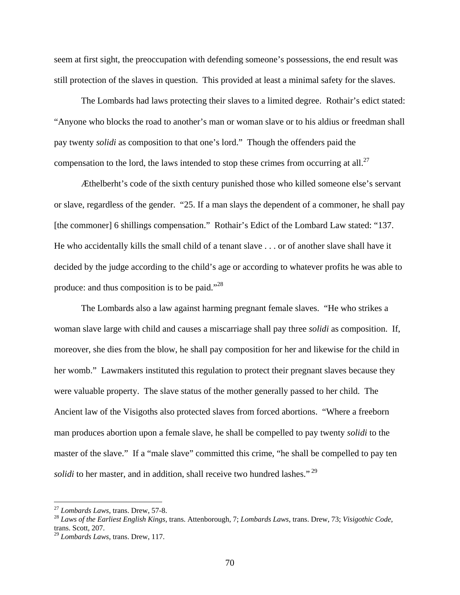seem at first sight, the preoccupation with defending someone's possessions, the end result was still protection of the slaves in question. This provided at least a minimal safety for the slaves.

 The Lombards had laws protecting their slaves to a limited degree. Rothair's edict stated: "Anyone who blocks the road to another's man or woman slave or to his aldius or freedman shall pay twenty *solidi* as composition to that one's lord." Though the offenders paid the compensation to the lord, the laws intended to stop these crimes from occurring at all.<sup>27</sup>

Æthelberht's code of the sixth century punished those who killed someone else's servant or slave, regardless of the gender. "25. If a man slays the dependent of a commoner, he shall pay [the commoner] 6 shillings compensation." Rothair's Edict of the Lombard Law stated: "137. He who accidentally kills the small child of a tenant slave . . . or of another slave shall have it decided by the judge according to the child's age or according to whatever profits he was able to produce: and thus composition is to be paid."<sup>28</sup>

The Lombards also a law against harming pregnant female slaves. "He who strikes a woman slave large with child and causes a miscarriage shall pay three *solidi* as composition. If, moreover, she dies from the blow, he shall pay composition for her and likewise for the child in her womb." Lawmakers instituted this regulation to protect their pregnant slaves because they were valuable property. The slave status of the mother generally passed to her child. The Ancient law of the Visigoths also protected slaves from forced abortions. "Where a freeborn man produces abortion upon a female slave, he shall be compelled to pay twenty *solidi* to the master of the slave." If a "male slave" committed this crime, "he shall be compelled to pay ten *solidi* to her master, and in addition, shall receive two hundred lashes."<sup>29</sup>

<sup>&</sup>lt;sup>27</sup> Lombards Laws, trans. Drew, 57-8.

<sup>27</sup> *Lombards Laws*, trans. Drew, 57-8. 28 *Laws of the Earliest English Kings,* trans. Attenborough, 7; *Lombards Laws*, trans. Drew, 73; *Visigothic Code*, trans. Scott, 207.

<sup>29</sup> *Lombards Laws*, trans. Drew, 117.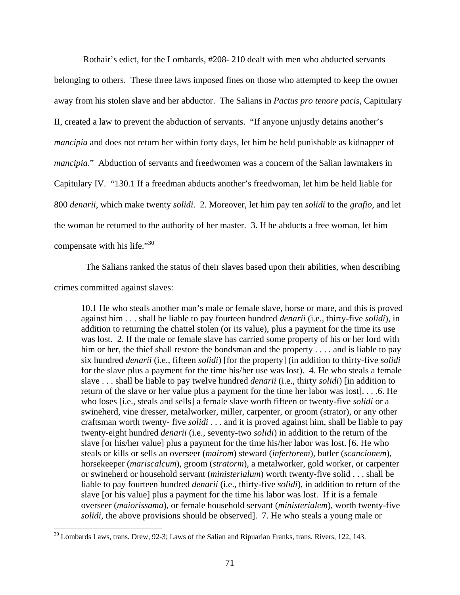Rothair's edict, for the Lombards, #208- 210 dealt with men who abducted servants belonging to others. These three laws imposed fines on those who attempted to keep the owner away from his stolen slave and her abductor. The Salians in *Pactus pro tenore pacis*, Capitulary II, created a law to prevent the abduction of servants. "If anyone unjustly detains another's *mancipia* and does not return her within forty days, let him be held punishable as kidnapper of *mancipia*." Abduction of servants and freedwomen was a concern of the Salian lawmakers in Capitulary IV. "130.1 If a freedman abducts another's freedwoman, let him be held liable for 800 *denarii*, which make twenty *solidi*. 2. Moreover, let him pay ten *solidi* to the *grafio,* and let the woman be returned to the authority of her master. 3. If he abducts a free woman, let him compensate with his life."<sup>30</sup>

 The Salians ranked the status of their slaves based upon their abilities, when describing crimes committed against slaves:

10.1 He who steals another man's male or female slave, horse or mare, and this is proved against him . . . shall be liable to pay fourteen hundred *denarii* (i.e., thirty-five *solidi*), in addition to returning the chattel stolen (or its value), plus a payment for the time its use was lost. 2. If the male or female slave has carried some property of his or her lord with him or her, the thief shall restore the bondsman and the property . . . . and is liable to pay six hundred *denarii* (i.e., fifteen *solidi*) [for the property] (in addition to thirty-five *solidi* for the slave plus a payment for the time his/her use was lost). 4. He who steals a female slave . . . shall be liable to pay twelve hundred *denarii* (i.e., thirty *solidi*) [in addition to return of the slave or her value plus a payment for the time her labor was lost]. . . .6. He who loses [i.e., steals and sells] a female slave worth fifteen or twenty-five *solidi* or a swineherd, vine dresser, metalworker, miller, carpenter, or groom (strator), or any other craftsman worth twenty- five *solidi* . . . and it is proved against him, shall be liable to pay twenty-eight hundred *denarii* (i.e., seventy-two *solidi*) in addition to the return of the slave [or his/her value] plus a payment for the time his/her labor was lost. [6. He who steals or kills or sells an overseer (*mairom*) steward (*infertorem*), butler (*scancionem*), horsekeeper (*mariscalcum*), groom (*stratorm*), a metalworker, gold worker, or carpenter or swineherd or household servant (*ministerialum*) worth twenty-five solid . . . shall be liable to pay fourteen hundred *denarii* (i.e., thirty-five *solidi*), in addition to return of the slave [or his value] plus a payment for the time his labor was lost. If it is a female overseer (*maiorissama*), or female household servant (*ministerialem*), worth twenty-five *solidi*, the above provisions should be observed]. 7. He who steals a young male or

<sup>&</sup>lt;sup>30</sup> Lombards Laws, trans. Drew, 92-3; Laws of the Salian and Ripuarian Franks, trans. Rivers, 122, 143.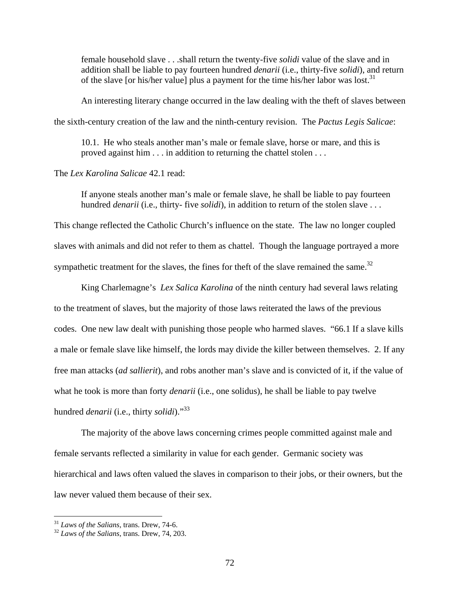female household slave . . .shall return the twenty-five *solidi* value of the slave and in addition shall be liable to pay fourteen hundred *denarii* (i.e., thirty-five *solidi*), and return of the slave [or his/her value] plus a payment for the time his/her labor was lost.<sup>31</sup>

An interesting literary change occurred in the law dealing with the theft of slaves between the sixth-century creation of the law and the ninth-century revision. The *Pactus Legis Salicae*:

10.1. He who steals another man's male or female slave, horse or mare, and this is proved against him . . . in addition to returning the chattel stolen . . .

The *Lex Karolina Salicae* 42.1 read:

If anyone steals another man's male or female slave, he shall be liable to pay fourteen hundred *denarii* (i.e., thirty- five *solidi*), in addition to return of the stolen slave . . .

This change reflected the Catholic Church's influence on the state. The law no longer coupled slaves with animals and did not refer to them as chattel. Though the language portrayed a more sympathetic treatment for the slaves, the fines for theft of the slave remained the same.<sup>32</sup>

King Charlemagne's *Lex Salica Karolina* of the ninth century had several laws relating to the treatment of slaves, but the majority of those laws reiterated the laws of the previous codes. One new law dealt with punishing those people who harmed slaves. "66.1 If a slave kills a male or female slave like himself, the lords may divide the killer between themselves. 2. If any free man attacks (*ad sallierit*), and robs another man's slave and is convicted of it, if the value of what he took is more than forty *denarii* (i.e., one solidus), he shall be liable to pay twelve hundred *denarii* (i.e., thirty *solidi*)."33

 The majority of the above laws concerning crimes people committed against male and female servants reflected a similarity in value for each gender. Germanic society was hierarchical and laws often valued the slaves in comparison to their jobs, or their owners, but the law never valued them because of their sex.

<sup>31</sup> *Laws of the Salians*, trans. Drew, 74-6. 32 *Laws of the Salians*, trans. Drew, 74, 203.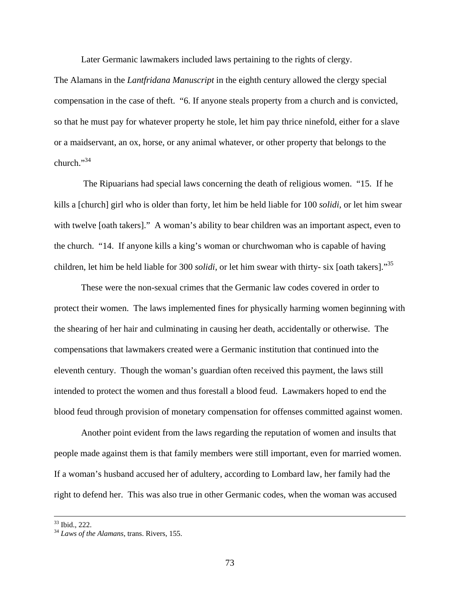Later Germanic lawmakers included laws pertaining to the rights of clergy.

The Alamans in the *Lantfridana Manuscript* in the eighth century allowed the clergy special compensation in the case of theft. "6. If anyone steals property from a church and is convicted, so that he must pay for whatever property he stole, let him pay thrice ninefold, either for a slave or a maidservant, an ox, horse, or any animal whatever, or other property that belongs to the church."34

 The Ripuarians had special laws concerning the death of religious women. "15. If he kills a [church] girl who is older than forty, let him be held liable for 100 *solidi*, or let him swear with twelve [oath takers]." A woman's ability to bear children was an important aspect, even to the church. "14. If anyone kills a king's woman or churchwoman who is capable of having children, let him be held liable for 300 *solidi*, or let him swear with thirty- six [oath takers]."35

These were the non-sexual crimes that the Germanic law codes covered in order to protect their women. The laws implemented fines for physically harming women beginning with the shearing of her hair and culminating in causing her death, accidentally or otherwise. The compensations that lawmakers created were a Germanic institution that continued into the eleventh century. Though the woman's guardian often received this payment, the laws still intended to protect the women and thus forestall a blood feud. Lawmakers hoped to end the blood feud through provision of monetary compensation for offenses committed against women.

Another point evident from the laws regarding the reputation of women and insults that people made against them is that family members were still important, even for married women. If a woman's husband accused her of adultery, according to Lombard law, her family had the right to defend her. This was also true in other Germanic codes, when the woman was accused

 <sup>33</sup> Ibid., 222.

<sup>34</sup> *Laws of the Alamans*, trans. Rivers, 155.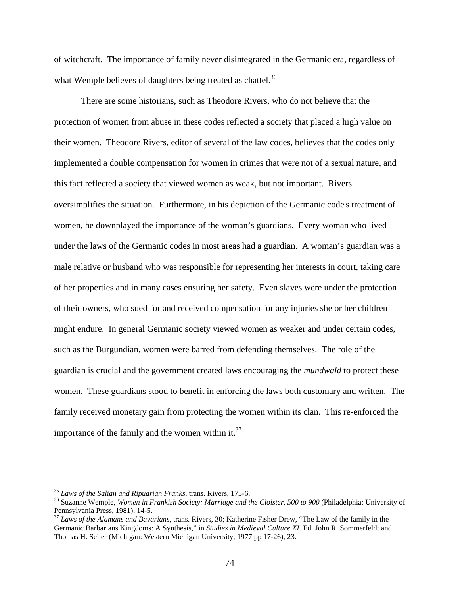of witchcraft. The importance of family never disintegrated in the Germanic era, regardless of what Wemple believes of daughters being treated as chattel.<sup>36</sup>

There are some historians, such as Theodore Rivers, who do not believe that the protection of women from abuse in these codes reflected a society that placed a high value on their women. Theodore Rivers, editor of several of the law codes, believes that the codes only implemented a double compensation for women in crimes that were not of a sexual nature, and this fact reflected a society that viewed women as weak, but not important. Rivers oversimplifies the situation. Furthermore, in his depiction of the Germanic code's treatment of women, he downplayed the importance of the woman's guardians. Every woman who lived under the laws of the Germanic codes in most areas had a guardian. A woman's guardian was a male relative or husband who was responsible for representing her interests in court, taking care of her properties and in many cases ensuring her safety. Even slaves were under the protection of their owners, who sued for and received compensation for any injuries she or her children might endure. In general Germanic society viewed women as weaker and under certain codes, such as the Burgundian, women were barred from defending themselves. The role of the guardian is crucial and the government created laws encouraging the *mundwald* to protect these women. These guardians stood to benefit in enforcing the laws both customary and written. The family received monetary gain from protecting the women within its clan. This re-enforced the importance of the family and the women within it. $37$ 

<sup>&</sup>lt;sup>35</sup> *Laws of the Salian and Ripuarian Franks*, trans. Rivers, 175-6.<br><sup>36</sup> Suzanne Wemple, *Women in Frankish Society: Marriage and the Cloister, 500 to 900* (Philadelphia: University of Pennsylvania Press, 1981), 14-5.

<sup>37</sup> *Laws of the Alamans and Bavarians*, trans. Rivers, 30; Katherine Fisher Drew, "The Law of the family in the Germanic Barbarians Kingdoms: A Synthesis," in *Studies in Medieval Culture XI*. Ed. John R. Sommerfeldt and Thomas H. Seiler (Michigan: Western Michigan University, 1977 pp 17-26), 23.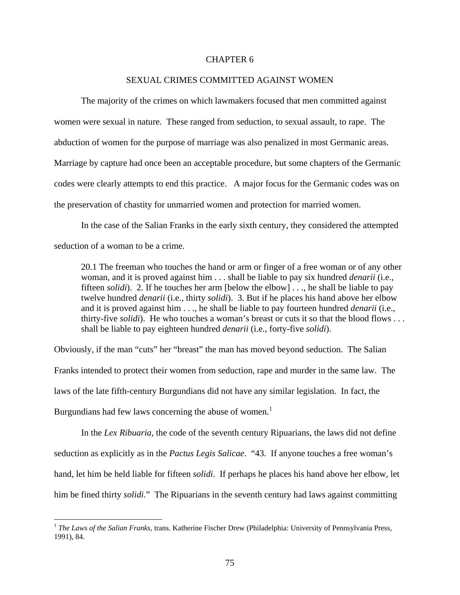## CHAPTER 6

## SEXUAL CRIMES COMMITTED AGAINST WOMEN

The majority of the crimes on which lawmakers focused that men committed against women were sexual in nature. These ranged from seduction, to sexual assault, to rape. The abduction of women for the purpose of marriage was also penalized in most Germanic areas. Marriage by capture had once been an acceptable procedure, but some chapters of the Germanic codes were clearly attempts to end this practice. A major focus for the Germanic codes was on the preservation of chastity for unmarried women and protection for married women.

In the case of the Salian Franks in the early sixth century, they considered the attempted seduction of a woman to be a crime.

20.1 The freeman who touches the hand or arm or finger of a free woman or of any other woman, and it is proved against him . . . shall be liable to pay six hundred *denarii* (i.e., fifteen *solidi*). 2. If he touches her arm [below the elbow] . . ., he shall be liable to pay twelve hundred *denarii* (i.e., thirty *solidi*). 3. But if he places his hand above her elbow and it is proved against him . . ., he shall be liable to pay fourteen hundred *denarii* (i.e., thirty-five *solidi*). He who touches a woman's breast or cuts it so that the blood flows . . . shall be liable to pay eighteen hundred *denarii* (i.e., forty-five *solidi*).

Obviously, if the man "cuts" her "breast" the man has moved beyond seduction. The Salian Franks intended to protect their women from seduction, rape and murder in the same law. The laws of the late fifth-century Burgundians did not have any similar legislation. In fact, the Burgundians had few laws concerning the abuse of women.<sup>1</sup>

In the *Lex Ribuaria,* the code of the seventh century Ripuarians, the laws did not define seduction as explicitly as in the *Pactus Legis Salicae*. "43. If anyone touches a free woman's hand, let him be held liable for fifteen *solidi*. If perhaps he places his hand above her elbow, let him be fined thirty *solidi*." The Ripuarians in the seventh century had laws against committing

<sup>&</sup>lt;sup>1</sup> The Laws of the Salian Franks, trans. Katherine Fischer Drew (Philadelphia: University of Pennsylvania Press, 1991), 84.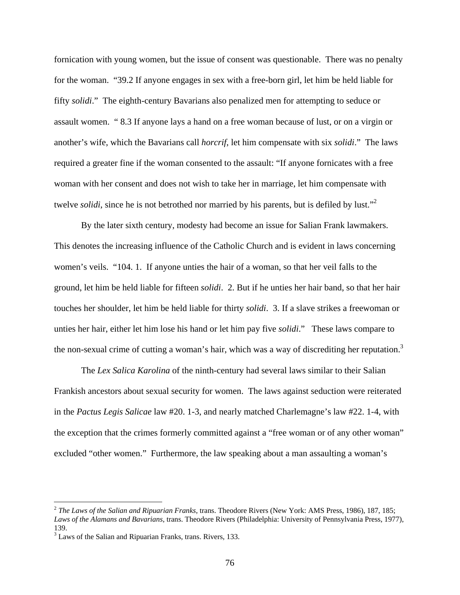fornication with young women, but the issue of consent was questionable. There was no penalty for the woman. "39.2 If anyone engages in sex with a free-born girl, let him be held liable for fifty *solidi*." The eighth-century Bavarians also penalized men for attempting to seduce or assault women. " 8.3 If anyone lays a hand on a free woman because of lust, or on a virgin or another's wife, which the Bavarians call *horcrif*, let him compensate with six *solidi*." The laws required a greater fine if the woman consented to the assault: "If anyone fornicates with a free woman with her consent and does not wish to take her in marriage, let him compensate with twelve *solidi*, since he is not betrothed nor married by his parents, but is defiled by lust."<sup>2</sup>

By the later sixth century, modesty had become an issue for Salian Frank lawmakers. This denotes the increasing influence of the Catholic Church and is evident in laws concerning women's veils. "104. 1. If anyone unties the hair of a woman, so that her veil falls to the ground, let him be held liable for fifteen *solidi*. 2. But if he unties her hair band, so that her hair touches her shoulder, let him be held liable for thirty *solidi*. 3. If a slave strikes a freewoman or unties her hair, either let him lose his hand or let him pay five *solidi*." These laws compare to the non-sexual crime of cutting a woman's hair, which was a way of discrediting her reputation.<sup>3</sup>

The *Lex Salica Karolina* of the ninth-century had several laws similar to their Salian Frankish ancestors about sexual security for women. The laws against seduction were reiterated in the *Pactus Legis Salicae* law #20. 1-3, and nearly matched Charlemagne's law #22. 1-4, with the exception that the crimes formerly committed against a "free woman or of any other woman" excluded "other women." Furthermore, the law speaking about a man assaulting a woman's

<u>.</u>

<sup>2</sup> *The Laws of the Salian and Ripuarian Franks*, trans. Theodore Rivers (New York: AMS Press, 1986), 187, 185; *Laws of the Alamans and Bavarians*, trans. Theodore Rivers (Philadelphia: University of Pennsylvania Press, 1977), 139.

 $3$  Laws of the Salian and Ripuarian Franks, trans. Rivers, 133.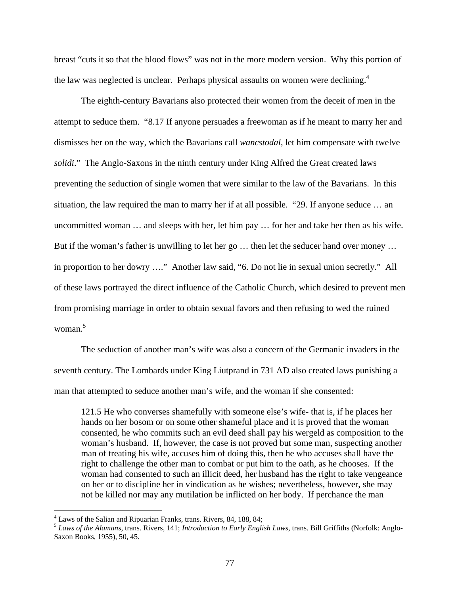breast "cuts it so that the blood flows" was not in the more modern version. Why this portion of the law was neglected is unclear. Perhaps physical assaults on women were declining.<sup>4</sup>

The eighth-century Bavarians also protected their women from the deceit of men in the attempt to seduce them. "8.17 If anyone persuades a freewoman as if he meant to marry her and dismisses her on the way, which the Bavarians call *wancstodal*, let him compensate with twelve *solidi*." The Anglo-Saxons in the ninth century under King Alfred the Great created laws preventing the seduction of single women that were similar to the law of the Bavarians. In this situation, the law required the man to marry her if at all possible. "29. If anyone seduce … an uncommitted woman … and sleeps with her, let him pay … for her and take her then as his wife. But if the woman's father is unwilling to let her go ... then let the seducer hand over money ... in proportion to her dowry …." Another law said, "6. Do not lie in sexual union secretly." All of these laws portrayed the direct influence of the Catholic Church, which desired to prevent men from promising marriage in order to obtain sexual favors and then refusing to wed the ruined woman.<sup>5</sup>

The seduction of another man's wife was also a concern of the Germanic invaders in the seventh century. The Lombards under King Liutprand in 731 AD also created laws punishing a man that attempted to seduce another man's wife, and the woman if she consented:

121.5 He who converses shamefully with someone else's wife- that is, if he places her hands on her bosom or on some other shameful place and it is proved that the woman consented, he who commits such an evil deed shall pay his wergeld as composition to the woman's husband. If, however, the case is not proved but some man, suspecting another man of treating his wife, accuses him of doing this, then he who accuses shall have the right to challenge the other man to combat or put him to the oath, as he chooses. If the woman had consented to such an illicit deed, her husband has the right to take vengeance on her or to discipline her in vindication as he wishes; nevertheless, however, she may not be killed nor may any mutilation be inflicted on her body. If perchance the man

<sup>&</sup>lt;sup>4</sup> Laws of the Salian and Ripuarian Franks, trans. Rivers, 84, 188, 84;

<sup>5</sup> *Laws of the Alamans*, trans. Rivers, 141; *Introduction to Early English Laws*, trans. Bill Griffiths (Norfolk: Anglo-Saxon Books, 1955), 50, 45.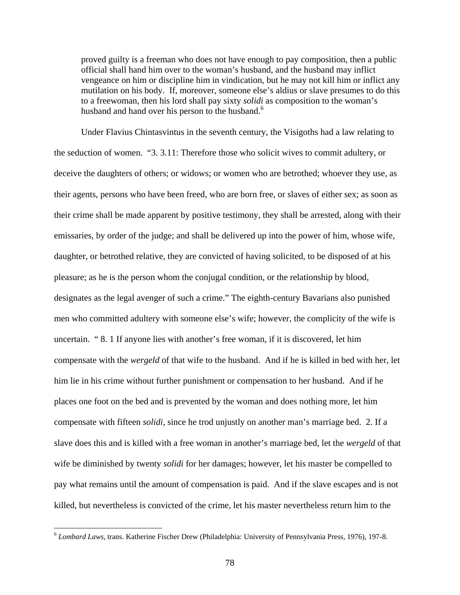proved guilty is a freeman who does not have enough to pay composition, then a public official shall hand him over to the woman's husband, and the husband may inflict vengeance on him or discipline him in vindication, but he may not kill him or inflict any mutilation on his body. If, moreover, someone else's aldius or slave presumes to do this to a freewoman, then his lord shall pay sixty *solidi* as composition to the woman's husband and hand over his person to the husband.<sup>6</sup>

Under Flavius Chintasvintus in the seventh century, the Visigoths had a law relating to the seduction of women. "3. 3.11: Therefore those who solicit wives to commit adultery, or deceive the daughters of others; or widows; or women who are betrothed; whoever they use, as their agents, persons who have been freed, who are born free, or slaves of either sex; as soon as their crime shall be made apparent by positive testimony, they shall be arrested, along with their emissaries, by order of the judge; and shall be delivered up into the power of him, whose wife, daughter, or betrothed relative, they are convicted of having solicited, to be disposed of at his pleasure; as he is the person whom the conjugal condition, or the relationship by blood, designates as the legal avenger of such a crime." The eighth-century Bavarians also punished men who committed adultery with someone else's wife; however, the complicity of the wife is uncertain. " 8. 1 If anyone lies with another's free woman, if it is discovered, let him compensate with the *wergeld* of that wife to the husband. And if he is killed in bed with her, let him lie in his crime without further punishment or compensation to her husband. And if he places one foot on the bed and is prevented by the woman and does nothing more, let him compensate with fifteen *solidi*, since he trod unjustly on another man's marriage bed. 2. If a slave does this and is killed with a free woman in another's marriage bed, let the *wergeld* of that wife be diminished by twenty *solidi* for her damages; however, let his master be compelled to pay what remains until the amount of compensation is paid. And if the slave escapes and is not killed, but nevertheless is convicted of the crime, let his master nevertheless return him to the

<sup>6</sup> *Lombard Laws*, trans. Katherine Fischer Drew (Philadelphia: University of Pennsylvania Press, 1976), 197-8.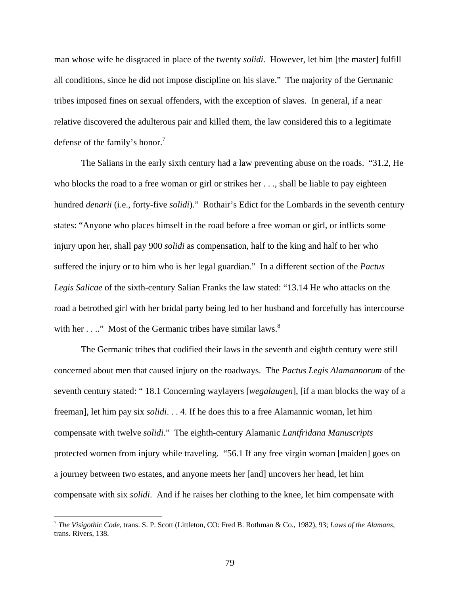man whose wife he disgraced in place of the twenty *solidi*. However, let him [the master] fulfill all conditions, since he did not impose discipline on his slave." The majority of the Germanic tribes imposed fines on sexual offenders, with the exception of slaves. In general, if a near relative discovered the adulterous pair and killed them, the law considered this to a legitimate defense of the family's honor.<sup>7</sup>

The Salians in the early sixth century had a law preventing abuse on the roads. "31.2, He who blocks the road to a free woman or girl or strikes her . . ., shall be liable to pay eighteen hundred *denarii* (i.e., forty-five *solidi*)." Rothair's Edict for the Lombards in the seventh century states: "Anyone who places himself in the road before a free woman or girl, or inflicts some injury upon her, shall pay 900 *solidi* as compensation, half to the king and half to her who suffered the injury or to him who is her legal guardian." In a different section of the *Pactus Legis Salicae* of the sixth-century Salian Franks the law stated: "13.14 He who attacks on the road a betrothed girl with her bridal party being led to her husband and forcefully has intercourse with her  $\dots$ ." Most of the Germanic tribes have similar laws.<sup>8</sup>

The Germanic tribes that codified their laws in the seventh and eighth century were still concerned about men that caused injury on the roadways. The *Pactus Legis Alamannorum* of the seventh century stated: " 18.1 Concerning waylayers [*wegalaugen*], [if a man blocks the way of a freeman], let him pay six *solidi*. . . 4. If he does this to a free Alamannic woman, let him compensate with twelve *solidi*." The eighth-century Alamanic *Lantfridana Manuscripts* protected women from injury while traveling. "56.1 If any free virgin woman [maiden] goes on a journey between two estates, and anyone meets her [and] uncovers her head, let him compensate with six *solidi*. And if he raises her clothing to the knee, let him compensate with

1

<sup>7</sup> *The Visigothic Code,* trans. S. P. Scott (Littleton, CO: Fred B. Rothman & Co., 1982), 93; *Laws of the Alamans*, trans. Rivers, 138.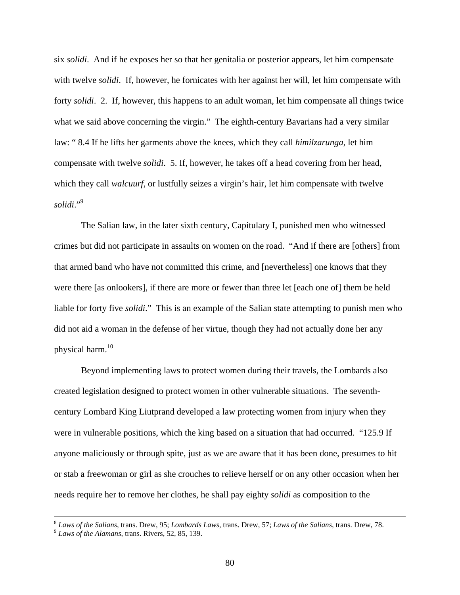six *solidi*. And if he exposes her so that her genitalia or posterior appears, let him compensate with twelve *solidi*. If, however, he fornicates with her against her will, let him compensate with forty *solidi*. 2. If, however, this happens to an adult woman, let him compensate all things twice what we said above concerning the virgin." The eighth-century Bavarians had a very similar law: " 8.4 If he lifts her garments above the knees, which they call *himilzarunga*, let him compensate with twelve *solidi*. 5. If, however, he takes off a head covering from her head, which they call *walcuurf*, or lustfully seizes a virgin's hair, let him compensate with twelve *solidi*."9

The Salian law, in the later sixth century, Capitulary I, punished men who witnessed crimes but did not participate in assaults on women on the road. "And if there are [others] from that armed band who have not committed this crime, and [nevertheless] one knows that they were there [as onlookers], if there are more or fewer than three let [each one of] them be held liable for forty five *solidi*." This is an example of the Salian state attempting to punish men who did not aid a woman in the defense of her virtue, though they had not actually done her any physical harm.10

Beyond implementing laws to protect women during their travels, the Lombards also created legislation designed to protect women in other vulnerable situations. The seventhcentury Lombard King Liutprand developed a law protecting women from injury when they were in vulnerable positions, which the king based on a situation that had occurred. "125.9 If anyone maliciously or through spite, just as we are aware that it has been done, presumes to hit or stab a freewoman or girl as she crouches to relieve herself or on any other occasion when her needs require her to remove her clothes, he shall pay eighty *solidi* as composition to the

<sup>8</sup> *Laws of the Salians*, trans. Drew, 95; *Lombards Laws*, trans. Drew, 57; *Laws of the Salians*, trans. Drew, 78. 9 *Laws of the Alamans*, trans. Rivers, 52, 85, 139.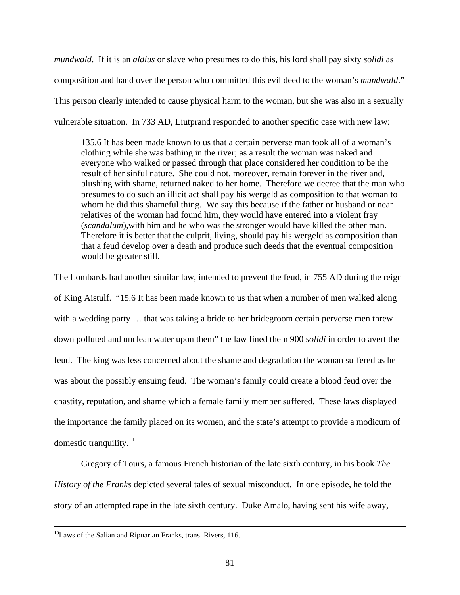*mundwald*. If it is an *aldius* or slave who presumes to do this, his lord shall pay sixty *solidi* as composition and hand over the person who committed this evil deed to the woman's *mundwald*." This person clearly intended to cause physical harm to the woman, but she was also in a sexually vulnerable situation. In 733 AD, Liutprand responded to another specific case with new law:

135.6 It has been made known to us that a certain perverse man took all of a woman's clothing while she was bathing in the river; as a result the woman was naked and everyone who walked or passed through that place considered her condition to be the result of her sinful nature. She could not, moreover, remain forever in the river and, blushing with shame, returned naked to her home. Therefore we decree that the man who presumes to do such an illicit act shall pay his wergeld as composition to that woman to whom he did this shameful thing. We say this because if the father or husband or near relatives of the woman had found him, they would have entered into a violent fray (*scandalum*),with him and he who was the stronger would have killed the other man. Therefore it is better that the culprit, living, should pay his wergeld as composition than that a feud develop over a death and produce such deeds that the eventual composition would be greater still.

The Lombards had another similar law, intended to prevent the feud, in 755 AD during the reign of King Aistulf. "15.6 It has been made known to us that when a number of men walked along with a wedding party ... that was taking a bride to her bridegroom certain perverse men threw down polluted and unclean water upon them" the law fined them 900 *solidi* in order to avert the feud. The king was less concerned about the shame and degradation the woman suffered as he was about the possibly ensuing feud. The woman's family could create a blood feud over the chastity, reputation, and shame which a female family member suffered. These laws displayed the importance the family placed on its women, and the state's attempt to provide a modicum of domestic tranquility.<sup>11</sup>

Gregory of Tours, a famous French historian of the late sixth century, in his book *The History of the Franks* depicted several tales of sexual misconduct*.* In one episode, he told the story of an attempted rape in the late sixth century. Duke Amalo, having sent his wife away,

 $10$ Laws of the Salian and Ripuarian Franks, trans. Rivers, 116.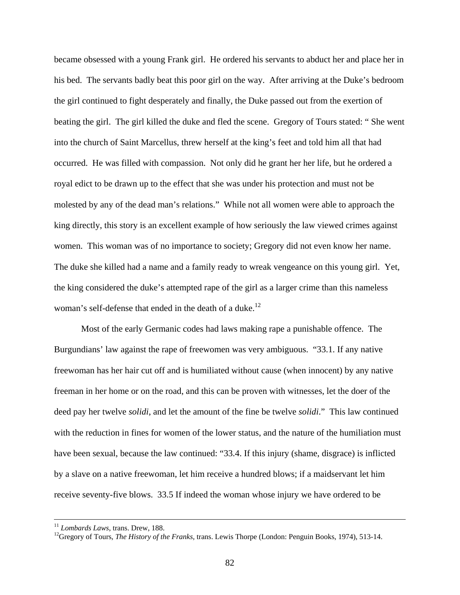became obsessed with a young Frank girl. He ordered his servants to abduct her and place her in his bed. The servants badly beat this poor girl on the way. After arriving at the Duke's bedroom the girl continued to fight desperately and finally, the Duke passed out from the exertion of beating the girl. The girl killed the duke and fled the scene. Gregory of Tours stated: " She went into the church of Saint Marcellus, threw herself at the king's feet and told him all that had occurred. He was filled with compassion. Not only did he grant her her life, but he ordered a royal edict to be drawn up to the effect that she was under his protection and must not be molested by any of the dead man's relations." While not all women were able to approach the king directly, this story is an excellent example of how seriously the law viewed crimes against women. This woman was of no importance to society; Gregory did not even know her name. The duke she killed had a name and a family ready to wreak vengeance on this young girl. Yet, the king considered the duke's attempted rape of the girl as a larger crime than this nameless woman's self-defense that ended in the death of a duke.<sup>12</sup>

Most of the early Germanic codes had laws making rape a punishable offence. The Burgundians' law against the rape of freewomen was very ambiguous. "33.1. If any native freewoman has her hair cut off and is humiliated without cause (when innocent) by any native freeman in her home or on the road, and this can be proven with witnesses, let the doer of the deed pay her twelve *solidi*, and let the amount of the fine be twelve *solidi*." This law continued with the reduction in fines for women of the lower status, and the nature of the humiliation must have been sexual, because the law continued: "33.4. If this injury (shame, disgrace) is inflicted by a slave on a native freewoman, let him receive a hundred blows; if a maidservant let him receive seventy-five blows. 33.5 If indeed the woman whose injury we have ordered to be

<sup>&</sup>lt;sup>11</sup> *Lombards Laws*, trans. Drew, 188.<br><sup>12</sup>Gregory of Tours, *The History of the Franks*, *trans. Lewis Thorpe (London: Penguin Books, 1974), 513-14.*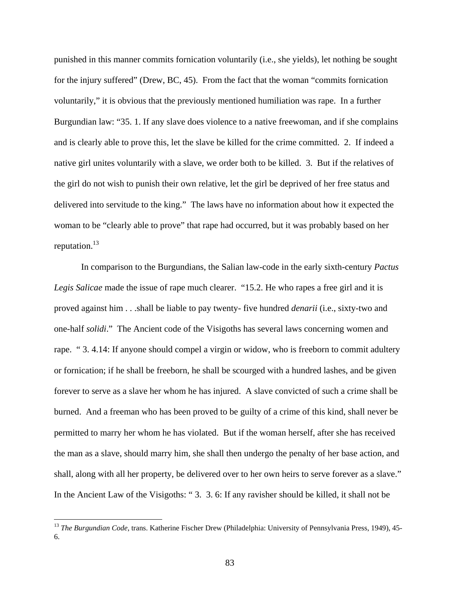punished in this manner commits fornication voluntarily (i.e., she yields), let nothing be sought for the injury suffered" (Drew, BC, 45). From the fact that the woman "commits fornication voluntarily," it is obvious that the previously mentioned humiliation was rape. In a further Burgundian law: "35. 1. If any slave does violence to a native freewoman, and if she complains and is clearly able to prove this, let the slave be killed for the crime committed. 2. If indeed a native girl unites voluntarily with a slave, we order both to be killed. 3. But if the relatives of the girl do not wish to punish their own relative, let the girl be deprived of her free status and delivered into servitude to the king." The laws have no information about how it expected the woman to be "clearly able to prove" that rape had occurred, but it was probably based on her reputation.<sup>13</sup>

In comparison to the Burgundians, the Salian law-code in the early sixth-century *Pactus Legis Salicae* made the issue of rape much clearer. "15.2. He who rapes a free girl and it is proved against him . . .shall be liable to pay twenty- five hundred *denarii* (i.e., sixty-two and one-half *solidi*." The Ancient code of the Visigoths has several laws concerning women and rape. " 3. 4.14: If anyone should compel a virgin or widow, who is freeborn to commit adultery or fornication; if he shall be freeborn, he shall be scourged with a hundred lashes, and be given forever to serve as a slave her whom he has injured. A slave convicted of such a crime shall be burned. And a freeman who has been proved to be guilty of a crime of this kind, shall never be permitted to marry her whom he has violated. But if the woman herself, after she has received the man as a slave, should marry him, she shall then undergo the penalty of her base action, and shall, along with all her property, be delivered over to her own heirs to serve forever as a slave." In the Ancient Law of the Visigoths: " 3. 3. 6: If any ravisher should be killed, it shall not be

1

<sup>&</sup>lt;sup>13</sup> *The Burgundian Code*, trans. Katherine Fischer Drew (Philadelphia: University of Pennsylvania Press, 1949), 45-6.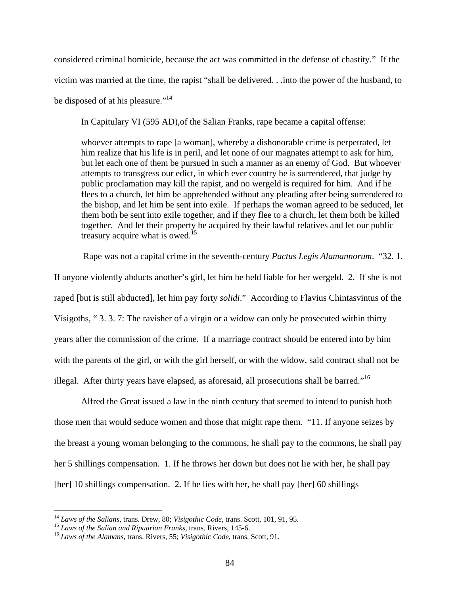considered criminal homicide, because the act was committed in the defense of chastity." If the victim was married at the time, the rapist "shall be delivered. . .into the power of the husband, to be disposed of at his pleasure."<sup>14</sup>

In Capitulary VI (595 AD),of the Salian Franks, rape became a capital offense:

whoever attempts to rape [a woman], whereby a dishonorable crime is perpetrated, let him realize that his life is in peril, and let none of our magnates attempt to ask for him, but let each one of them be pursued in such a manner as an enemy of God. But whoever attempts to transgress our edict, in which ever country he is surrendered, that judge by public proclamation may kill the rapist, and no wergeld is required for him. And if he flees to a church, let him be apprehended without any pleading after being surrendered to the bishop, and let him be sent into exile. If perhaps the woman agreed to be seduced, let them both be sent into exile together, and if they flee to a church, let them both be killed together. And let their property be acquired by their lawful relatives and let our public treasury acquire what is owed.<sup>15</sup>

Rape was not a capital crime in the seventh-century *Pactus Legis Alamannorum*. "32. 1.

If anyone violently abducts another's girl, let him be held liable for her wergeld. 2. If she is not raped [but is still abducted], let him pay forty *solidi*." According to Flavius Chintasvintus of the Visigoths, " 3. 3. 7: The ravisher of a virgin or a widow can only be prosecuted within thirty years after the commission of the crime. If a marriage contract should be entered into by him with the parents of the girl, or with the girl herself, or with the widow, said contract shall not be illegal. After thirty years have elapsed, as aforesaid, all prosecutions shall be barred."<sup>16</sup>

Alfred the Great issued a law in the ninth century that seemed to intend to punish both those men that would seduce women and those that might rape them. "11. If anyone seizes by the breast a young woman belonging to the commons, he shall pay to the commons, he shall pay her 5 shillings compensation. 1. If he throws her down but does not lie with her, he shall pay [her] 10 shillings compensation. 2. If he lies with her, he shall pay [her] 60 shillings

<sup>&</sup>lt;sup>14</sup> Laws of the Salians, trans. Drew, 80; *Visigothic Code*, trans. Scott, 101, 91, 95.<br><sup>15</sup> Laws of the Salian and Ripuarian Franks, trans. Rivers, 145-6.<br><sup>16</sup> Laws of the Alamans, trans. Rivers, 55; *Visigothic Code*,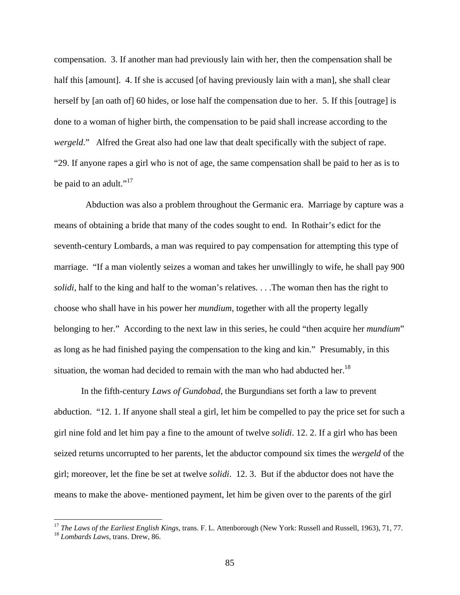compensation. 3. If another man had previously lain with her, then the compensation shall be half this [amount]. 4. If she is accused [of having previously lain with a man], she shall clear herself by [an oath of] 60 hides, or lose half the compensation due to her. 5. If this [outrage] is done to a woman of higher birth, the compensation to be paid shall increase according to the *wergeld*." Alfred the Great also had one law that dealt specifically with the subject of rape. "29. If anyone rapes a girl who is not of age, the same compensation shall be paid to her as is to be paid to an adult."<sup>17</sup>

 Abduction was also a problem throughout the Germanic era. Marriage by capture was a means of obtaining a bride that many of the codes sought to end. In Rothair's edict for the seventh-century Lombards, a man was required to pay compensation for attempting this type of marriage. "If a man violently seizes a woman and takes her unwillingly to wife, he shall pay 900 *solidi*, half to the king and half to the woman's relatives. . . .The woman then has the right to choose who shall have in his power her *mundium*, together with all the property legally belonging to her." According to the next law in this series, he could "then acquire her *mundium*" as long as he had finished paying the compensation to the king and kin." Presumably, in this situation, the woman had decided to remain with the man who had abducted her.<sup>18</sup>

In the fifth-century *Laws of Gundobad*, the Burgundians set forth a law to prevent abduction. "12. 1. If anyone shall steal a girl, let him be compelled to pay the price set for such a girl nine fold and let him pay a fine to the amount of twelve *solidi*. 12. 2. If a girl who has been seized returns uncorrupted to her parents, let the abductor compound six times the *wergeld* of the girl; moreover, let the fine be set at twelve *solidi*. 12. 3. But if the abductor does not have the means to make the above- mentioned payment, let him be given over to the parents of the girl

<sup>&</sup>lt;sup>17</sup> *The Laws of the Earliest English Kings*, trans. F. L. Attenborough (New York: Russell and Russell, 1963), 71, 77. <sup>18</sup> *Lombards Laws*, trans. Drew, 86.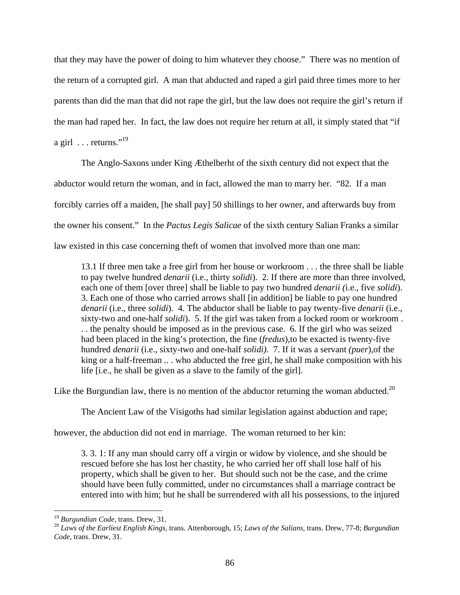that they may have the power of doing to him whatever they choose." There was no mention of the return of a corrupted girl. A man that abducted and raped a girl paid three times more to her parents than did the man that did not rape the girl, but the law does not require the girl's return if the man had raped her. In fact, the law does not require her return at all, it simply stated that "if a girl  $\ldots$  returns."<sup>19</sup>

The Anglo-Saxons under King Æthelberht of the sixth century did not expect that the abductor would return the woman, and in fact, allowed the man to marry her. "82. If a man forcibly carries off a maiden, [he shall pay] 50 shillings to her owner, and afterwards buy from the owner his consent." In the *Pactus Legis Salicae* of the sixth century Salian Franks a similar law existed in this case concerning theft of women that involved more than one man:

13.1 If three men take a free girl from her house or workroom . . . the three shall be liable to pay twelve hundred *denarii* (i.e., thirty *solidi*). 2. If there are more than three involved, each one of them [over three] shall be liable to pay two hundred *denarii (*i.e., five *solidi*). 3. Each one of those who carried arrows shall [in addition] be liable to pay one hundred *denarii* (i.e., three *solidi*). 4. The abductor shall be liable to pay twenty-five *denarii* (i.e., sixty-two and one-half *solidi*). 5. If the girl was taken from a locked room or workroom . . . the penalty should be imposed as in the previous case. 6. If the girl who was seized had been placed in the king's protection, the fine (*fredus*),to be exacted is twenty-five hundred *denarii* (i.e., sixty-two and one-half *solidi).* 7. If it was a servant *(puer*),of the king or a half-freeman .. . who abducted the free girl, he shall make composition with his life [i.e., he shall be given as a slave to the family of the girl].

Like the Burgundian law, there is no mention of the abductor returning the woman abducted.<sup>20</sup>

The Ancient Law of the Visigoths had similar legislation against abduction and rape;

however, the abduction did not end in marriage. The woman returned to her kin:

3. 3. 1: If any man should carry off a virgin or widow by violence, and she should be rescued before she has lost her chastity, he who carried her off shall lose half of his property, which shall be given to her. But should such not be the case, and the crime should have been fully committed, under no circumstances shall a marriage contract be entered into with him; but he shall be surrendered with all his possessions, to the injured

<sup>&</sup>lt;sup>19</sup> *Burgundian Code*, trans. Drew, 31.<br><sup>20</sup> *Laws of the Earliest English Kings*, trans. Attenborough, 15; *Laws of the Salians*, trans. Drew, 77-8; *Burgundian Code*, trans. Drew, 31.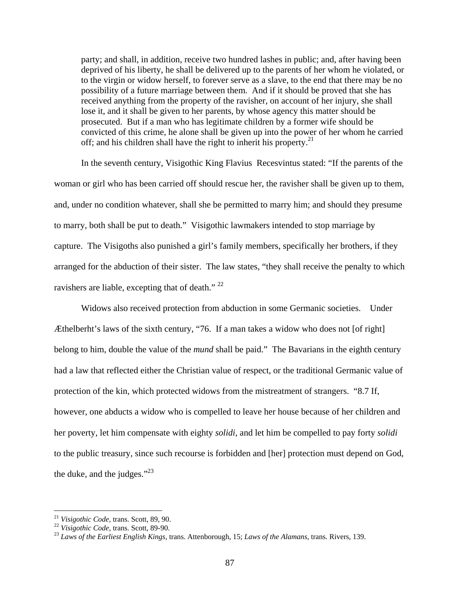party; and shall, in addition, receive two hundred lashes in public; and, after having been deprived of his liberty, he shall be delivered up to the parents of her whom he violated, or to the virgin or widow herself, to forever serve as a slave, to the end that there may be no possibility of a future marriage between them. And if it should be proved that she has received anything from the property of the ravisher, on account of her injury, she shall lose it, and it shall be given to her parents, by whose agency this matter should be prosecuted. But if a man who has legitimate children by a former wife should be convicted of this crime, he alone shall be given up into the power of her whom he carried off; and his children shall have the right to inherit his property.<sup>21</sup>

In the seventh century, Visigothic King Flavius Recesvintus stated: "If the parents of the woman or girl who has been carried off should rescue her, the ravisher shall be given up to them, and, under no condition whatever, shall she be permitted to marry him; and should they presume to marry, both shall be put to death." Visigothic lawmakers intended to stop marriage by capture. The Visigoths also punished a girl's family members, specifically her brothers, if they arranged for the abduction of their sister. The law states, "they shall receive the penalty to which ravishers are liable, excepting that of death."  $^{22}$ 

Widows also received protection from abduction in some Germanic societies. Under Æthelberht's laws of the sixth century, "76. If a man takes a widow who does not [of right] belong to him, double the value of the *mund* shall be paid." The Bavarians in the eighth century had a law that reflected either the Christian value of respect, or the traditional Germanic value of protection of the kin, which protected widows from the mistreatment of strangers. "8.7 If, however, one abducts a widow who is compelled to leave her house because of her children and her poverty, let him compensate with eighty *solidi*, and let him be compelled to pay forty *solidi* to the public treasury, since such recourse is forbidden and [her] protection must depend on God, the duke, and the judges."23

<sup>21</sup> *Visigothic Code*, trans. Scott, 89, 90. 22 *Visigothic Code*, trans. Scott, 89-90. 23 *Laws of the Earliest English Kings,* trans. Attenborough, 15; *Laws of the Alamans*, trans. Rivers, 139.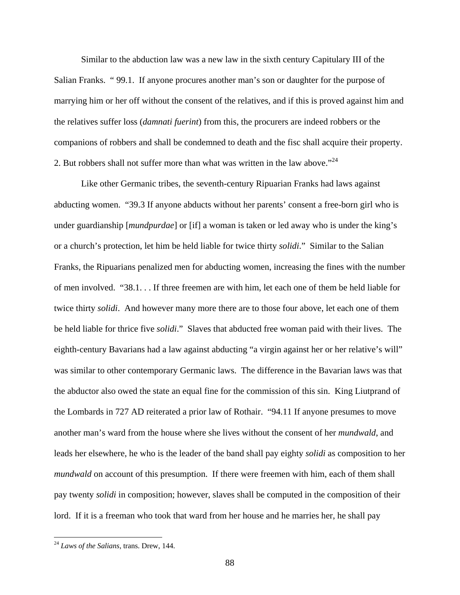Similar to the abduction law was a new law in the sixth century Capitulary III of the Salian Franks. " 99.1. If anyone procures another man's son or daughter for the purpose of marrying him or her off without the consent of the relatives, and if this is proved against him and the relatives suffer loss (*damnati fuerint*) from this, the procurers are indeed robbers or the companions of robbers and shall be condemned to death and the fisc shall acquire their property. 2. But robbers shall not suffer more than what was written in the law above."<sup>24</sup>

Like other Germanic tribes, the seventh-century Ripuarian Franks had laws against abducting women. "39.3 If anyone abducts without her parents' consent a free-born girl who is under guardianship [*mundpurdae*] or [if] a woman is taken or led away who is under the king's or a church's protection, let him be held liable for twice thirty *solidi*." Similar to the Salian Franks, the Ripuarians penalized men for abducting women, increasing the fines with the number of men involved. "38.1. . . If three freemen are with him, let each one of them be held liable for twice thirty *solidi*. And however many more there are to those four above, let each one of them be held liable for thrice five *solidi*." Slaves that abducted free woman paid with their lives. The eighth-century Bavarians had a law against abducting "a virgin against her or her relative's will" was similar to other contemporary Germanic laws. The difference in the Bavarian laws was that the abductor also owed the state an equal fine for the commission of this sin. King Liutprand of the Lombards in 727 AD reiterated a prior law of Rothair. "94.11 If anyone presumes to move another man's ward from the house where she lives without the consent of her *mundwald*, and leads her elsewhere, he who is the leader of the band shall pay eighty *solidi* as composition to her *mundwald* on account of this presumption. If there were freemen with him, each of them shall pay twenty *solidi* in composition; however, slaves shall be computed in the composition of their lord. If it is a freeman who took that ward from her house and he marries her, he shall pay

<sup>24</sup> *Laws of the Salians*, trans. Drew, 144.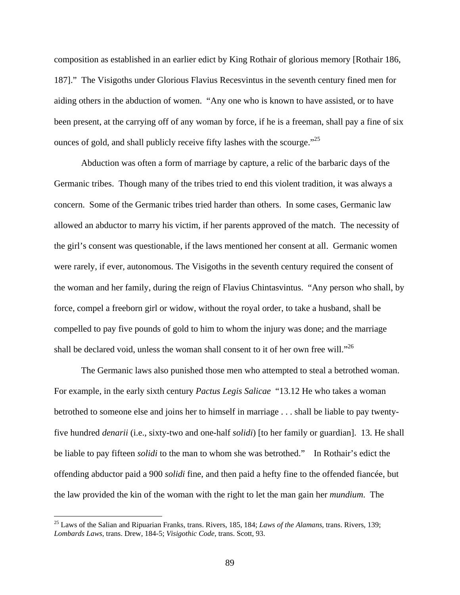composition as established in an earlier edict by King Rothair of glorious memory [Rothair 186, 187]." The Visigoths under Glorious Flavius Recesvintus in the seventh century fined men for aiding others in the abduction of women. "Any one who is known to have assisted, or to have been present, at the carrying off of any woman by force, if he is a freeman, shall pay a fine of six ounces of gold, and shall publicly receive fifty lashes with the scourge. $^{25}$ 

 Abduction was often a form of marriage by capture, a relic of the barbaric days of the Germanic tribes. Though many of the tribes tried to end this violent tradition, it was always a concern. Some of the Germanic tribes tried harder than others. In some cases, Germanic law allowed an abductor to marry his victim, if her parents approved of the match. The necessity of the girl's consent was questionable, if the laws mentioned her consent at all. Germanic women were rarely, if ever, autonomous. The Visigoths in the seventh century required the consent of the woman and her family, during the reign of Flavius Chintasvintus. "Any person who shall, by force, compel a freeborn girl or widow, without the royal order, to take a husband, shall be compelled to pay five pounds of gold to him to whom the injury was done; and the marriage shall be declared void, unless the woman shall consent to it of her own free will."<sup>26</sup>

The Germanic laws also punished those men who attempted to steal a betrothed woman. For example, in the early sixth century *Pactus Legis Salicae* "13.12 He who takes a woman betrothed to someone else and joins her to himself in marriage . . . shall be liable to pay twentyfive hundred *denarii* (i.e., sixty-two and one-half *solidi*) [to her family or guardian]. 13. He shall be liable to pay fifteen *solidi* to the man to whom she was betrothed." In Rothair's edict the offending abductor paid a 900 *solidi* fine, and then paid a hefty fine to the offended fiancée, but the law provided the kin of the woman with the right to let the man gain her *mundium*. The

<sup>25</sup> Laws of the Salian and Ripuarian Franks, trans. Rivers, 185, 184; *Laws of the Alamans*, trans. Rivers, 139; *Lombards Laws*, trans. Drew, 184-5; *Visigothic Code*, trans. Scott, 93.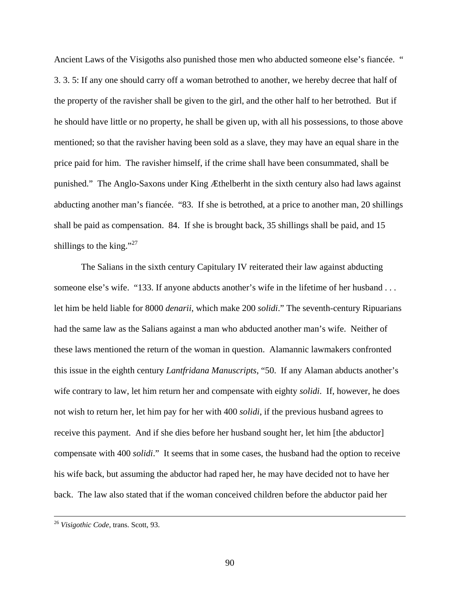Ancient Laws of the Visigoths also punished those men who abducted someone else's fiancée. " 3. 3. 5: If any one should carry off a woman betrothed to another, we hereby decree that half of the property of the ravisher shall be given to the girl, and the other half to her betrothed. But if he should have little or no property, he shall be given up, with all his possessions, to those above mentioned; so that the ravisher having been sold as a slave, they may have an equal share in the price paid for him. The ravisher himself, if the crime shall have been consummated, shall be punished." The Anglo-Saxons under King Æthelberht in the sixth century also had laws against abducting another man's fiancée. "83. If she is betrothed, at a price to another man, 20 shillings shall be paid as compensation. 84. If she is brought back, 35 shillings shall be paid, and 15 shillings to the king."<sup>27</sup>

The Salians in the sixth century Capitulary IV reiterated their law against abducting someone else's wife. "133. If anyone abducts another's wife in the lifetime of her husband . . . let him be held liable for 8000 *denarii*, which make 200 *solidi*." The seventh-century Ripuarians had the same law as the Salians against a man who abducted another man's wife. Neither of these laws mentioned the return of the woman in question. Alamannic lawmakers confronted this issue in the eighth century *Lantfridana Manuscripts*, "50. If any Alaman abducts another's wife contrary to law, let him return her and compensate with eighty *solidi*. If, however, he does not wish to return her, let him pay for her with 400 *solidi*, if the previous husband agrees to receive this payment. And if she dies before her husband sought her, let him [the abductor] compensate with 400 *solidi*." It seems that in some cases, the husband had the option to receive his wife back, but assuming the abductor had raped her, he may have decided not to have her back. The law also stated that if the woman conceived children before the abductor paid her

 <sup>26</sup> *Visigothic Code*, trans. Scott, 93.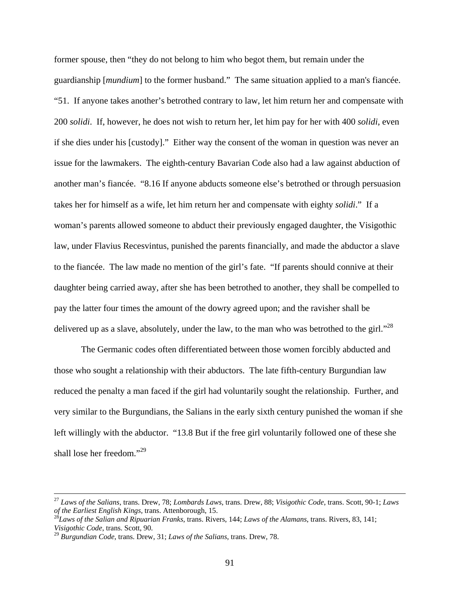former spouse, then "they do not belong to him who begot them, but remain under the guardianship [*mundium*] to the former husband." The same situation applied to a man's fiancée. "51. If anyone takes another's betrothed contrary to law, let him return her and compensate with 200 *solidi*. If, however, he does not wish to return her, let him pay for her with 400 *solidi*, even if she dies under his [custody]." Either way the consent of the woman in question was never an issue for the lawmakers. The eighth-century Bavarian Code also had a law against abduction of another man's fiancée. "8.16 If anyone abducts someone else's betrothed or through persuasion takes her for himself as a wife, let him return her and compensate with eighty *solidi*." If a woman's parents allowed someone to abduct their previously engaged daughter, the Visigothic law, under Flavius Recesvintus, punished the parents financially, and made the abductor a slave to the fiancée. The law made no mention of the girl's fate. "If parents should connive at their daughter being carried away, after she has been betrothed to another, they shall be compelled to pay the latter four times the amount of the dowry agreed upon; and the ravisher shall be delivered up as a slave, absolutely, under the law, to the man who was betrothed to the girl."<sup>28</sup>

The Germanic codes often differentiated between those women forcibly abducted and those who sought a relationship with their abductors. The late fifth-century Burgundian law reduced the penalty a man faced if the girl had voluntarily sought the relationship. Further, and very similar to the Burgundians, the Salians in the early sixth century punished the woman if she left willingly with the abductor. "13.8 But if the free girl voluntarily followed one of these she shall lose her freedom."29

 <sup>27</sup> *Laws of the Salians*, trans. Drew, 78; *Lombards Laws*, trans. Drew, 88; *Visigothic Code*, trans. Scott, 90-1; *Laws of the Earliest English Kings,* trans. Attenborough, 15. 28*Laws of the Salian and Ripuarian Franks*, trans. Rivers, 144; *Laws of the Alamans*, trans. Rivers, 83, 141;

*Visigothic Code*, trans. Scott, 90.

<sup>29</sup> *Burgundian Code*, trans. Drew, 31; *Laws of the Salians*, trans. Drew, 78.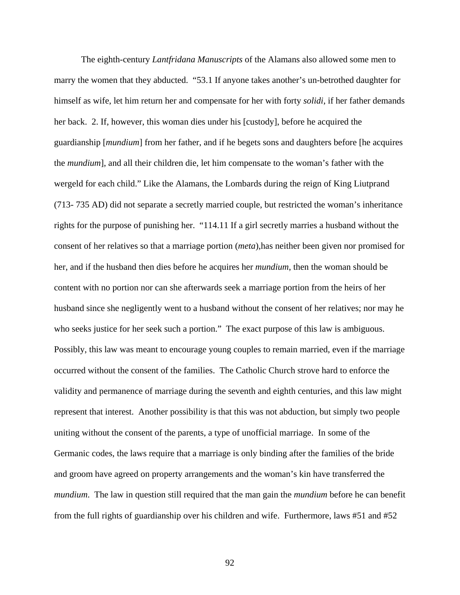The eighth-century *Lantfridana Manuscripts* of the Alamans also allowed some men to marry the women that they abducted. "53.1 If anyone takes another's un-betrothed daughter for himself as wife, let him return her and compensate for her with forty *solidi*, if her father demands her back. 2. If, however, this woman dies under his [custody], before he acquired the guardianship [*mundium*] from her father, and if he begets sons and daughters before [he acquires the *mundium*], and all their children die, let him compensate to the woman's father with the wergeld for each child." Like the Alamans, the Lombards during the reign of King Liutprand (713- 735 AD) did not separate a secretly married couple, but restricted the woman's inheritance rights for the purpose of punishing her. "114.11 If a girl secretly marries a husband without the consent of her relatives so that a marriage portion (*meta*),has neither been given nor promised for her, and if the husband then dies before he acquires her *mundium*, then the woman should be content with no portion nor can she afterwards seek a marriage portion from the heirs of her husband since she negligently went to a husband without the consent of her relatives; nor may he who seeks justice for her seek such a portion." The exact purpose of this law is ambiguous. Possibly, this law was meant to encourage young couples to remain married, even if the marriage occurred without the consent of the families. The Catholic Church strove hard to enforce the validity and permanence of marriage during the seventh and eighth centuries, and this law might represent that interest. Another possibility is that this was not abduction, but simply two people uniting without the consent of the parents, a type of unofficial marriage. In some of the Germanic codes, the laws require that a marriage is only binding after the families of the bride and groom have agreed on property arrangements and the woman's kin have transferred the *mundium*. The law in question still required that the man gain the *mundium* before he can benefit from the full rights of guardianship over his children and wife. Furthermore, laws #51 and #52

92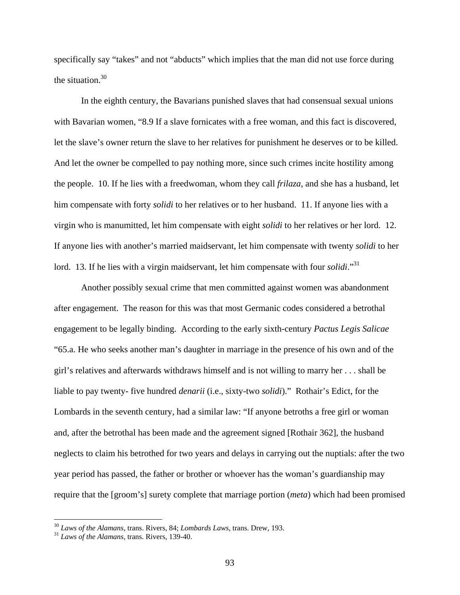specifically say "takes" and not "abducts" which implies that the man did not use force during the situation.<sup>30</sup>

In the eighth century, the Bavarians punished slaves that had consensual sexual unions with Bavarian women, "8.9 If a slave fornicates with a free woman, and this fact is discovered, let the slave's owner return the slave to her relatives for punishment he deserves or to be killed. And let the owner be compelled to pay nothing more, since such crimes incite hostility among the people. 10. If he lies with a freedwoman, whom they call *frilaza*, and she has a husband, let him compensate with forty *solidi* to her relatives or to her husband. 11. If anyone lies with a virgin who is manumitted, let him compensate with eight *solidi* to her relatives or her lord. 12. If anyone lies with another's married maidservant, let him compensate with twenty *solidi* to her lord. 13. If he lies with a virgin maidservant, let him compensate with four *solidi*."<sup>31</sup>

Another possibly sexual crime that men committed against women was abandonment after engagement. The reason for this was that most Germanic codes considered a betrothal engagement to be legally binding. According to the early sixth-century *Pactus Legis Salicae* "65.a. He who seeks another man's daughter in marriage in the presence of his own and of the girl's relatives and afterwards withdraws himself and is not willing to marry her . . . shall be liable to pay twenty- five hundred *denarii* (i.e., sixty-two *solidi*)." Rothair's Edict, for the Lombards in the seventh century, had a similar law: "If anyone betroths a free girl or woman and, after the betrothal has been made and the agreement signed [Rothair 362], the husband neglects to claim his betrothed for two years and delays in carrying out the nuptials: after the two year period has passed, the father or brother or whoever has the woman's guardianship may require that the [groom's] surety complete that marriage portion (*meta*) which had been promised

<sup>30</sup> *Laws of the Alamans*, trans. Rivers, 84; *Lombards Laws*, trans. Drew, 193. 31 *Laws of the Alamans*, trans. Rivers, 139-40.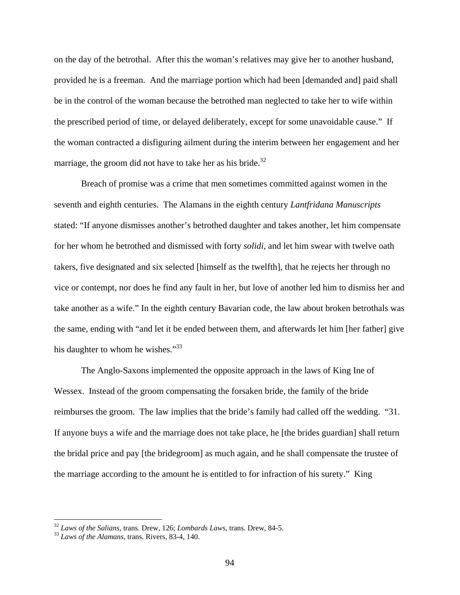on the day of the betrothal. After this the woman's relatives may give her to another husband, provided he is a freeman. And the marriage portion which had been [demanded and] paid shall be in the control of the woman because the betrothed man neglected to take her to wife within the prescribed period of time, or delayed deliberately, except for some unavoidable cause." If the woman contracted a disfiguring ailment during the interim between her engagement and her marriage, the groom did not have to take her as his bride.<sup>32</sup>

Breach of promise was a crime that men sometimes committed against women in the seventh and eighth centuries. The Alamans in the eighth century *Lantfridana Manuscripts* stated: "If anyone dismisses another's betrothed daughter and takes another, let him compensate for her whom he betrothed and dismissed with forty *solidi*, and let him swear with twelve oath takers, five designated and six selected [himself as the twelfth], that he rejects her through no vice or contempt, nor does he find any fault in her, but love of another led him to dismiss her and take another as a wife." In the eighth century Bavarian code, the law about broken betrothals was the same, ending with "and let it be ended between them, and afterwards let him [her father] give his daughter to whom he wishes."<sup>33</sup>

The Anglo-Saxons implemented the opposite approach in the laws of King Ine of Wessex. Instead of the groom compensating the forsaken bride, the family of the bride reimburses the groom. The law implies that the bride's family had called off the wedding. "31. If anyone buys a wife and the marriage does not take place, he [the brides guardian] shall return the bridal price and pay [the bridegroom] as much again, and he shall compensate the trustee of the marriage according to the amount he is entitled to for infraction of his surety." King

<sup>32</sup> *Laws of the Salians*, trans. Drew, 126; *Lombards Laws*, trans. Drew, 84-5. 33 *Laws of the Alamans*, trans. Rivers, 83-4, 140.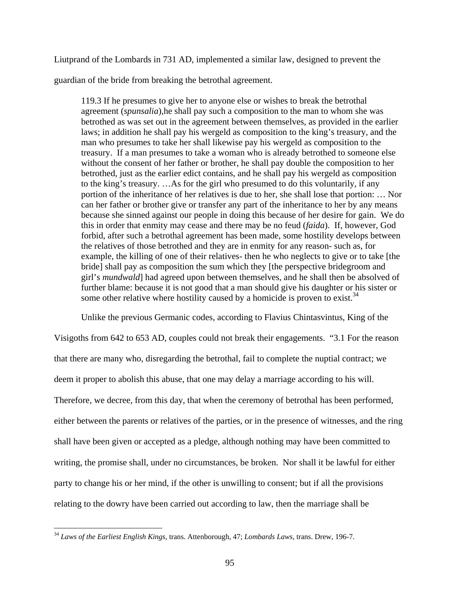Liutprand of the Lombards in 731 AD, implemented a similar law, designed to prevent the

guardian of the bride from breaking the betrothal agreement.

119.3 If he presumes to give her to anyone else or wishes to break the betrothal agreement (*spunsalia*),he shall pay such a composition to the man to whom she was betrothed as was set out in the agreement between themselves, as provided in the earlier laws; in addition he shall pay his wergeld as composition to the king's treasury, and the man who presumes to take her shall likewise pay his wergeld as composition to the treasury. If a man presumes to take a woman who is already betrothed to someone else without the consent of her father or brother, he shall pay double the composition to her betrothed, just as the earlier edict contains, and he shall pay his wergeld as composition to the king's treasury. …As for the girl who presumed to do this voluntarily, if any portion of the inheritance of her relatives is due to her, she shall lose that portion: … Nor can her father or brother give or transfer any part of the inheritance to her by any means because she sinned against our people in doing this because of her desire for gain. We do this in order that enmity may cease and there may be no feud (*faida*). If, however, God forbid, after such a betrothal agreement has been made, some hostility develops between the relatives of those betrothed and they are in enmity for any reason- such as, for example, the killing of one of their relatives- then he who neglects to give or to take [the bride] shall pay as composition the sum which they [the perspective bridegroom and girl's *mundwald*] had agreed upon between themselves, and he shall then be absolved of further blame: because it is not good that a man should give his daughter or his sister or some other relative where hostility caused by a homicide is proven to exist.<sup>34</sup>

 Unlike the previous Germanic codes, according to Flavius Chintasvintus, King of the Visigoths from 642 to 653 AD, couples could not break their engagements. "3.1 For the reason that there are many who, disregarding the betrothal, fail to complete the nuptial contract; we deem it proper to abolish this abuse, that one may delay a marriage according to his will. Therefore, we decree, from this day, that when the ceremony of betrothal has been performed, either between the parents or relatives of the parties, or in the presence of witnesses, and the ring shall have been given or accepted as a pledge, although nothing may have been committed to writing, the promise shall, under no circumstances, be broken. Nor shall it be lawful for either party to change his or her mind, if the other is unwilling to consent; but if all the provisions relating to the dowry have been carried out according to law, then the marriage shall be

<sup>34</sup> *Laws of the Earliest English Kings,* trans. Attenborough, 47; *Lombards Laws*, trans. Drew, 196-7.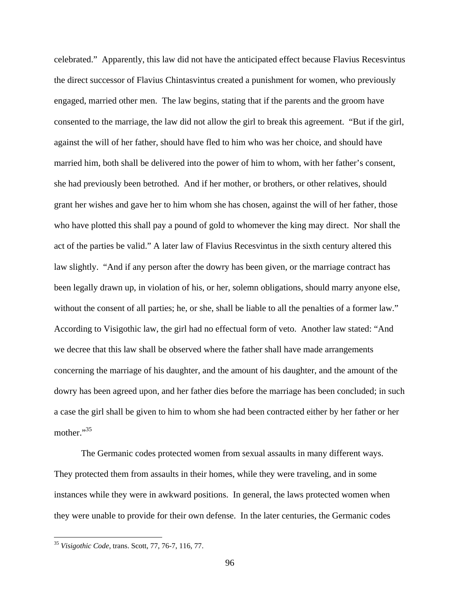celebrated." Apparently, this law did not have the anticipated effect because Flavius Recesvintus the direct successor of Flavius Chintasvintus created a punishment for women, who previously engaged, married other men. The law begins, stating that if the parents and the groom have consented to the marriage, the law did not allow the girl to break this agreement. "But if the girl, against the will of her father, should have fled to him who was her choice, and should have married him, both shall be delivered into the power of him to whom, with her father's consent, she had previously been betrothed. And if her mother, or brothers, or other relatives, should grant her wishes and gave her to him whom she has chosen, against the will of her father, those who have plotted this shall pay a pound of gold to whomever the king may direct. Nor shall the act of the parties be valid." A later law of Flavius Recesvintus in the sixth century altered this law slightly. "And if any person after the dowry has been given, or the marriage contract has been legally drawn up, in violation of his, or her, solemn obligations, should marry anyone else, without the consent of all parties; he, or she, shall be liable to all the penalties of a former law." According to Visigothic law, the girl had no effectual form of veto. Another law stated: "And we decree that this law shall be observed where the father shall have made arrangements concerning the marriage of his daughter, and the amount of his daughter, and the amount of the dowry has been agreed upon, and her father dies before the marriage has been concluded; in such a case the girl shall be given to him to whom she had been contracted either by her father or her mother."<sup>35</sup>

The Germanic codes protected women from sexual assaults in many different ways. They protected them from assaults in their homes, while they were traveling, and in some instances while they were in awkward positions. In general, the laws protected women when they were unable to provide for their own defense. In the later centuries, the Germanic codes

<sup>35</sup> *Visigothic Code*, trans. Scott, 77, 76-7, 116, 77.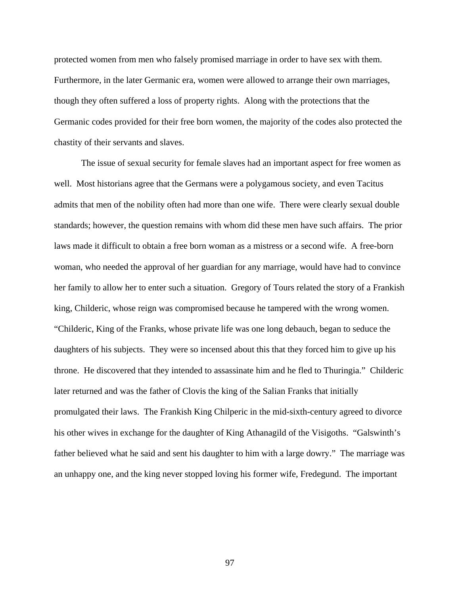protected women from men who falsely promised marriage in order to have sex with them. Furthermore, in the later Germanic era, women were allowed to arrange their own marriages, though they often suffered a loss of property rights. Along with the protections that the Germanic codes provided for their free born women, the majority of the codes also protected the chastity of their servants and slaves.

The issue of sexual security for female slaves had an important aspect for free women as well. Most historians agree that the Germans were a polygamous society, and even Tacitus admits that men of the nobility often had more than one wife. There were clearly sexual double standards; however, the question remains with whom did these men have such affairs. The prior laws made it difficult to obtain a free born woman as a mistress or a second wife. A free-born woman, who needed the approval of her guardian for any marriage, would have had to convince her family to allow her to enter such a situation. Gregory of Tours related the story of a Frankish king, Childeric, whose reign was compromised because he tampered with the wrong women. "Childeric, King of the Franks, whose private life was one long debauch, began to seduce the daughters of his subjects. They were so incensed about this that they forced him to give up his throne. He discovered that they intended to assassinate him and he fled to Thuringia." Childeric later returned and was the father of Clovis the king of the Salian Franks that initially promulgated their laws. The Frankish King Chilperic in the mid-sixth-century agreed to divorce his other wives in exchange for the daughter of King Athanagild of the Visigoths. "Galswinth's father believed what he said and sent his daughter to him with a large dowry." The marriage was an unhappy one, and the king never stopped loving his former wife, Fredegund. The important

97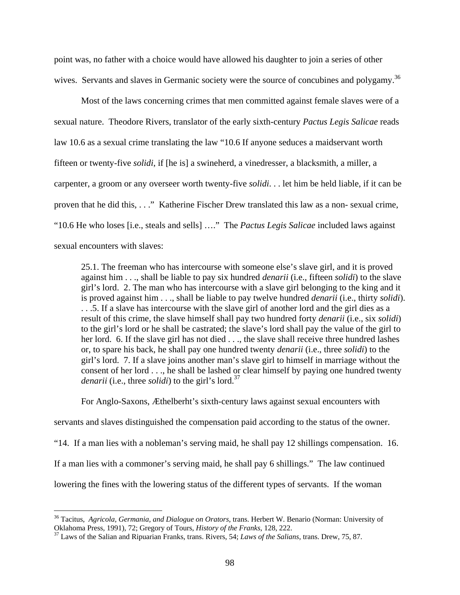point was, no father with a choice would have allowed his daughter to join a series of other wives. Servants and slaves in Germanic society were the source of concubines and polygamy.<sup>36</sup>

Most of the laws concerning crimes that men committed against female slaves were of a sexual nature. Theodore Rivers, translator of the early sixth-century *Pactus Legis Salicae* reads law 10.6 as a sexual crime translating the law "10.6 If anyone seduces a maidservant worth fifteen or twenty-five *solidi*, if [he is] a swineherd, a vinedresser, a blacksmith, a miller, a carpenter, a groom or any overseer worth twenty-five *solidi*. . . let him be held liable, if it can be proven that he did this, . . ." Katherine Fischer Drew translated this law as a non- sexual crime, "10.6 He who loses [i.e., steals and sells] …." The *Pactus Legis Salicae* included laws against sexual encounters with slaves:

25.1. The freeman who has intercourse with someone else's slave girl, and it is proved against him . . ., shall be liable to pay six hundred *denarii* (i.e., fifteen *solidi*) to the slave girl's lord. 2. The man who has intercourse with a slave girl belonging to the king and it is proved against him . . ., shall be liable to pay twelve hundred *denarii* (i.e., thirty *solidi*). . . .5. If a slave has intercourse with the slave girl of another lord and the girl dies as a result of this crime, the slave himself shall pay two hundred forty *denarii* (i.e., six *solidi*) to the girl's lord or he shall be castrated; the slave's lord shall pay the value of the girl to her lord. 6. If the slave girl has not died . . ., the slave shall receive three hundred lashes or, to spare his back, he shall pay one hundred twenty *denarii* (i.e., three *solidi*) to the girl's lord. 7. If a slave joins another man's slave girl to himself in marriage without the consent of her lord . . ., he shall be lashed or clear himself by paying one hundred twenty *denarii* (i.e., three *solidi*) to the girl's lord.<sup>37</sup>

For Anglo-Saxons, Æthelberht's sixth-century laws against sexual encounters with

servants and slaves distinguished the compensation paid according to the status of the owner.

"14. If a man lies with a nobleman's serving maid, he shall pay 12 shillings compensation. 16.

If a man lies with a commoner's serving maid, he shall pay 6 shillings." The law continued

lowering the fines with the lowering status of the different types of servants. If the woman

<sup>36</sup> Tacitus, *Agricola, Germania, and Dialogue on Orators*, trans. Herbert W. Benario (Norman: University of Oklahoma Press, 1991), 72; Gregory of Tours, *History of the Franks*, 128, 222. 37 Laws of the Salian and Ripuarian Franks, trans. Rivers, 54; *Laws of the Salians*, trans. Drew, 75, 87.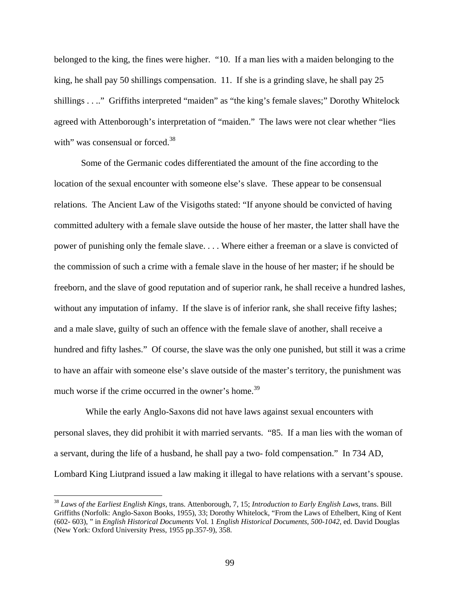belonged to the king, the fines were higher. "10. If a man lies with a maiden belonging to the king, he shall pay 50 shillings compensation. 11. If she is a grinding slave, he shall pay 25 shillings . . .." Griffiths interpreted "maiden" as "the king's female slaves;" Dorothy Whitelock agreed with Attenborough's interpretation of "maiden." The laws were not clear whether "lies with" was consensual or forced.<sup>38</sup>

Some of the Germanic codes differentiated the amount of the fine according to the location of the sexual encounter with someone else's slave. These appear to be consensual relations. The Ancient Law of the Visigoths stated: "If anyone should be convicted of having committed adultery with a female slave outside the house of her master, the latter shall have the power of punishing only the female slave. . . . Where either a freeman or a slave is convicted of the commission of such a crime with a female slave in the house of her master; if he should be freeborn, and the slave of good reputation and of superior rank, he shall receive a hundred lashes, without any imputation of infamy. If the slave is of inferior rank, she shall receive fifty lashes; and a male slave, guilty of such an offence with the female slave of another, shall receive a hundred and fifty lashes." Of course, the slave was the only one punished, but still it was a crime to have an affair with someone else's slave outside of the master's territory, the punishment was much worse if the crime occurred in the owner's home.<sup>39</sup>

 While the early Anglo-Saxons did not have laws against sexual encounters with personal slaves, they did prohibit it with married servants. "85. If a man lies with the woman of a servant, during the life of a husband, he shall pay a two- fold compensation." In 734 AD, Lombard King Liutprand issued a law making it illegal to have relations with a servant's spouse.

<sup>38</sup> *Laws of the Earliest English Kings,* trans. Attenborough, 7, 15; *Introduction to Early English Laws*, trans. Bill Griffiths (Norfolk: Anglo-Saxon Books, 1955), 33; Dorothy Whitelock, "From the Laws of Ethelbert, King of Kent (602- 603), " in *English Historical Documents* Vol. 1 *English Historical Documents, 500-1042*, ed. David Douglas (New York: Oxford University Press, 1955 pp.357-9), 358.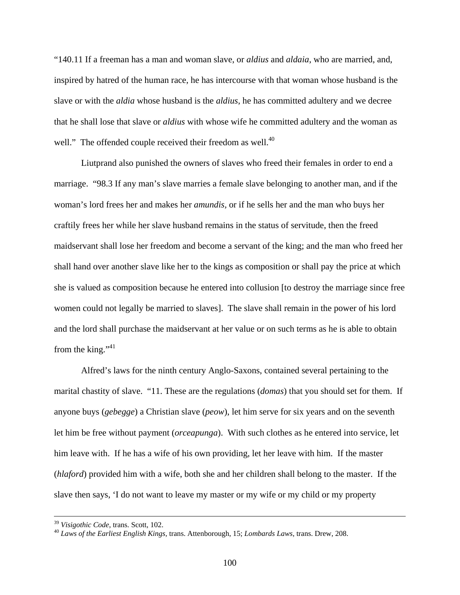"140.11 If a freeman has a man and woman slave, or *aldius* and *aldaia*, who are married, and, inspired by hatred of the human race, he has intercourse with that woman whose husband is the slave or with the *aldia* whose husband is the *aldius*, he has committed adultery and we decree that he shall lose that slave or *aldius* with whose wife he committed adultery and the woman as well." The offended couple received their freedom as well.<sup>40</sup>

Liutprand also punished the owners of slaves who freed their females in order to end a marriage. "98.3 If any man's slave marries a female slave belonging to another man, and if the woman's lord frees her and makes her *amundis,* or if he sells her and the man who buys her craftily frees her while her slave husband remains in the status of servitude, then the freed maidservant shall lose her freedom and become a servant of the king; and the man who freed her shall hand over another slave like her to the kings as composition or shall pay the price at which she is valued as composition because he entered into collusion [to destroy the marriage since free women could not legally be married to slaves]. The slave shall remain in the power of his lord and the lord shall purchase the maidservant at her value or on such terms as he is able to obtain from the king." $41$ 

Alfred's laws for the ninth century Anglo-Saxons, contained several pertaining to the marital chastity of slave. "11. These are the regulations (*domas*) that you should set for them. If anyone buys (*gebegge*) a Christian slave (*peow*), let him serve for six years and on the seventh let him be free without payment (*orceapunga*). With such clothes as he entered into service, let him leave with. If he has a wife of his own providing, let her leave with him. If the master (*hlaford*) provided him with a wife, both she and her children shall belong to the master. If the slave then says, 'I do not want to leave my master or my wife or my child or my property

<sup>39</sup> *Visigothic Code*, trans. Scott, 102. 40 *Laws of the Earliest English Kings,* trans. Attenborough, 15; *Lombards Laws*, trans. Drew, 208.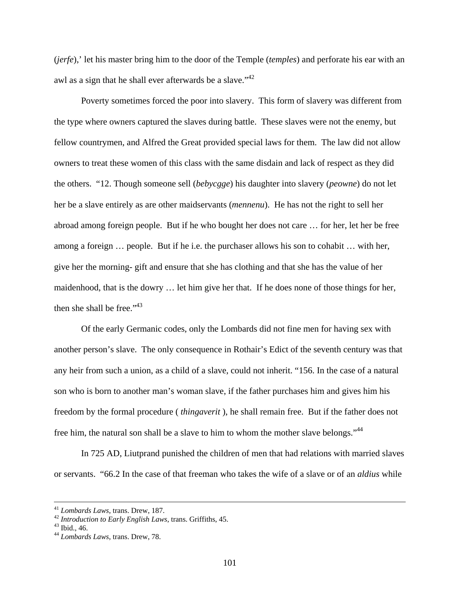(*jerfe*),' let his master bring him to the door of the Temple (*temples*) and perforate his ear with an awl as a sign that he shall ever afterwards be a slave."<sup>42</sup>

Poverty sometimes forced the poor into slavery. This form of slavery was different from the type where owners captured the slaves during battle. These slaves were not the enemy, but fellow countrymen, and Alfred the Great provided special laws for them. The law did not allow owners to treat these women of this class with the same disdain and lack of respect as they did the others. "12. Though someone sell (*bebycgge*) his daughter into slavery (*peowne*) do not let her be a slave entirely as are other maidservants (*mennenu*). He has not the right to sell her abroad among foreign people. But if he who bought her does not care … for her, let her be free among a foreign … people. But if he i.e. the purchaser allows his son to cohabit … with her, give her the morning- gift and ensure that she has clothing and that she has the value of her maidenhood, that is the dowry … let him give her that. If he does none of those things for her, then she shall be free." $43$ 

Of the early Germanic codes, only the Lombards did not fine men for having sex with another person's slave. The only consequence in Rothair's Edict of the seventh century was that any heir from such a union, as a child of a slave, could not inherit. "156. In the case of a natural son who is born to another man's woman slave, if the father purchases him and gives him his freedom by the formal procedure ( *thingaverit* ), he shall remain free. But if the father does not free him, the natural son shall be a slave to him to whom the mother slave belongs."<sup>44</sup>

In 725 AD, Liutprand punished the children of men that had relations with married slaves or servants. "66.2 In the case of that freeman who takes the wife of a slave or of an *aldius* while

<sup>41</sup> *Lombards Laws*, trans. Drew, 187. 42 *Introduction to Early English Laws*, trans. Griffiths, 45. 43 Ibid., 46.

<sup>44</sup> *Lombards Laws*, trans. Drew, 78.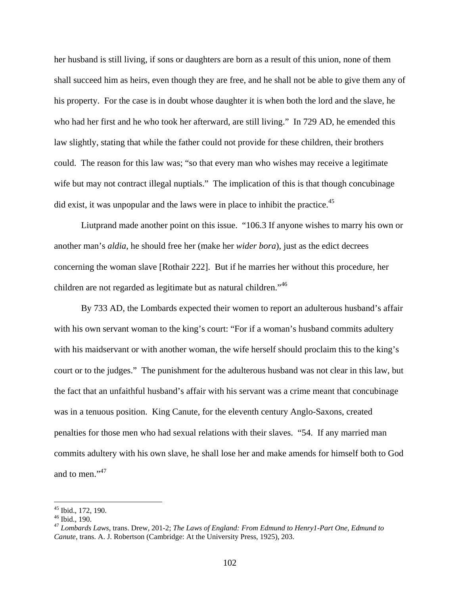her husband is still living, if sons or daughters are born as a result of this union, none of them shall succeed him as heirs, even though they are free, and he shall not be able to give them any of his property. For the case is in doubt whose daughter it is when both the lord and the slave, he who had her first and he who took her afterward, are still living." In 729 AD, he emended this law slightly, stating that while the father could not provide for these children, their brothers could. The reason for this law was; "so that every man who wishes may receive a legitimate wife but may not contract illegal nuptials." The implication of this is that though concubinage did exist, it was unpopular and the laws were in place to inhibit the practice.<sup>45</sup>

Liutprand made another point on this issue. "106.3 If anyone wishes to marry his own or another man's *aldia*, he should free her (make her *wider bora*), just as the edict decrees concerning the woman slave [Rothair 222]. But if he marries her without this procedure, her children are not regarded as legitimate but as natural children."<sup>46</sup>

By 733 AD, the Lombards expected their women to report an adulterous husband's affair with his own servant woman to the king's court: "For if a woman's husband commits adultery with his maidservant or with another woman, the wife herself should proclaim this to the king's court or to the judges." The punishment for the adulterous husband was not clear in this law, but the fact that an unfaithful husband's affair with his servant was a crime meant that concubinage was in a tenuous position. King Canute, for the eleventh century Anglo-Saxons, created penalties for those men who had sexual relations with their slaves. "54. If any married man commits adultery with his own slave, he shall lose her and make amends for himself both to God and to men."<sup>47</sup>

<sup>45</sup> Ibid., 172, 190.

 $46$  Ibid., 190.

<sup>47</sup> *Lombards Laws*, trans. Drew, 201-2; *The Laws of England: From Edmund to Henry1-Part One, Edmund to Canute*, trans. A. J. Robertson (Cambridge: At the University Press, 1925), 203.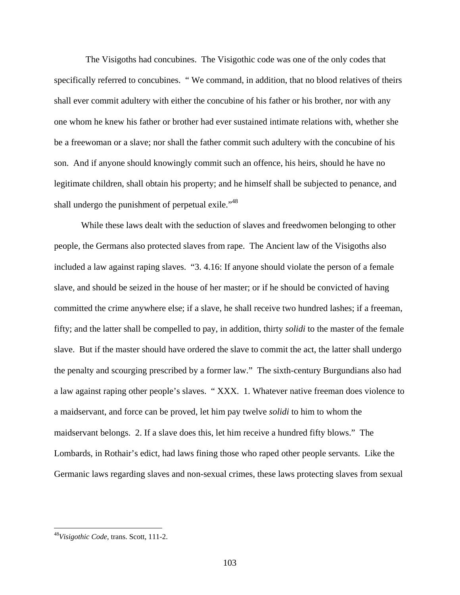The Visigoths had concubines. The Visigothic code was one of the only codes that specifically referred to concubines. " We command, in addition, that no blood relatives of theirs shall ever commit adultery with either the concubine of his father or his brother, nor with any one whom he knew his father or brother had ever sustained intimate relations with, whether she be a freewoman or a slave; nor shall the father commit such adultery with the concubine of his son. And if anyone should knowingly commit such an offence, his heirs, should he have no legitimate children, shall obtain his property; and he himself shall be subjected to penance, and shall undergo the punishment of perpetual exile."<sup>48</sup>

While these laws dealt with the seduction of slaves and freedwomen belonging to other people, the Germans also protected slaves from rape. The Ancient law of the Visigoths also included a law against raping slaves. "3. 4.16: If anyone should violate the person of a female slave, and should be seized in the house of her master; or if he should be convicted of having committed the crime anywhere else; if a slave, he shall receive two hundred lashes; if a freeman, fifty; and the latter shall be compelled to pay, in addition, thirty *solidi* to the master of the female slave. But if the master should have ordered the slave to commit the act, the latter shall undergo the penalty and scourging prescribed by a former law." The sixth-century Burgundians also had a law against raping other people's slaves. " XXX. 1. Whatever native freeman does violence to a maidservant, and force can be proved, let him pay twelve *solidi* to him to whom the maidservant belongs. 2. If a slave does this, let him receive a hundred fifty blows." The Lombards, in Rothair's edict, had laws fining those who raped other people servants. Like the Germanic laws regarding slaves and non-sexual crimes, these laws protecting slaves from sexual

<sup>48</sup>*Visigothic Code*, trans. Scott, 111-2.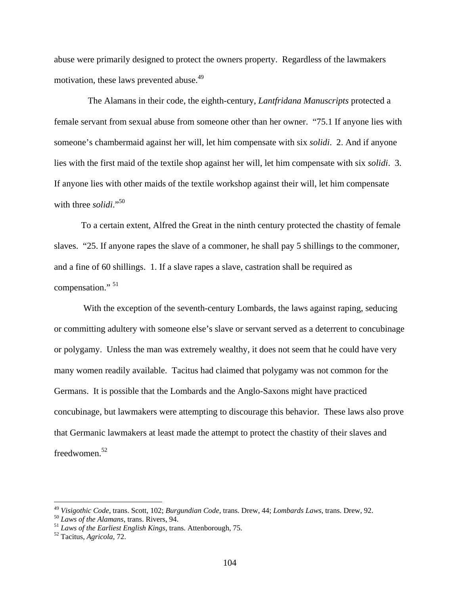abuse were primarily designed to protect the owners property. Regardless of the lawmakers motivation, these laws prevented abuse.<sup>49</sup>

 The Alamans in their code, the eighth-century, *Lantfridana Manuscripts* protected a female servant from sexual abuse from someone other than her owner. "75.1 If anyone lies with someone's chambermaid against her will, let him compensate with six *solidi*. 2. And if anyone lies with the first maid of the textile shop against her will, let him compensate with six *solidi*. 3. If anyone lies with other maids of the textile workshop against their will, let him compensate with three *solidi*."<sup>50</sup>

To a certain extent, Alfred the Great in the ninth century protected the chastity of female slaves. "25. If anyone rapes the slave of a commoner, he shall pay 5 shillings to the commoner, and a fine of 60 shillings. 1. If a slave rapes a slave, castration shall be required as compensation."<sup>51</sup>

 With the exception of the seventh-century Lombards, the laws against raping, seducing or committing adultery with someone else's slave or servant served as a deterrent to concubinage or polygamy. Unless the man was extremely wealthy, it does not seem that he could have very many women readily available. Tacitus had claimed that polygamy was not common for the Germans. It is possible that the Lombards and the Anglo-Saxons might have practiced concubinage, but lawmakers were attempting to discourage this behavior. These laws also prove that Germanic lawmakers at least made the attempt to protect the chastity of their slaves and freedwomen.<sup>52</sup>

<u>.</u>

<sup>&</sup>lt;sup>49</sup> Visigothic Code, trans. Scott, 102; *Burgundian Code*, trans. Drew, 44; *Lombards Laws*, trans. Drew, 92.<br><sup>50</sup> *Laws of the Alamans*, trans. Rivers, 94.<br><sup>51</sup> *Laws of the Earliest English Kings*, trans. Attenborough,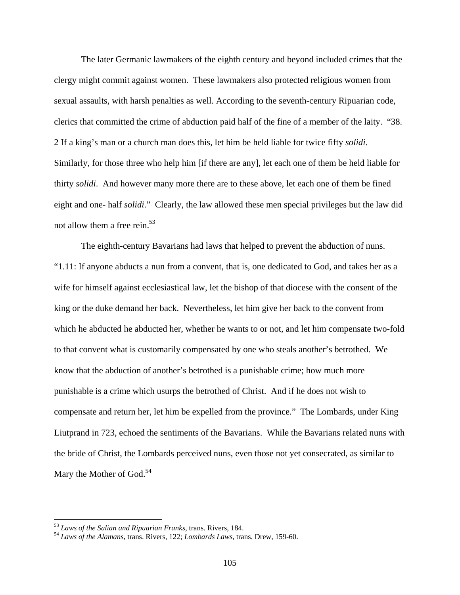The later Germanic lawmakers of the eighth century and beyond included crimes that the clergy might commit against women. These lawmakers also protected religious women from sexual assaults, with harsh penalties as well. According to the seventh-century Ripuarian code, clerics that committed the crime of abduction paid half of the fine of a member of the laity. "38. 2 If a king's man or a church man does this, let him be held liable for twice fifty *solidi*. Similarly, for those three who help him [if there are any], let each one of them be held liable for thirty *solidi*. And however many more there are to these above, let each one of them be fined eight and one- half *solidi*." Clearly, the law allowed these men special privileges but the law did not allow them a free rein.<sup>53</sup>

The eighth-century Bavarians had laws that helped to prevent the abduction of nuns. "1.11: If anyone abducts a nun from a convent, that is, one dedicated to God, and takes her as a wife for himself against ecclesiastical law, let the bishop of that diocese with the consent of the king or the duke demand her back. Nevertheless, let him give her back to the convent from which he abducted he abducted her, whether he wants to or not, and let him compensate two-fold to that convent what is customarily compensated by one who steals another's betrothed. We know that the abduction of another's betrothed is a punishable crime; how much more punishable is a crime which usurps the betrothed of Christ. And if he does not wish to compensate and return her, let him be expelled from the province." The Lombards, under King Liutprand in 723, echoed the sentiments of the Bavarians. While the Bavarians related nuns with the bride of Christ, the Lombards perceived nuns, even those not yet consecrated, as similar to Mary the Mother of God.<sup>54</sup>

<sup>53</sup> *Laws of the Salian and Ripuarian Franks*, trans. Rivers, 184. 54 *Laws of the Alamans*, trans. Rivers, 122; *Lombards Laws*, trans. Drew, 159-60.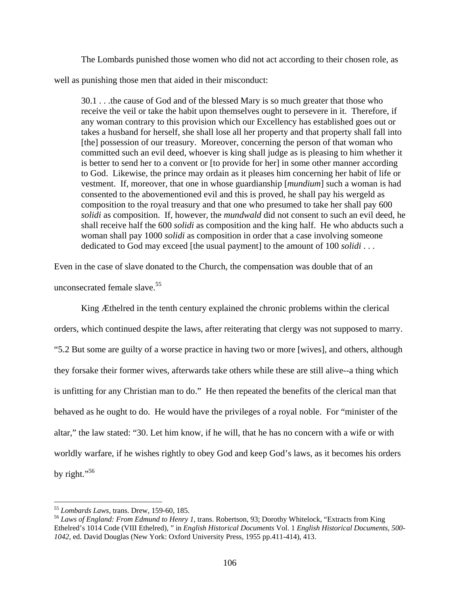The Lombards punished those women who did not act according to their chosen role, as well as punishing those men that aided in their misconduct:

30.1 . . .the cause of God and of the blessed Mary is so much greater that those who receive the veil or take the habit upon themselves ought to persevere in it. Therefore, if any woman contrary to this provision which our Excellency has established goes out or takes a husband for herself, she shall lose all her property and that property shall fall into [the] possession of our treasury. Moreover, concerning the person of that woman who committed such an evil deed, whoever is king shall judge as is pleasing to him whether it is better to send her to a convent or [to provide for her] in some other manner according to God. Likewise, the prince may ordain as it pleases him concerning her habit of life or vestment. If, moreover, that one in whose guardianship [*mundium*] such a woman is had consented to the abovementioned evil and this is proved, he shall pay his wergeld as composition to the royal treasury and that one who presumed to take her shall pay 600 *solidi* as composition. If, however, the *mundwald* did not consent to such an evil deed, he shall receive half the 600 *solidi* as composition and the king half. He who abducts such a woman shall pay 1000 *solidi* as composition in order that a case involving someone dedicated to God may exceed [the usual payment] to the amount of 100 *solidi* . . .

Even in the case of slave donated to the Church, the compensation was double that of an unconsecrated female slave.<sup>55</sup>

King Æthelred in the tenth century explained the chronic problems within the clerical orders, which continued despite the laws, after reiterating that clergy was not supposed to marry. "5.2 But some are guilty of a worse practice in having two or more [wives], and others, although they forsake their former wives, afterwards take others while these are still alive--a thing which is unfitting for any Christian man to do." He then repeated the benefits of the clerical man that behaved as he ought to do. He would have the privileges of a royal noble. For "minister of the altar," the law stated: "30. Let him know, if he will, that he has no concern with a wife or with worldly warfare, if he wishes rightly to obey God and keep God's laws, as it becomes his orders by right."<sup>56</sup>

<sup>&</sup>lt;sup>55</sup> Lombards Laws, trans. Drew, 159-60, 185.

<sup>&</sup>lt;sup>56</sup> Laws of England: From Edmund to Henry 1, trans. Robertson, 93; Dorothy Whitelock, "Extracts from King Ethelred's 1014 Code (VIII Ethelred), " in *English Historical Documents* Vol. 1 *English Historical Documents, 500- 1042*, ed. David Douglas (New York: Oxford University Press, 1955 pp.411-414), 413.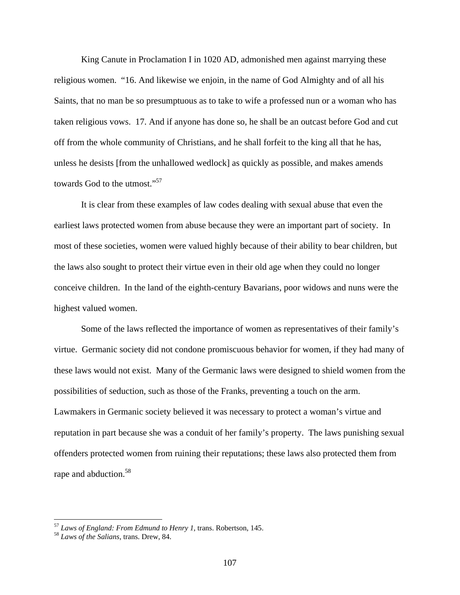King Canute in Proclamation I in 1020 AD, admonished men against marrying these religious women. "16. And likewise we enjoin, in the name of God Almighty and of all his Saints, that no man be so presumptuous as to take to wife a professed nun or a woman who has taken religious vows. 17. And if anyone has done so, he shall be an outcast before God and cut off from the whole community of Christians, and he shall forfeit to the king all that he has, unless he desists [from the unhallowed wedlock] as quickly as possible, and makes amends towards God to the utmost."<sup>57</sup>

It is clear from these examples of law codes dealing with sexual abuse that even the earliest laws protected women from abuse because they were an important part of society. In most of these societies, women were valued highly because of their ability to bear children, but the laws also sought to protect their virtue even in their old age when they could no longer conceive children. In the land of the eighth-century Bavarians, poor widows and nuns were the highest valued women.

Some of the laws reflected the importance of women as representatives of their family's virtue. Germanic society did not condone promiscuous behavior for women, if they had many of these laws would not exist. Many of the Germanic laws were designed to shield women from the possibilities of seduction, such as those of the Franks, preventing a touch on the arm. Lawmakers in Germanic society believed it was necessary to protect a woman's virtue and reputation in part because she was a conduit of her family's property. The laws punishing sexual offenders protected women from ruining their reputations; these laws also protected them from rape and abduction.<sup>58</sup>

<sup>57</sup> *Laws of England: From Edmund to Henry 1*, trans. Robertson, 145. 58 *Laws of the Salians*, trans. Drew, 84.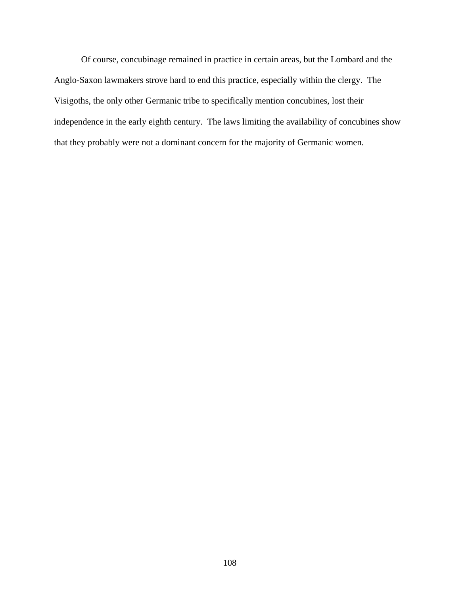Of course, concubinage remained in practice in certain areas, but the Lombard and the Anglo-Saxon lawmakers strove hard to end this practice, especially within the clergy. The Visigoths, the only other Germanic tribe to specifically mention concubines, lost their independence in the early eighth century. The laws limiting the availability of concubines show that they probably were not a dominant concern for the majority of Germanic women.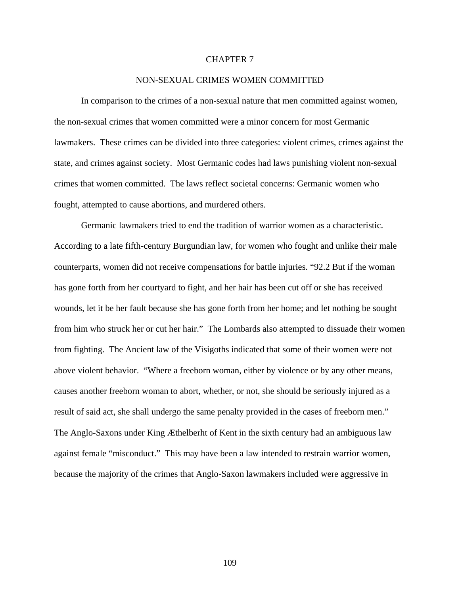## CHAPTER 7

## NON-SEXUAL CRIMES WOMEN COMMITTED

 In comparison to the crimes of a non-sexual nature that men committed against women, the non-sexual crimes that women committed were a minor concern for most Germanic lawmakers. These crimes can be divided into three categories: violent crimes, crimes against the state, and crimes against society. Most Germanic codes had laws punishing violent non-sexual crimes that women committed. The laws reflect societal concerns: Germanic women who fought, attempted to cause abortions, and murdered others.

Germanic lawmakers tried to end the tradition of warrior women as a characteristic. According to a late fifth-century Burgundian law, for women who fought and unlike their male counterparts, women did not receive compensations for battle injuries. "92.2 But if the woman has gone forth from her courtyard to fight, and her hair has been cut off or she has received wounds, let it be her fault because she has gone forth from her home; and let nothing be sought from him who struck her or cut her hair." The Lombards also attempted to dissuade their women from fighting. The Ancient law of the Visigoths indicated that some of their women were not above violent behavior. "Where a freeborn woman, either by violence or by any other means, causes another freeborn woman to abort, whether, or not, she should be seriously injured as a result of said act, she shall undergo the same penalty provided in the cases of freeborn men." The Anglo-Saxons under King Æthelberht of Kent in the sixth century had an ambiguous law against female "misconduct." This may have been a law intended to restrain warrior women, because the majority of the crimes that Anglo-Saxon lawmakers included were aggressive in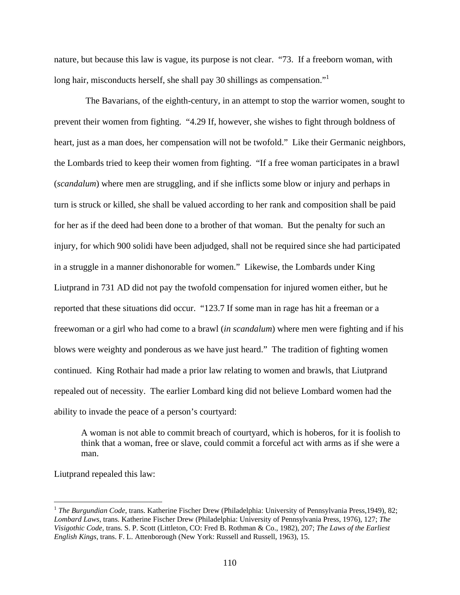nature, but because this law is vague, its purpose is not clear. "73. If a freeborn woman, with long hair, misconducts herself, she shall pay 30 shillings as compensation."

 The Bavarians, of the eighth-century, in an attempt to stop the warrior women, sought to prevent their women from fighting. "4.29 If, however, she wishes to fight through boldness of heart, just as a man does, her compensation will not be twofold." Like their Germanic neighbors, the Lombards tried to keep their women from fighting. "If a free woman participates in a brawl (*scandalum*) where men are struggling, and if she inflicts some blow or injury and perhaps in turn is struck or killed, she shall be valued according to her rank and composition shall be paid for her as if the deed had been done to a brother of that woman. But the penalty for such an injury, for which 900 solidi have been adjudged, shall not be required since she had participated in a struggle in a manner dishonorable for women." Likewise, the Lombards under King Liutprand in 731 AD did not pay the twofold compensation for injured women either, but he reported that these situations did occur. "123.7 If some man in rage has hit a freeman or a freewoman or a girl who had come to a brawl (*in scandalum*) where men were fighting and if his blows were weighty and ponderous as we have just heard." The tradition of fighting women continued. King Rothair had made a prior law relating to women and brawls, that Liutprand repealed out of necessity. The earlier Lombard king did not believe Lombard women had the ability to invade the peace of a person's courtyard:

A woman is not able to commit breach of courtyard, which is hoberos, for it is foolish to think that a woman, free or slave, could commit a forceful act with arms as if she were a man.

Liutprand repealed this law:

<sup>1</sup> *The Burgundian Code*, trans. Katherine Fischer Drew (Philadelphia: University of Pennsylvania Press,1949), 82; *Lombard Laws*, trans. Katherine Fischer Drew (Philadelphia: University of Pennsylvania Press, 1976), 127; *The Visigothic Code,* trans. S. P. Scott (Littleton, CO: Fred B. Rothman & Co., 1982), 207; *The Laws of the Earliest English Kings*, trans. F. L. Attenborough (New York: Russell and Russell, 1963), 15.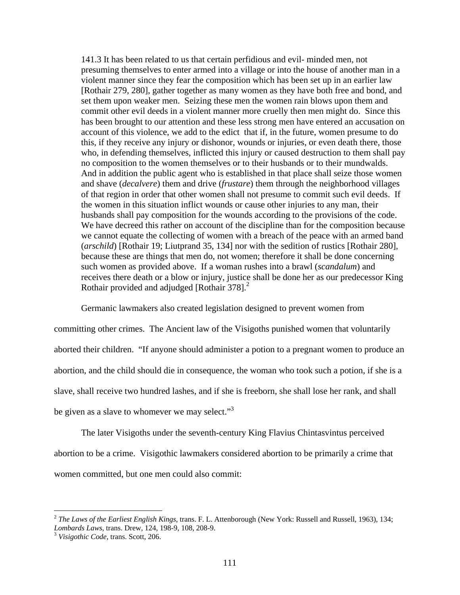141.3 It has been related to us that certain perfidious and evil- minded men, not presuming themselves to enter armed into a village or into the house of another man in a violent manner since they fear the composition which has been set up in an earlier law [Rothair 279, 280], gather together as many women as they have both free and bond, and set them upon weaker men. Seizing these men the women rain blows upon them and commit other evil deeds in a violent manner more cruelly then men might do. Since this has been brought to our attention and these less strong men have entered an accusation on account of this violence, we add to the edict that if, in the future, women presume to do this, if they receive any injury or dishonor, wounds or injuries, or even death there, those who, in defending themselves, inflicted this injury or caused destruction to them shall pay no composition to the women themselves or to their husbands or to their mundwalds. And in addition the public agent who is established in that place shall seize those women and shave (*decalvere*) them and drive (*frustare*) them through the neighborhood villages of that region in order that other women shall not presume to commit such evil deeds. If the women in this situation inflict wounds or cause other injuries to any man, their husbands shall pay composition for the wounds according to the provisions of the code. We have decreed this rather on account of the discipline than for the composition because we cannot equate the collecting of women with a breach of the peace with an armed band (*arschild*) [Rothair 19; Liutprand 35, 134] nor with the sedition of rustics [Rothair 280], because these are things that men do, not women; therefore it shall be done concerning such women as provided above. If a woman rushes into a brawl (*scandalum*) and receives there death or a blow or injury, justice shall be done her as our predecessor King Rothair provided and adjudged [Rothair 378].<sup>2</sup>

Germanic lawmakers also created legislation designed to prevent women from

committing other crimes. The Ancient law of the Visigoths punished women that voluntarily aborted their children. "If anyone should administer a potion to a pregnant women to produce an abortion, and the child should die in consequence, the woman who took such a potion, if she is a slave, shall receive two hundred lashes, and if she is freeborn, she shall lose her rank, and shall be given as a slave to whomever we may select."<sup>3</sup>

The later Visigoths under the seventh-century King Flavius Chintasvintus perceived abortion to be a crime. Visigothic lawmakers considered abortion to be primarily a crime that women committed, but one men could also commit:

<sup>2</sup> *The Laws of the Earliest English Kings*, trans. F. L. Attenborough (New York: Russell and Russell, 1963), 134; *Lombards Laws*, trans. Drew, 124, 198-9, 108, 208-9. <sup>3</sup> *Visigothic Code*, trans. Scott, 206.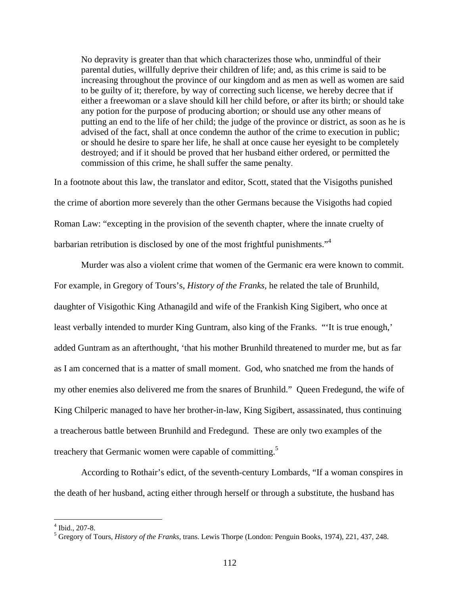No depravity is greater than that which characterizes those who, unmindful of their parental duties, willfully deprive their children of life; and, as this crime is said to be increasing throughout the province of our kingdom and as men as well as women are said to be guilty of it; therefore, by way of correcting such license, we hereby decree that if either a freewoman or a slave should kill her child before, or after its birth; or should take any potion for the purpose of producing abortion; or should use any other means of putting an end to the life of her child; the judge of the province or district, as soon as he is advised of the fact, shall at once condemn the author of the crime to execution in public; or should he desire to spare her life, he shall at once cause her eyesight to be completely destroyed; and if it should be proved that her husband either ordered, or permitted the commission of this crime, he shall suffer the same penalty.

In a footnote about this law, the translator and editor, Scott, stated that the Visigoths punished the crime of abortion more severely than the other Germans because the Visigoths had copied Roman Law: "excepting in the provision of the seventh chapter, where the innate cruelty of barbarian retribution is disclosed by one of the most frightful punishments."4

Murder was also a violent crime that women of the Germanic era were known to commit. For example, in Gregory of Tours's, *History of the Franks,* he related the tale of Brunhild, daughter of Visigothic King Athanagild and wife of the Frankish King Sigibert, who once at least verbally intended to murder King Guntram, also king of the Franks. "'It is true enough,' added Guntram as an afterthought, 'that his mother Brunhild threatened to murder me, but as far as I am concerned that is a matter of small moment. God, who snatched me from the hands of my other enemies also delivered me from the snares of Brunhild." Queen Fredegund, the wife of King Chilperic managed to have her brother-in-law, King Sigibert, assassinated, thus continuing a treacherous battle between Brunhild and Fredegund. These are only two examples of the treachery that Germanic women were capable of committing.<sup>5</sup>

According to Rothair's edict, of the seventh-century Lombards, "If a woman conspires in the death of her husband, acting either through herself or through a substitute, the husband has

<sup>4</sup> Ibid., 207-8.

<sup>5</sup> Gregory of Tours, *History of the Franks*, trans. Lewis Thorpe (London: Penguin Books, 1974), 221, 437, 248.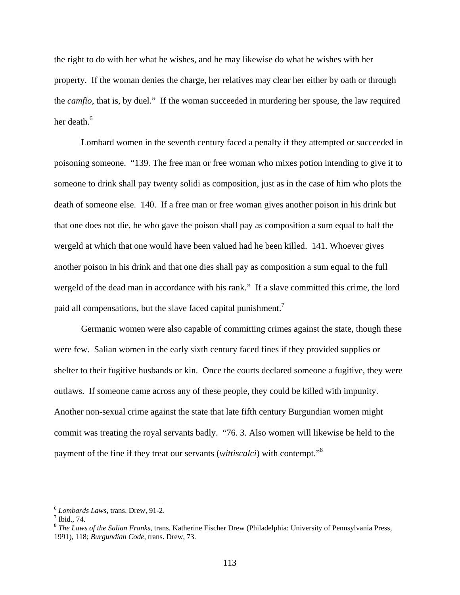the right to do with her what he wishes, and he may likewise do what he wishes with her property. If the woman denies the charge, her relatives may clear her either by oath or through the *camfio*, that is, by duel." If the woman succeeded in murdering her spouse, the law required her death.<sup>6</sup>

Lombard women in the seventh century faced a penalty if they attempted or succeeded in poisoning someone. "139. The free man or free woman who mixes potion intending to give it to someone to drink shall pay twenty solidi as composition, just as in the case of him who plots the death of someone else. 140. If a free man or free woman gives another poison in his drink but that one does not die, he who gave the poison shall pay as composition a sum equal to half the wergeld at which that one would have been valued had he been killed. 141. Whoever gives another poison in his drink and that one dies shall pay as composition a sum equal to the full wergeld of the dead man in accordance with his rank." If a slave committed this crime, the lord paid all compensations, but the slave faced capital punishment.<sup>7</sup>

Germanic women were also capable of committing crimes against the state, though these were few. Salian women in the early sixth century faced fines if they provided supplies or shelter to their fugitive husbands or kin. Once the courts declared someone a fugitive, they were outlaws. If someone came across any of these people, they could be killed with impunity. Another non-sexual crime against the state that late fifth century Burgundian women might commit was treating the royal servants badly. "76. 3. Also women will likewise be held to the payment of the fine if they treat our servants (*wittiscalci*) with contempt."8

<sup>6</sup> *Lombards Laws*, trans. Drew, 91-2. <sup>7</sup>

 $<sup>7</sup>$  Ibid., 74.</sup>

<sup>8</sup> *The Laws of the Salian Franks*, trans. Katherine Fischer Drew (Philadelphia: University of Pennsylvania Press, 1991), 118; *Burgundian Code*, trans. Drew, 73.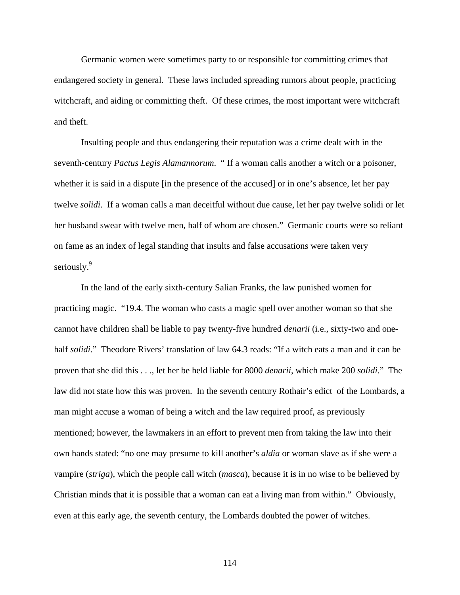Germanic women were sometimes party to or responsible for committing crimes that endangered society in general. These laws included spreading rumors about people, practicing witchcraft, and aiding or committing theft. Of these crimes, the most important were witchcraft and theft.

Insulting people and thus endangering their reputation was a crime dealt with in the seventh-century *Pactus Legis Alamannorum*. " If a woman calls another a witch or a poisoner, whether it is said in a dispute [in the presence of the accused] or in one's absence, let her pay twelve *solidi*. If a woman calls a man deceitful without due cause, let her pay twelve solidi or let her husband swear with twelve men, half of whom are chosen." Germanic courts were so reliant on fame as an index of legal standing that insults and false accusations were taken very seriously.<sup>9</sup>

In the land of the early sixth-century Salian Franks, the law punished women for practicing magic. "19.4. The woman who casts a magic spell over another woman so that she cannot have children shall be liable to pay twenty-five hundred *denarii* (i.e., sixty-two and onehalf *solidi*." Theodore Rivers' translation of law 64.3 reads: "If a witch eats a man and it can be proven that she did this . . ., let her be held liable for 8000 *denarii*, which make 200 *solidi*." The law did not state how this was proven. In the seventh century Rothair's edict of the Lombards, a man might accuse a woman of being a witch and the law required proof, as previously mentioned; however, the lawmakers in an effort to prevent men from taking the law into their own hands stated: "no one may presume to kill another's *aldia* or woman slave as if she were a vampire (*striga*), which the people call witch (*masca*), because it is in no wise to be believed by Christian minds that it is possible that a woman can eat a living man from within." Obviously, even at this early age, the seventh century, the Lombards doubted the power of witches.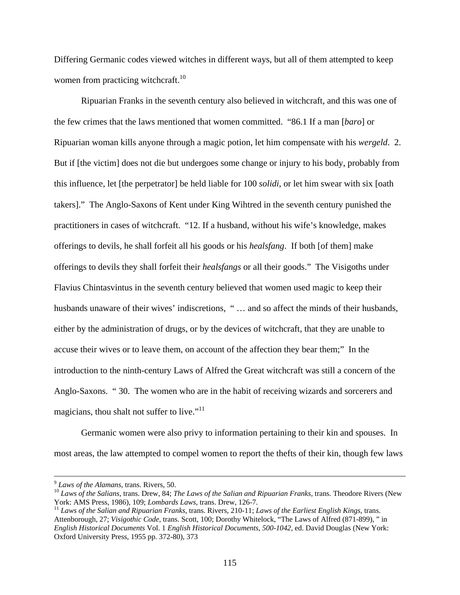Differing Germanic codes viewed witches in different ways, but all of them attempted to keep women from practicing witchcraft.<sup>10</sup>

Ripuarian Franks in the seventh century also believed in witchcraft, and this was one of the few crimes that the laws mentioned that women committed. "86.1 If a man [*baro*] or Ripuarian woman kills anyone through a magic potion, let him compensate with his *wergeld*. 2. But if [the victim] does not die but undergoes some change or injury to his body, probably from this influence, let [the perpetrator] be held liable for 100 *solidi*, or let him swear with six [oath takers]." The Anglo-Saxons of Kent under King Wihtred in the seventh century punished the practitioners in cases of witchcraft. "12. If a husband, without his wife's knowledge, makes offerings to devils, he shall forfeit all his goods or his *healsfang*. If both [of them] make offerings to devils they shall forfeit their *healsfangs* or all their goods." The Visigoths under Flavius Chintasvintus in the seventh century believed that women used magic to keep their husbands unaware of their wives' indiscretions, "... and so affect the minds of their husbands, either by the administration of drugs, or by the devices of witchcraft, that they are unable to accuse their wives or to leave them, on account of the affection they bear them;" In the introduction to the ninth-century Laws of Alfred the Great witchcraft was still a concern of the Anglo-Saxons. " 30. The women who are in the habit of receiving wizards and sorcerers and magicians, thou shalt not suffer to live." $11$ 

Germanic women were also privy to information pertaining to their kin and spouses. In most areas, the law attempted to compel women to report the thefts of their kin, though few laws

<sup>&</sup>lt;sup>9</sup> *Laws of the Alamans*, trans. Rivers, 50.<br><sup>10</sup> *Laws of the Salians*, trans. Drew, 84; *The Laws of the Salian and Ripuarian Franks*, trans. Theodore Rivers (New York: AMS Press, 1986), 109; *Lombards Laws*, trans. Drew, 126-7.<br><sup>11</sup> *Laws of the Salian and Ripuarian Franks*, trans. Rivers, 210-11; *Laws of the Earliest English Kings*, trans.

Attenborough, 27; *Visigothic Code*, trans. Scott, 100; Dorothy Whitelock, "The Laws of Alfred (871-899), " in *English Historical Documents* Vol. 1 *English Historical Documents, 500-1042*, ed. David Douglas (New York: Oxford University Press, 1955 pp. 372-80), 373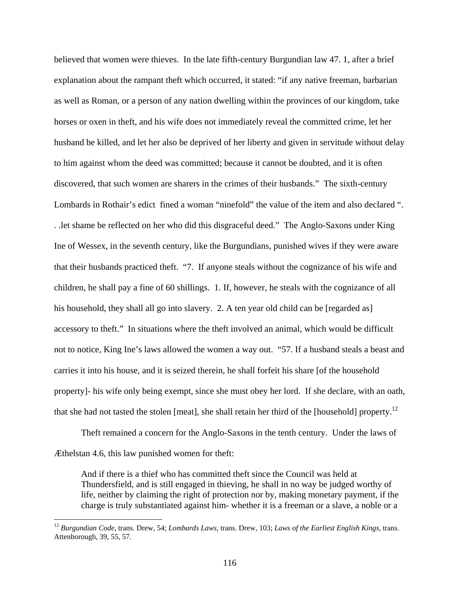believed that women were thieves. In the late fifth-century Burgundian law 47. 1, after a brief explanation about the rampant theft which occurred, it stated: "if any native freeman, barbarian as well as Roman, or a person of any nation dwelling within the provinces of our kingdom, take horses or oxen in theft, and his wife does not immediately reveal the committed crime, let her husband be killed, and let her also be deprived of her liberty and given in servitude without delay to him against whom the deed was committed; because it cannot be doubted, and it is often discovered, that such women are sharers in the crimes of their husbands." The sixth-century Lombards in Rothair's edict fined a woman "ninefold" the value of the item and also declared ". . .let shame be reflected on her who did this disgraceful deed." The Anglo-Saxons under King Ine of Wessex, in the seventh century, like the Burgundians, punished wives if they were aware that their husbands practiced theft. "7. If anyone steals without the cognizance of his wife and children, he shall pay a fine of 60 shillings. 1. If, however, he steals with the cognizance of all his household, they shall all go into slavery. 2. A ten year old child can be [regarded as] accessory to theft." In situations where the theft involved an animal, which would be difficult not to notice, King Ine's laws allowed the women a way out. "57. If a husband steals a beast and carries it into his house, and it is seized therein, he shall forfeit his share [of the household property]- his wife only being exempt, since she must obey her lord. If she declare, with an oath, that she had not tasted the stolen [meat], she shall retain her third of the [household] property.<sup>12</sup>

Theft remained a concern for the Anglo-Saxons in the tenth century. Under the laws of Æthelstan 4.6, this law punished women for theft:

And if there is a thief who has committed theft since the Council was held at Thundersfield, and is still engaged in thieving, he shall in no way be judged worthy of life, neither by claiming the right of protection nor by, making monetary payment, if the charge is truly substantiated against him- whether it is a freeman or a slave, a noble or a

<sup>12</sup> *Burgundian Code*, trans. Drew, 54; *Lombards Laws*, trans. Drew, 103; *Laws of the Earliest English Kings,* trans. Attenborough, 39, 55, 57.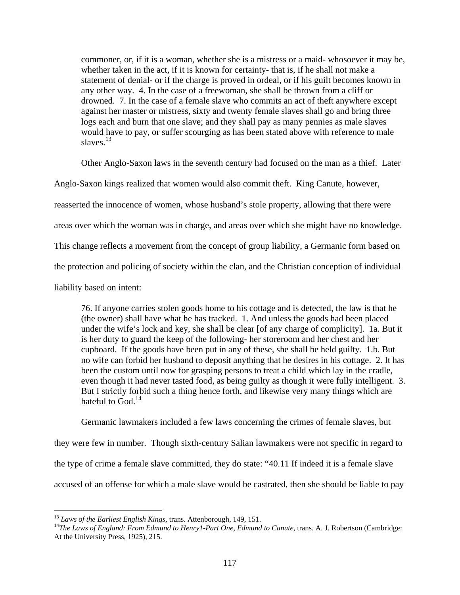commoner, or, if it is a woman, whether she is a mistress or a maid- whosoever it may be, whether taken in the act, if it is known for certainty- that is, if he shall not make a statement of denial- or if the charge is proved in ordeal, or if his guilt becomes known in any other way. 4. In the case of a freewoman, she shall be thrown from a cliff or drowned. 7. In the case of a female slave who commits an act of theft anywhere except against her master or mistress, sixty and twenty female slaves shall go and bring three logs each and burn that one slave; and they shall pay as many pennies as male slaves would have to pay, or suffer scourging as has been stated above with reference to male slaves.<sup>13</sup>

Other Anglo-Saxon laws in the seventh century had focused on the man as a thief. Later

Anglo-Saxon kings realized that women would also commit theft. King Canute, however,

reasserted the innocence of women, whose husband's stole property, allowing that there were

areas over which the woman was in charge, and areas over which she might have no knowledge.

This change reflects a movement from the concept of group liability, a Germanic form based on

the protection and policing of society within the clan, and the Christian conception of individual

liability based on intent:

1

76. If anyone carries stolen goods home to his cottage and is detected, the law is that he (the owner) shall have what he has tracked. 1. And unless the goods had been placed under the wife's lock and key, she shall be clear [of any charge of complicity]. 1a. But it is her duty to guard the keep of the following- her storeroom and her chest and her cupboard. If the goods have been put in any of these, she shall be held guilty. 1.b. But no wife can forbid her husband to deposit anything that he desires in his cottage. 2. It has been the custom until now for grasping persons to treat a child which lay in the cradle, even though it had never tasted food, as being guilty as though it were fully intelligent. 3. But I strictly forbid such a thing hence forth, and likewise very many things which are hateful to  $\mathrm{God.}^{14}$ 

Germanic lawmakers included a few laws concerning the crimes of female slaves, but they were few in number. Though sixth-century Salian lawmakers were not specific in regard to the type of crime a female slave committed, they do state: "40.11 If indeed it is a female slave accused of an offense for which a male slave would be castrated, then she should be liable to pay

<sup>&</sup>lt;sup>13</sup> *Laws of the Earliest English Kings*, trans. Attenborough, 149, 151.<br><sup>14</sup>The Laws of England: From Edmund to Henry1-Part One, Edmund to Canute, trans. A. J. Robertson (Cambridge: At the University Press, 1925), 215.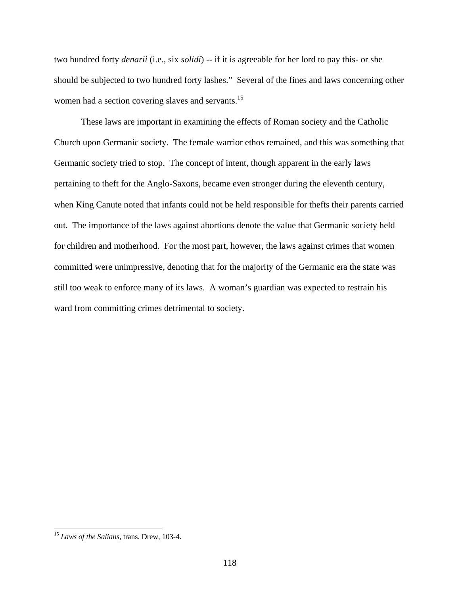two hundred forty *denarii* (i.e., six *solidi*) -- if it is agreeable for her lord to pay this- or she should be subjected to two hundred forty lashes." Several of the fines and laws concerning other women had a section covering slaves and servants.<sup>15</sup>

These laws are important in examining the effects of Roman society and the Catholic Church upon Germanic society. The female warrior ethos remained, and this was something that Germanic society tried to stop. The concept of intent, though apparent in the early laws pertaining to theft for the Anglo-Saxons, became even stronger during the eleventh century, when King Canute noted that infants could not be held responsible for thefts their parents carried out. The importance of the laws against abortions denote the value that Germanic society held for children and motherhood. For the most part, however, the laws against crimes that women committed were unimpressive, denoting that for the majority of the Germanic era the state was still too weak to enforce many of its laws. A woman's guardian was expected to restrain his ward from committing crimes detrimental to society.

<sup>15</sup> *Laws of the Salians*, trans. Drew, 103-4.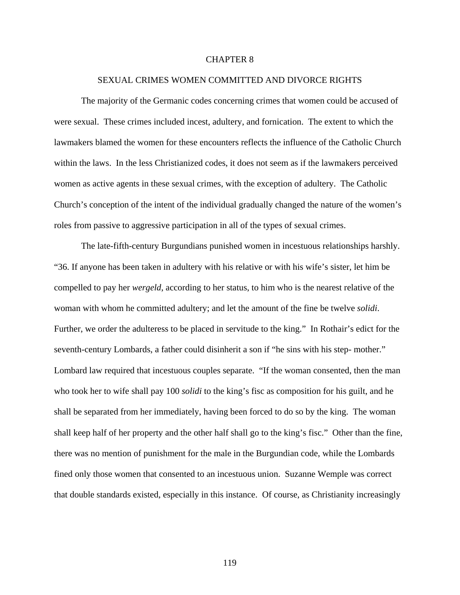## CHAPTER 8

## SEXUAL CRIMES WOMEN COMMITTED AND DIVORCE RIGHTS

The majority of the Germanic codes concerning crimes that women could be accused of were sexual. These crimes included incest, adultery, and fornication. The extent to which the lawmakers blamed the women for these encounters reflects the influence of the Catholic Church within the laws. In the less Christianized codes, it does not seem as if the lawmakers perceived women as active agents in these sexual crimes, with the exception of adultery. The Catholic Church's conception of the intent of the individual gradually changed the nature of the women's roles from passive to aggressive participation in all of the types of sexual crimes.

The late-fifth-century Burgundians punished women in incestuous relationships harshly. "36. If anyone has been taken in adultery with his relative or with his wife's sister, let him be compelled to pay her *wergeld*, according to her status, to him who is the nearest relative of the woman with whom he committed adultery; and let the amount of the fine be twelve *solidi*. Further, we order the adulteress to be placed in servitude to the king." In Rothair's edict for the seventh-century Lombards, a father could disinherit a son if "he sins with his step- mother." Lombard law required that incestuous couples separate. "If the woman consented, then the man who took her to wife shall pay 100 *solidi* to the king's fisc as composition for his guilt, and he shall be separated from her immediately, having been forced to do so by the king. The woman shall keep half of her property and the other half shall go to the king's fisc." Other than the fine, there was no mention of punishment for the male in the Burgundian code, while the Lombards fined only those women that consented to an incestuous union. Suzanne Wemple was correct that double standards existed, especially in this instance. Of course, as Christianity increasingly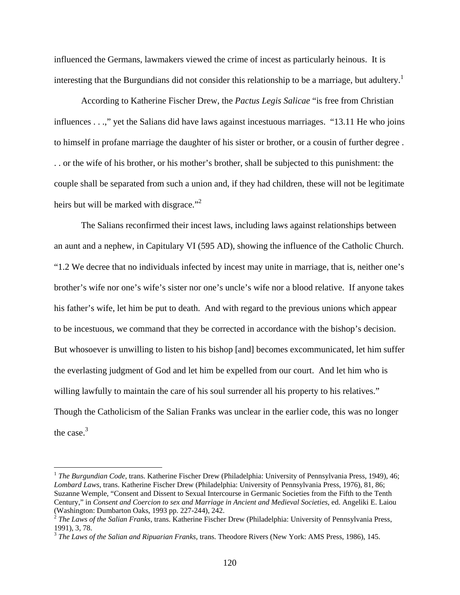influenced the Germans, lawmakers viewed the crime of incest as particularly heinous. It is interesting that the Burgundians did not consider this relationship to be a marriage, but adultery.<sup>1</sup>

According to Katherine Fischer Drew, the *Pactus Legis Salicae* "is free from Christian influences . . .," yet the Salians did have laws against incestuous marriages. "13.11 He who joins to himself in profane marriage the daughter of his sister or brother, or a cousin of further degree . . . or the wife of his brother, or his mother's brother, shall be subjected to this punishment: the couple shall be separated from such a union and, if they had children, these will not be legitimate heirs but will be marked with disgrace."<sup>2</sup>

The Salians reconfirmed their incest laws, including laws against relationships between an aunt and a nephew, in Capitulary VI (595 AD), showing the influence of the Catholic Church. "1.2 We decree that no individuals infected by incest may unite in marriage, that is, neither one's brother's wife nor one's wife's sister nor one's uncle's wife nor a blood relative. If anyone takes his father's wife, let him be put to death. And with regard to the previous unions which appear to be incestuous, we command that they be corrected in accordance with the bishop's decision. But whosoever is unwilling to listen to his bishop [and] becomes excommunicated, let him suffer the everlasting judgment of God and let him be expelled from our court. And let him who is willing lawfully to maintain the care of his soul surrender all his property to his relatives." Though the Catholicism of the Salian Franks was unclear in the earlier code, this was no longer the case. $3$ 

<sup>1</sup> *The Burgundian Code*, trans. Katherine Fischer Drew (Philadelphia: University of Pennsylvania Press, 1949), 46; *Lombard Laws*, trans. Katherine Fischer Drew (Philadelphia: University of Pennsylvania Press, 1976), 81, 86; Suzanne Wemple, "Consent and Dissent to Sexual Intercourse in Germanic Societies from the Fifth to the Tenth Century," in *Consent and Coercion to sex and Marriage in Ancient and Medieval Societies*, ed. Angeliki E. Laiou (Washington: Dumbarton Oaks, 1993 pp. 227-244), 242.

<sup>&</sup>lt;sup>2</sup> The Laws of the Salian Franks, trans. Katherine Fischer Drew (Philadelphia: University of Pennsylvania Press, 1991), 3, 78.

<sup>3</sup> *The Laws of the Salian and Ripuarian Franks*, trans. Theodore Rivers (New York: AMS Press, 1986), 145.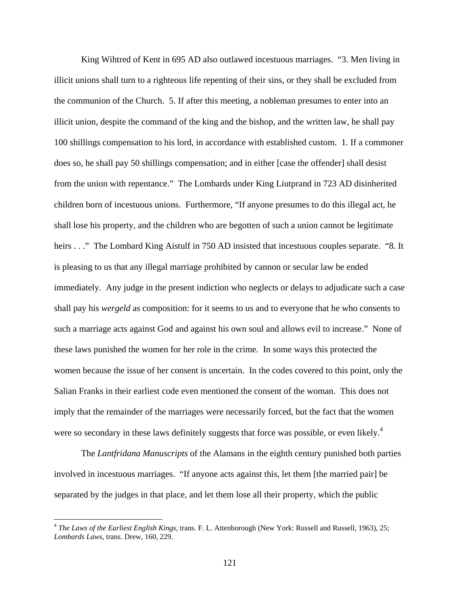King Wihtred of Kent in 695 AD also outlawed incestuous marriages. "3. Men living in illicit unions shall turn to a righteous life repenting of their sins, or they shall be excluded from the communion of the Church. 5. If after this meeting, a nobleman presumes to enter into an illicit union, despite the command of the king and the bishop, and the written law, he shall pay 100 shillings compensation to his lord, in accordance with established custom. 1. If a commoner does so, he shall pay 50 shillings compensation; and in either [case the offender] shall desist from the union with repentance." The Lombards under King Liutprand in 723 AD disinherited children born of incestuous unions. Furthermore, "If anyone presumes to do this illegal act, he shall lose his property, and the children who are begotten of such a union cannot be legitimate heirs . . ." The Lombard King Aistulf in 750 AD insisted that incestuous couples separate. "8. It is pleasing to us that any illegal marriage prohibited by cannon or secular law be ended immediately. Any judge in the present indiction who neglects or delays to adjudicate such a case shall pay his *wergeld* as composition: for it seems to us and to everyone that he who consents to such a marriage acts against God and against his own soul and allows evil to increase." None of these laws punished the women for her role in the crime. In some ways this protected the women because the issue of her consent is uncertain. In the codes covered to this point, only the Salian Franks in their earliest code even mentioned the consent of the woman. This does not imply that the remainder of the marriages were necessarily forced, but the fact that the women were so secondary in these laws definitely suggests that force was possible, or even likely. $4$ 

The *Lantfridana Manuscripts* of the Alamans in the eighth century punished both parties involved in incestuous marriages. "If anyone acts against this, let them [the married pair] be separated by the judges in that place, and let them lose all their property, which the public

1

<sup>4</sup> *The Laws of the Earliest English Kings*, trans. F. L. Attenborough (New York: Russell and Russell, 1963), 25; *Lombards Laws*, trans. Drew, 160, 229.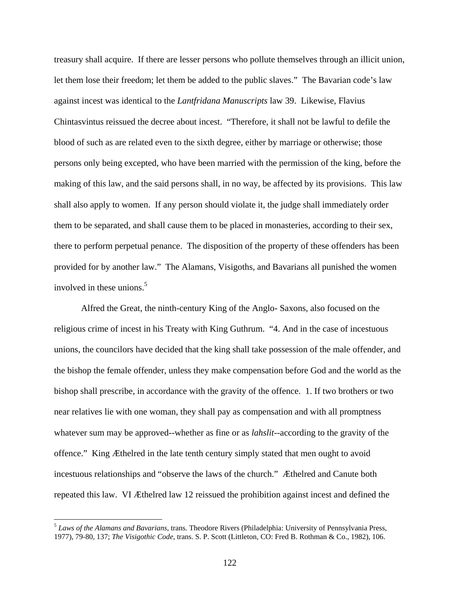treasury shall acquire. If there are lesser persons who pollute themselves through an illicit union, let them lose their freedom; let them be added to the public slaves." The Bavarian code's law against incest was identical to the *Lantfridana Manuscripts* law 39. Likewise, Flavius Chintasvintus reissued the decree about incest. "Therefore, it shall not be lawful to defile the blood of such as are related even to the sixth degree, either by marriage or otherwise; those persons only being excepted, who have been married with the permission of the king, before the making of this law, and the said persons shall, in no way, be affected by its provisions. This law shall also apply to women. If any person should violate it, the judge shall immediately order them to be separated, and shall cause them to be placed in monasteries, according to their sex, there to perform perpetual penance. The disposition of the property of these offenders has been provided for by another law." The Alamans, Visigoths, and Bavarians all punished the women involved in these unions.<sup>5</sup>

Alfred the Great, the ninth-century King of the Anglo- Saxons, also focused on the religious crime of incest in his Treaty with King Guthrum. "4. And in the case of incestuous unions, the councilors have decided that the king shall take possession of the male offender, and the bishop the female offender, unless they make compensation before God and the world as the bishop shall prescribe, in accordance with the gravity of the offence. 1. If two brothers or two near relatives lie with one woman, they shall pay as compensation and with all promptness whatever sum may be approved--whether as fine or as *lahslit*--according to the gravity of the offence." King Æthelred in the late tenth century simply stated that men ought to avoid incestuous relationships and "observe the laws of the church." Æthelred and Canute both repeated this law. VI Æthelred law 12 reissued the prohibition against incest and defined the

<sup>5</sup> *Laws of the Alamans and Bavarians*, trans. Theodore Rivers (Philadelphia: University of Pennsylvania Press, 1977), 79-80, 137; *The Visigothic Code,* trans. S. P. Scott (Littleton, CO: Fred B. Rothman & Co., 1982), 106.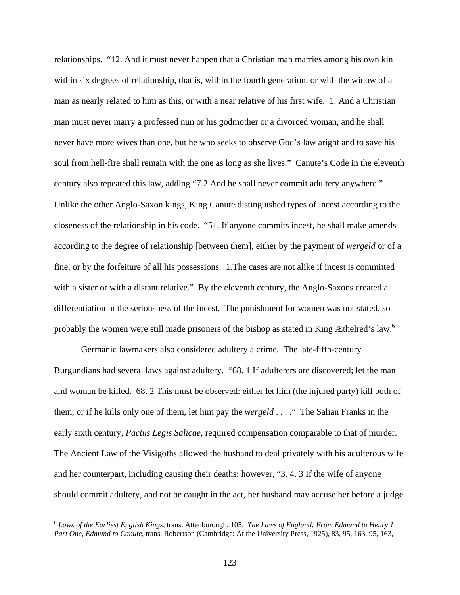relationships. "12. And it must never happen that a Christian man marries among his own kin within six degrees of relationship, that is, within the fourth generation, or with the widow of a man as nearly related to him as this, or with a near relative of his first wife. 1. And a Christian man must never marry a professed nun or his godmother or a divorced woman, and he shall never have more wives than one, but he who seeks to observe God's law aright and to save his soul from hell-fire shall remain with the one as long as she lives." Canute's Code in the eleventh century also repeated this law, adding "7.2 And he shall never commit adultery anywhere." Unlike the other Anglo-Saxon kings, King Canute distinguished types of incest according to the closeness of the relationship in his code. "51. If anyone commits incest, he shall make amends according to the degree of relationship [between them], either by the payment of *wergeld* or of a fine, or by the forfeiture of all his possessions. 1.The cases are not alike if incest is committed with a sister or with a distant relative." By the eleventh century, the Anglo-Saxons created a differentiation in the seriousness of the incest. The punishment for women was not stated, so probably the women were still made prisoners of the bishop as stated in King Æthelred's law.<sup>6</sup>

Germanic lawmakers also considered adultery a crime. The late-fifth-century Burgundians had several laws against adultery. "68. 1 If adulterers are discovered; let the man and woman be killed. 68. 2 This must be observed: either let him (the injured party) kill both of them, or if he kills only one of them, let him pay the *wergeld* . . . ." The Salian Franks in the early sixth century, *Pactus Legis Salicae,* required compensation comparable to that of murder. The Ancient Law of the Visigoths allowed the husband to deal privately with his adulterous wife and her counterpart, including causing their deaths; however, "3. 4. 3 If the wife of anyone should commit adultery, and not be caught in the act, her husband may accuse her before a judge

<sup>6</sup> *Laws of the Earliest English Kings,* trans. Attenborough, 105; *The Laws of England: From Edmund to Henry 1 Part One, Edmund to Canute*, trans. Robertson (Cambridge: At the University Press, 1925), 83, 95, 163, 95, 163,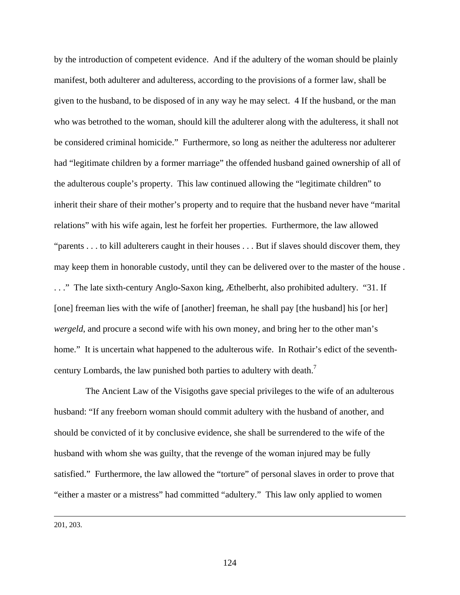by the introduction of competent evidence. And if the adultery of the woman should be plainly manifest, both adulterer and adulteress, according to the provisions of a former law, shall be given to the husband, to be disposed of in any way he may select. 4 If the husband, or the man who was betrothed to the woman, should kill the adulterer along with the adulteress, it shall not be considered criminal homicide." Furthermore, so long as neither the adulteress nor adulterer had "legitimate children by a former marriage" the offended husband gained ownership of all of the adulterous couple's property. This law continued allowing the "legitimate children" to inherit their share of their mother's property and to require that the husband never have "marital relations" with his wife again, lest he forfeit her properties. Furthermore, the law allowed "parents . . . to kill adulterers caught in their houses . . . But if slaves should discover them, they may keep them in honorable custody, until they can be delivered over to the master of the house . . . ." The late sixth-century Anglo-Saxon king, Æthelberht, also prohibited adultery. "31. If [one] freeman lies with the wife of [another] freeman, he shall pay [the husband] his [or her] *wergeld*, and procure a second wife with his own money, and bring her to the other man's home." It is uncertain what happened to the adulterous wife. In Rothair's edict of the seventhcentury Lombards, the law punished both parties to adultery with death.<sup>7</sup>

 The Ancient Law of the Visigoths gave special privileges to the wife of an adulterous husband: "If any freeborn woman should commit adultery with the husband of another, and should be convicted of it by conclusive evidence, she shall be surrendered to the wife of the husband with whom she was guilty, that the revenge of the woman injured may be fully satisfied." Furthermore, the law allowed the "torture" of personal slaves in order to prove that "either a master or a mistress" had committed "adultery." This law only applied to women

201, 203.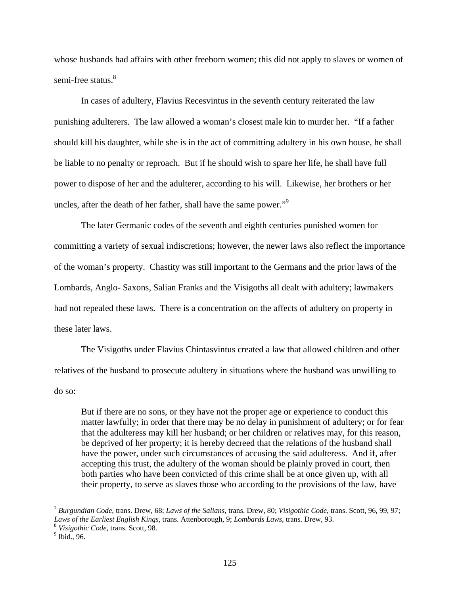whose husbands had affairs with other freeborn women; this did not apply to slaves or women of semi-free status.<sup>8</sup>

In cases of adultery, Flavius Recesvintus in the seventh century reiterated the law punishing adulterers. The law allowed a woman's closest male kin to murder her. "If a father should kill his daughter, while she is in the act of committing adultery in his own house, he shall be liable to no penalty or reproach. But if he should wish to spare her life, he shall have full power to dispose of her and the adulterer, according to his will. Likewise, her brothers or her uncles, after the death of her father, shall have the same power."<sup>9</sup>

The later Germanic codes of the seventh and eighth centuries punished women for committing a variety of sexual indiscretions; however, the newer laws also reflect the importance of the woman's property. Chastity was still important to the Germans and the prior laws of the Lombards, Anglo- Saxons, Salian Franks and the Visigoths all dealt with adultery; lawmakers had not repealed these laws. There is a concentration on the affects of adultery on property in these later laws.

The Visigoths under Flavius Chintasvintus created a law that allowed children and other relatives of the husband to prosecute adultery in situations where the husband was unwilling to do so:

But if there are no sons, or they have not the proper age or experience to conduct this matter lawfully; in order that there may be no delay in punishment of adultery; or for fear that the adulteress may kill her husband; or her children or relatives may, for this reason, be deprived of her property; it is hereby decreed that the relations of the husband shall have the power, under such circumstances of accusing the said adulteress. And if, after accepting this trust, the adultery of the woman should be plainly proved in court, then both parties who have been convicted of this crime shall be at once given up, with all their property, to serve as slaves those who according to the provisions of the law, have

 <sup>7</sup> *Burgundian Code*, trans. Drew, 68; *Laws of the Salians*, trans. Drew, 80; *Visigothic Code*, trans. Scott, 96, 99, 97; *Laws of the Earliest English Kings, trans. Attenborough, 9; <i>Lombards Laws, trans. Drew, 93.* 8 *Visigothic Code, trans. Scott, 98.* 

 $<sup>9</sup>$  Ibid., 96.</sup>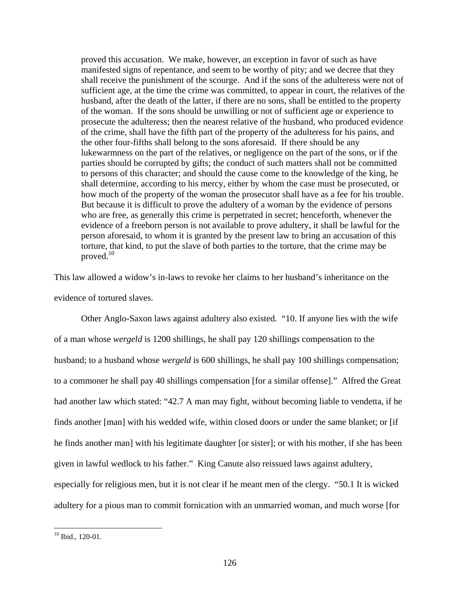proved this accusation. We make, however, an exception in favor of such as have manifested signs of repentance, and seem to be worthy of pity; and we decree that they shall receive the punishment of the scourge. And if the sons of the adulteress were not of sufficient age, at the time the crime was committed, to appear in court, the relatives of the husband, after the death of the latter, if there are no sons, shall be entitled to the property of the woman. If the sons should be unwilling or not of sufficient age or experience to prosecute the adulteress; then the nearest relative of the husband, who produced evidence of the crime, shall have the fifth part of the property of the adulteress for his pains, and the other four-fifths shall belong to the sons aforesaid. If there should be any lukewarmness on the part of the relatives, or negligence on the part of the sons, or if the parties should be corrupted by gifts; the conduct of such matters shall not be committed to persons of this character; and should the cause come to the knowledge of the king, he shall determine, according to his mercy, either by whom the case must be prosecuted, or how much of the property of the woman the prosecutor shall have as a fee for his trouble. But because it is difficult to prove the adultery of a woman by the evidence of persons who are free, as generally this crime is perpetrated in secret; henceforth, whenever the evidence of a freeborn person is not available to prove adultery, it shall be lawful for the person aforesaid, to whom it is granted by the present law to bring an accusation of this torture, that kind, to put the slave of both parties to the torture, that the crime may be proved. $10$ 

This law allowed a widow's in-laws to revoke her claims to her husband's inheritance on the evidence of tortured slaves.

Other Anglo-Saxon laws against adultery also existed. "10. If anyone lies with the wife of a man whose *wergeld* is 1200 shillings, he shall pay 120 shillings compensation to the husband; to a husband whose *wergeld* is 600 shillings, he shall pay 100 shillings compensation; to a commoner he shall pay 40 shillings compensation [for a similar offense]." Alfred the Great had another law which stated: "42.7 A man may fight, without becoming liable to vendetta, if he finds another [man] with his wedded wife, within closed doors or under the same blanket; or [if he finds another man] with his legitimate daughter [or sister]; or with his mother, if she has been given in lawful wedlock to his father." King Canute also reissued laws against adultery, especially for religious men, but it is not clear if he meant men of the clergy. "50.1 It is wicked adultery for a pious man to commit fornication with an unmarried woman, and much worse [for

 $10$  Ibid., 120-01.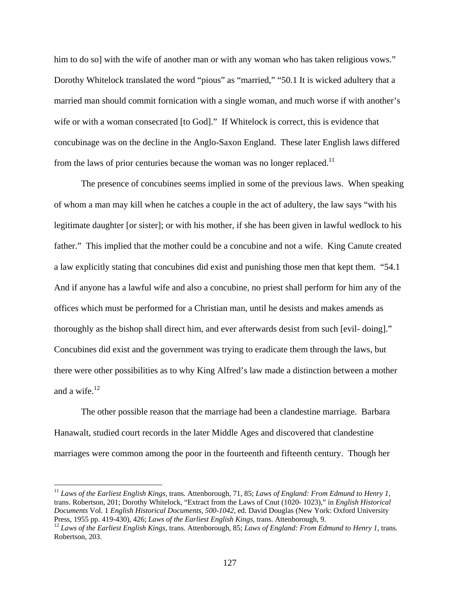him to do so] with the wife of another man or with any woman who has taken religious vows." Dorothy Whitelock translated the word "pious" as "married," "50.1 It is wicked adultery that a married man should commit fornication with a single woman, and much worse if with another's wife or with a woman consecrated [to God]." If Whitelock is correct, this is evidence that concubinage was on the decline in the Anglo-Saxon England. These later English laws differed from the laws of prior centuries because the woman was no longer replaced.<sup>11</sup>

The presence of concubines seems implied in some of the previous laws. When speaking of whom a man may kill when he catches a couple in the act of adultery, the law says "with his legitimate daughter [or sister]; or with his mother, if she has been given in lawful wedlock to his father." This implied that the mother could be a concubine and not a wife. King Canute created a law explicitly stating that concubines did exist and punishing those men that kept them. "54.1 And if anyone has a lawful wife and also a concubine, no priest shall perform for him any of the offices which must be performed for a Christian man, until he desists and makes amends as thoroughly as the bishop shall direct him, and ever afterwards desist from such [evil- doing]." Concubines did exist and the government was trying to eradicate them through the laws, but there were other possibilities as to why King Alfred's law made a distinction between a mother and a wife.12

The other possible reason that the marriage had been a clandestine marriage. Barbara Hanawalt, studied court records in the later Middle Ages and discovered that clandestine marriages were common among the poor in the fourteenth and fifteenth century. Though her

<sup>11</sup> *Laws of the Earliest English Kings,* trans. Attenborough, 71, 85; *Laws of England: From Edmund to Henry 1*, trans. Robertson, 201; Dorothy Whitelock, "Extract from the Laws of Cnut (1020- 1023)," in *English Historical Documents* Vol. 1 *English Historical Documents, 500-1042*, ed. David Douglas (New York: Oxford University Press, 1955 pp. 419-430), 426; *Laws of the Earliest English Kings,* trans. Attenborough, 9. 12 *Laws of the Earliest English Kings,* trans. Attenborough, 85; *Laws of England: From Edmund to Henry 1*, trans.

Robertson, 203.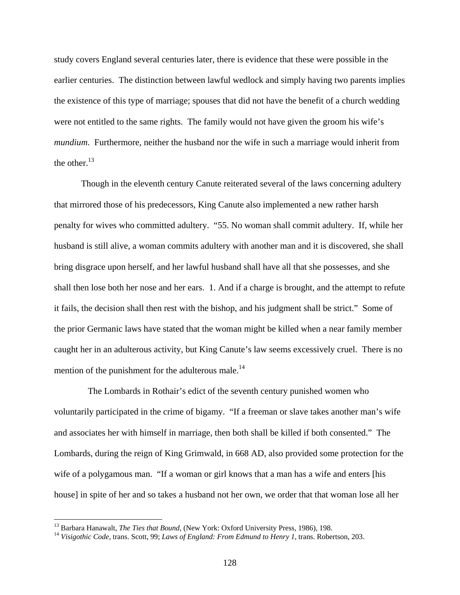study covers England several centuries later, there is evidence that these were possible in the earlier centuries. The distinction between lawful wedlock and simply having two parents implies the existence of this type of marriage; spouses that did not have the benefit of a church wedding were not entitled to the same rights. The family would not have given the groom his wife's *mundium*. Furthermore, neither the husband nor the wife in such a marriage would inherit from the other. $^{13}$ 

Though in the eleventh century Canute reiterated several of the laws concerning adultery that mirrored those of his predecessors, King Canute also implemented a new rather harsh penalty for wives who committed adultery. "55. No woman shall commit adultery. If, while her husband is still alive, a woman commits adultery with another man and it is discovered, she shall bring disgrace upon herself, and her lawful husband shall have all that she possesses, and she shall then lose both her nose and her ears. 1. And if a charge is brought, and the attempt to refute it fails, the decision shall then rest with the bishop, and his judgment shall be strict." Some of the prior Germanic laws have stated that the woman might be killed when a near family member caught her in an adulterous activity, but King Canute's law seems excessively cruel. There is no mention of the punishment for the adulterous male.<sup>14</sup>

 The Lombards in Rothair's edict of the seventh century punished women who voluntarily participated in the crime of bigamy. "If a freeman or slave takes another man's wife and associates her with himself in marriage, then both shall be killed if both consented." The Lombards, during the reign of King Grimwald, in 668 AD, also provided some protection for the wife of a polygamous man. "If a woman or girl knows that a man has a wife and enters [his house] in spite of her and so takes a husband not her own, we order that that woman lose all her

<sup>&</sup>lt;sup>13</sup> Barbara Hanawalt, *The Ties that Bound*, (New York: Oxford University Press, 1986), 198.<br><sup>14</sup> *Visigothic Code*, trans. Scott, 99; *Laws of England: From Edmund to Henry 1*, trans. Robertson, 203.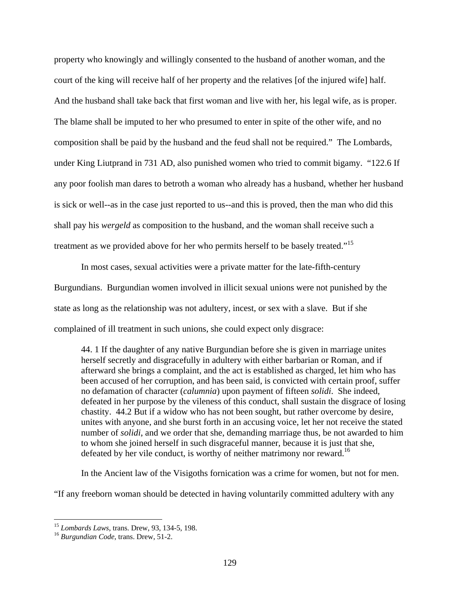property who knowingly and willingly consented to the husband of another woman, and the court of the king will receive half of her property and the relatives [of the injured wife] half. And the husband shall take back that first woman and live with her, his legal wife, as is proper. The blame shall be imputed to her who presumed to enter in spite of the other wife, and no composition shall be paid by the husband and the feud shall not be required." The Lombards, under King Liutprand in 731 AD, also punished women who tried to commit bigamy. "122.6 If any poor foolish man dares to betroth a woman who already has a husband, whether her husband is sick or well--as in the case just reported to us--and this is proved, then the man who did this shall pay his *wergeld* as composition to the husband, and the woman shall receive such a treatment as we provided above for her who permits herself to be basely treated."<sup>15</sup>

In most cases, sexual activities were a private matter for the late-fifth-century Burgundians. Burgundian women involved in illicit sexual unions were not punished by the state as long as the relationship was not adultery, incest, or sex with a slave. But if she complained of ill treatment in such unions, she could expect only disgrace:

44. 1 If the daughter of any native Burgundian before she is given in marriage unites herself secretly and disgracefully in adultery with either barbarian or Roman, and if afterward she brings a complaint, and the act is established as charged, let him who has been accused of her corruption, and has been said, is convicted with certain proof, suffer no defamation of character (*calumnia*) upon payment of fifteen *solidi*. She indeed, defeated in her purpose by the vileness of this conduct, shall sustain the disgrace of losing chastity. 44.2 But if a widow who has not been sought, but rather overcome by desire, unites with anyone, and she burst forth in an accusing voice, let her not receive the stated number of *solidi*, and we order that she, demanding marriage thus, be not awarded to him to whom she joined herself in such disgraceful manner, because it is just that she, defeated by her vile conduct, is worthy of neither matrimony nor reward.<sup>16</sup>

In the Ancient law of the Visigoths fornication was a crime for women, but not for men.

"If any freeborn woman should be detected in having voluntarily committed adultery with any

<sup>15</sup> *Lombards Laws*, trans. Drew, 93, 134-5, 198. 16 *Burgundian Code*, trans. Drew, 51-2.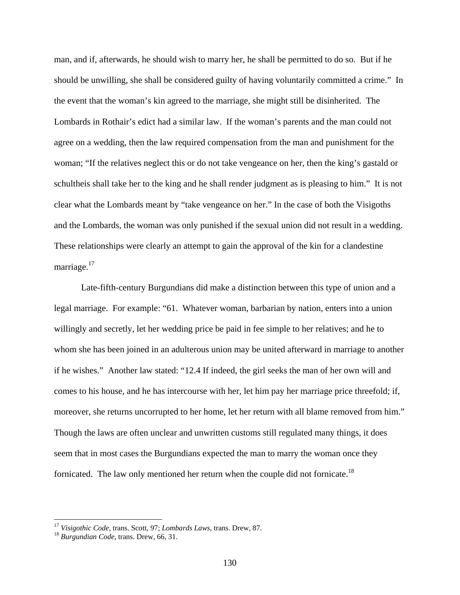man, and if, afterwards, he should wish to marry her, he shall be permitted to do so. But if he should be unwilling, she shall be considered guilty of having voluntarily committed a crime." In the event that the woman's kin agreed to the marriage, she might still be disinherited. The Lombards in Rothair's edict had a similar law. If the woman's parents and the man could not agree on a wedding, then the law required compensation from the man and punishment for the woman; "If the relatives neglect this or do not take vengeance on her, then the king's gastald or schultheis shall take her to the king and he shall render judgment as is pleasing to him." It is not clear what the Lombards meant by "take vengeance on her." In the case of both the Visigoths and the Lombards, the woman was only punished if the sexual union did not result in a wedding. These relationships were clearly an attempt to gain the approval of the kin for a clandestine marriage.<sup>17</sup>

Late-fifth-century Burgundians did make a distinction between this type of union and a legal marriage. For example: "61. Whatever woman, barbarian by nation, enters into a union willingly and secretly, let her wedding price be paid in fee simple to her relatives; and he to whom she has been joined in an adulterous union may be united afterward in marriage to another if he wishes." Another law stated: "12.4 If indeed, the girl seeks the man of her own will and comes to his house, and he has intercourse with her, let him pay her marriage price threefold; if, moreover, she returns uncorrupted to her home, let her return with all blame removed from him." Though the laws are often unclear and unwritten customs still regulated many things, it does seem that in most cases the Burgundians expected the man to marry the woman once they fornicated. The law only mentioned her return when the couple did not fornicate.<sup>18</sup>

1

<sup>17</sup> *Visigothic Code*, trans. Scott, 97; *Lombards Laws*, trans. Drew, 87. 18 *Burgundian Code*, trans. Drew, 66, 31.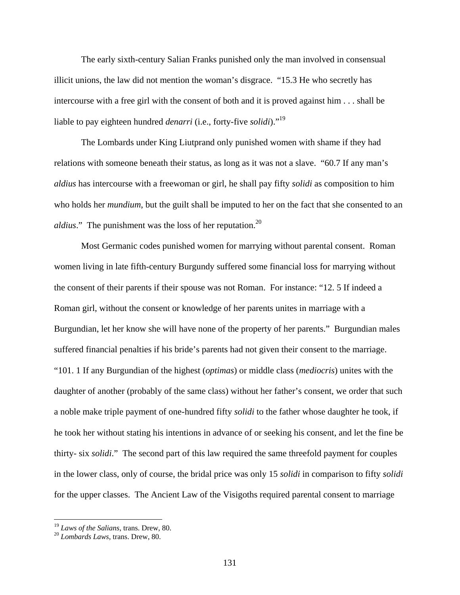The early sixth-century Salian Franks punished only the man involved in consensual illicit unions, the law did not mention the woman's disgrace. "15.3 He who secretly has intercourse with a free girl with the consent of both and it is proved against him . . . shall be liable to pay eighteen hundred *denarri* (i.e., forty-five *solidi*)."19

The Lombards under King Liutprand only punished women with shame if they had relations with someone beneath their status, as long as it was not a slave. "60.7 If any man's *aldius* has intercourse with a freewoman or girl, he shall pay fifty *solidi* as composition to him who holds her *mundium*, but the guilt shall be imputed to her on the fact that she consented to an *aldius*." The punishment was the loss of her reputation.<sup>20</sup>

Most Germanic codes punished women for marrying without parental consent. Roman women living in late fifth-century Burgundy suffered some financial loss for marrying without the consent of their parents if their spouse was not Roman. For instance: "12. 5 If indeed a Roman girl, without the consent or knowledge of her parents unites in marriage with a Burgundian, let her know she will have none of the property of her parents." Burgundian males suffered financial penalties if his bride's parents had not given their consent to the marriage. "101. 1 If any Burgundian of the highest (*optimas*) or middle class (*mediocris*) unites with the daughter of another (probably of the same class) without her father's consent, we order that such a noble make triple payment of one-hundred fifty *solidi* to the father whose daughter he took, if he took her without stating his intentions in advance of or seeking his consent, and let the fine be thirty- six *solidi*." The second part of this law required the same threefold payment for couples in the lower class, only of course, the bridal price was only 15 *solidi* in comparison to fifty *solidi* for the upper classes. The Ancient Law of the Visigoths required parental consent to marriage

<sup>19</sup> *Laws of the Salians*, trans. Drew, 80. 20 *Lombards Laws*, trans. Drew, 80.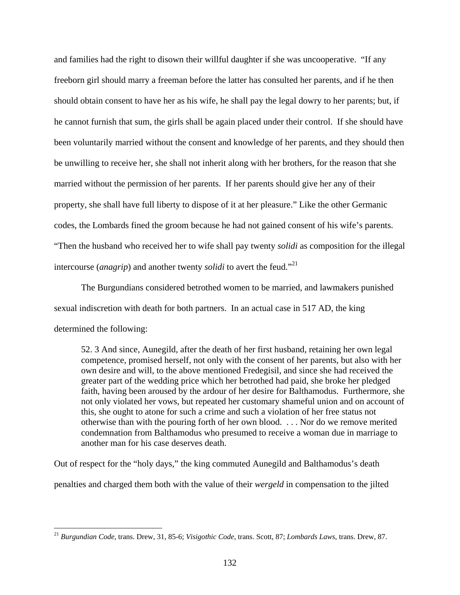and families had the right to disown their willful daughter if she was uncooperative. "If any freeborn girl should marry a freeman before the latter has consulted her parents, and if he then should obtain consent to have her as his wife, he shall pay the legal dowry to her parents; but, if he cannot furnish that sum, the girls shall be again placed under their control. If she should have been voluntarily married without the consent and knowledge of her parents, and they should then be unwilling to receive her, she shall not inherit along with her brothers, for the reason that she married without the permission of her parents. If her parents should give her any of their property, she shall have full liberty to dispose of it at her pleasure." Like the other Germanic codes, the Lombards fined the groom because he had not gained consent of his wife's parents. "Then the husband who received her to wife shall pay twenty *solidi* as composition for the illegal intercourse (*anagrip*) and another twenty *solidi* to avert the feud."<sup>21</sup>

The Burgundians considered betrothed women to be married, and lawmakers punished sexual indiscretion with death for both partners. In an actual case in 517 AD, the king determined the following:

52. 3 And since, Aunegild, after the death of her first husband, retaining her own legal competence, promised herself, not only with the consent of her parents, but also with her own desire and will, to the above mentioned Fredegisil, and since she had received the greater part of the wedding price which her betrothed had paid, she broke her pledged faith, having been aroused by the ardour of her desire for Balthamodus. Furthermore, she not only violated her vows, but repeated her customary shameful union and on account of this, she ought to atone for such a crime and such a violation of her free status not otherwise than with the pouring forth of her own blood. . . . Nor do we remove merited condemnation from Balthamodus who presumed to receive a woman due in marriage to another man for his case deserves death.

Out of respect for the "holy days," the king commuted Aunegild and Balthamodus's death penalties and charged them both with the value of their *wergeld* in compensation to the jilted

<sup>21</sup> *Burgundian Code*, trans. Drew, 31, 85-6; *Visigothic Code*, trans. Scott, 87; *Lombards Laws*, trans. Drew, 87.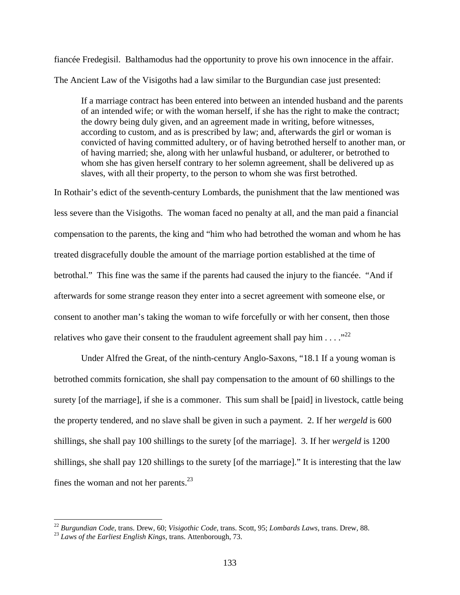fiancée Fredegisil. Balthamodus had the opportunity to prove his own innocence in the affair. The Ancient Law of the Visigoths had a law similar to the Burgundian case just presented:

If a marriage contract has been entered into between an intended husband and the parents of an intended wife; or with the woman herself, if she has the right to make the contract; the dowry being duly given, and an agreement made in writing, before witnesses, according to custom, and as is prescribed by law; and, afterwards the girl or woman is convicted of having committed adultery, or of having betrothed herself to another man, or of having married; she, along with her unlawful husband, or adulterer, or betrothed to whom she has given herself contrary to her solemn agreement, shall be delivered up as slaves, with all their property, to the person to whom she was first betrothed.

In Rothair's edict of the seventh-century Lombards, the punishment that the law mentioned was less severe than the Visigoths. The woman faced no penalty at all, and the man paid a financial compensation to the parents, the king and "him who had betrothed the woman and whom he has treated disgracefully double the amount of the marriage portion established at the time of betrothal." This fine was the same if the parents had caused the injury to the fiancée. "And if afterwards for some strange reason they enter into a secret agreement with someone else, or consent to another man's taking the woman to wife forcefully or with her consent, then those relatives who gave their consent to the fraudulent agreement shall pay him  $\dots$ ."<sup>22</sup>

Under Alfred the Great, of the ninth-century Anglo-Saxons, "18.1 If a young woman is betrothed commits fornication, she shall pay compensation to the amount of 60 shillings to the surety [of the marriage], if she is a commoner. This sum shall be [paid] in livestock, cattle being the property tendered, and no slave shall be given in such a payment. 2. If her *wergeld* is 600 shillings, she shall pay 100 shillings to the surety [of the marriage]. 3. If her *wergeld* is 1200 shillings, she shall pay 120 shillings to the surety [of the marriage]." It is interesting that the law fines the woman and not her parents.23

<sup>22</sup> *Burgundian Code*, trans. Drew, 60; *Visigothic Code*, trans. Scott, 95; *Lombards Laws*, trans. Drew, 88. 23 *Laws of the Earliest English Kings,* trans. Attenborough, 73.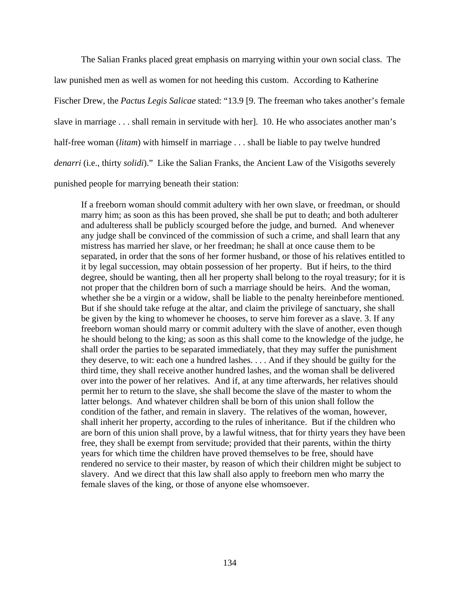The Salian Franks placed great emphasis on marrying within your own social class. The law punished men as well as women for not heeding this custom. According to Katherine Fischer Drew, the *Pactus Legis Salicae* stated: "13.9 [9. The freeman who takes another's female slave in marriage . . . shall remain in servitude with her]. 10. He who associates another man's half-free woman *(litam)* with himself in marriage . . . shall be liable to pay twelve hundred *denarri* (i.e., thirty *solidi*)." Like the Salian Franks, the Ancient Law of the Visigoths severely punished people for marrying beneath their station:

If a freeborn woman should commit adultery with her own slave, or freedman, or should marry him; as soon as this has been proved, she shall be put to death; and both adulterer and adulteress shall be publicly scourged before the judge, and burned. And whenever any judge shall be convinced of the commission of such a crime, and shall learn that any mistress has married her slave, or her freedman; he shall at once cause them to be separated, in order that the sons of her former husband, or those of his relatives entitled to it by legal succession, may obtain possession of her property. But if heirs, to the third degree, should be wanting, then all her property shall belong to the royal treasury; for it is not proper that the children born of such a marriage should be heirs. And the woman, whether she be a virgin or a widow, shall be liable to the penalty hereinbefore mentioned. But if she should take refuge at the altar, and claim the privilege of sanctuary, she shall be given by the king to whomever he chooses, to serve him forever as a slave. 3. If any freeborn woman should marry or commit adultery with the slave of another, even though he should belong to the king; as soon as this shall come to the knowledge of the judge, he shall order the parties to be separated immediately, that they may suffer the punishment they deserve, to wit: each one a hundred lashes. . . . And if they should be guilty for the third time, they shall receive another hundred lashes, and the woman shall be delivered over into the power of her relatives. And if, at any time afterwards, her relatives should permit her to return to the slave, she shall become the slave of the master to whom the latter belongs. And whatever children shall be born of this union shall follow the condition of the father, and remain in slavery. The relatives of the woman, however, shall inherit her property, according to the rules of inheritance. But if the children who are born of this union shall prove, by a lawful witness, that for thirty years they have been free, they shall be exempt from servitude; provided that their parents, within the thirty years for which time the children have proved themselves to be free, should have rendered no service to their master, by reason of which their children might be subject to slavery. And we direct that this law shall also apply to freeborn men who marry the female slaves of the king, or those of anyone else whomsoever.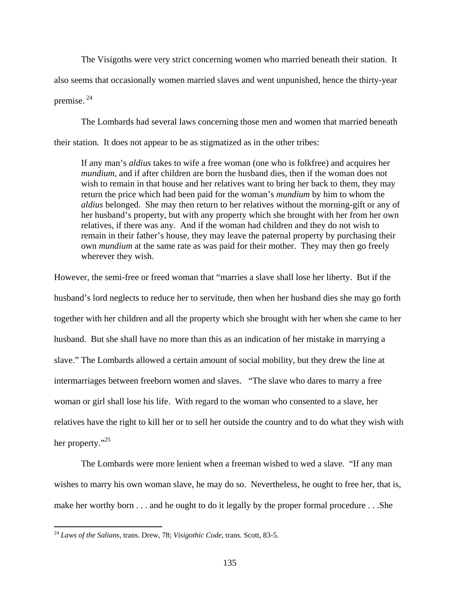The Visigoths were very strict concerning women who married beneath their station. It also seems that occasionally women married slaves and went unpunished, hence the thirty-year premise. 24

 The Lombards had several laws concerning those men and women that married beneath their station. It does not appear to be as stigmatized as in the other tribes:

If any man's *aldius* takes to wife a free woman (one who is folkfree) and acquires her *mundium*, and if after children are born the husband dies, then if the woman does not wish to remain in that house and her relatives want to bring her back to them, they may return the price which had been paid for the woman's *mundium* by him to whom the *aldius* belonged. She may then return to her relatives without the morning-gift or any of her husband's property, but with any property which she brought with her from her own relatives, if there was any. And if the woman had children and they do not wish to remain in their father's house, they may leave the paternal property by purchasing their own *mundium* at the same rate as was paid for their mother. They may then go freely wherever they wish.

However, the semi-free or freed woman that "marries a slave shall lose her liberty. But if the husband's lord neglects to reduce her to servitude, then when her husband dies she may go forth together with her children and all the property which she brought with her when she came to her husband. But she shall have no more than this as an indication of her mistake in marrying a slave." The Lombards allowed a certain amount of social mobility, but they drew the line at intermarriages between freeborn women and slaves. "The slave who dares to marry a free woman or girl shall lose his life. With regard to the woman who consented to a slave, her relatives have the right to kill her or to sell her outside the country and to do what they wish with her property."<sup>25</sup>

The Lombards were more lenient when a freeman wished to wed a slave. "If any man wishes to marry his own woman slave, he may do so. Nevertheless, he ought to free her, that is, make her worthy born . . . and he ought to do it legally by the proper formal procedure . . .She

<sup>24</sup> *Laws of the Salians*, trans. Drew, 78; *Visigothic Code*, trans. Scott, 83-5.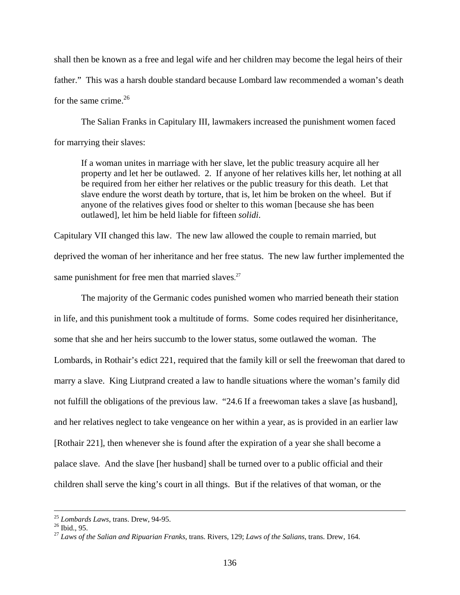shall then be known as a free and legal wife and her children may become the legal heirs of their father." This was a harsh double standard because Lombard law recommended a woman's death for the same crime. $26$ 

The Salian Franks in Capitulary III, lawmakers increased the punishment women faced for marrying their slaves:

If a woman unites in marriage with her slave, let the public treasury acquire all her property and let her be outlawed. 2. If anyone of her relatives kills her, let nothing at all be required from her either her relatives or the public treasury for this death. Let that slave endure the worst death by torture, that is, let him be broken on the wheel. But if anyone of the relatives gives food or shelter to this woman [because she has been outlawed], let him be held liable for fifteen *solidi*.

Capitulary VII changed this law. The new law allowed the couple to remain married, but deprived the woman of her inheritance and her free status. The new law further implemented the same punishment for free men that married slaves.<sup>27</sup>

The majority of the Germanic codes punished women who married beneath their station in life, and this punishment took a multitude of forms. Some codes required her disinheritance, some that she and her heirs succumb to the lower status, some outlawed the woman. The Lombards, in Rothair's edict 221, required that the family kill or sell the freewoman that dared to marry a slave. King Liutprand created a law to handle situations where the woman's family did not fulfill the obligations of the previous law. "24.6 If a freewoman takes a slave [as husband], and her relatives neglect to take vengeance on her within a year, as is provided in an earlier law [Rothair 221], then whenever she is found after the expiration of a year she shall become a palace slave. And the slave [her husband] shall be turned over to a public official and their children shall serve the king's court in all things. But if the relatives of that woman, or the

<sup>25</sup> *Lombards Laws*, trans. Drew, 94-95. 26 Ibid., 95.

<sup>27</sup> *Laws of the Salian and Ripuarian Franks*, trans. Rivers, 129; *Laws of the Salians*, trans. Drew, 164.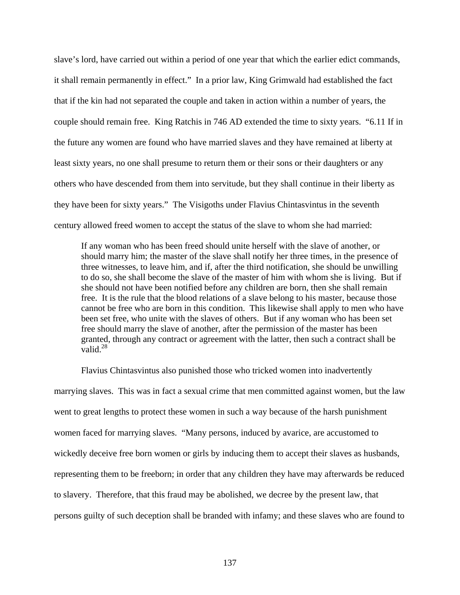slave's lord, have carried out within a period of one year that which the earlier edict commands, it shall remain permanently in effect." In a prior law, King Grimwald had established the fact that if the kin had not separated the couple and taken in action within a number of years, the couple should remain free. King Ratchis in 746 AD extended the time to sixty years. "6.11 If in the future any women are found who have married slaves and they have remained at liberty at least sixty years, no one shall presume to return them or their sons or their daughters or any others who have descended from them into servitude, but they shall continue in their liberty as they have been for sixty years." The Visigoths under Flavius Chintasvintus in the seventh century allowed freed women to accept the status of the slave to whom she had married:

If any woman who has been freed should unite herself with the slave of another, or should marry him; the master of the slave shall notify her three times, in the presence of three witnesses, to leave him, and if, after the third notification, she should be unwilling to do so, she shall become the slave of the master of him with whom she is living. But if she should not have been notified before any children are born, then she shall remain free. It is the rule that the blood relations of a slave belong to his master, because those cannot be free who are born in this condition. This likewise shall apply to men who have been set free, who unite with the slaves of others. But if any woman who has been set free should marry the slave of another, after the permission of the master has been granted, through any contract or agreement with the latter, then such a contract shall be valid  $^{28}$ 

Flavius Chintasvintus also punished those who tricked women into inadvertently marrying slaves. This was in fact a sexual crime that men committed against women, but the law went to great lengths to protect these women in such a way because of the harsh punishment women faced for marrying slaves. "Many persons, induced by avarice, are accustomed to wickedly deceive free born women or girls by inducing them to accept their slaves as husbands, representing them to be freeborn; in order that any children they have may afterwards be reduced to slavery. Therefore, that this fraud may be abolished, we decree by the present law, that persons guilty of such deception shall be branded with infamy; and these slaves who are found to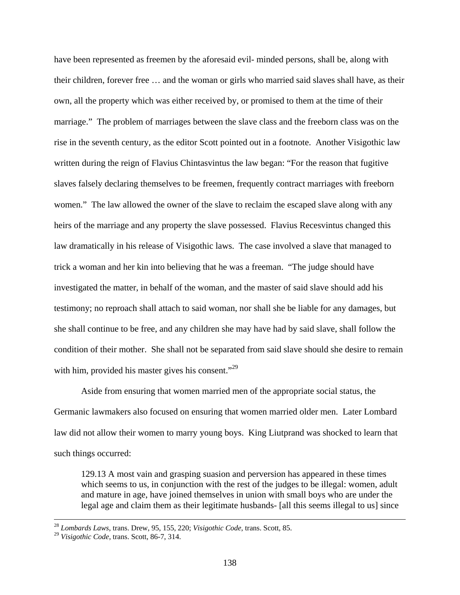have been represented as freemen by the aforesaid evil- minded persons, shall be, along with their children, forever free … and the woman or girls who married said slaves shall have, as their own, all the property which was either received by, or promised to them at the time of their marriage." The problem of marriages between the slave class and the freeborn class was on the rise in the seventh century, as the editor Scott pointed out in a footnote. Another Visigothic law written during the reign of Flavius Chintasvintus the law began: "For the reason that fugitive slaves falsely declaring themselves to be freemen, frequently contract marriages with freeborn women." The law allowed the owner of the slave to reclaim the escaped slave along with any heirs of the marriage and any property the slave possessed. Flavius Recesvintus changed this law dramatically in his release of Visigothic laws. The case involved a slave that managed to trick a woman and her kin into believing that he was a freeman. "The judge should have investigated the matter, in behalf of the woman, and the master of said slave should add his testimony; no reproach shall attach to said woman, nor shall she be liable for any damages, but she shall continue to be free, and any children she may have had by said slave, shall follow the condition of their mother. She shall not be separated from said slave should she desire to remain with him, provided his master gives his consent."<sup>29</sup>

Aside from ensuring that women married men of the appropriate social status, the Germanic lawmakers also focused on ensuring that women married older men. Later Lombard law did not allow their women to marry young boys. King Liutprand was shocked to learn that such things occurred:

129.13 A most vain and grasping suasion and perversion has appeared in these times which seems to us, in conjunction with the rest of the judges to be illegal: women, adult and mature in age, have joined themselves in union with small boys who are under the legal age and claim them as their legitimate husbands- [all this seems illegal to us] since

 <sup>28</sup> *Lombards Laws*, trans. Drew, 95, 155, 220; *Visigothic Code*, trans. Scott, 85.

<sup>29</sup> *Visigothic Code*, trans. Scott, 86-7, 314.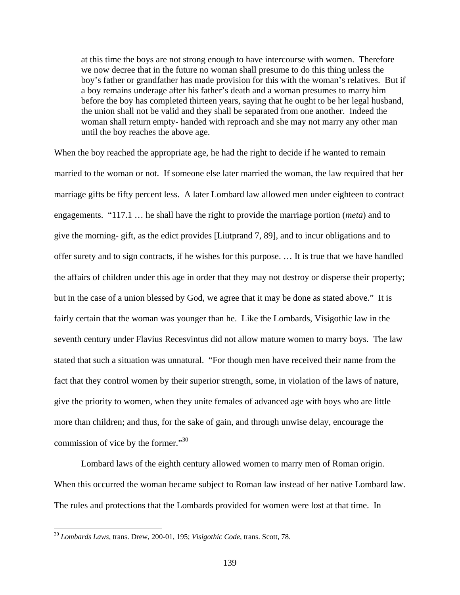at this time the boys are not strong enough to have intercourse with women. Therefore we now decree that in the future no woman shall presume to do this thing unless the boy's father or grandfather has made provision for this with the woman's relatives. But if a boy remains underage after his father's death and a woman presumes to marry him before the boy has completed thirteen years, saying that he ought to be her legal husband, the union shall not be valid and they shall be separated from one another. Indeed the woman shall return empty- handed with reproach and she may not marry any other man until the boy reaches the above age.

When the boy reached the appropriate age, he had the right to decide if he wanted to remain married to the woman or not. If someone else later married the woman, the law required that her marriage gifts be fifty percent less. A later Lombard law allowed men under eighteen to contract engagements. "117.1 … he shall have the right to provide the marriage portion (*meta*) and to give the morning- gift, as the edict provides [Liutprand 7, 89], and to incur obligations and to offer surety and to sign contracts, if he wishes for this purpose. … It is true that we have handled the affairs of children under this age in order that they may not destroy or disperse their property; but in the case of a union blessed by God, we agree that it may be done as stated above." It is fairly certain that the woman was younger than he. Like the Lombards, Visigothic law in the seventh century under Flavius Recesvintus did not allow mature women to marry boys. The law stated that such a situation was unnatural. "For though men have received their name from the fact that they control women by their superior strength, some, in violation of the laws of nature, give the priority to women, when they unite females of advanced age with boys who are little more than children; and thus, for the sake of gain, and through unwise delay, encourage the commission of vice by the former."<sup>30</sup>

Lombard laws of the eighth century allowed women to marry men of Roman origin. When this occurred the woman became subject to Roman law instead of her native Lombard law. The rules and protections that the Lombards provided for women were lost at that time. In

<sup>30</sup> *Lombards Laws*, trans. Drew, 200-01, 195; *Visigothic Code*, trans. Scott, 78.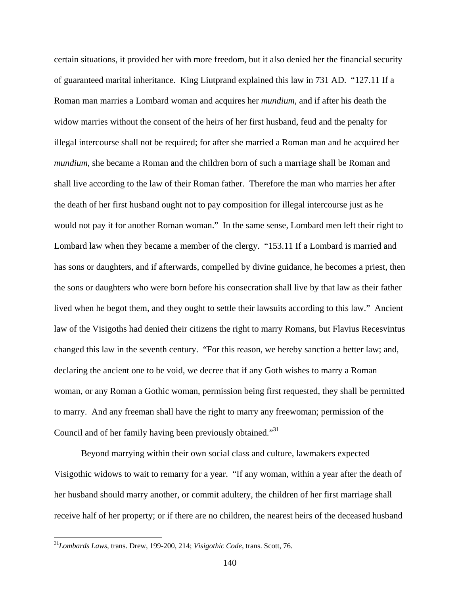certain situations, it provided her with more freedom, but it also denied her the financial security of guaranteed marital inheritance. King Liutprand explained this law in 731 AD. "127.11 If a Roman man marries a Lombard woman and acquires her *mundium*, and if after his death the widow marries without the consent of the heirs of her first husband, feud and the penalty for illegal intercourse shall not be required; for after she married a Roman man and he acquired her *mundium*, she became a Roman and the children born of such a marriage shall be Roman and shall live according to the law of their Roman father. Therefore the man who marries her after the death of her first husband ought not to pay composition for illegal intercourse just as he would not pay it for another Roman woman." In the same sense, Lombard men left their right to Lombard law when they became a member of the clergy. "153.11 If a Lombard is married and has sons or daughters, and if afterwards, compelled by divine guidance, he becomes a priest, then the sons or daughters who were born before his consecration shall live by that law as their father lived when he begot them, and they ought to settle their lawsuits according to this law." Ancient law of the Visigoths had denied their citizens the right to marry Romans, but Flavius Recesvintus changed this law in the seventh century. "For this reason, we hereby sanction a better law; and, declaring the ancient one to be void, we decree that if any Goth wishes to marry a Roman woman, or any Roman a Gothic woman, permission being first requested, they shall be permitted to marry. And any freeman shall have the right to marry any freewoman; permission of the Council and of her family having been previously obtained."<sup>31</sup>

Beyond marrying within their own social class and culture, lawmakers expected Visigothic widows to wait to remarry for a year. "If any woman, within a year after the death of her husband should marry another, or commit adultery, the children of her first marriage shall receive half of her property; or if there are no children, the nearest heirs of the deceased husband

<sup>31</sup>*Lombards Laws*, trans. Drew, 199-200, 214; *Visigothic Code*, trans. Scott, 76.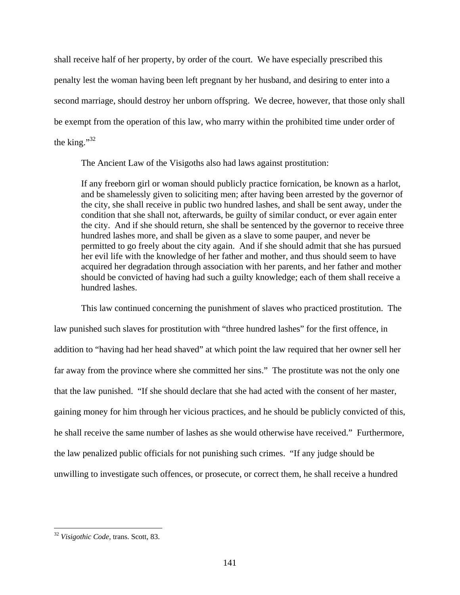shall receive half of her property, by order of the court. We have especially prescribed this penalty lest the woman having been left pregnant by her husband, and desiring to enter into a second marriage, should destroy her unborn offspring. We decree, however, that those only shall be exempt from the operation of this law, who marry within the prohibited time under order of the king." $32$ 

The Ancient Law of the Visigoths also had laws against prostitution:

If any freeborn girl or woman should publicly practice fornication, be known as a harlot, and be shamelessly given to soliciting men; after having been arrested by the governor of the city, she shall receive in public two hundred lashes, and shall be sent away, under the condition that she shall not, afterwards, be guilty of similar conduct, or ever again enter the city. And if she should return, she shall be sentenced by the governor to receive three hundred lashes more, and shall be given as a slave to some pauper, and never be permitted to go freely about the city again. And if she should admit that she has pursued her evil life with the knowledge of her father and mother, and thus should seem to have acquired her degradation through association with her parents, and her father and mother should be convicted of having had such a guilty knowledge; each of them shall receive a hundred lashes.

This law continued concerning the punishment of slaves who practiced prostitution. The law punished such slaves for prostitution with "three hundred lashes" for the first offence, in addition to "having had her head shaved" at which point the law required that her owner sell her far away from the province where she committed her sins." The prostitute was not the only one that the law punished. "If she should declare that she had acted with the consent of her master, gaining money for him through her vicious practices, and he should be publicly convicted of this, he shall receive the same number of lashes as she would otherwise have received." Furthermore, the law penalized public officials for not punishing such crimes. "If any judge should be unwilling to investigate such offences, or prosecute, or correct them, he shall receive a hundred

<sup>32</sup> *Visigothic Code*, trans. Scott, 83.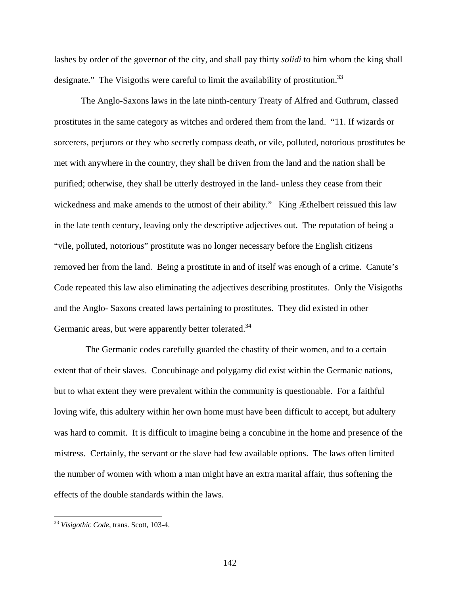lashes by order of the governor of the city, and shall pay thirty *solidi* to him whom the king shall designate." The Visigoths were careful to limit the availability of prostitution.<sup>33</sup>

The Anglo-Saxons laws in the late ninth-century Treaty of Alfred and Guthrum, classed prostitutes in the same category as witches and ordered them from the land. "11. If wizards or sorcerers, perjurors or they who secretly compass death, or vile, polluted, notorious prostitutes be met with anywhere in the country, they shall be driven from the land and the nation shall be purified; otherwise, they shall be utterly destroyed in the land- unless they cease from their wickedness and make amends to the utmost of their ability." King Æthelbert reissued this law in the late tenth century, leaving only the descriptive adjectives out. The reputation of being a "vile, polluted, notorious" prostitute was no longer necessary before the English citizens removed her from the land. Being a prostitute in and of itself was enough of a crime. Canute's Code repeated this law also eliminating the adjectives describing prostitutes. Only the Visigoths and the Anglo- Saxons created laws pertaining to prostitutes. They did existed in other Germanic areas, but were apparently better tolerated.<sup>34</sup>

 The Germanic codes carefully guarded the chastity of their women, and to a certain extent that of their slaves. Concubinage and polygamy did exist within the Germanic nations, but to what extent they were prevalent within the community is questionable. For a faithful loving wife, this adultery within her own home must have been difficult to accept, but adultery was hard to commit. It is difficult to imagine being a concubine in the home and presence of the mistress. Certainly, the servant or the slave had few available options. The laws often limited the number of women with whom a man might have an extra marital affair, thus softening the effects of the double standards within the laws.

<sup>33</sup> *Visigothic Code*, trans. Scott, 103-4.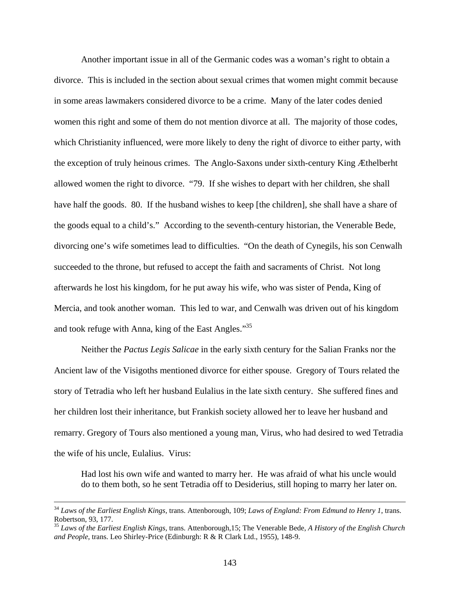Another important issue in all of the Germanic codes was a woman's right to obtain a divorce. This is included in the section about sexual crimes that women might commit because in some areas lawmakers considered divorce to be a crime. Many of the later codes denied women this right and some of them do not mention divorce at all. The majority of those codes, which Christianity influenced, were more likely to deny the right of divorce to either party, with the exception of truly heinous crimes. The Anglo-Saxons under sixth-century King Æthelberht allowed women the right to divorce. "79. If she wishes to depart with her children, she shall have half the goods. 80. If the husband wishes to keep [the children], she shall have a share of the goods equal to a child's." According to the seventh-century historian, the Venerable Bede, divorcing one's wife sometimes lead to difficulties. "On the death of Cynegils, his son Cenwalh succeeded to the throne, but refused to accept the faith and sacraments of Christ. Not long afterwards he lost his kingdom, for he put away his wife, who was sister of Penda, King of Mercia, and took another woman. This led to war, and Cenwalh was driven out of his kingdom and took refuge with Anna, king of the East Angles."<sup>35</sup>

Neither the *Pactus Legis Salicae* in the early sixth century for the Salian Franks nor the Ancient law of the Visigoths mentioned divorce for either spouse. Gregory of Tours related the story of Tetradia who left her husband Eulalius in the late sixth century. She suffered fines and her children lost their inheritance, but Frankish society allowed her to leave her husband and remarry. Gregory of Tours also mentioned a young man, Virus, who had desired to wed Tetradia the wife of his uncle, Eulalius. Virus:

Had lost his own wife and wanted to marry her. He was afraid of what his uncle would do to them both, so he sent Tetradia off to Desiderius, still hoping to marry her later on.

 <sup>34</sup> *Laws of the Earliest English Kings,* trans. Attenborough, 109; *Laws of England: From Edmund to Henry 1*, trans. Robertson, 93, 177.

<sup>35</sup> *Laws of the Earliest English Kings,* trans. Attenborough,15; The Venerable Bede, *A History of the English Church and People*, trans. Leo Shirley-Price (Edinburgh: R & R Clark Ltd., 1955), 148-9.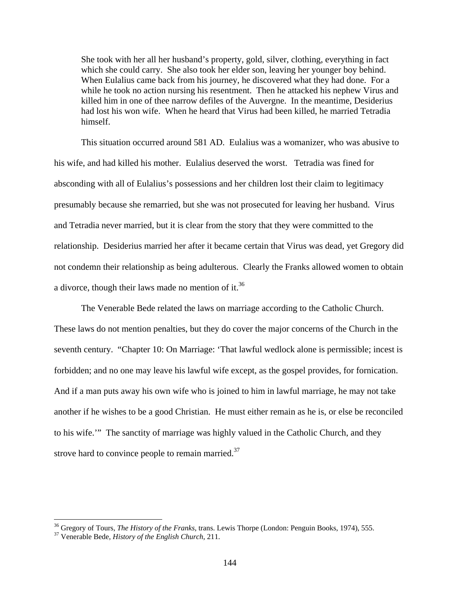She took with her all her husband's property, gold, silver, clothing, everything in fact which she could carry. She also took her elder son, leaving her younger boy behind. When Eulalius came back from his journey, he discovered what they had done. For a while he took no action nursing his resentment. Then he attacked his nephew Virus and killed him in one of thee narrow defiles of the Auvergne. In the meantime, Desiderius had lost his won wife. When he heard that Virus had been killed, he married Tetradia himself.

This situation occurred around 581 AD. Eulalius was a womanizer, who was abusive to his wife, and had killed his mother. Eulalius deserved the worst. Tetradia was fined for absconding with all of Eulalius's possessions and her children lost their claim to legitimacy presumably because she remarried, but she was not prosecuted for leaving her husband. Virus and Tetradia never married, but it is clear from the story that they were committed to the relationship. Desiderius married her after it became certain that Virus was dead, yet Gregory did not condemn their relationship as being adulterous. Clearly the Franks allowed women to obtain a divorce, though their laws made no mention of it.<sup>36</sup>

The Venerable Bede related the laws on marriage according to the Catholic Church. These laws do not mention penalties, but they do cover the major concerns of the Church in the seventh century. "Chapter 10: On Marriage: 'That lawful wedlock alone is permissible; incest is forbidden; and no one may leave his lawful wife except, as the gospel provides, for fornication. And if a man puts away his own wife who is joined to him in lawful marriage, he may not take another if he wishes to be a good Christian. He must either remain as he is, or else be reconciled to his wife.'" The sanctity of marriage was highly valued in the Catholic Church, and they strove hard to convince people to remain married. $37$ 

<sup>&</sup>lt;sup>36</sup> Gregory of Tours, *The History of the Franks*, trans. Lewis Thorpe (London: Penguin Books, 1974), 555. <sup>37</sup> Venerable Bede, *History of the English Church*, 211.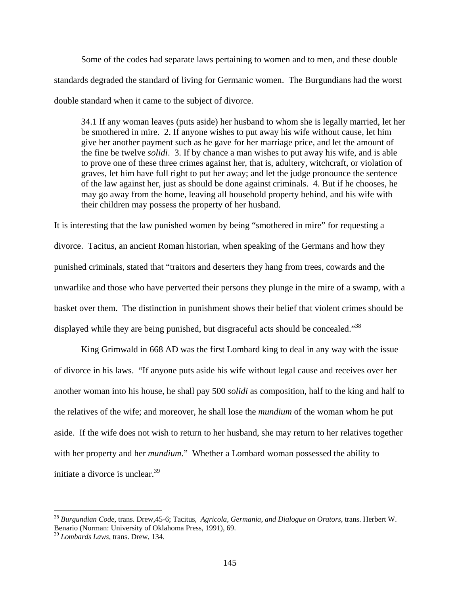Some of the codes had separate laws pertaining to women and to men, and these double standards degraded the standard of living for Germanic women. The Burgundians had the worst double standard when it came to the subject of divorce.

34.1 If any woman leaves (puts aside) her husband to whom she is legally married, let her be smothered in mire. 2. If anyone wishes to put away his wife without cause, let him give her another payment such as he gave for her marriage price, and let the amount of the fine be twelve *solidi*. 3. If by chance a man wishes to put away his wife, and is able to prove one of these three crimes against her, that is, adultery, witchcraft, or violation of graves, let him have full right to put her away; and let the judge pronounce the sentence of the law against her, just as should be done against criminals. 4. But if he chooses, he may go away from the home, leaving all household property behind, and his wife with their children may possess the property of her husband.

It is interesting that the law punished women by being "smothered in mire" for requesting a divorce. Tacitus, an ancient Roman historian, when speaking of the Germans and how they punished criminals, stated that "traitors and deserters they hang from trees, cowards and the unwarlike and those who have perverted their persons they plunge in the mire of a swamp, with a basket over them. The distinction in punishment shows their belief that violent crimes should be displayed while they are being punished, but disgraceful acts should be concealed."<sup>38</sup>

King Grimwald in 668 AD was the first Lombard king to deal in any way with the issue of divorce in his laws. "If anyone puts aside his wife without legal cause and receives over her another woman into his house, he shall pay 500 *solidi* as composition, half to the king and half to the relatives of the wife; and moreover, he shall lose the *mundium* of the woman whom he put aside. If the wife does not wish to return to her husband, she may return to her relatives together with her property and her *mundium*." Whether a Lombard woman possessed the ability to initiate a divorce is unclear.<sup>39</sup>

<sup>38</sup> *Burgundian Code*, trans. Drew,45-6; Tacitus, *Agricola, Germania, and Dialogue on Orators*, trans. Herbert W. Benario (Norman: University of Oklahoma Press, 1991), 69.

<sup>39</sup> *Lombards Laws*, trans. Drew, 134.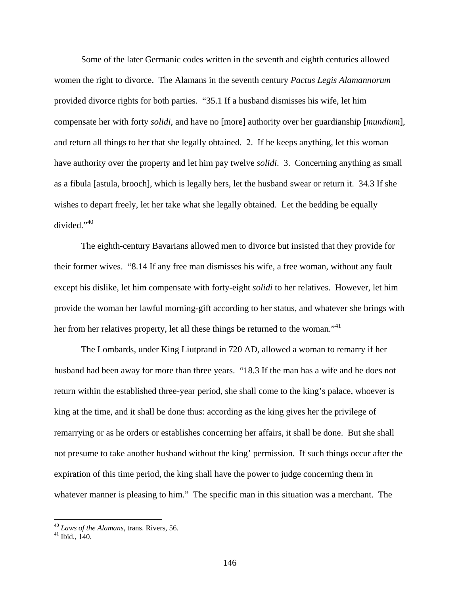Some of the later Germanic codes written in the seventh and eighth centuries allowed women the right to divorce. The Alamans in the seventh century *Pactus Legis Alamannorum* provided divorce rights for both parties. "35.1 If a husband dismisses his wife, let him compensate her with forty *solidi*, and have no [more] authority over her guardianship [*mundium*], and return all things to her that she legally obtained. 2. If he keeps anything, let this woman have authority over the property and let him pay twelve *solidi*. 3. Concerning anything as small as a fibula [astula, brooch], which is legally hers, let the husband swear or return it. 34.3 If she wishes to depart freely, let her take what she legally obtained. Let the bedding be equally divided."40

The eighth-century Bavarians allowed men to divorce but insisted that they provide for their former wives. "8.14 If any free man dismisses his wife, a free woman, without any fault except his dislike, let him compensate with forty-eight *solidi* to her relatives. However, let him provide the woman her lawful morning-gift according to her status, and whatever she brings with her from her relatives property, let all these things be returned to the woman."<sup>41</sup>

The Lombards, under King Liutprand in 720 AD, allowed a woman to remarry if her husband had been away for more than three years. "18.3 If the man has a wife and he does not return within the established three-year period, she shall come to the king's palace, whoever is king at the time, and it shall be done thus: according as the king gives her the privilege of remarrying or as he orders or establishes concerning her affairs, it shall be done. But she shall not presume to take another husband without the king' permission. If such things occur after the expiration of this time period, the king shall have the power to judge concerning them in whatever manner is pleasing to him." The specific man in this situation was a merchant. The

<sup>&</sup>lt;sup>40</sup> *Laws of the Alamans*, trans. Rivers, 56.<br><sup>41</sup> Ibid., 140.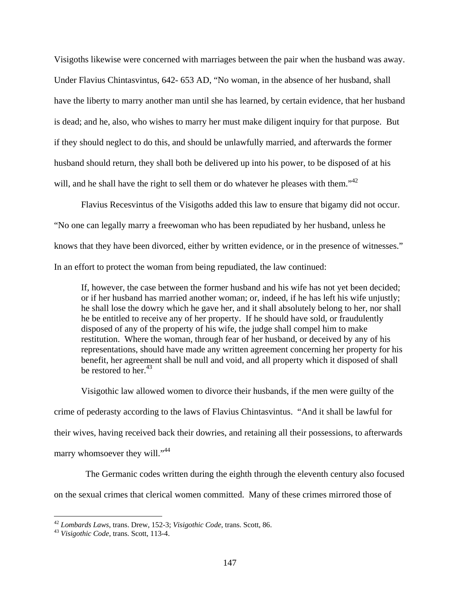Visigoths likewise were concerned with marriages between the pair when the husband was away. Under Flavius Chintasvintus, 642- 653 AD, "No woman, in the absence of her husband, shall have the liberty to marry another man until she has learned, by certain evidence, that her husband is dead; and he, also, who wishes to marry her must make diligent inquiry for that purpose. But if they should neglect to do this, and should be unlawfully married, and afterwards the former husband should return, they shall both be delivered up into his power, to be disposed of at his will, and he shall have the right to sell them or do whatever he pleases with them."<sup>42</sup>

Flavius Recesvintus of the Visigoths added this law to ensure that bigamy did not occur. "No one can legally marry a freewoman who has been repudiated by her husband, unless he knows that they have been divorced, either by written evidence, or in the presence of witnesses." In an effort to protect the woman from being repudiated, the law continued:

If, however, the case between the former husband and his wife has not yet been decided; or if her husband has married another woman; or, indeed, if he has left his wife unjustly; he shall lose the dowry which he gave her, and it shall absolutely belong to her, nor shall he be entitled to receive any of her property. If he should have sold, or fraudulently disposed of any of the property of his wife, the judge shall compel him to make restitution. Where the woman, through fear of her husband, or deceived by any of his representations, should have made any written agreement concerning her property for his benefit, her agreement shall be null and void, and all property which it disposed of shall be restored to her.  $43$ 

Visigothic law allowed women to divorce their husbands, if the men were guilty of the crime of pederasty according to the laws of Flavius Chintasvintus. "And it shall be lawful for their wives, having received back their dowries, and retaining all their possessions, to afterwards marry whomsoever they will."<sup>44</sup>

 The Germanic codes written during the eighth through the eleventh century also focused on the sexual crimes that clerical women committed. Many of these crimes mirrored those of

<sup>42</sup> *Lombards Laws*, trans. Drew, 152-3; *Visigothic Code*, trans. Scott, 86. 43 *Visigothic Code*, trans. Scott, 113-4.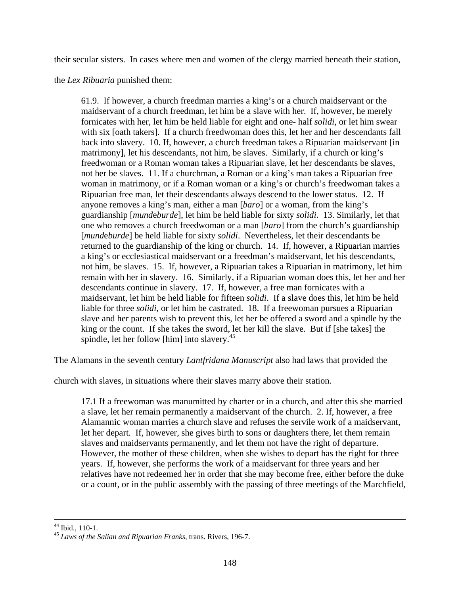their secular sisters. In cases where men and women of the clergy married beneath their station,

the *Lex Ribuaria* punished them:

61.9. If however, a church freedman marries a king's or a church maidservant or the maidservant of a church freedman, let him be a slave with her. If, however, he merely fornicates with her, let him be held liable for eight and one- half *solidi*, or let him swear with six [oath takers]. If a church freedwoman does this, let her and her descendants fall back into slavery. 10. If, however, a church freedman takes a Ripuarian maidservant [in matrimony], let his descendants, not him, be slaves. Similarly, if a church or king's freedwoman or a Roman woman takes a Ripuarian slave, let her descendants be slaves, not her be slaves. 11. If a churchman, a Roman or a king's man takes a Ripuarian free woman in matrimony, or if a Roman woman or a king's or church's freedwoman takes a Ripuarian free man, let their descendants always descend to the lower status. 12. If anyone removes a king's man, either a man [*baro*] or a woman, from the king's guardianship [*mund*e*burde*], let him be held liable for sixty *solidi*. 13. Similarly, let that one who removes a church freedwoman or a man [*baro*] from the church's guardianship [*mundeburde*] be held liable for sixty *solidi*. Nevertheless, let their descendants be returned to the guardianship of the king or church. 14. If, however, a Ripuarian marries a king's or ecclesiastical maidservant or a freedman's maidservant, let his descendants, not him, be slaves. 15. If, however, a Ripuarian takes a Ripuarian in matrimony, let him remain with her in slavery. 16. Similarly, if a Ripuarian woman does this, let her and her descendants continue in slavery. 17. If, however, a free man fornicates with a maidservant, let him be held liable for fifteen *solidi*. If a slave does this, let him be held liable for three *solidi*, or let him be castrated. 18. If a freewoman pursues a Ripuarian slave and her parents wish to prevent this, let her be offered a sword and a spindle by the king or the count. If she takes the sword, let her kill the slave. But if [she takes] the spindle, let her follow  $[\text{him}]$  into slavery.<sup>45</sup>

The Alamans in the seventh century *Lantfridana Manuscript* also had laws that provided the

church with slaves, in situations where their slaves marry above their station.

17.1 If a freewoman was manumitted by charter or in a church, and after this she married a slave, let her remain permanently a maidservant of the church. 2. If, however, a free Alamannic woman marries a church slave and refuses the servile work of a maidservant, let her depart. If, however, she gives birth to sons or daughters there, let them remain slaves and maidservants permanently, and let them not have the right of departure. However, the mother of these children, when she wishes to depart has the right for three years. If, however, she performs the work of a maidservant for three years and her relatives have not redeemed her in order that she may become free, either before the duke or a count, or in the public assembly with the passing of three meetings of the Marchfield,

 <sup>44</sup> Ibid., 110-1.

<sup>45</sup> *Laws of the Salian and Ripuarian Franks*, trans. Rivers, 196-7.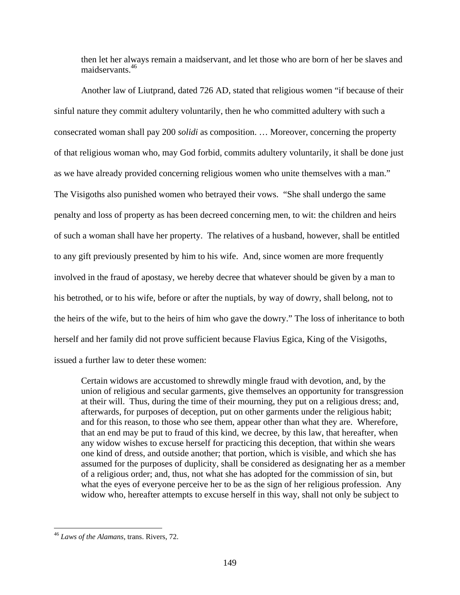then let her always remain a maidservant, and let those who are born of her be slaves and maidservants.46

 Another law of Liutprand, dated 726 AD, stated that religious women "if because of their sinful nature they commit adultery voluntarily, then he who committed adultery with such a consecrated woman shall pay 200 *solidi* as composition. … Moreover, concerning the property of that religious woman who, may God forbid, commits adultery voluntarily, it shall be done just as we have already provided concerning religious women who unite themselves with a man." The Visigoths also punished women who betrayed their vows. "She shall undergo the same penalty and loss of property as has been decreed concerning men, to wit: the children and heirs of such a woman shall have her property. The relatives of a husband, however, shall be entitled to any gift previously presented by him to his wife. And, since women are more frequently involved in the fraud of apostasy, we hereby decree that whatever should be given by a man to his betrothed, or to his wife, before or after the nuptials, by way of dowry, shall belong, not to the heirs of the wife, but to the heirs of him who gave the dowry." The loss of inheritance to both herself and her family did not prove sufficient because Flavius Egica, King of the Visigoths, issued a further law to deter these women:

Certain widows are accustomed to shrewdly mingle fraud with devotion, and, by the union of religious and secular garments, give themselves an opportunity for transgression at their will. Thus, during the time of their mourning, they put on a religious dress; and, afterwards, for purposes of deception, put on other garments under the religious habit; and for this reason, to those who see them, appear other than what they are. Wherefore, that an end may be put to fraud of this kind, we decree, by this law, that hereafter, when any widow wishes to excuse herself for practicing this deception, that within she wears one kind of dress, and outside another; that portion, which is visible, and which she has assumed for the purposes of duplicity, shall be considered as designating her as a member of a religious order; and, thus, not what she has adopted for the commission of sin, but what the eyes of everyone perceive her to be as the sign of her religious profession. Any widow who, hereafter attempts to excuse herself in this way, shall not only be subject to

<sup>46</sup> *Laws of the Alamans*, trans. Rivers, 72.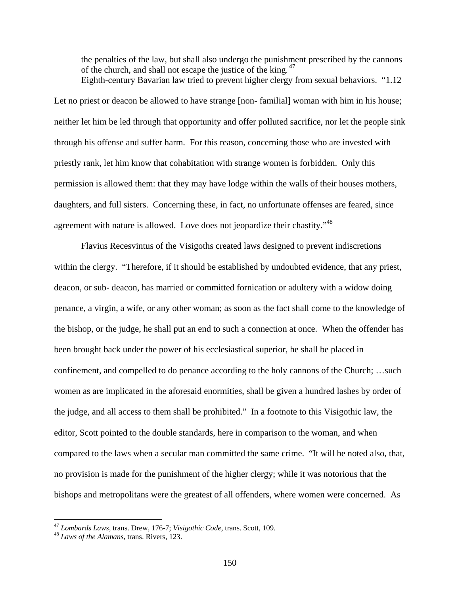the penalties of the law, but shall also undergo the punishment prescribed by the cannons of the church, and shall not escape the justice of the king.<sup>47</sup> Eighth-century Bavarian law tried to prevent higher clergy from sexual behaviors. "1.12

Let no priest or deacon be allowed to have strange [non- familial] woman with him in his house; neither let him be led through that opportunity and offer polluted sacrifice, nor let the people sink through his offense and suffer harm. For this reason, concerning those who are invested with priestly rank, let him know that cohabitation with strange women is forbidden. Only this permission is allowed them: that they may have lodge within the walls of their houses mothers, daughters, and full sisters. Concerning these, in fact, no unfortunate offenses are feared, since agreement with nature is allowed. Love does not jeopardize their chastity."48

Flavius Recesvintus of the Visigoths created laws designed to prevent indiscretions within the clergy. "Therefore, if it should be established by undoubted evidence, that any priest, deacon, or sub- deacon, has married or committed fornication or adultery with a widow doing penance, a virgin, a wife, or any other woman; as soon as the fact shall come to the knowledge of the bishop, or the judge, he shall put an end to such a connection at once. When the offender has been brought back under the power of his ecclesiastical superior, he shall be placed in confinement, and compelled to do penance according to the holy cannons of the Church; …such women as are implicated in the aforesaid enormities, shall be given a hundred lashes by order of the judge, and all access to them shall be prohibited." In a footnote to this Visigothic law, the editor, Scott pointed to the double standards, here in comparison to the woman, and when compared to the laws when a secular man committed the same crime. "It will be noted also, that, no provision is made for the punishment of the higher clergy; while it was notorious that the bishops and metropolitans were the greatest of all offenders, where women were concerned. As

<sup>47</sup> *Lombards Laws*, trans. Drew, 176-7; *Visigothic Code*, trans. Scott, 109. 48 *Laws of the Alamans*, trans. Rivers, 123.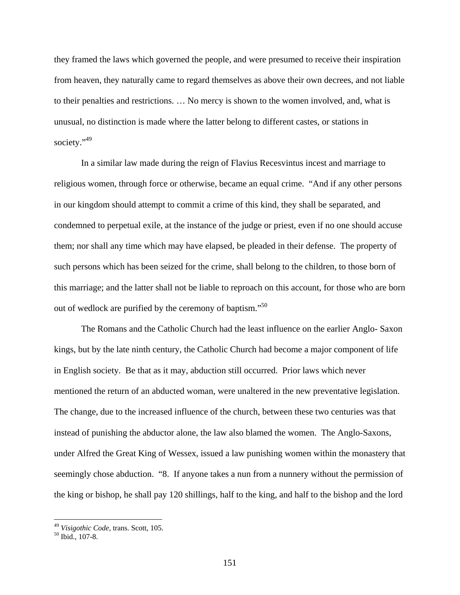they framed the laws which governed the people, and were presumed to receive their inspiration from heaven, they naturally came to regard themselves as above their own decrees, and not liable to their penalties and restrictions. … No mercy is shown to the women involved, and, what is unusual, no distinction is made where the latter belong to different castes, or stations in society."<sup>49</sup>

In a similar law made during the reign of Flavius Recesvintus incest and marriage to religious women, through force or otherwise, became an equal crime. "And if any other persons in our kingdom should attempt to commit a crime of this kind, they shall be separated, and condemned to perpetual exile, at the instance of the judge or priest, even if no one should accuse them; nor shall any time which may have elapsed, be pleaded in their defense. The property of such persons which has been seized for the crime, shall belong to the children, to those born of this marriage; and the latter shall not be liable to reproach on this account, for those who are born out of wedlock are purified by the ceremony of baptism."50

The Romans and the Catholic Church had the least influence on the earlier Anglo- Saxon kings, but by the late ninth century, the Catholic Church had become a major component of life in English society. Be that as it may, abduction still occurred. Prior laws which never mentioned the return of an abducted woman, were unaltered in the new preventative legislation. The change, due to the increased influence of the church, between these two centuries was that instead of punishing the abductor alone, the law also blamed the women. The Anglo-Saxons, under Alfred the Great King of Wessex, issued a law punishing women within the monastery that seemingly chose abduction. "8. If anyone takes a nun from a nunnery without the permission of the king or bishop, he shall pay 120 shillings, half to the king, and half to the bishop and the lord

<sup>&</sup>lt;sup>49</sup> *Visigothic Code*, trans. Scott, 105.<br><sup>50</sup> Ibid., 107-8.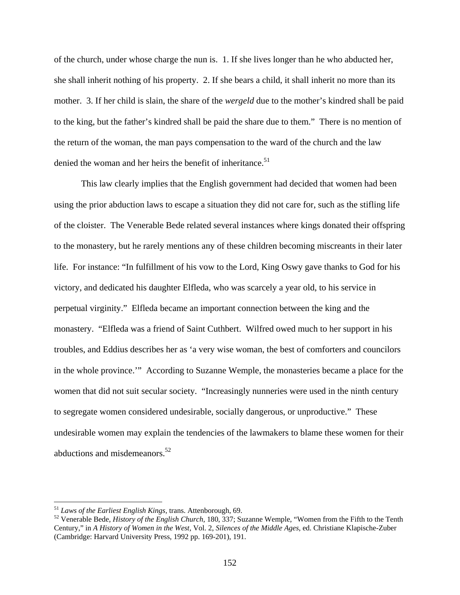of the church, under whose charge the nun is. 1. If she lives longer than he who abducted her, she shall inherit nothing of his property. 2. If she bears a child, it shall inherit no more than its mother. 3. If her child is slain, the share of the *wergeld* due to the mother's kindred shall be paid to the king, but the father's kindred shall be paid the share due to them." There is no mention of the return of the woman, the man pays compensation to the ward of the church and the law denied the woman and her heirs the benefit of inheritance.<sup>51</sup>

This law clearly implies that the English government had decided that women had been using the prior abduction laws to escape a situation they did not care for, such as the stifling life of the cloister. The Venerable Bede related several instances where kings donated their offspring to the monastery, but he rarely mentions any of these children becoming miscreants in their later life. For instance: "In fulfillment of his vow to the Lord, King Oswy gave thanks to God for his victory, and dedicated his daughter Elfleda, who was scarcely a year old, to his service in perpetual virginity." Elfleda became an important connection between the king and the monastery. "Elfleda was a friend of Saint Cuthbert. Wilfred owed much to her support in his troubles, and Eddius describes her as 'a very wise woman, the best of comforters and councilors in the whole province.'" According to Suzanne Wemple, the monasteries became a place for the women that did not suit secular society. "Increasingly nunneries were used in the ninth century to segregate women considered undesirable, socially dangerous, or unproductive." These undesirable women may explain the tendencies of the lawmakers to blame these women for their abductions and misdemeanors.<sup>52</sup>

 $51$  Laws of the Earliest English Kings, trans. Attenborough, 69.

<sup>&</sup>lt;sup>52</sup> Venerable Bede, *History of the English Church*, 180, 337; Suzanne Wemple, "Women from the Fifth to the Tenth Century," in *A History of Women in the West,* Vol. 2, *Silences of the Middle Ages*, ed. Christiane Klapische-Zuber (Cambridge: Harvard University Press, 1992 pp. 169-201), 191.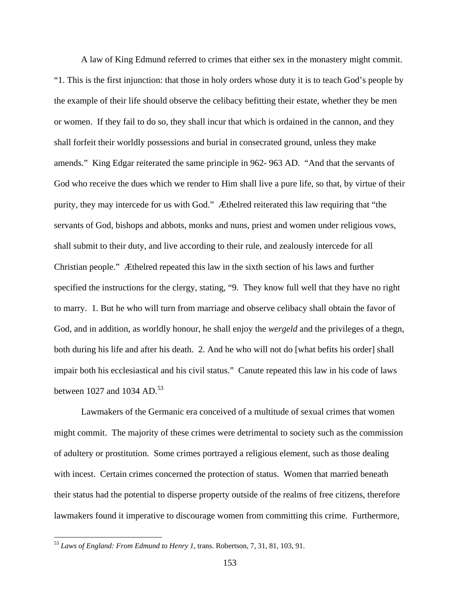A law of King Edmund referred to crimes that either sex in the monastery might commit. "1. This is the first injunction: that those in holy orders whose duty it is to teach God's people by the example of their life should observe the celibacy befitting their estate, whether they be men or women. If they fail to do so, they shall incur that which is ordained in the cannon, and they shall forfeit their worldly possessions and burial in consecrated ground, unless they make amends." King Edgar reiterated the same principle in 962- 963 AD. "And that the servants of God who receive the dues which we render to Him shall live a pure life, so that, by virtue of their purity, they may intercede for us with God." Æthelred reiterated this law requiring that "the servants of God, bishops and abbots, monks and nuns, priest and women under religious vows, shall submit to their duty, and live according to their rule, and zealously intercede for all Christian people." Æthelred repeated this law in the sixth section of his laws and further specified the instructions for the clergy, stating, "9. They know full well that they have no right to marry. 1. But he who will turn from marriage and observe celibacy shall obtain the favor of God, and in addition, as worldly honour, he shall enjoy the *wergeld* and the privileges of a thegn, both during his life and after his death. 2. And he who will not do [what befits his order] shall impair both his ecclesiastical and his civil status." Canute repeated this law in his code of laws between 1027 and 1034 AD.<sup>53</sup>

Lawmakers of the Germanic era conceived of a multitude of sexual crimes that women might commit. The majority of these crimes were detrimental to society such as the commission of adultery or prostitution. Some crimes portrayed a religious element, such as those dealing with incest. Certain crimes concerned the protection of status. Women that married beneath their status had the potential to disperse property outside of the realms of free citizens, therefore lawmakers found it imperative to discourage women from committing this crime. Furthermore,

<sup>53</sup> *Laws of England: From Edmund to Henry 1*, trans. Robertson, 7, 31, 81, 103, 91.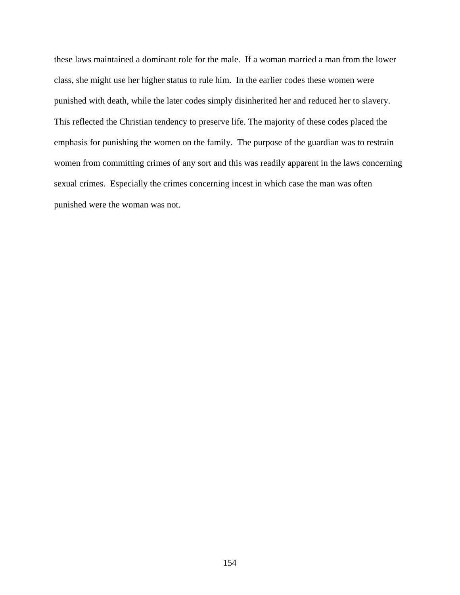these laws maintained a dominant role for the male. If a woman married a man from the lower class, she might use her higher status to rule him. In the earlier codes these women were punished with death, while the later codes simply disinherited her and reduced her to slavery. This reflected the Christian tendency to preserve life. The majority of these codes placed the emphasis for punishing the women on the family. The purpose of the guardian was to restrain women from committing crimes of any sort and this was readily apparent in the laws concerning sexual crimes. Especially the crimes concerning incest in which case the man was often punished were the woman was not.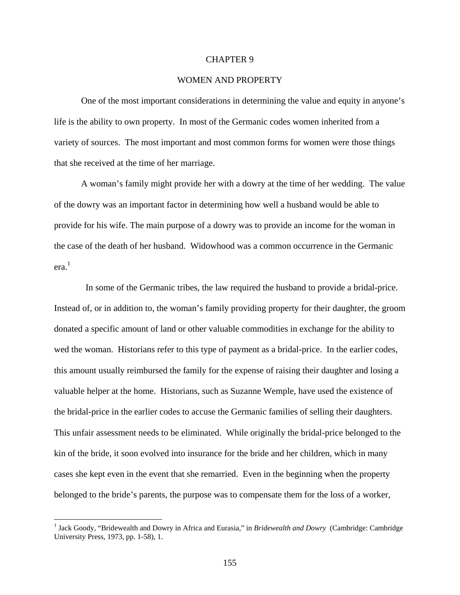## CHAPTER 9

## WOMEN AND PROPERTY

One of the most important considerations in determining the value and equity in anyone's life is the ability to own property. In most of the Germanic codes women inherited from a variety of sources. The most important and most common forms for women were those things that she received at the time of her marriage.

A woman's family might provide her with a dowry at the time of her wedding. The value of the dowry was an important factor in determining how well a husband would be able to provide for his wife. The main purpose of a dowry was to provide an income for the woman in the case of the death of her husband. Widowhood was a common occurrence in the Germanic era.1

 In some of the Germanic tribes, the law required the husband to provide a bridal-price. Instead of, or in addition to, the woman's family providing property for their daughter, the groom donated a specific amount of land or other valuable commodities in exchange for the ability to wed the woman. Historians refer to this type of payment as a bridal-price. In the earlier codes, this amount usually reimbursed the family for the expense of raising their daughter and losing a valuable helper at the home. Historians, such as Suzanne Wemple, have used the existence of the bridal-price in the earlier codes to accuse the Germanic families of selling their daughters. This unfair assessment needs to be eliminated. While originally the bridal-price belonged to the kin of the bride, it soon evolved into insurance for the bride and her children, which in many cases she kept even in the event that she remarried. Even in the beginning when the property belonged to the bride's parents, the purpose was to compensate them for the loss of a worker,

<sup>&</sup>lt;sup>1</sup> Jack Goody, "Bridewealth and Dowry in Africa and Eurasia," in *Bridewealth and Dowry* (Cambridge: Cambridge University Press, 1973, pp. 1-58), 1.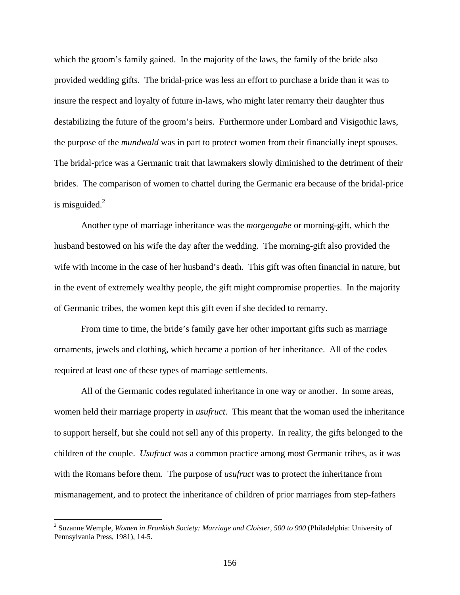which the groom's family gained. In the majority of the laws, the family of the bride also provided wedding gifts. The bridal-price was less an effort to purchase a bride than it was to insure the respect and loyalty of future in-laws, who might later remarry their daughter thus destabilizing the future of the groom's heirs. Furthermore under Lombard and Visigothic laws, the purpose of the *mundwald* was in part to protect women from their financially inept spouses. The bridal-price was a Germanic trait that lawmakers slowly diminished to the detriment of their brides. The comparison of women to chattel during the Germanic era because of the bridal-price is misguided. $2$ 

Another type of marriage inheritance was the *morgengabe* or morning-gift, which the husband bestowed on his wife the day after the wedding. The morning-gift also provided the wife with income in the case of her husband's death. This gift was often financial in nature, but in the event of extremely wealthy people, the gift might compromise properties. In the majority of Germanic tribes, the women kept this gift even if she decided to remarry.

From time to time, the bride's family gave her other important gifts such as marriage ornaments, jewels and clothing, which became a portion of her inheritance. All of the codes required at least one of these types of marriage settlements.

All of the Germanic codes regulated inheritance in one way or another. In some areas, women held their marriage property in *usufruct*. This meant that the woman used the inheritance to support herself, but she could not sell any of this property. In reality, the gifts belonged to the children of the couple. *Usufruct* was a common practice among most Germanic tribes, as it was with the Romans before them. The purpose of *usufruct* was to protect the inheritance from mismanagement, and to protect the inheritance of children of prior marriages from step-fathers

<sup>2</sup> Suzanne Wemple, *Women in Frankish Society: Marriage and Cloister, 500 to 900* (Philadelphia: University of Pennsylvania Press, 1981), 14-5.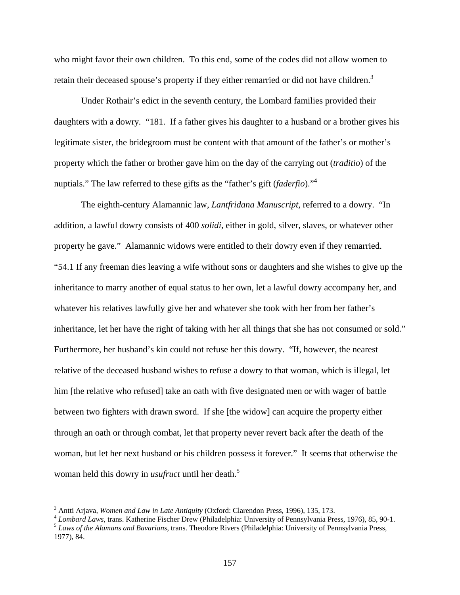who might favor their own children. To this end, some of the codes did not allow women to retain their deceased spouse's property if they either remarried or did not have children.<sup>3</sup>

Under Rothair's edict in the seventh century, the Lombard families provided their daughters with a dowry*.* "181. If a father gives his daughter to a husband or a brother gives his legitimate sister, the bridegroom must be content with that amount of the father's or mother's property which the father or brother gave him on the day of the carrying out (*traditio*) of the nuptials." The law referred to these gifts as the "father's gift (*faderfio*)."4

The eighth-century Alamannic law, *Lantfridana Manuscript,* referred to a dowry. "In addition, a lawful dowry consists of 400 *solidi*, either in gold, silver, slaves, or whatever other property he gave." Alamannic widows were entitled to their dowry even if they remarried. "54.1 If any freeman dies leaving a wife without sons or daughters and she wishes to give up the inheritance to marry another of equal status to her own, let a lawful dowry accompany her, and whatever his relatives lawfully give her and whatever she took with her from her father's inheritance, let her have the right of taking with her all things that she has not consumed or sold." Furthermore, her husband's kin could not refuse her this dowry. "If, however, the nearest relative of the deceased husband wishes to refuse a dowry to that woman, which is illegal, let him [the relative who refused] take an oath with five designated men or with wager of battle between two fighters with drawn sword. If she [the widow] can acquire the property either through an oath or through combat, let that property never revert back after the death of the woman, but let her next husband or his children possess it forever." It seems that otherwise the woman held this dowry in *usufruct* until her death.<sup>5</sup>

<sup>&</sup>lt;sup>3</sup> Antti Arjava, Women and Law in Late Antiquity (Oxford: Clarendon Press, 1996), 135, 173.

*Lombard Laws*, trans. Katherine Fischer Drew (Philadelphia: University of Pennsylvania Press, 1976), 85, 90-1.<br><sup>5</sup> Laws of the Alamans and Bavarians, trans. Theodore Rivers (Philadelphia: University of Pennsylvania Press,

<sup>1977), 84.</sup>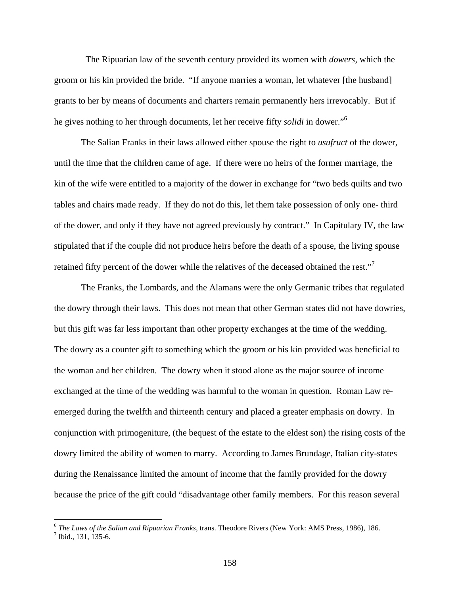The Ripuarian law of the seventh century provided its women with *dowers,* which the groom or his kin provided the bride. "If anyone marries a woman, let whatever [the husband] grants to her by means of documents and charters remain permanently hers irrevocably. But if he gives nothing to her through documents, let her receive fifty *solidi* in dower."<sup>6</sup>

The Salian Franks in their laws allowed either spouse the right to *usufruct* of the dower, until the time that the children came of age. If there were no heirs of the former marriage, the kin of the wife were entitled to a majority of the dower in exchange for "two beds quilts and two tables and chairs made ready. If they do not do this, let them take possession of only one- third of the dower, and only if they have not agreed previously by contract." In Capitulary IV, the law stipulated that if the couple did not produce heirs before the death of a spouse, the living spouse retained fifty percent of the dower while the relatives of the deceased obtained the rest."<sup>7</sup>

The Franks, the Lombards, and the Alamans were the only Germanic tribes that regulated the dowry through their laws. This does not mean that other German states did not have dowries, but this gift was far less important than other property exchanges at the time of the wedding. The dowry as a counter gift to something which the groom or his kin provided was beneficial to the woman and her children. The dowry when it stood alone as the major source of income exchanged at the time of the wedding was harmful to the woman in question. Roman Law reemerged during the twelfth and thirteenth century and placed a greater emphasis on dowry. In conjunction with primogeniture, (the bequest of the estate to the eldest son) the rising costs of the dowry limited the ability of women to marry. According to James Brundage, Italian city-states during the Renaissance limited the amount of income that the family provided for the dowry because the price of the gift could "disadvantage other family members. For this reason several

<sup>6</sup> *The Laws of the Salian and Ripuarian Franks*, trans. Theodore Rivers (New York: AMS Press, 1986), 186. 7  $<sup>7</sup>$  Ibid., 131, 135-6.</sup>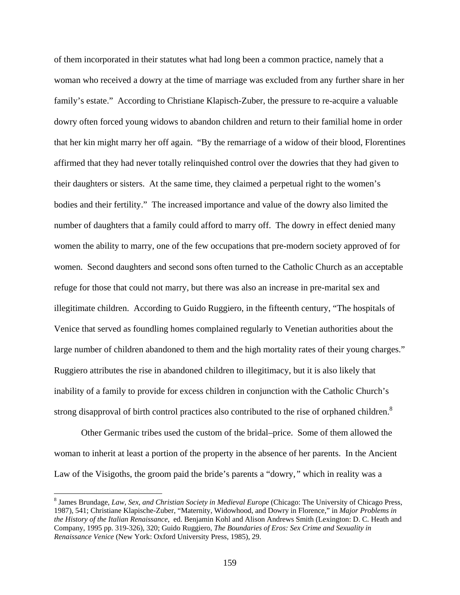of them incorporated in their statutes what had long been a common practice, namely that a woman who received a dowry at the time of marriage was excluded from any further share in her family's estate." According to Christiane Klapisch-Zuber, the pressure to re-acquire a valuable dowry often forced young widows to abandon children and return to their familial home in order that her kin might marry her off again. "By the remarriage of a widow of their blood, Florentines affirmed that they had never totally relinquished control over the dowries that they had given to their daughters or sisters. At the same time, they claimed a perpetual right to the women's bodies and their fertility." The increased importance and value of the dowry also limited the number of daughters that a family could afford to marry off. The dowry in effect denied many women the ability to marry, one of the few occupations that pre-modern society approved of for women. Second daughters and second sons often turned to the Catholic Church as an acceptable refuge for those that could not marry, but there was also an increase in pre-marital sex and illegitimate children. According to Guido Ruggiero, in the fifteenth century, "The hospitals of Venice that served as foundling homes complained regularly to Venetian authorities about the large number of children abandoned to them and the high mortality rates of their young charges." Ruggiero attributes the rise in abandoned children to illegitimacy, but it is also likely that inability of a family to provide for excess children in conjunction with the Catholic Church's strong disapproval of birth control practices also contributed to the rise of orphaned children. $8$ 

Other Germanic tribes used the custom of the bridal–price. Some of them allowed the woman to inherit at least a portion of the property in the absence of her parents. In the Ancient Law of the Visigoths, the groom paid the bride's parents a "dowry,*"* which in reality was a

<sup>8</sup> James Brundage, *Law, Sex, and Christian Society in Medieval Europe* (Chicago: The University of Chicago Press, 1987), 541; Christiane Klapische-Zuber, "Maternity, Widowhood, and Dowry in Florence," in *Major Problems in the History of the Italian Renaissance*, ed. Benjamin Kohl and Alison Andrews Smith (Lexington: D. C. Heath and Company, 1995 pp. 319-326), 320; Guido Ruggiero, *The Boundaries of Eros: Sex Crime and Sexuality in Renaissance Venice* (New York: Oxford University Press, 1985), 29.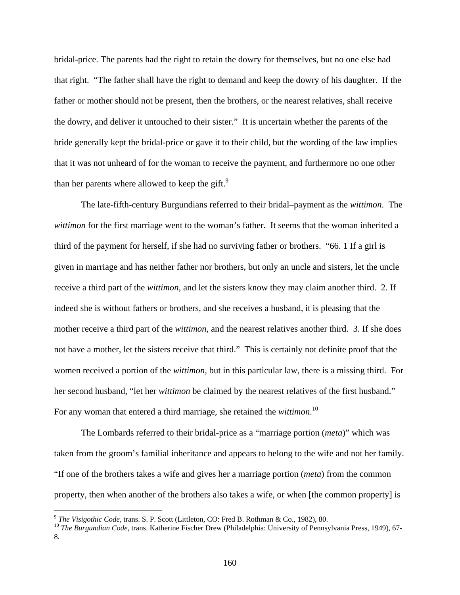bridal-price. The parents had the right to retain the dowry for themselves, but no one else had that right. "The father shall have the right to demand and keep the dowry of his daughter. If the father or mother should not be present, then the brothers, or the nearest relatives, shall receive the dowry, and deliver it untouched to their sister." It is uncertain whether the parents of the bride generally kept the bridal-price or gave it to their child, but the wording of the law implies that it was not unheard of for the woman to receive the payment, and furthermore no one other than her parents where allowed to keep the gift. $9$ 

The late-fifth-century Burgundians referred to their bridal–payment as the *wittimon*. The *wittimon* for the first marriage went to the woman's father. It seems that the woman inherited a third of the payment for herself, if she had no surviving father or brothers. "66. 1 If a girl is given in marriage and has neither father nor brothers, but only an uncle and sisters, let the uncle receive a third part of the *wittimon*, and let the sisters know they may claim another third. 2. If indeed she is without fathers or brothers, and she receives a husband, it is pleasing that the mother receive a third part of the *wittimon*, and the nearest relatives another third. 3. If she does not have a mother, let the sisters receive that third." This is certainly not definite proof that the women received a portion of the *wittimon*, but in this particular law, there is a missing third. For her second husband, "let her *wittimon* be claimed by the nearest relatives of the first husband." For any woman that entered a third marriage, she retained the *wittimon*. 10

The Lombards referred to their bridal-price as a "marriage portion (*meta*)" which was taken from the groom's familial inheritance and appears to belong to the wife and not her family. "If one of the brothers takes a wife and gives her a marriage portion (*meta*) from the common property, then when another of the brothers also takes a wife, or when [the common property] is

<sup>&</sup>lt;sup>9</sup> *The Visigothic Code*, trans. S. P. Scott (Littleton, CO: Fred B. Rothman & Co., 1982), 80.<br><sup>10</sup> *The Burgundian Code*, trans. Katherine Fischer Drew (Philadelphia: University of Pennsylvania Press, 1949), 67-8.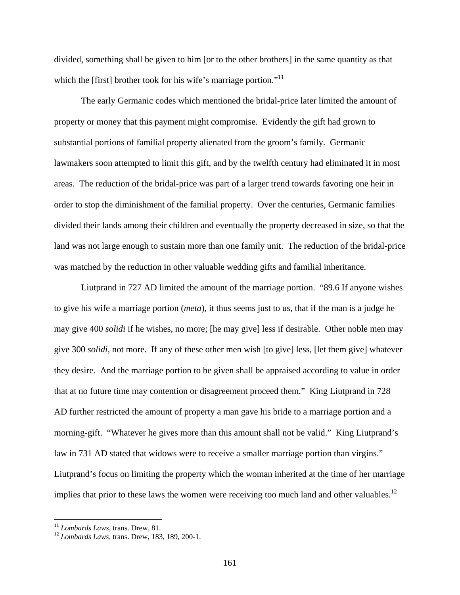divided, something shall be given to him [or to the other brothers] in the same quantity as that which the [first] brother took for his wife's marriage portion."<sup>11</sup>

The early Germanic codes which mentioned the bridal-price later limited the amount of property or money that this payment might compromise. Evidently the gift had grown to substantial portions of familial property alienated from the groom's family. Germanic lawmakers soon attempted to limit this gift, and by the twelfth century had eliminated it in most areas. The reduction of the bridal-price was part of a larger trend towards favoring one heir in order to stop the diminishment of the familial property. Over the centuries, Germanic families divided their lands among their children and eventually the property decreased in size, so that the land was not large enough to sustain more than one family unit. The reduction of the bridal-price was matched by the reduction in other valuable wedding gifts and familial inheritance.

Liutprand in 727 AD limited the amount of the marriage portion. "89.6 If anyone wishes to give his wife a marriage portion (*meta*), it thus seems just to us, that if the man is a judge he may give 400 *solidi* if he wishes, no more; [he may give] less if desirable. Other noble men may give 300 *solidi*, not more. If any of these other men wish [to give] less, [let them give] whatever they desire. And the marriage portion to be given shall be appraised according to value in order that at no future time may contention or disagreement proceed them." King Liutprand in 728 AD further restricted the amount of property a man gave his bride to a marriage portion and a morning-gift. "Whatever he gives more than this amount shall not be valid." King Liutprand's law in 731 AD stated that widows were to receive a smaller marriage portion than virgins." Liutprand's focus on limiting the property which the woman inherited at the time of her marriage implies that prior to these laws the women were receiving too much land and other valuables.<sup>12</sup>

<sup>&</sup>lt;sup>11</sup> *Lombards Laws*, trans. Drew, 81.<br><sup>12</sup> *Lombards Laws*, trans. Drew, 183, 189, 200-1.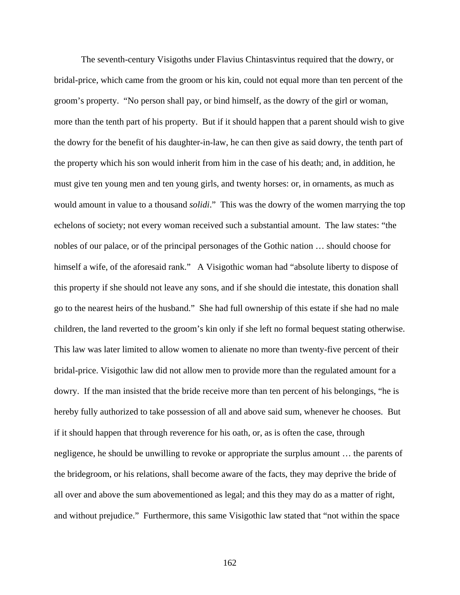The seventh-century Visigoths under Flavius Chintasvintus required that the dowry, or bridal-price, which came from the groom or his kin, could not equal more than ten percent of the groom's property. "No person shall pay, or bind himself, as the dowry of the girl or woman, more than the tenth part of his property. But if it should happen that a parent should wish to give the dowry for the benefit of his daughter-in-law, he can then give as said dowry, the tenth part of the property which his son would inherit from him in the case of his death; and, in addition, he must give ten young men and ten young girls, and twenty horses: or, in ornaments, as much as would amount in value to a thousand *solidi*." This was the dowry of the women marrying the top echelons of society; not every woman received such a substantial amount. The law states: "the nobles of our palace, or of the principal personages of the Gothic nation … should choose for himself a wife, of the aforesaid rank." A Visigothic woman had "absolute liberty to dispose of this property if she should not leave any sons, and if she should die intestate, this donation shall go to the nearest heirs of the husband." She had full ownership of this estate if she had no male children, the land reverted to the groom's kin only if she left no formal bequest stating otherwise. This law was later limited to allow women to alienate no more than twenty-five percent of their bridal-price. Visigothic law did not allow men to provide more than the regulated amount for a dowry. If the man insisted that the bride receive more than ten percent of his belongings, "he is hereby fully authorized to take possession of all and above said sum, whenever he chooses. But if it should happen that through reverence for his oath, or, as is often the case, through negligence, he should be unwilling to revoke or appropriate the surplus amount … the parents of the bridegroom, or his relations, shall become aware of the facts, they may deprive the bride of all over and above the sum abovementioned as legal; and this they may do as a matter of right, and without prejudice." Furthermore, this same Visigothic law stated that "not within the space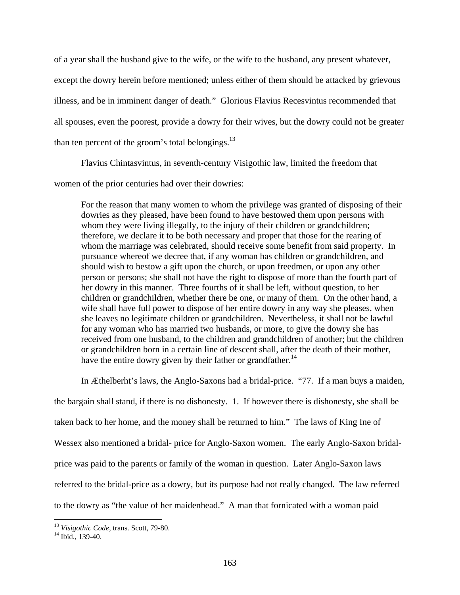of a year shall the husband give to the wife, or the wife to the husband, any present whatever, except the dowry herein before mentioned; unless either of them should be attacked by grievous illness, and be in imminent danger of death." Glorious Flavius Recesvintus recommended that all spouses, even the poorest, provide a dowry for their wives, but the dowry could not be greater than ten percent of the groom's total belongings. $^{13}$ 

Flavius Chintasvintus, in seventh-century Visigothic law, limited the freedom that

women of the prior centuries had over their dowries:

For the reason that many women to whom the privilege was granted of disposing of their dowries as they pleased, have been found to have bestowed them upon persons with whom they were living illegally, to the injury of their children or grandchildren; therefore, we declare it to be both necessary and proper that those for the rearing of whom the marriage was celebrated, should receive some benefit from said property. In pursuance whereof we decree that, if any woman has children or grandchildren, and should wish to bestow a gift upon the church, or upon freedmen, or upon any other person or persons; she shall not have the right to dispose of more than the fourth part of her dowry in this manner. Three fourths of it shall be left, without question, to her children or grandchildren, whether there be one, or many of them. On the other hand, a wife shall have full power to dispose of her entire dowry in any way she pleases, when she leaves no legitimate children or grandchildren. Nevertheless, it shall not be lawful for any woman who has married two husbands, or more, to give the dowry she has received from one husband, to the children and grandchildren of another; but the children or grandchildren born in a certain line of descent shall, after the death of their mother, have the entire dowry given by their father or grandfather.<sup>14</sup>

In Æthelberht's laws, the Anglo-Saxons had a bridal-price. "77. If a man buys a maiden, the bargain shall stand, if there is no dishonesty. 1. If however there is dishonesty, she shall be taken back to her home, and the money shall be returned to him." The laws of King Ine of Wessex also mentioned a bridal- price for Anglo-Saxon women. The early Anglo-Saxon bridalprice was paid to the parents or family of the woman in question. Later Anglo-Saxon laws referred to the bridal-price as a dowry, but its purpose had not really changed. The law referred to the dowry as "the value of her maidenhead." A man that fornicated with a woman paid

<sup>&</sup>lt;sup>13</sup> *Visigothic Code*, trans. Scott, 79-80.<br><sup>14</sup> Ibid., 139-40.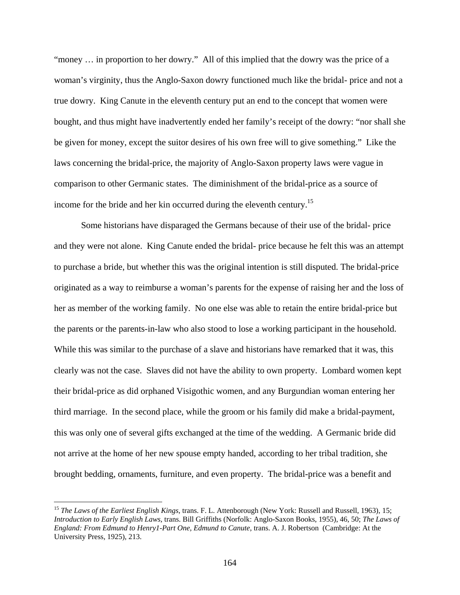"money ... in proportion to her dowry." All of this implied that the dowry was the price of a woman's virginity, thus the Anglo-Saxon dowry functioned much like the bridal- price and not a true dowry. King Canute in the eleventh century put an end to the concept that women were bought, and thus might have inadvertently ended her family's receipt of the dowry: "nor shall she be given for money, except the suitor desires of his own free will to give something." Like the laws concerning the bridal-price, the majority of Anglo-Saxon property laws were vague in comparison to other Germanic states. The diminishment of the bridal-price as a source of income for the bride and her kin occurred during the eleventh century.<sup>15</sup>

Some historians have disparaged the Germans because of their use of the bridal- price and they were not alone. King Canute ended the bridal- price because he felt this was an attempt to purchase a bride, but whether this was the original intention is still disputed. The bridal-price originated as a way to reimburse a woman's parents for the expense of raising her and the loss of her as member of the working family. No one else was able to retain the entire bridal-price but the parents or the parents-in-law who also stood to lose a working participant in the household. While this was similar to the purchase of a slave and historians have remarked that it was, this clearly was not the case. Slaves did not have the ability to own property. Lombard women kept their bridal-price as did orphaned Visigothic women, and any Burgundian woman entering her third marriage. In the second place, while the groom or his family did make a bridal-payment, this was only one of several gifts exchanged at the time of the wedding. A Germanic bride did not arrive at the home of her new spouse empty handed, according to her tribal tradition, she brought bedding, ornaments, furniture, and even property. The bridal-price was a benefit and

<sup>&</sup>lt;sup>15</sup> *The Laws of the Earliest English Kings*, trans. F. L. Attenborough (New York: Russell and Russell, 1963), 15; *Introduction to Early English Laws*, trans. Bill Griffiths (Norfolk: Anglo-Saxon Books, 1955), 46, 50; *The Laws of England: From Edmund to Henry1-Part One, Edmund to Canute*, trans. A. J. Robertson (Cambridge: At the University Press, 1925), 213.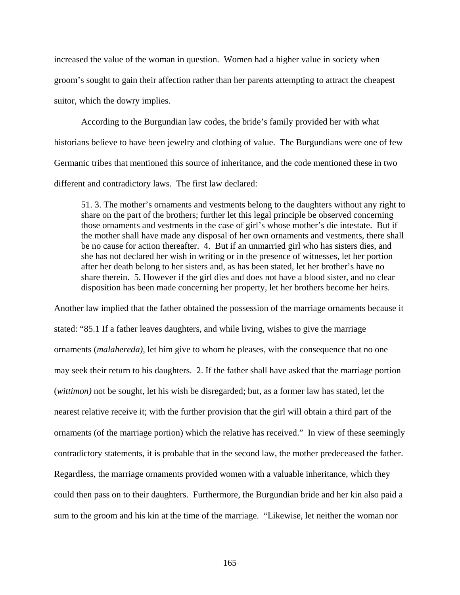increased the value of the woman in question. Women had a higher value in society when groom's sought to gain their affection rather than her parents attempting to attract the cheapest suitor, which the dowry implies.

According to the Burgundian law codes, the bride's family provided her with what historians believe to have been jewelry and clothing of value. The Burgundians were one of few Germanic tribes that mentioned this source of inheritance, and the code mentioned these in two different and contradictory laws. The first law declared:

51. 3. The mother's ornaments and vestments belong to the daughters without any right to share on the part of the brothers; further let this legal principle be observed concerning those ornaments and vestments in the case of girl's whose mother's die intestate. But if the mother shall have made any disposal of her own ornaments and vestments, there shall be no cause for action thereafter. 4. But if an unmarried girl who has sisters dies, and she has not declared her wish in writing or in the presence of witnesses, let her portion after her death belong to her sisters and, as has been stated, let her brother's have no share therein. 5. However if the girl dies and does not have a blood sister, and no clear disposition has been made concerning her property, let her brothers become her heirs.

Another law implied that the father obtained the possession of the marriage ornaments because it stated: "85.1 If a father leaves daughters, and while living, wishes to give the marriage ornaments (*malahereda)*, let him give to whom he pleases, with the consequence that no one may seek their return to his daughters. 2. If the father shall have asked that the marriage portion (*wittimon)* not be sought, let his wish be disregarded; but, as a former law has stated, let the nearest relative receive it; with the further provision that the girl will obtain a third part of the ornaments (of the marriage portion) which the relative has received." In view of these seemingly contradictory statements, it is probable that in the second law, the mother predeceased the father. Regardless, the marriage ornaments provided women with a valuable inheritance, which they could then pass on to their daughters. Furthermore, the Burgundian bride and her kin also paid a sum to the groom and his kin at the time of the marriage. "Likewise, let neither the woman nor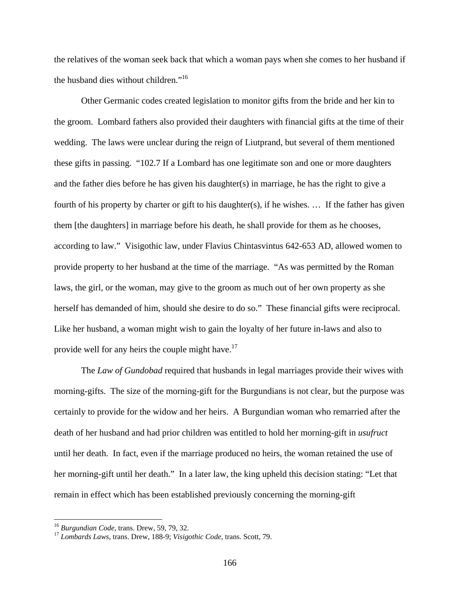the relatives of the woman seek back that which a woman pays when she comes to her husband if the husband dies without children."<sup>16</sup>

Other Germanic codes created legislation to monitor gifts from the bride and her kin to the groom. Lombard fathers also provided their daughters with financial gifts at the time of their wedding. The laws were unclear during the reign of Liutprand, but several of them mentioned these gifts in passing. "102.7 If a Lombard has one legitimate son and one or more daughters and the father dies before he has given his daughter(s) in marriage, he has the right to give a fourth of his property by charter or gift to his daughter(s), if he wishes. … If the father has given them [the daughters] in marriage before his death, he shall provide for them as he chooses, according to law." Visigothic law, under Flavius Chintasvintus 642-653 AD, allowed women to provide property to her husband at the time of the marriage. "As was permitted by the Roman laws, the girl, or the woman, may give to the groom as much out of her own property as she herself has demanded of him, should she desire to do so." These financial gifts were reciprocal. Like her husband, a woman might wish to gain the loyalty of her future in-laws and also to provide well for any heirs the couple might have.<sup>17</sup>

The *Law of Gundobad* required that husbands in legal marriages provide their wives with morning-gifts. The size of the morning-gift for the Burgundians is not clear, but the purpose was certainly to provide for the widow and her heirs. A Burgundian woman who remarried after the death of her husband and had prior children was entitled to hold her morning-gift in *usufruct* until her death. In fact, even if the marriage produced no heirs, the woman retained the use of her morning-gift until her death." In a later law, the king upheld this decision stating: "Let that remain in effect which has been established previously concerning the morning-gift

<sup>&</sup>lt;sup>16</sup> *Burgundian Code*, trans. Drew, 59, 79, 32.<br><sup>17</sup> *Lombards Laws*, trans. Drew, 188-9; *Visigothic Code*, trans. Scott, 79.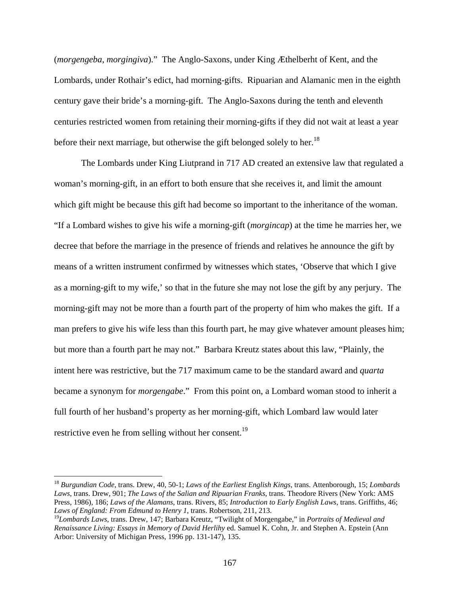(*morgengeba*, *morgingiva*)." The Anglo-Saxons, under King Æthelberht of Kent, and the Lombards, under Rothair's edict, had morning-gifts. Ripuarian and Alamanic men in the eighth century gave their bride's a morning-gift. The Anglo-Saxons during the tenth and eleventh centuries restricted women from retaining their morning-gifts if they did not wait at least a year before their next marriage, but otherwise the gift belonged solely to her.<sup>18</sup>

The Lombards under King Liutprand in 717 AD created an extensive law that regulated a woman's morning-gift, in an effort to both ensure that she receives it, and limit the amount which gift might be because this gift had become so important to the inheritance of the woman. "If a Lombard wishes to give his wife a morning-gift (*morgincap*) at the time he marries her, we decree that before the marriage in the presence of friends and relatives he announce the gift by means of a written instrument confirmed by witnesses which states, 'Observe that which I give as a morning-gift to my wife,' so that in the future she may not lose the gift by any perjury. The morning-gift may not be more than a fourth part of the property of him who makes the gift. If a man prefers to give his wife less than this fourth part, he may give whatever amount pleases him; but more than a fourth part he may not." Barbara Kreutz states about this law, "Plainly, the intent here was restrictive, but the 717 maximum came to be the standard award and *quarta*  became a synonym for *morgengabe*." From this point on, a Lombard woman stood to inherit a full fourth of her husband's property as her morning-gift, which Lombard law would later restrictive even he from selling without her consent.<sup>19</sup>

<sup>18</sup> *Burgundian Code*, trans. Drew, 40, 50-1; *Laws of the Earliest English Kings,* trans. Attenborough, 15; *Lombards Laws*, trans. Drew, 901; *The Laws of the Salian and Ripuarian Franks*, trans. Theodore Rivers (New York: AMS Press, 1986), 186; *Laws of the Alamans*, trans. Rivers, 85; *Introduction to Early English Laws*, trans. Griffiths, 46; *Laws of England: From Edmund to Henry 1*, trans. Robertson, 211, 213.

<sup>19</sup>*Lombards Laws*, trans. Drew, 147; Barbara Kreutz, "Twilight of Morgengabe," in *Portraits of Medieval and Renaissance Living: Essays in Memory of David Herlihy* ed. Samuel K. Cohn, Jr. and Stephen A. Epstein (Ann Arbor: University of Michigan Press, 1996 pp. 131-147), 135.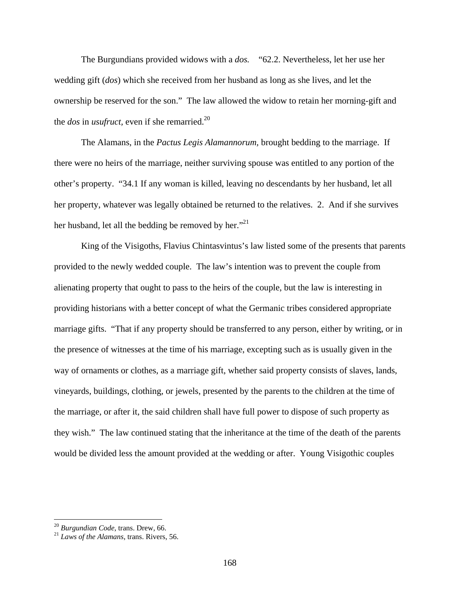The Burgundians provided widows with a *dos.* "62.2. Nevertheless, let her use her wedding gift (*dos*) which she received from her husband as long as she lives, and let the ownership be reserved for the son." The law allowed the widow to retain her morning-gift and the *dos* in *usufruct,* even if she remarried.20

The Alamans, in the *Pactus Legis Alamannorum,* brought bedding to the marriage. If there were no heirs of the marriage, neither surviving spouse was entitled to any portion of the other's property. "34.1 If any woman is killed, leaving no descendants by her husband, let all her property, whatever was legally obtained be returned to the relatives. 2. And if she survives her husband, let all the bedding be removed by her."<sup>21</sup>

King of the Visigoths, Flavius Chintasvintus's law listed some of the presents that parents provided to the newly wedded couple. The law's intention was to prevent the couple from alienating property that ought to pass to the heirs of the couple, but the law is interesting in providing historians with a better concept of what the Germanic tribes considered appropriate marriage gifts. "That if any property should be transferred to any person, either by writing, or in the presence of witnesses at the time of his marriage, excepting such as is usually given in the way of ornaments or clothes, as a marriage gift, whether said property consists of slaves, lands, vineyards, buildings, clothing, or jewels, presented by the parents to the children at the time of the marriage, or after it, the said children shall have full power to dispose of such property as they wish." The law continued stating that the inheritance at the time of the death of the parents would be divided less the amount provided at the wedding or after. Young Visigothic couples

<sup>&</sup>lt;sup>20</sup> Burgundian Code, trans. Drew, 66.

<sup>&</sup>lt;sup>21</sup> *Laws of the Alamans*, trans. Rivers, 56.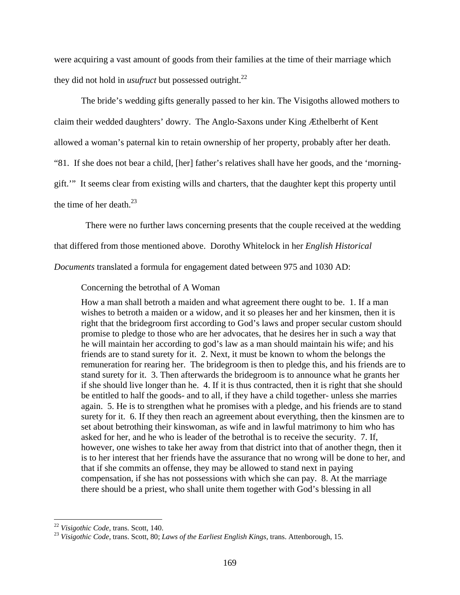were acquiring a vast amount of goods from their families at the time of their marriage which they did not hold in *usufruct* but possessed outright.<sup>22</sup>

The bride's wedding gifts generally passed to her kin. The Visigoths allowed mothers to claim their wedded daughters' dowry. The Anglo-Saxons under King Æthelberht of Kent allowed a woman's paternal kin to retain ownership of her property, probably after her death. "81. If she does not bear a child, [her] father's relatives shall have her goods, and the 'morninggift.'" It seems clear from existing wills and charters, that the daughter kept this property until the time of her death  $^{23}$ 

There were no further laws concerning presents that the couple received at the wedding

that differed from those mentioned above. Dorothy Whitelock in her *English Historical* 

*Documents* translated a formula for engagement dated between 975 and 1030 AD:

Concerning the betrothal of A Woman

How a man shall betroth a maiden and what agreement there ought to be. 1. If a man wishes to betroth a maiden or a widow, and it so pleases her and her kinsmen, then it is right that the bridegroom first according to God's laws and proper secular custom should promise to pledge to those who are her advocates, that he desires her in such a way that he will maintain her according to god's law as a man should maintain his wife; and his friends are to stand surety for it. 2. Next, it must be known to whom the belongs the remuneration for rearing her. The bridegroom is then to pledge this, and his friends are to stand surety for it. 3. Then afterwards the bridegroom is to announce what he grants her if she should live longer than he. 4. If it is thus contracted, then it is right that she should be entitled to half the goods- and to all, if they have a child together- unless she marries again. 5. He is to strengthen what he promises with a pledge, and his friends are to stand surety for it. 6. If they then reach an agreement about everything, then the kinsmen are to set about betrothing their kinswoman, as wife and in lawful matrimony to him who has asked for her, and he who is leader of the betrothal is to receive the security. 7. If, however, one wishes to take her away from that district into that of another thegn, then it is to her interest that her friends have the assurance that no wrong will be done to her, and that if she commits an offense, they may be allowed to stand next in paying compensation, if she has not possessions with which she can pay. 8. At the marriage there should be a priest, who shall unite them together with God's blessing in all

<sup>&</sup>lt;sup>22</sup> Visigothic Code, trans. Scott, 140.

<sup>&</sup>lt;sup>23</sup> Visigothic Code, trans. Scott, 80; *Laws of the Earliest English Kings*, trans. Attenborough, 15.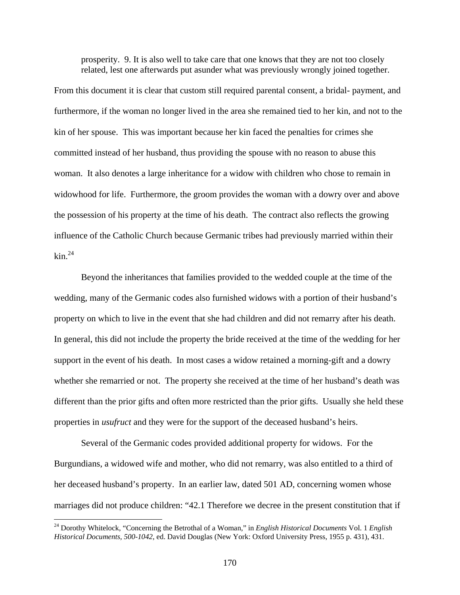prosperity. 9. It is also well to take care that one knows that they are not too closely related, lest one afterwards put asunder what was previously wrongly joined together.

From this document it is clear that custom still required parental consent, a bridal- payment, and furthermore, if the woman no longer lived in the area she remained tied to her kin, and not to the kin of her spouse. This was important because her kin faced the penalties for crimes she committed instead of her husband, thus providing the spouse with no reason to abuse this woman. It also denotes a large inheritance for a widow with children who chose to remain in widowhood for life. Furthermore, the groom provides the woman with a dowry over and above the possession of his property at the time of his death. The contract also reflects the growing influence of the Catholic Church because Germanic tribes had previously married within their  $\mathrm{kin}^{24}$ 

Beyond the inheritances that families provided to the wedded couple at the time of the wedding, many of the Germanic codes also furnished widows with a portion of their husband's property on which to live in the event that she had children and did not remarry after his death. In general, this did not include the property the bride received at the time of the wedding for her support in the event of his death. In most cases a widow retained a morning-gift and a dowry whether she remarried or not. The property she received at the time of her husband's death was different than the prior gifts and often more restricted than the prior gifts. Usually she held these properties in *usufruct* and they were for the support of the deceased husband's heirs.

Several of the Germanic codes provided additional property for widows. For the Burgundians, a widowed wife and mother, who did not remarry, was also entitled to a third of her deceased husband's property. In an earlier law, dated 501 AD, concerning women whose marriages did not produce children: "42.1 Therefore we decree in the present constitution that if

<sup>24</sup> Dorothy Whitelock, "Concerning the Betrothal of a Woman," in *English Historical Documents* Vol. 1 *English Historical Documents, 500-1042*, ed. David Douglas (New York: Oxford University Press, 1955 p. 431), 431.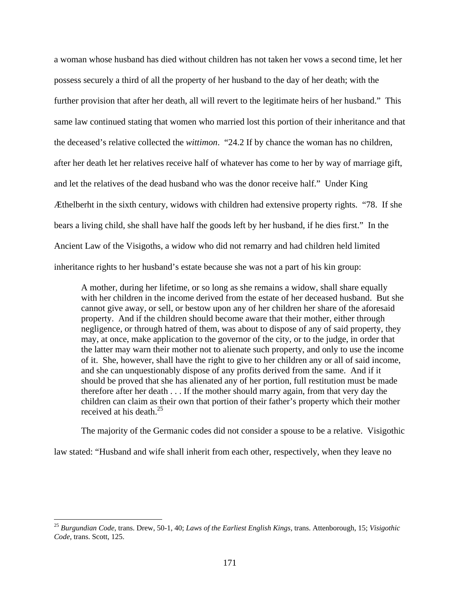a woman whose husband has died without children has not taken her vows a second time, let her possess securely a third of all the property of her husband to the day of her death; with the further provision that after her death, all will revert to the legitimate heirs of her husband." This same law continued stating that women who married lost this portion of their inheritance and that the deceased's relative collected the *wittimon*. "24.2 If by chance the woman has no children, after her death let her relatives receive half of whatever has come to her by way of marriage gift, and let the relatives of the dead husband who was the donor receive half." Under King Æthelberht in the sixth century, widows with children had extensive property rights. "78. If she bears a living child, she shall have half the goods left by her husband, if he dies first." In the Ancient Law of the Visigoths, a widow who did not remarry and had children held limited inheritance rights to her husband's estate because she was not a part of his kin group:

A mother, during her lifetime, or so long as she remains a widow, shall share equally with her children in the income derived from the estate of her deceased husband. But she cannot give away, or sell, or bestow upon any of her children her share of the aforesaid property. And if the children should become aware that their mother, either through negligence, or through hatred of them, was about to dispose of any of said property, they may, at once, make application to the governor of the city, or to the judge, in order that the latter may warn their mother not to alienate such property, and only to use the income of it. She, however, shall have the right to give to her children any or all of said income, and she can unquestionably dispose of any profits derived from the same. And if it should be proved that she has alienated any of her portion, full restitution must be made therefore after her death . . . If the mother should marry again, from that very day the children can claim as their own that portion of their father's property which their mother received at his death.<sup>25</sup>

The majority of the Germanic codes did not consider a spouse to be a relative. Visigothic

law stated: "Husband and wife shall inherit from each other, respectively, when they leave no

<sup>25</sup> *Burgundian Code*, trans. Drew, 50-1, 40; *Laws of the Earliest English Kings,* trans. Attenborough, 15; *Visigothic Code*, trans. Scott, 125.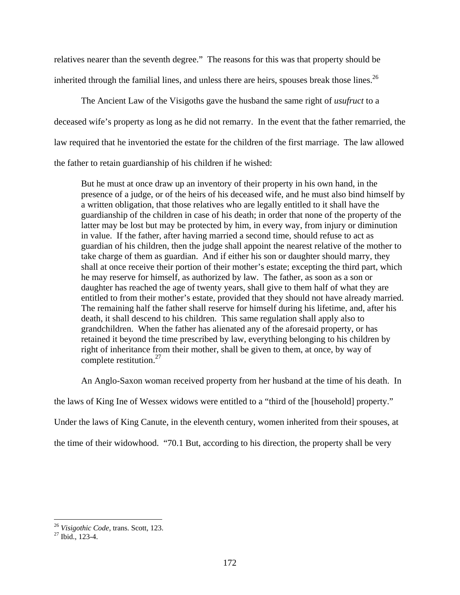relatives nearer than the seventh degree." The reasons for this was that property should be inherited through the familial lines, and unless there are heirs, spouses break those lines.<sup>26</sup>

The Ancient Law of the Visigoths gave the husband the same right of *usufruct* to a deceased wife's property as long as he did not remarry. In the event that the father remarried, the law required that he inventoried the estate for the children of the first marriage. The law allowed the father to retain guardianship of his children if he wished:

But he must at once draw up an inventory of their property in his own hand, in the presence of a judge, or of the heirs of his deceased wife, and he must also bind himself by a written obligation, that those relatives who are legally entitled to it shall have the guardianship of the children in case of his death; in order that none of the property of the latter may be lost but may be protected by him, in every way, from injury or diminution in value. If the father, after having married a second time, should refuse to act as guardian of his children, then the judge shall appoint the nearest relative of the mother to take charge of them as guardian. And if either his son or daughter should marry, they shall at once receive their portion of their mother's estate; excepting the third part, which he may reserve for himself, as authorized by law. The father, as soon as a son or daughter has reached the age of twenty years, shall give to them half of what they are entitled to from their mother's estate, provided that they should not have already married. The remaining half the father shall reserve for himself during his lifetime, and, after his death, it shall descend to his children. This same regulation shall apply also to grandchildren. When the father has alienated any of the aforesaid property, or has retained it beyond the time prescribed by law, everything belonging to his children by right of inheritance from their mother, shall be given to them, at once, by way of complete restitution.27

An Anglo-Saxon woman received property from her husband at the time of his death. In

the laws of King Ine of Wessex widows were entitled to a "third of the [household] property."

Under the laws of King Canute, in the eleventh century, women inherited from their spouses, at

the time of their widowhood. "70.1 But, according to his direction, the property shall be very

<sup>&</sup>lt;sup>26</sup> *Visigothic Code*, trans. Scott, 123.<br><sup>27</sup> Ibid., 123-4.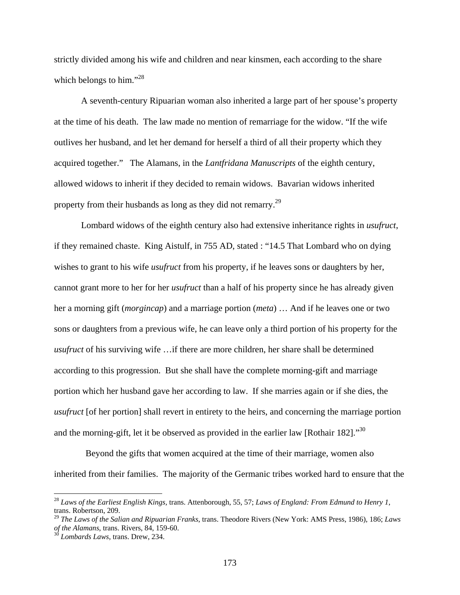strictly divided among his wife and children and near kinsmen, each according to the share which belongs to him."<sup>28</sup>

A seventh-century Ripuarian woman also inherited a large part of her spouse's property at the time of his death. The law made no mention of remarriage for the widow. "If the wife outlives her husband, and let her demand for herself a third of all their property which they acquired together." The Alamans, in the *Lantfridana Manuscripts* of the eighth century, allowed widows to inherit if they decided to remain widows. Bavarian widows inherited property from their husbands as long as they did not remarry.<sup>29</sup>

Lombard widows of the eighth century also had extensive inheritance rights in *usufruct*, if they remained chaste. King Aistulf, in 755 AD, stated : "14.5 That Lombard who on dying wishes to grant to his wife *usufruct* from his property, if he leaves sons or daughters by her, cannot grant more to her for her *usufruct* than a half of his property since he has already given her a morning gift (*morgincap*) and a marriage portion (*meta*) … And if he leaves one or two sons or daughters from a previous wife, he can leave only a third portion of his property for the *usufruct* of his surviving wife …if there are more children, her share shall be determined according to this progression. But she shall have the complete morning-gift and marriage portion which her husband gave her according to law. If she marries again or if she dies, the *usufruct* [of her portion] shall revert in entirety to the heirs, and concerning the marriage portion and the morning-gift, let it be observed as provided in the earlier law [Rothair 1821."30

 Beyond the gifts that women acquired at the time of their marriage, women also inherited from their families. The majority of the Germanic tribes worked hard to ensure that the

<sup>28</sup> *Laws of the Earliest English Kings,* trans. Attenborough, 55, 57; *Laws of England: From Edmund to Henry 1*, trans. Robertson, 209.

<sup>29</sup> *The Laws of the Salian and Ripuarian Franks*, trans. Theodore Rivers (New York: AMS Press, 1986), 186; *Laws of the Alamans*, trans. Rivers, 84, 159-60. 30 *Lombards Laws*, trans. Drew, 234.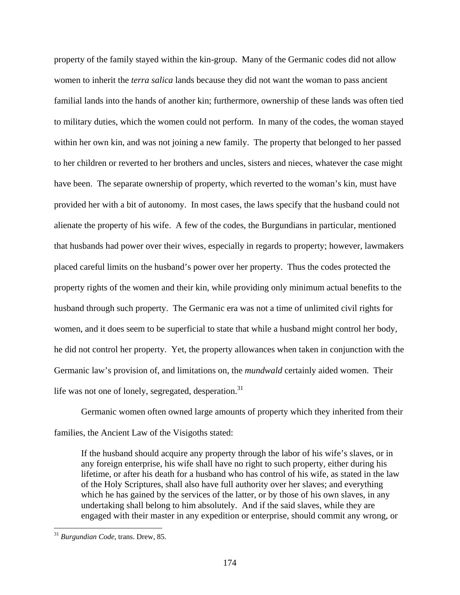property of the family stayed within the kin-group. Many of the Germanic codes did not allow women to inherit the *terra salica* lands because they did not want the woman to pass ancient familial lands into the hands of another kin; furthermore, ownership of these lands was often tied to military duties, which the women could not perform. In many of the codes, the woman stayed within her own kin, and was not joining a new family. The property that belonged to her passed to her children or reverted to her brothers and uncles, sisters and nieces, whatever the case might have been. The separate ownership of property, which reverted to the woman's kin, must have provided her with a bit of autonomy. In most cases, the laws specify that the husband could not alienate the property of his wife. A few of the codes, the Burgundians in particular, mentioned that husbands had power over their wives, especially in regards to property; however, lawmakers placed careful limits on the husband's power over her property. Thus the codes protected the property rights of the women and their kin, while providing only minimum actual benefits to the husband through such property. The Germanic era was not a time of unlimited civil rights for women, and it does seem to be superficial to state that while a husband might control her body, he did not control her property. Yet, the property allowances when taken in conjunction with the Germanic law's provision of, and limitations on, the *mundwald* certainly aided women. Their life was not one of lonely, segregated, desperation.<sup>31</sup>

Germanic women often owned large amounts of property which they inherited from their families, the Ancient Law of the Visigoths stated:

If the husband should acquire any property through the labor of his wife's slaves, or in any foreign enterprise, his wife shall have no right to such property, either during his lifetime, or after his death for a husband who has control of his wife, as stated in the law of the Holy Scriptures, shall also have full authority over her slaves; and everything which he has gained by the services of the latter, or by those of his own slaves, in any undertaking shall belong to him absolutely. And if the said slaves, while they are engaged with their master in any expedition or enterprise, should commit any wrong, or

<u>.</u>

<sup>31</sup> *Burgundian Code*, trans. Drew, 85.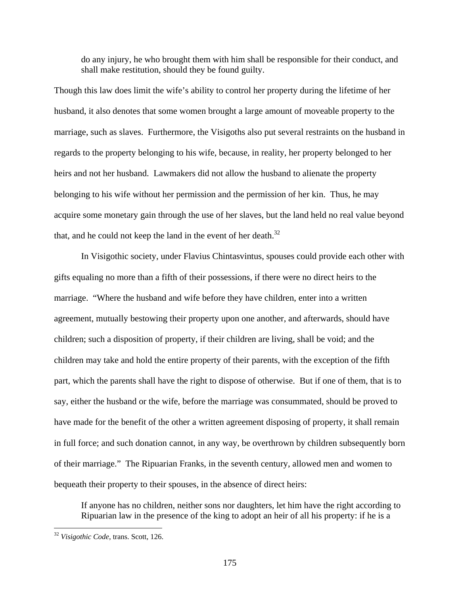do any injury, he who brought them with him shall be responsible for their conduct, and shall make restitution, should they be found guilty.

Though this law does limit the wife's ability to control her property during the lifetime of her husband, it also denotes that some women brought a large amount of moveable property to the marriage, such as slaves. Furthermore, the Visigoths also put several restraints on the husband in regards to the property belonging to his wife, because, in reality, her property belonged to her heirs and not her husband. Lawmakers did not allow the husband to alienate the property belonging to his wife without her permission and the permission of her kin. Thus, he may acquire some monetary gain through the use of her slaves, but the land held no real value beyond that, and he could not keep the land in the event of her death. $32$ 

In Visigothic society, under Flavius Chintasvintus, spouses could provide each other with gifts equaling no more than a fifth of their possessions, if there were no direct heirs to the marriage. "Where the husband and wife before they have children, enter into a written agreement, mutually bestowing their property upon one another, and afterwards, should have children; such a disposition of property, if their children are living, shall be void; and the children may take and hold the entire property of their parents, with the exception of the fifth part, which the parents shall have the right to dispose of otherwise. But if one of them, that is to say, either the husband or the wife, before the marriage was consummated, should be proved to have made for the benefit of the other a written agreement disposing of property, it shall remain in full force; and such donation cannot, in any way, be overthrown by children subsequently born of their marriage." The Ripuarian Franks, in the seventh century, allowed men and women to bequeath their property to their spouses, in the absence of direct heirs:

If anyone has no children, neither sons nor daughters, let him have the right according to Ripuarian law in the presence of the king to adopt an heir of all his property: if he is a

<u>.</u>

<sup>32</sup> *Visigothic Code*, trans. Scott, 126.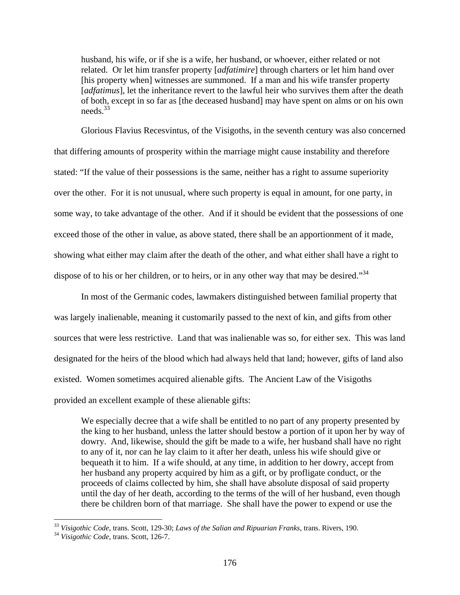husband, his wife, or if she is a wife, her husband, or whoever, either related or not related. Or let him transfer property [*adfatimire*] through charters or let him hand over [his property when] witnesses are summoned. If a man and his wife transfer property [*adfatimus*], let the inheritance revert to the lawful heir who survives them after the death of both, except in so far as [the deceased husband] may have spent on alms or on his own needs.33

Glorious Flavius Recesvintus, of the Visigoths, in the seventh century was also concerned that differing amounts of prosperity within the marriage might cause instability and therefore stated: "If the value of their possessions is the same, neither has a right to assume superiority over the other. For it is not unusual, where such property is equal in amount, for one party, in some way, to take advantage of the other. And if it should be evident that the possessions of one exceed those of the other in value, as above stated, there shall be an apportionment of it made, showing what either may claim after the death of the other, and what either shall have a right to dispose of to his or her children, or to heirs, or in any other way that may be desired."<sup>34</sup>

In most of the Germanic codes, lawmakers distinguished between familial property that was largely inalienable, meaning it customarily passed to the next of kin, and gifts from other sources that were less restrictive. Land that was inalienable was so, for either sex. This was land designated for the heirs of the blood which had always held that land; however, gifts of land also existed. Women sometimes acquired alienable gifts. The Ancient Law of the Visigoths provided an excellent example of these alienable gifts:

We especially decree that a wife shall be entitled to no part of any property presented by the king to her husband, unless the latter should bestow a portion of it upon her by way of dowry. And, likewise, should the gift be made to a wife, her husband shall have no right to any of it, nor can he lay claim to it after her death, unless his wife should give or bequeath it to him. If a wife should, at any time, in addition to her dowry, accept from her husband any property acquired by him as a gift, or by profligate conduct, or the proceeds of claims collected by him, she shall have absolute disposal of said property until the day of her death, according to the terms of the will of her husband, even though there be children born of that marriage. She shall have the power to expend or use the

<sup>&</sup>lt;sup>33</sup> *Visigothic Code*, trans. Scott, 129-30; *Laws of the Salian and Ripuarian Franks*, trans. Rivers, 190. <sup>34</sup> *Visigothic Code*, trans. Scott, 126-7.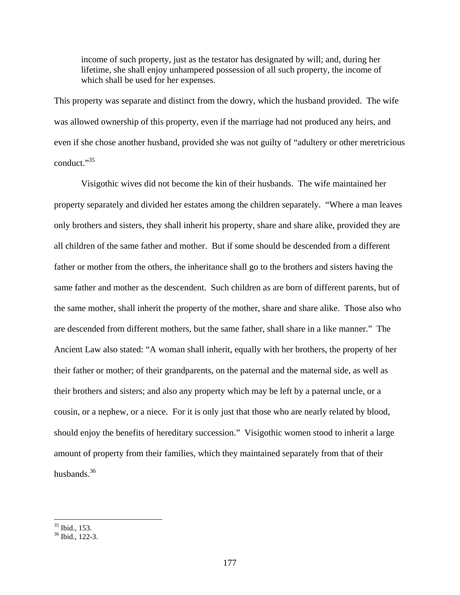income of such property, just as the testator has designated by will; and, during her lifetime, she shall enjoy unhampered possession of all such property, the income of which shall be used for her expenses.

This property was separate and distinct from the dowry, which the husband provided. The wife was allowed ownership of this property, even if the marriage had not produced any heirs, and even if she chose another husband, provided she was not guilty of "adultery or other meretricious conduct."<sup>35</sup>

Visigothic wives did not become the kin of their husbands. The wife maintained her property separately and divided her estates among the children separately. "Where a man leaves only brothers and sisters, they shall inherit his property, share and share alike, provided they are all children of the same father and mother. But if some should be descended from a different father or mother from the others, the inheritance shall go to the brothers and sisters having the same father and mother as the descendent. Such children as are born of different parents, but of the same mother, shall inherit the property of the mother, share and share alike. Those also who are descended from different mothers, but the same father, shall share in a like manner." The Ancient Law also stated: "A woman shall inherit, equally with her brothers, the property of her their father or mother; of their grandparents, on the paternal and the maternal side, as well as their brothers and sisters; and also any property which may be left by a paternal uncle, or a cousin, or a nephew, or a niece. For it is only just that those who are nearly related by blood, should enjoy the benefits of hereditary succession." Visigothic women stood to inherit a large amount of property from their families, which they maintained separately from that of their husbands.<sup>36</sup>

<sup>35</sup> Ibid., 153.

<sup>36</sup> Ibid., 122-3.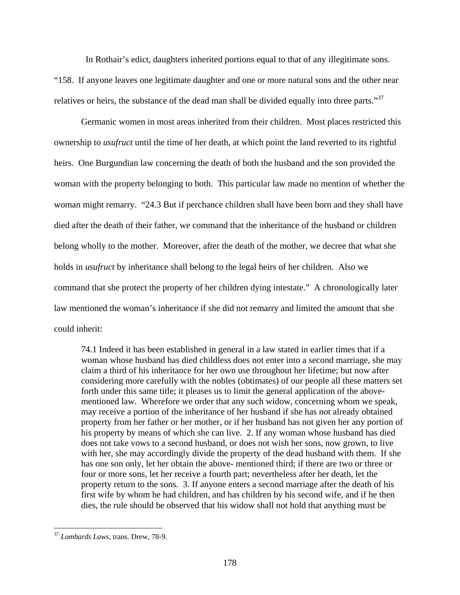In Rothair's edict, daughters inherited portions equal to that of any illegitimate sons. "158. If anyone leaves one legitimate daughter and one or more natural sons and the other near relatives or heirs, the substance of the dead man shall be divided equally into three parts." $37$ 

Germanic women in most areas inherited from their children. Most places restricted this ownership to *usufruct* until the time of her death, at which point the land reverted to its rightful heirs. One Burgundian law concerning the death of both the husband and the son provided the woman with the property belonging to both. This particular law made no mention of whether the woman might remarry. "24.3 But if perchance children shall have been born and they shall have died after the death of their father, we command that the inheritance of the husband or children belong wholly to the mother. Moreover, after the death of the mother, we decree that what she holds in *usufruct* by inheritance shall belong to the legal heirs of her children. Also we command that she protect the property of her children dying intestate." A chronologically later law mentioned the woman's inheritance if she did not remarry and limited the amount that she could inherit:

74.1 Indeed it has been established in general in a law stated in earlier times that if a woman whose husband has died childless does not enter into a second marriage, she may claim a third of his inheritance for her own use throughout her lifetime; but now after considering more carefully with the nobles (obtimates) of our people all these matters set forth under this same title; it pleases us to limit the general application of the abovementioned law. Wherefore we order that any such widow, concerning whom we speak, may receive a portion of the inheritance of her husband if she has not already obtained property from her father or her mother, or if her husband has not given her any portion of his property by means of which she can live. 2. If any woman whose husband has died does not take vows to a second husband, or does not wish her sons, now grown, to live with her, she may accordingly divide the property of the dead husband with them. If she has one son only, let her obtain the above- mentioned third; if there are two or three or four or more sons, let her receive a fourth part; nevertheless after her death, let the property return to the sons. 3. If anyone enters a second marriage after the death of his first wife by whom he had children, and has children by his second wife, and if he then dies, the rule should be observed that his widow shall not hold that anything must be

<sup>37</sup> *Lombards Laws*, trans. Drew, 78-9.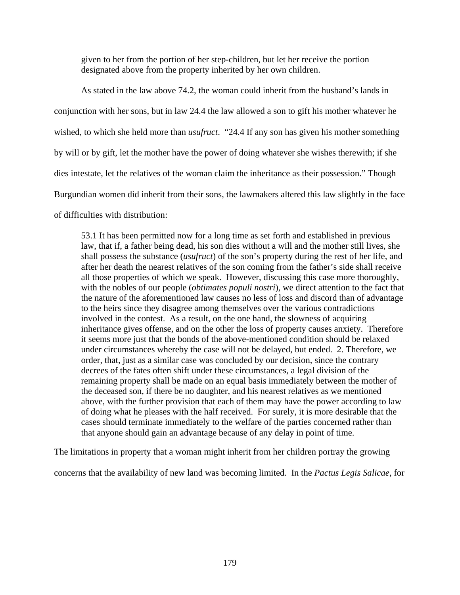given to her from the portion of her step-children, but let her receive the portion designated above from the property inherited by her own children.

As stated in the law above 74.2, the woman could inherit from the husband's lands in conjunction with her sons, but in law 24.4 the law allowed a son to gift his mother whatever he wished, to which she held more than *usufruct*. "24.4 If any son has given his mother something by will or by gift, let the mother have the power of doing whatever she wishes therewith; if she dies intestate, let the relatives of the woman claim the inheritance as their possession." Though Burgundian women did inherit from their sons, the lawmakers altered this law slightly in the face of difficulties with distribution:

53.1 It has been permitted now for a long time as set forth and established in previous law, that if, a father being dead, his son dies without a will and the mother still lives, she shall possess the substance (*usufruct*) of the son's property during the rest of her life, and after her death the nearest relatives of the son coming from the father's side shall receive all those properties of which we speak. However, discussing this case more thoroughly, with the nobles of our people (*obtimates populi nostri*), we direct attention to the fact that the nature of the aforementioned law causes no less of loss and discord than of advantage to the heirs since they disagree among themselves over the various contradictions involved in the contest. As a result, on the one hand, the slowness of acquiring inheritance gives offense, and on the other the loss of property causes anxiety. Therefore it seems more just that the bonds of the above-mentioned condition should be relaxed under circumstances whereby the case will not be delayed, but ended. 2. Therefore, we order, that, just as a similar case was concluded by our decision, since the contrary decrees of the fates often shift under these circumstances, a legal division of the remaining property shall be made on an equal basis immediately between the mother of the deceased son, if there be no daughter, and his nearest relatives as we mentioned above, with the further provision that each of them may have the power according to law of doing what he pleases with the half received. For surely, it is more desirable that the cases should terminate immediately to the welfare of the parties concerned rather than that anyone should gain an advantage because of any delay in point of time.

The limitations in property that a woman might inherit from her children portray the growing

concerns that the availability of new land was becoming limited. In the *Pactus Legis Salicae*, for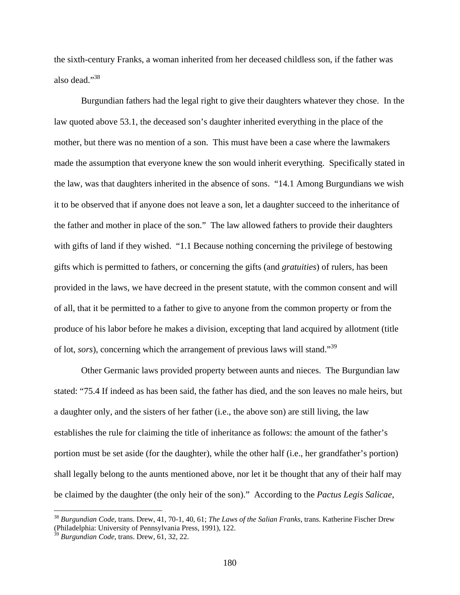the sixth-century Franks, a woman inherited from her deceased childless son, if the father was also dead."<sup>38</sup>

Burgundian fathers had the legal right to give their daughters whatever they chose. In the law quoted above 53.1, the deceased son's daughter inherited everything in the place of the mother, but there was no mention of a son. This must have been a case where the lawmakers made the assumption that everyone knew the son would inherit everything. Specifically stated in the law, was that daughters inherited in the absence of sons. "14.1 Among Burgundians we wish it to be observed that if anyone does not leave a son, let a daughter succeed to the inheritance of the father and mother in place of the son." The law allowed fathers to provide their daughters with gifts of land if they wished. "1.1 Because nothing concerning the privilege of bestowing gifts which is permitted to fathers, or concerning the gifts (and *gratuities*) of rulers, has been provided in the laws, we have decreed in the present statute, with the common consent and will of all, that it be permitted to a father to give to anyone from the common property or from the produce of his labor before he makes a division, excepting that land acquired by allotment (title of lot, *sors*), concerning which the arrangement of previous laws will stand."<sup>39</sup>

Other Germanic laws provided property between aunts and nieces. The Burgundian law stated: "75.4 If indeed as has been said, the father has died, and the son leaves no male heirs, but a daughter only, and the sisters of her father (i.e., the above son) are still living, the law establishes the rule for claiming the title of inheritance as follows: the amount of the father's portion must be set aside (for the daughter), while the other half (i.e., her grandfather's portion) shall legally belong to the aunts mentioned above, nor let it be thought that any of their half may be claimed by the daughter (the only heir of the son)." According to the *Pactus Legis Salicae*,

<sup>38</sup> *Burgundian Code*, trans. Drew, 41, 70-1, 40, 61; *The Laws of the Salian Franks*, trans. Katherine Fischer Drew (Philadelphia: University of Pennsylvania Press, 1991), 122.

<sup>39</sup> *Burgundian Code*, trans. Drew, 61, 32, 22.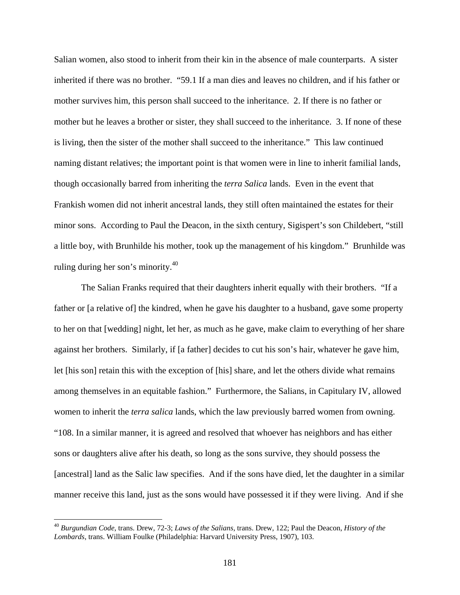Salian women, also stood to inherit from their kin in the absence of male counterparts. A sister inherited if there was no brother. "59.1 If a man dies and leaves no children, and if his father or mother survives him, this person shall succeed to the inheritance. 2. If there is no father or mother but he leaves a brother or sister, they shall succeed to the inheritance. 3. If none of these is living, then the sister of the mother shall succeed to the inheritance." This law continued naming distant relatives; the important point is that women were in line to inherit familial lands, though occasionally barred from inheriting the *terra Salica* lands. Even in the event that Frankish women did not inherit ancestral lands, they still often maintained the estates for their minor sons. According to Paul the Deacon, in the sixth century, Sigispert's son Childebert, "still a little boy, with Brunhilde his mother, took up the management of his kingdom." Brunhilde was ruling during her son's minority.40

The Salian Franks required that their daughters inherit equally with their brothers. "If a father or [a relative of] the kindred, when he gave his daughter to a husband, gave some property to her on that [wedding] night, let her, as much as he gave, make claim to everything of her share against her brothers. Similarly, if [a father] decides to cut his son's hair, whatever he gave him, let [his son] retain this with the exception of [his] share, and let the others divide what remains among themselves in an equitable fashion." Furthermore, the Salians, in Capitulary IV, allowed women to inherit the *terra salica* lands, which the law previously barred women from owning. "108. In a similar manner, it is agreed and resolved that whoever has neighbors and has either sons or daughters alive after his death, so long as the sons survive, they should possess the [ancestral] land as the Salic law specifies. And if the sons have died, let the daughter in a similar manner receive this land, just as the sons would have possessed it if they were living. And if she

<sup>40</sup> *Burgundian Code*, trans. Drew, 72-3; *Laws of the Salians*, trans. Drew, 122; Paul the Deacon, *History of the Lombards*, trans. William Foulke (Philadelphia: Harvard University Press, 1907), 103.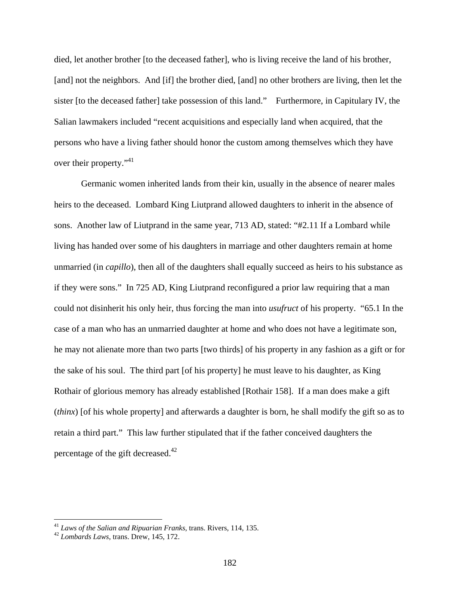died, let another brother [to the deceased father], who is living receive the land of his brother, [and] not the neighbors. And [if] the brother died, [and] no other brothers are living, then let the sister [to the deceased father] take possession of this land." Furthermore, in Capitulary IV, the Salian lawmakers included "recent acquisitions and especially land when acquired, that the persons who have a living father should honor the custom among themselves which they have over their property."<sup>41</sup>

Germanic women inherited lands from their kin, usually in the absence of nearer males heirs to the deceased. Lombard King Liutprand allowed daughters to inherit in the absence of sons. Another law of Liutprand in the same year, 713 AD, stated: "#2.11 If a Lombard while living has handed over some of his daughters in marriage and other daughters remain at home unmarried (in *capillo*), then all of the daughters shall equally succeed as heirs to his substance as if they were sons." In 725 AD, King Liutprand reconfigured a prior law requiring that a man could not disinherit his only heir, thus forcing the man into *usufruct* of his property. "65.1 In the case of a man who has an unmarried daughter at home and who does not have a legitimate son, he may not alienate more than two parts [two thirds] of his property in any fashion as a gift or for the sake of his soul. The third part [of his property] he must leave to his daughter, as King Rothair of glorious memory has already established [Rothair 158]. If a man does make a gift (*thinx*) [of his whole property] and afterwards a daughter is born, he shall modify the gift so as to retain a third part." This law further stipulated that if the father conceived daughters the percentage of the gift decreased. $42$ 

<sup>41</sup> *Laws of the Salian and Ripuarian Franks*, trans. Rivers, 114, 135. 42 *Lombards Laws*, trans. Drew, 145, 172.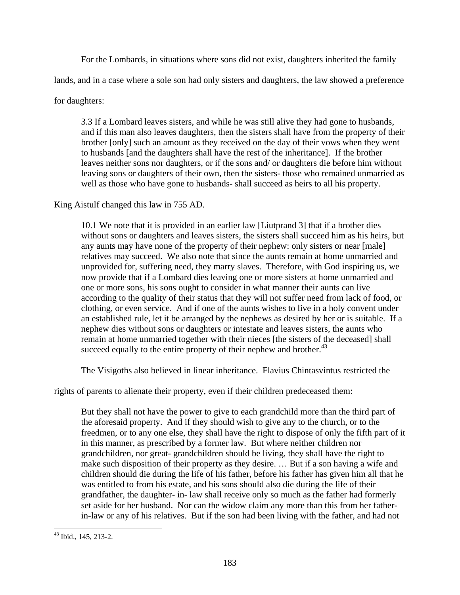For the Lombards, in situations where sons did not exist, daughters inherited the family

lands, and in a case where a sole son had only sisters and daughters, the law showed a preference

for daughters:

3.3 If a Lombard leaves sisters, and while he was still alive they had gone to husbands, and if this man also leaves daughters, then the sisters shall have from the property of their brother [only] such an amount as they received on the day of their vows when they went to husbands [and the daughters shall have the rest of the inheritance]. If the brother leaves neither sons nor daughters, or if the sons and/ or daughters die before him without leaving sons or daughters of their own, then the sisters- those who remained unmarried as well as those who have gone to husbands- shall succeed as heirs to all his property.

King Aistulf changed this law in 755 AD.

10.1 We note that it is provided in an earlier law [Liutprand 3] that if a brother dies without sons or daughters and leaves sisters, the sisters shall succeed him as his heirs, but any aunts may have none of the property of their nephew: only sisters or near [male] relatives may succeed. We also note that since the aunts remain at home unmarried and unprovided for, suffering need, they marry slaves. Therefore, with God inspiring us, we now provide that if a Lombard dies leaving one or more sisters at home unmarried and one or more sons, his sons ought to consider in what manner their aunts can live according to the quality of their status that they will not suffer need from lack of food, or clothing, or even service. And if one of the aunts wishes to live in a holy convent under an established rule, let it be arranged by the nephews as desired by her or is suitable. If a nephew dies without sons or daughters or intestate and leaves sisters, the aunts who remain at home unmarried together with their nieces [the sisters of the deceased] shall succeed equally to the entire property of their nephew and brother.<sup>43</sup>

The Visigoths also believed in linear inheritance. Flavius Chintasvintus restricted the

rights of parents to alienate their property, even if their children predeceased them:

But they shall not have the power to give to each grandchild more than the third part of the aforesaid property. And if they should wish to give any to the church, or to the freedmen, or to any one else, they shall have the right to dispose of only the fifth part of it in this manner, as prescribed by a former law. But where neither children nor grandchildren, nor great- grandchildren should be living, they shall have the right to make such disposition of their property as they desire. … But if a son having a wife and children should die during the life of his father, before his father has given him all that he was entitled to from his estate, and his sons should also die during the life of their grandfather, the daughter- in- law shall receive only so much as the father had formerly set aside for her husband. Nor can the widow claim any more than this from her fatherin-law or any of his relatives. But if the son had been living with the father, and had not

 $43$  Ibid., 145, 213-2.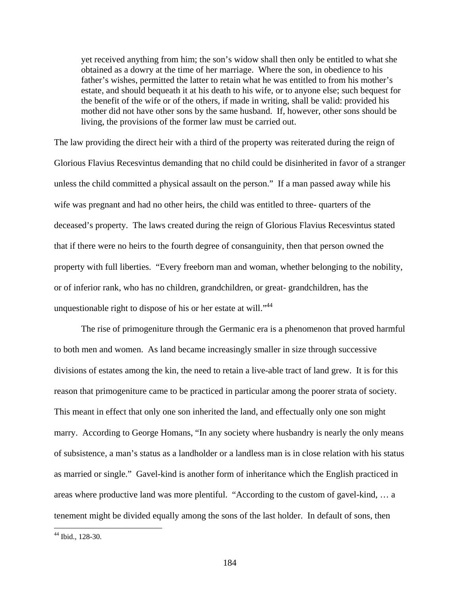yet received anything from him; the son's widow shall then only be entitled to what she obtained as a dowry at the time of her marriage. Where the son, in obedience to his father's wishes, permitted the latter to retain what he was entitled to from his mother's estate, and should bequeath it at his death to his wife, or to anyone else; such bequest for the benefit of the wife or of the others, if made in writing, shall be valid: provided his mother did not have other sons by the same husband. If, however, other sons should be living, the provisions of the former law must be carried out.

The law providing the direct heir with a third of the property was reiterated during the reign of Glorious Flavius Recesvintus demanding that no child could be disinherited in favor of a stranger unless the child committed a physical assault on the person." If a man passed away while his wife was pregnant and had no other heirs, the child was entitled to three- quarters of the deceased's property. The laws created during the reign of Glorious Flavius Recesvintus stated that if there were no heirs to the fourth degree of consanguinity, then that person owned the property with full liberties. "Every freeborn man and woman, whether belonging to the nobility, or of inferior rank, who has no children, grandchildren, or great- grandchildren, has the unquestionable right to dispose of his or her estate at will."44

The rise of primogeniture through the Germanic era is a phenomenon that proved harmful to both men and women. As land became increasingly smaller in size through successive divisions of estates among the kin, the need to retain a live-able tract of land grew. It is for this reason that primogeniture came to be practiced in particular among the poorer strata of society. This meant in effect that only one son inherited the land, and effectually only one son might marry. According to George Homans, "In any society where husbandry is nearly the only means of subsistence, a man's status as a landholder or a landless man is in close relation with his status as married or single." Gavel-kind is another form of inheritance which the English practiced in areas where productive land was more plentiful. "According to the custom of gavel-kind, … a tenement might be divided equally among the sons of the last holder. In default of sons, then

<sup>44</sup> Ibid., 128-30.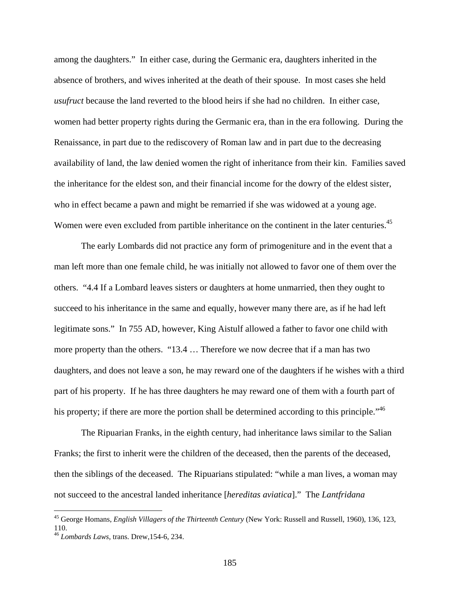among the daughters." In either case, during the Germanic era, daughters inherited in the absence of brothers, and wives inherited at the death of their spouse. In most cases she held *usufruct* because the land reverted to the blood heirs if she had no children. In either case, women had better property rights during the Germanic era, than in the era following. During the Renaissance, in part due to the rediscovery of Roman law and in part due to the decreasing availability of land, the law denied women the right of inheritance from their kin. Families saved the inheritance for the eldest son, and their financial income for the dowry of the eldest sister, who in effect became a pawn and might be remarried if she was widowed at a young age. Women were even excluded from partible inheritance on the continent in the later centuries.<sup>45</sup>

The early Lombards did not practice any form of primogeniture and in the event that a man left more than one female child, he was initially not allowed to favor one of them over the others. "4.4 If a Lombard leaves sisters or daughters at home unmarried, then they ought to succeed to his inheritance in the same and equally, however many there are, as if he had left legitimate sons." In 755 AD, however, King Aistulf allowed a father to favor one child with more property than the others. "13.4 … Therefore we now decree that if a man has two daughters, and does not leave a son, he may reward one of the daughters if he wishes with a third part of his property. If he has three daughters he may reward one of them with a fourth part of his property; if there are more the portion shall be determined according to this principle."<sup>46</sup>

The Ripuarian Franks, in the eighth century, had inheritance laws similar to the Salian Franks; the first to inherit were the children of the deceased, then the parents of the deceased, then the siblings of the deceased. The Ripuarians stipulated: "while a man lives, a woman may not succeed to the ancestral landed inheritance [*hereditas aviatica*]." The *Lantfridana* 

<sup>45</sup> George Homans, *English Villagers of the Thirteenth Century* (New York: Russell and Russell, 1960), 136, 123, 110.

<sup>46</sup> *Lombards Laws*, trans. Drew,154-6, 234.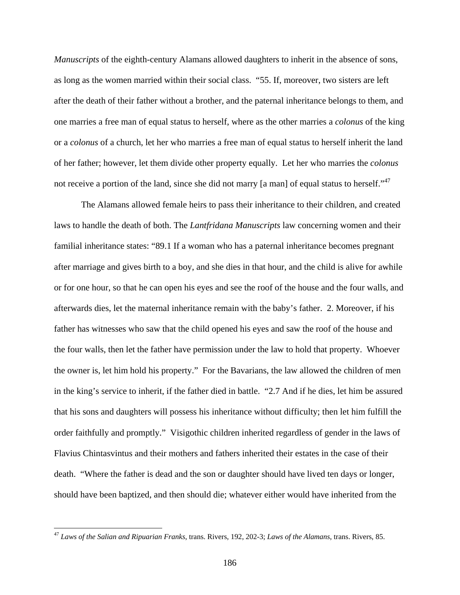*Manuscripts* of the eighth-century Alamans allowed daughters to inherit in the absence of sons, as long as the women married within their social class. "55. If, moreover, two sisters are left after the death of their father without a brother, and the paternal inheritance belongs to them, and one marries a free man of equal status to herself, where as the other marries a *colonus* of the king or a *colonus* of a church, let her who marries a free man of equal status to herself inherit the land of her father; however, let them divide other property equally. Let her who marries the *colonus* not receive a portion of the land, since she did not marry [a man] of equal status to herself." $47$ 

The Alamans allowed female heirs to pass their inheritance to their children, and created laws to handle the death of both. The *Lantfridana Manuscripts* law concerning women and their familial inheritance states: "89.1 If a woman who has a paternal inheritance becomes pregnant after marriage and gives birth to a boy, and she dies in that hour, and the child is alive for awhile or for one hour, so that he can open his eyes and see the roof of the house and the four walls, and afterwards dies, let the maternal inheritance remain with the baby's father. 2. Moreover, if his father has witnesses who saw that the child opened his eyes and saw the roof of the house and the four walls, then let the father have permission under the law to hold that property. Whoever the owner is, let him hold his property." For the Bavarians, the law allowed the children of men in the king's service to inherit, if the father died in battle. "2.7 And if he dies, let him be assured that his sons and daughters will possess his inheritance without difficulty; then let him fulfill the order faithfully and promptly." Visigothic children inherited regardless of gender in the laws of Flavius Chintasvintus and their mothers and fathers inherited their estates in the case of their death. "Where the father is dead and the son or daughter should have lived ten days or longer, should have been baptized, and then should die; whatever either would have inherited from the

<u>.</u>

<sup>47</sup> *Laws of the Salian and Ripuarian Franks*, trans. Rivers, 192, 202-3; *Laws of the Alamans*, trans. Rivers, 85.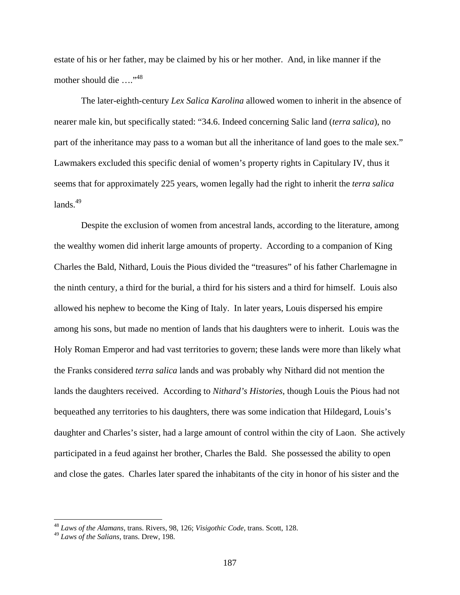estate of his or her father, may be claimed by his or her mother. And, in like manner if the mother should die ...."<sup>48</sup>

The later-eighth-century *Lex Salica Karolina* allowed women to inherit in the absence of nearer male kin, but specifically stated: "34.6. Indeed concerning Salic land (*terra salica*), no part of the inheritance may pass to a woman but all the inheritance of land goes to the male sex." Lawmakers excluded this specific denial of women's property rights in Capitulary IV, thus it seems that for approximately 225 years, women legally had the right to inherit the *terra salica*  $lands<sup>49</sup>$ 

Despite the exclusion of women from ancestral lands, according to the literature, among the wealthy women did inherit large amounts of property. According to a companion of King Charles the Bald, Nithard, Louis the Pious divided the "treasures" of his father Charlemagne in the ninth century, a third for the burial, a third for his sisters and a third for himself. Louis also allowed his nephew to become the King of Italy. In later years, Louis dispersed his empire among his sons, but made no mention of lands that his daughters were to inherit. Louis was the Holy Roman Emperor and had vast territories to govern; these lands were more than likely what the Franks considered *terra salica* lands and was probably why Nithard did not mention the lands the daughters received. According to *Nithard's Histories*, though Louis the Pious had not bequeathed any territories to his daughters, there was some indication that Hildegard, Louis's daughter and Charles's sister, had a large amount of control within the city of Laon. She actively participated in a feud against her brother, Charles the Bald. She possessed the ability to open and close the gates. Charles later spared the inhabitants of the city in honor of his sister and the

<sup>48</sup> *Laws of the Alamans*, trans. Rivers, 98, 126; *Visigothic Code*, trans. Scott, 128.

<sup>49</sup> *Laws of the Salians*, trans. Drew, 198.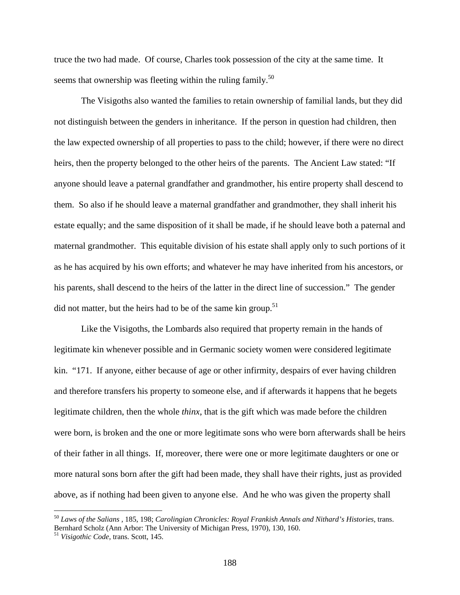truce the two had made. Of course, Charles took possession of the city at the same time. It seems that ownership was fleeting within the ruling family.<sup>50</sup>

The Visigoths also wanted the families to retain ownership of familial lands, but they did not distinguish between the genders in inheritance. If the person in question had children, then the law expected ownership of all properties to pass to the child; however, if there were no direct heirs, then the property belonged to the other heirs of the parents. The Ancient Law stated: "If anyone should leave a paternal grandfather and grandmother, his entire property shall descend to them. So also if he should leave a maternal grandfather and grandmother, they shall inherit his estate equally; and the same disposition of it shall be made, if he should leave both a paternal and maternal grandmother. This equitable division of his estate shall apply only to such portions of it as he has acquired by his own efforts; and whatever he may have inherited from his ancestors, or his parents, shall descend to the heirs of the latter in the direct line of succession." The gender did not matter, but the heirs had to be of the same kin group.<sup>51</sup>

Like the Visigoths, the Lombards also required that property remain in the hands of legitimate kin whenever possible and in Germanic society women were considered legitimate kin. "171. If anyone, either because of age or other infirmity, despairs of ever having children and therefore transfers his property to someone else, and if afterwards it happens that he begets legitimate children, then the whole *thinx*, that is the gift which was made before the children were born, is broken and the one or more legitimate sons who were born afterwards shall be heirs of their father in all things. If, moreover, there were one or more legitimate daughters or one or more natural sons born after the gift had been made, they shall have their rights, just as provided above, as if nothing had been given to anyone else. And he who was given the property shall

<sup>50</sup> *Laws of the Salians ,* 185, 198; *Carolingian Chronicles: Royal Frankish Annals and Nithard's Histories,* trans. Bernhard Scholz (Ann Arbor: The University of Michigan Press, 1970), 130, 160.

<sup>51</sup> *Visigothic Code*, trans. Scott, 145.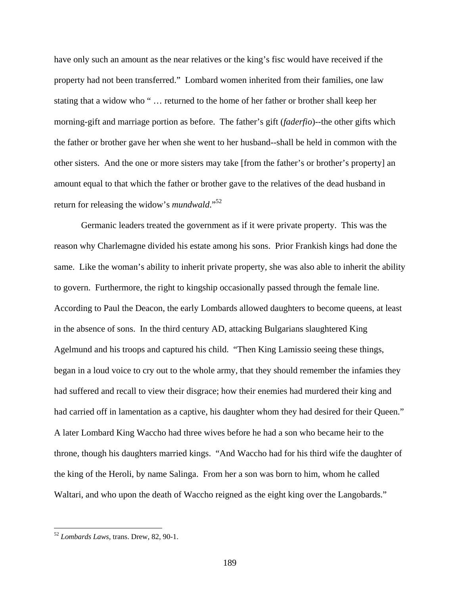have only such an amount as the near relatives or the king's fisc would have received if the property had not been transferred." Lombard women inherited from their families, one law stating that a widow who " … returned to the home of her father or brother shall keep her morning-gift and marriage portion as before. The father's gift (*faderfio*)--the other gifts which the father or brother gave her when she went to her husband--shall be held in common with the other sisters. And the one or more sisters may take [from the father's or brother's property] an amount equal to that which the father or brother gave to the relatives of the dead husband in return for releasing the widow's *mundwald*."<sup>52</sup>

Germanic leaders treated the government as if it were private property. This was the reason why Charlemagne divided his estate among his sons. Prior Frankish kings had done the same. Like the woman's ability to inherit private property, she was also able to inherit the ability to govern. Furthermore, the right to kingship occasionally passed through the female line. According to Paul the Deacon, the early Lombards allowed daughters to become queens, at least in the absence of sons. In the third century AD, attacking Bulgarians slaughtered King Agelmund and his troops and captured his child. "Then King Lamissio seeing these things, began in a loud voice to cry out to the whole army, that they should remember the infamies they had suffered and recall to view their disgrace; how their enemies had murdered their king and had carried off in lamentation as a captive, his daughter whom they had desired for their Queen." A later Lombard King Waccho had three wives before he had a son who became heir to the throne, though his daughters married kings. "And Waccho had for his third wife the daughter of the king of the Heroli, by name Salinga. From her a son was born to him, whom he called Waltari, and who upon the death of Waccho reigned as the eight king over the Langobards."

<sup>52</sup> *Lombards Laws*, trans. Drew, 82, 90-1.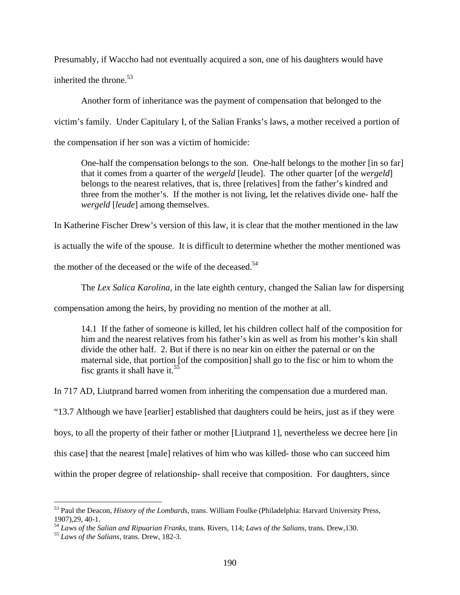Presumably, if Waccho had not eventually acquired a son, one of his daughters would have inherited the throne. $53$ 

Another form of inheritance was the payment of compensation that belonged to the victim's family. Under Capitulary I, of the Salian Franks's laws, a mother received a portion of the compensation if her son was a victim of homicide:

One-half the compensation belongs to the son. One-half belongs to the mother [in so far] that it comes from a quarter of the *wergeld* [leude]. The other quarter [of the *wergeld*] belongs to the nearest relatives, that is, three [relatives] from the father's kindred and three from the mother's. If the mother is not living, let the relatives divide one- half the *wergeld* [*leude*] among themselves.

In Katherine Fischer Drew's version of this law, it is clear that the mother mentioned in the law

is actually the wife of the spouse. It is difficult to determine whether the mother mentioned was

the mother of the deceased or the wife of the deceased.<sup>54</sup>

The *Lex Salica Karolina,* in the late eighth century, changed the Salian law for dispersing

compensation among the heirs, by providing no mention of the mother at all.

14.1 If the father of someone is killed, let his children collect half of the composition for him and the nearest relatives from his father's kin as well as from his mother's kin shall divide the other half. 2. But if there is no near kin on either the paternal or on the maternal side, that portion [of the composition] shall go to the fisc or him to whom the fisc grants it shall have it.<sup>55</sup>

In 717 AD, Liutprand barred women from inheriting the compensation due a murdered man.

"13.7 Although we have [earlier] established that daughters could be heirs, just as if they were

boys, to all the property of their father or mother [Liutprand 1], nevertheless we decree here [in

this case] that the nearest [male] relatives of him who was killed- those who can succeed him

within the proper degree of relationship- shall receive that composition. For daughters, since

<sup>53</sup> Paul the Deacon, *History of the Lombards*, trans. William Foulke (Philadelphia: Harvard University Press, 1907),29, 40-1.

<sup>54</sup> *Laws of the Salian and Ripuarian Franks*, trans. Rivers, 114; *Laws of the Salians*, trans. Drew,130. 55 *Laws of the Salians*, trans. Drew, 182-3.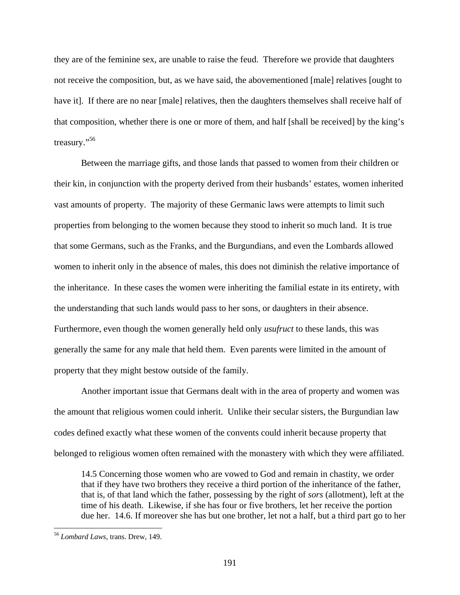they are of the feminine sex, are unable to raise the feud. Therefore we provide that daughters not receive the composition, but, as we have said, the abovementioned [male] relatives [ought to have it]. If there are no near [male] relatives, then the daughters themselves shall receive half of that composition, whether there is one or more of them, and half [shall be received] by the king's treasury."56

Between the marriage gifts, and those lands that passed to women from their children or their kin, in conjunction with the property derived from their husbands' estates, women inherited vast amounts of property. The majority of these Germanic laws were attempts to limit such properties from belonging to the women because they stood to inherit so much land. It is true that some Germans, such as the Franks, and the Burgundians, and even the Lombards allowed women to inherit only in the absence of males, this does not diminish the relative importance of the inheritance. In these cases the women were inheriting the familial estate in its entirety, with the understanding that such lands would pass to her sons, or daughters in their absence. Furthermore, even though the women generally held only *usufruct* to these lands, this was generally the same for any male that held them. Even parents were limited in the amount of property that they might bestow outside of the family.

Another important issue that Germans dealt with in the area of property and women was the amount that religious women could inherit. Unlike their secular sisters, the Burgundian law codes defined exactly what these women of the convents could inherit because property that belonged to religious women often remained with the monastery with which they were affiliated.

14.5 Concerning those women who are vowed to God and remain in chastity, we order that if they have two brothers they receive a third portion of the inheritance of the father, that is, of that land which the father, possessing by the right of *sors* (allotment), left at the time of his death. Likewise, if she has four or five brothers, let her receive the portion due her. 14.6. If moreover she has but one brother, let not a half, but a third part go to her

<sup>56</sup> *Lombard Laws*, trans. Drew, 149.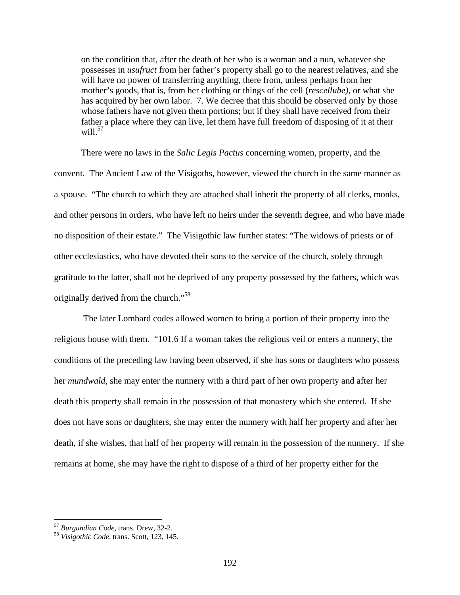on the condition that, after the death of her who is a woman and a nun, whatever she possesses in *usufruct* from her father's property shall go to the nearest relatives, and she will have no power of transferring anything, there from, unless perhaps from her mother's goods, that is, from her clothing or things of the cell (*rescellube)*, or what she has acquired by her own labor. 7. We decree that this should be observed only by those whose fathers have not given them portions; but if they shall have received from their father a place where they can live, let them have full freedom of disposing of it at their will. $57$ 

There were no laws in the *Salic Legis Pactus* concerning women, property, and the convent. The Ancient Law of the Visigoths, however, viewed the church in the same manner as a spouse. "The church to which they are attached shall inherit the property of all clerks, monks, and other persons in orders, who have left no heirs under the seventh degree, and who have made no disposition of their estate." The Visigothic law further states: "The widows of priests or of other ecclesiastics, who have devoted their sons to the service of the church, solely through gratitude to the latter, shall not be deprived of any property possessed by the fathers, which was originally derived from the church."58

 The later Lombard codes allowed women to bring a portion of their property into the religious house with them. "101.6 If a woman takes the religious veil or enters a nunnery, the conditions of the preceding law having been observed, if she has sons or daughters who possess her *mundwald*, she may enter the nunnery with a third part of her own property and after her death this property shall remain in the possession of that monastery which she entered. If she does not have sons or daughters, she may enter the nunnery with half her property and after her death, if she wishes, that half of her property will remain in the possession of the nunnery. If she remains at home, she may have the right to dispose of a third of her property either for the

<sup>&</sup>lt;sup>57</sup> Burgundian Code, trans. Drew, 32-2.

<sup>&</sup>lt;sup>58</sup> Visigothic Code, trans. Scott, 123, 145.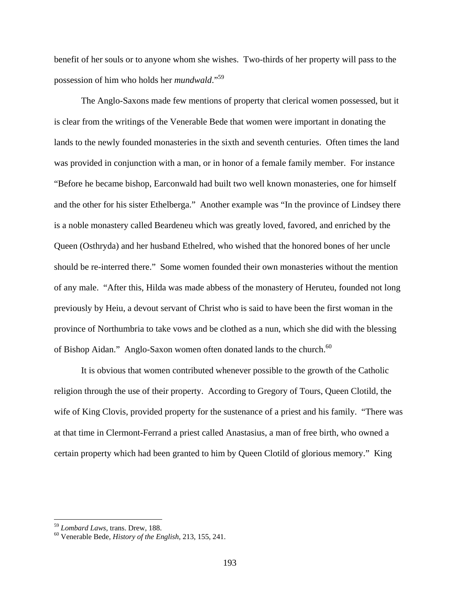benefit of her souls or to anyone whom she wishes. Two-thirds of her property will pass to the possession of him who holds her *mundwald*."<sup>59</sup>

The Anglo-Saxons made few mentions of property that clerical women possessed, but it is clear from the writings of the Venerable Bede that women were important in donating the lands to the newly founded monasteries in the sixth and seventh centuries. Often times the land was provided in conjunction with a man, or in honor of a female family member. For instance "Before he became bishop, Earconwald had built two well known monasteries, one for himself and the other for his sister Ethelberga." Another example was "In the province of Lindsey there is a noble monastery called Beardeneu which was greatly loved, favored, and enriched by the Queen (Osthryda) and her husband Ethelred, who wished that the honored bones of her uncle should be re-interred there." Some women founded their own monasteries without the mention of any male. "After this, Hilda was made abbess of the monastery of Heruteu, founded not long previously by Heiu, a devout servant of Christ who is said to have been the first woman in the province of Northumbria to take vows and be clothed as a nun, which she did with the blessing of Bishop Aidan." Anglo-Saxon women often donated lands to the church.<sup>60</sup>

It is obvious that women contributed whenever possible to the growth of the Catholic religion through the use of their property. According to Gregory of Tours, Queen Clotild, the wife of King Clovis, provided property for the sustenance of a priest and his family. "There was at that time in Clermont-Ferrand a priest called Anastasius, a man of free birth, who owned a certain property which had been granted to him by Queen Clotild of glorious memory." King

<sup>&</sup>lt;sup>59</sup> *Lombard Laws*, trans. Drew, 188.<br><sup>60</sup> Venerable Bede, *History of the English*, 213, 155, 241.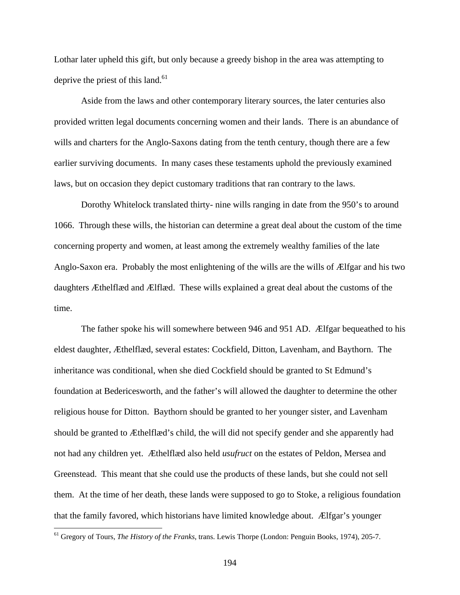Lothar later upheld this gift, but only because a greedy bishop in the area was attempting to deprive the priest of this land.<sup>61</sup>

Aside from the laws and other contemporary literary sources, the later centuries also provided written legal documents concerning women and their lands. There is an abundance of wills and charters for the Anglo-Saxons dating from the tenth century, though there are a few earlier surviving documents. In many cases these testaments uphold the previously examined laws, but on occasion they depict customary traditions that ran contrary to the laws.

Dorothy Whitelock translated thirty- nine wills ranging in date from the 950's to around 1066. Through these wills, the historian can determine a great deal about the custom of the time concerning property and women, at least among the extremely wealthy families of the late Anglo-Saxon era. Probably the most enlightening of the wills are the wills of Ælfgar and his two daughters Æthelflæd and Ælflæd. These wills explained a great deal about the customs of the time.

The father spoke his will somewhere between 946 and 951 AD. Ælfgar bequeathed to his eldest daughter, Æthelflæd, several estates: Cockfield, Ditton, Lavenham, and Baythorn. The inheritance was conditional, when she died Cockfield should be granted to St Edmund's foundation at Bedericesworth, and the father's will allowed the daughter to determine the other religious house for Ditton. Baythorn should be granted to her younger sister, and Lavenham should be granted to Æthelflæd's child, the will did not specify gender and she apparently had not had any children yet. Æthelflæd also held *usufruct* on the estates of Peldon, Mersea and Greenstead. This meant that she could use the products of these lands, but she could not sell them. At the time of her death, these lands were supposed to go to Stoke, a religious foundation that the family favored, which historians have limited knowledge about. Ælfgar's younger

<sup>61</sup> Gregory of Tours, *The History of the Franks*, trans. Lewis Thorpe (London: Penguin Books, 1974), 205-7.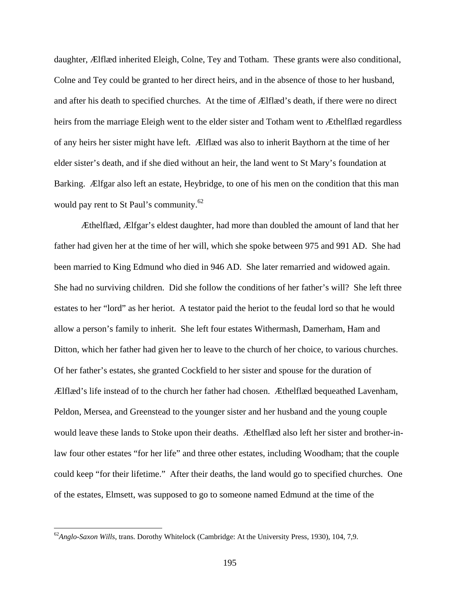daughter, Ælflæd inherited Eleigh, Colne, Tey and Totham. These grants were also conditional, Colne and Tey could be granted to her direct heirs, and in the absence of those to her husband, and after his death to specified churches. At the time of Ælflæd's death, if there were no direct heirs from the marriage Eleigh went to the elder sister and Totham went to Æthelflæd regardless of any heirs her sister might have left. Ælflæd was also to inherit Baythorn at the time of her elder sister's death, and if she died without an heir, the land went to St Mary's foundation at Barking. Ælfgar also left an estate, Heybridge, to one of his men on the condition that this man would pay rent to St Paul's community.<sup>62</sup>

Æthelflæd, Ælfgar's eldest daughter, had more than doubled the amount of land that her father had given her at the time of her will, which she spoke between 975 and 991 AD. She had been married to King Edmund who died in 946 AD. She later remarried and widowed again. She had no surviving children. Did she follow the conditions of her father's will? She left three estates to her "lord" as her heriot. A testator paid the heriot to the feudal lord so that he would allow a person's family to inherit. She left four estates Withermash, Damerham, Ham and Ditton, which her father had given her to leave to the church of her choice, to various churches. Of her father's estates, she granted Cockfield to her sister and spouse for the duration of Ælflæd's life instead of to the church her father had chosen. Æthelflæd bequeathed Lavenham, Peldon, Mersea, and Greenstead to the younger sister and her husband and the young couple would leave these lands to Stoke upon their deaths. Æthelflæd also left her sister and brother-inlaw four other estates "for her life" and three other estates, including Woodham; that the couple could keep "for their lifetime." After their deaths, the land would go to specified churches. One of the estates, Elmsett, was supposed to go to someone named Edmund at the time of the

<sup>&</sup>lt;sup>62</sup>Anglo-Saxon Wills, trans. Dorothy Whitelock (Cambridge: At the University Press, 1930), 104, 7,9.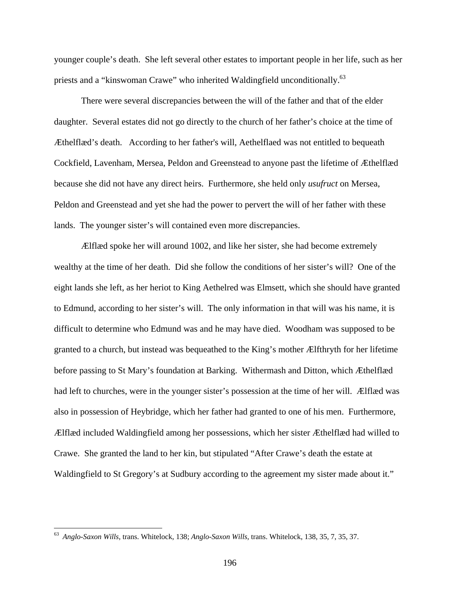younger couple's death. She left several other estates to important people in her life, such as her priests and a "kinswoman Crawe" who inherited Waldingfield unconditionally.<sup>63</sup>

There were several discrepancies between the will of the father and that of the elder daughter. Several estates did not go directly to the church of her father's choice at the time of Æthelflæd's death. According to her father's will, Aethelflaed was not entitled to bequeath Cockfield, Lavenham, Mersea, Peldon and Greenstead to anyone past the lifetime of Æthelflæd because she did not have any direct heirs. Furthermore, she held only *usufruct* on Mersea, Peldon and Greenstead and yet she had the power to pervert the will of her father with these lands. The younger sister's will contained even more discrepancies.

Ælflæd spoke her will around 1002, and like her sister, she had become extremely wealthy at the time of her death. Did she follow the conditions of her sister's will? One of the eight lands she left, as her heriot to King Aethelred was Elmsett, which she should have granted to Edmund, according to her sister's will. The only information in that will was his name, it is difficult to determine who Edmund was and he may have died. Woodham was supposed to be granted to a church, but instead was bequeathed to the King's mother Ælfthryth for her lifetime before passing to St Mary's foundation at Barking. Withermash and Ditton, which Æthelflæd had left to churches, were in the younger sister's possession at the time of her will. Ælflæd was also in possession of Heybridge, which her father had granted to one of his men. Furthermore, Ælflæd included Waldingfield among her possessions, which her sister Æthelflæd had willed to Crawe. She granted the land to her kin, but stipulated "After Crawe's death the estate at Waldingfield to St Gregory's at Sudbury according to the agreement my sister made about it."

<sup>63</sup> *Anglo-Saxon Wills,* trans. Whitelock, 138; *Anglo-Saxon Wills,* trans. Whitelock, 138, 35, 7, 35, 37.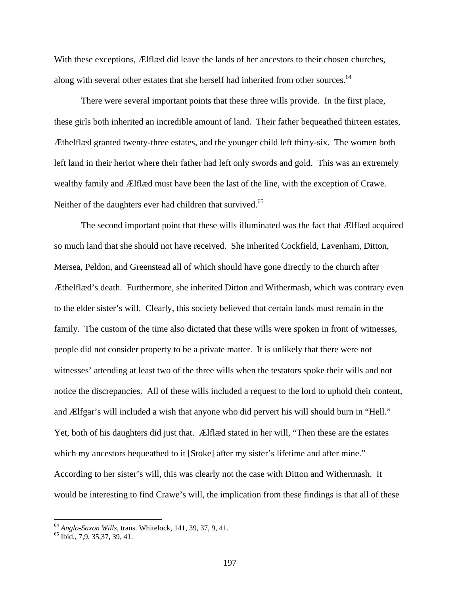With these exceptions, *Ælflæd did leave the lands of her ancestors to their chosen churches*, along with several other estates that she herself had inherited from other sources.<sup>64</sup>

There were several important points that these three wills provide. In the first place, these girls both inherited an incredible amount of land. Their father bequeathed thirteen estates, Æthelflæd granted twenty-three estates, and the younger child left thirty-six. The women both left land in their heriot where their father had left only swords and gold. This was an extremely wealthy family and Ælflæd must have been the last of the line, with the exception of Crawe. Neither of the daughters ever had children that survived.<sup>65</sup>

The second important point that these wills illuminated was the fact that Ælflæd acquired so much land that she should not have received. She inherited Cockfield, Lavenham, Ditton, Mersea, Peldon, and Greenstead all of which should have gone directly to the church after Æthelflæd's death. Furthermore, she inherited Ditton and Withermash, which was contrary even to the elder sister's will. Clearly, this society believed that certain lands must remain in the family. The custom of the time also dictated that these wills were spoken in front of witnesses, people did not consider property to be a private matter. It is unlikely that there were not witnesses' attending at least two of the three wills when the testators spoke their wills and not notice the discrepancies. All of these wills included a request to the lord to uphold their content, and Ælfgar's will included a wish that anyone who did pervert his will should burn in "Hell." Yet, both of his daughters did just that. Ælflæd stated in her will, "Then these are the estates which my ancestors bequeathed to it [Stoke] after my sister's lifetime and after mine." According to her sister's will, this was clearly not the case with Ditton and Withermash. It would be interesting to find Crawe's will, the implication from these findings is that all of these

<sup>&</sup>lt;sup>64</sup> *Anglo-Saxon Wills*, trans. Whitelock, 141, 39, 37, 9, 41. <sup>65</sup> Ibid., 7,9, 35,37, 39, 41.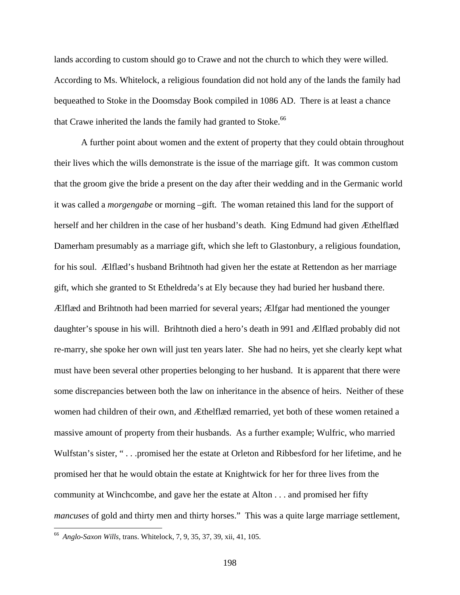lands according to custom should go to Crawe and not the church to which they were willed. According to Ms. Whitelock, a religious foundation did not hold any of the lands the family had bequeathed to Stoke in the Doomsday Book compiled in 1086 AD. There is at least a chance that Crawe inherited the lands the family had granted to Stoke.<sup>66</sup>

A further point about women and the extent of property that they could obtain throughout their lives which the wills demonstrate is the issue of the marriage gift. It was common custom that the groom give the bride a present on the day after their wedding and in the Germanic world it was called a *morgengabe* or morning –gift. The woman retained this land for the support of herself and her children in the case of her husband's death. King Edmund had given Æthelflæd Damerham presumably as a marriage gift, which she left to Glastonbury, a religious foundation, for his soul. Ælflæd's husband Brihtnoth had given her the estate at Rettendon as her marriage gift, which she granted to St Etheldreda's at Ely because they had buried her husband there. Ælflæd and Brihtnoth had been married for several years; Ælfgar had mentioned the younger daughter's spouse in his will. Brihtnoth died a hero's death in 991 and Ælflæd probably did not re-marry, she spoke her own will just ten years later. She had no heirs, yet she clearly kept what must have been several other properties belonging to her husband. It is apparent that there were some discrepancies between both the law on inheritance in the absence of heirs. Neither of these women had children of their own, and Æthelflæd remarried, yet both of these women retained a massive amount of property from their husbands. As a further example; Wulfric, who married Wulfstan's sister, " . . .promised her the estate at Orleton and Ribbesford for her lifetime, and he promised her that he would obtain the estate at Knightwick for her for three lives from the community at Winchcombe, and gave her the estate at Alton . . . and promised her fifty *mancuses* of gold and thirty men and thirty horses." This was a quite large marriage settlement,

<sup>66</sup> *Anglo-Saxon Wills,* trans. Whitelock, 7, 9, 35, 37, 39, xii, 41, 105.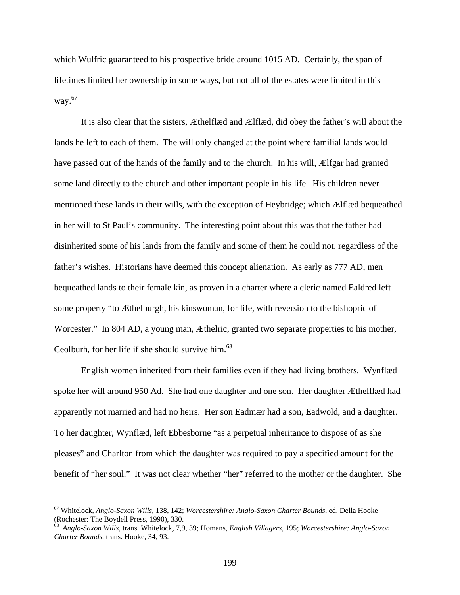which Wulfric guaranteed to his prospective bride around 1015 AD. Certainly, the span of lifetimes limited her ownership in some ways, but not all of the estates were limited in this way. $67$ 

It is also clear that the sisters, Æthelflæd and Ælflæd, did obey the father's will about the lands he left to each of them. The will only changed at the point where familial lands would have passed out of the hands of the family and to the church. In his will, Ælfgar had granted some land directly to the church and other important people in his life. His children never mentioned these lands in their wills, with the exception of Heybridge; which Ælflæd bequeathed in her will to St Paul's community. The interesting point about this was that the father had disinherited some of his lands from the family and some of them he could not, regardless of the father's wishes. Historians have deemed this concept alienation. As early as 777 AD, men bequeathed lands to their female kin, as proven in a charter where a cleric named Ealdred left some property "to Æthelburgh, his kinswoman, for life, with reversion to the bishopric of Worcester." In 804 AD, a young man, Æthelric, granted two separate properties to his mother, Ceolburh, for her life if she should survive him.<sup>68</sup>

English women inherited from their families even if they had living brothers. Wynflæd spoke her will around 950 Ad. She had one daughter and one son. Her daughter Æthelflæd had apparently not married and had no heirs. Her son Eadmær had a son, Eadwold, and a daughter. To her daughter, Wynflæd, left Ebbesborne "as a perpetual inheritance to dispose of as she pleases" and Charlton from which the daughter was required to pay a specified amount for the benefit of "her soul." It was not clear whether "her" referred to the mother or the daughter. She

<sup>67</sup> Whitelock, *Anglo-Saxon Wills,* 138, 142; *Worcestershire: Anglo-Saxon Charter Bounds*, ed. Della Hooke (Rochester: The Boydell Press, 1990), 330.

<sup>68</sup> *Anglo-Saxon Wills*, trans. Whitelock, 7,9, 39; Homans, *English Villagers*, 195; *Worcestershire: Anglo-Saxon Charter Bounds*, trans. Hooke, 34, 93.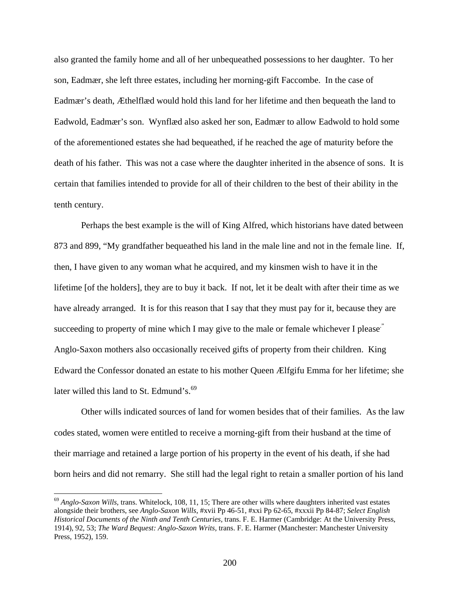also granted the family home and all of her unbequeathed possessions to her daughter. To her son, Eadmær, she left three estates, including her morning-gift Faccombe. In the case of Eadmær's death, Æthelflæd would hold this land for her lifetime and then bequeath the land to Eadwold, Eadmær's son. Wynflæd also asked her son, Eadmær to allow Eadwold to hold some of the aforementioned estates she had bequeathed, if he reached the age of maturity before the death of his father. This was not a case where the daughter inherited in the absence of sons. It is certain that families intended to provide for all of their children to the best of their ability in the tenth century.

Perhaps the best example is the will of King Alfred, which historians have dated between 873 and 899, "My grandfather bequeathed his land in the male line and not in the female line. If, then, I have given to any woman what he acquired, and my kinsmen wish to have it in the lifetime [of the holders], they are to buy it back. If not, let it be dealt with after their time as we have already arranged. It is for this reason that I say that they must pay for it, because they are succeeding to property of mine which I may give to the male or female whichever I please. Anglo-Saxon mothers also occasionally received gifts of property from their children. King Edward the Confessor donated an estate to his mother Queen Ælfgifu Emma for her lifetime; she later willed this land to St. Edmund's. $69$ 

Other wills indicated sources of land for women besides that of their families. As the law codes stated, women were entitled to receive a morning-gift from their husband at the time of their marriage and retained a large portion of his property in the event of his death, if she had born heirs and did not remarry. She still had the legal right to retain a smaller portion of his land

<sup>69</sup> *Anglo-Saxon Wills,* trans. Whitelock, 108, 11, 15; There are other wills where daughters inherited vast estates alongside their brothers, see *Anglo-Saxon Wills*, #xvii Pp 46-51, #xxi Pp 62-65, #xxxii Pp 84-87; *Select English Historical Documents of the Ninth and Tenth Centuries,* trans. F. E. Harmer (Cambridge: At the University Press, 1914), 92, 53; *The Ward Bequest: Anglo-Saxon Writs,* trans. F. E. Harmer (Manchester: Manchester University Press, 1952), 159.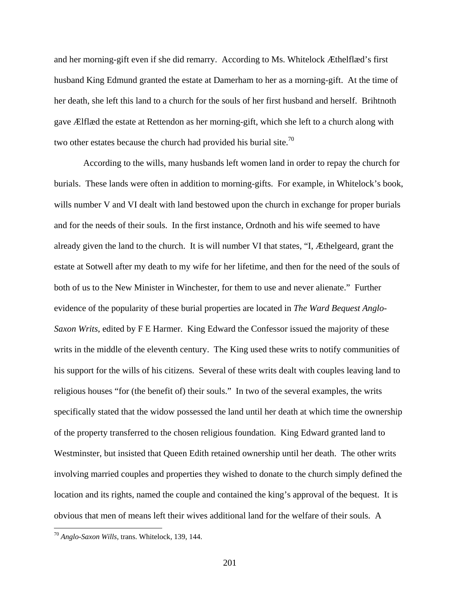and her morning-gift even if she did remarry. According to Ms. Whitelock Æthelflæd's first husband King Edmund granted the estate at Damerham to her as a morning-gift. At the time of her death, she left this land to a church for the souls of her first husband and herself. Brihtnoth gave Ælflæd the estate at Rettendon as her morning-gift, which she left to a church along with two other estates because the church had provided his burial site.<sup>70</sup>

 According to the wills, many husbands left women land in order to repay the church for burials. These lands were often in addition to morning-gifts. For example, in Whitelock's book, wills number V and VI dealt with land bestowed upon the church in exchange for proper burials and for the needs of their souls. In the first instance, Ordnoth and his wife seemed to have already given the land to the church. It is will number VI that states, "I, Æthelgeard, grant the estate at Sotwell after my death to my wife for her lifetime, and then for the need of the souls of both of us to the New Minister in Winchester, for them to use and never alienate." Further evidence of the popularity of these burial properties are located in *The Ward Bequest Anglo-Saxon Writs*, edited by F E Harmer. King Edward the Confessor issued the majority of these writs in the middle of the eleventh century. The King used these writs to notify communities of his support for the wills of his citizens. Several of these writs dealt with couples leaving land to religious houses "for (the benefit of) their souls." In two of the several examples, the writs specifically stated that the widow possessed the land until her death at which time the ownership of the property transferred to the chosen religious foundation. King Edward granted land to Westminster, but insisted that Queen Edith retained ownership until her death. The other writs involving married couples and properties they wished to donate to the church simply defined the location and its rights, named the couple and contained the king's approval of the bequest. It is obvious that men of means left their wives additional land for the welfare of their souls. A

<sup>70</sup> *Anglo-Saxon Wills,* trans. Whitelock, 139, 144.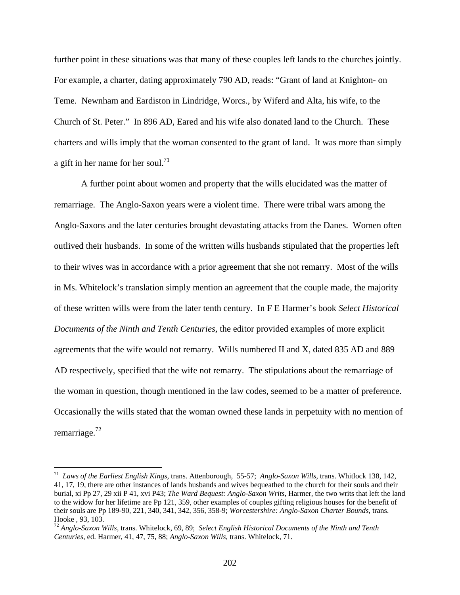further point in these situations was that many of these couples left lands to the churches jointly. For example, a charter, dating approximately 790 AD, reads: "Grant of land at Knighton- on Teme. Newnham and Eardiston in Lindridge, Worcs., by Wiferd and Alta, his wife, to the Church of St. Peter." In 896 AD, Eared and his wife also donated land to the Church. These charters and wills imply that the woman consented to the grant of land. It was more than simply a gift in her name for her soul.<sup>71</sup>

A further point about women and property that the wills elucidated was the matter of remarriage. The Anglo-Saxon years were a violent time. There were tribal wars among the Anglo-Saxons and the later centuries brought devastating attacks from the Danes. Women often outlived their husbands. In some of the written wills husbands stipulated that the properties left to their wives was in accordance with a prior agreement that she not remarry. Most of the wills in Ms. Whitelock's translation simply mention an agreement that the couple made, the majority of these written wills were from the later tenth century. In F E Harmer's book *Select Historical Documents of the Ninth and Tenth Centuries,* the editor provided examples of more explicit agreements that the wife would not remarry. Wills numbered II and X, dated 835 AD and 889 AD respectively, specified that the wife not remarry. The stipulations about the remarriage of the woman in question, though mentioned in the law codes, seemed to be a matter of preference. Occasionally the wills stated that the woman owned these lands in perpetuity with no mention of remarriage.72

<sup>71</sup> *Laws of the Earliest English Kings,* trans. Attenborough, 55-57; *Anglo-Saxon Wills,* trans. Whitlock 138, 142, 41, 17, 19, there are other instances of lands husbands and wives bequeathed to the church for their souls and their burial, xi Pp 27, 29 xii P 41, xvi P43; *The Ward Bequest: Anglo-Saxon Writs,* Harmer, the two writs that left the land to the widow for her lifetime are Pp 121, 359, other examples of couples gifting religious houses for the benefit of their souls are Pp 189-90, 221, 340, 341, 342, 356, 358-9; *Worcestershire: Anglo-Saxon Charter Bounds,* trans. Hooke , 93, 103.

<sup>72</sup> *Anglo-Saxon Wills,* trans. Whitelock, 69, 89; *Select English Historical Documents of the Ninth and Tenth Centuries*, ed. Harmer, 41, 47, 75, 88; *Anglo-Saxon Wills,* trans. Whitelock, 71.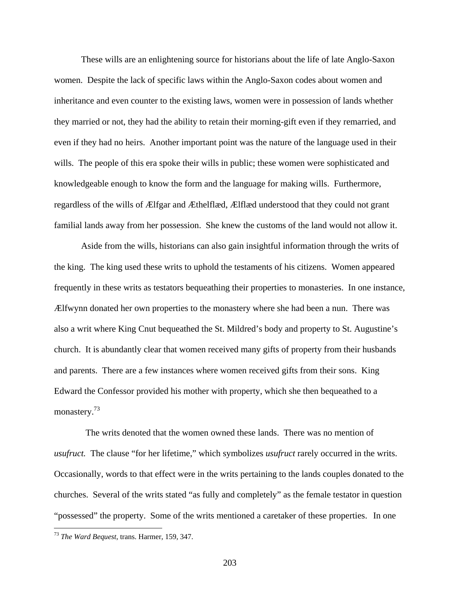These wills are an enlightening source for historians about the life of late Anglo-Saxon women. Despite the lack of specific laws within the Anglo-Saxon codes about women and inheritance and even counter to the existing laws, women were in possession of lands whether they married or not, they had the ability to retain their morning-gift even if they remarried, and even if they had no heirs. Another important point was the nature of the language used in their wills. The people of this era spoke their wills in public; these women were sophisticated and knowledgeable enough to know the form and the language for making wills. Furthermore, regardless of the wills of Ælfgar and Æthelflæd, Ælflæd understood that they could not grant familial lands away from her possession. She knew the customs of the land would not allow it.

Aside from the wills, historians can also gain insightful information through the writs of the king. The king used these writs to uphold the testaments of his citizens. Women appeared frequently in these writs as testators bequeathing their properties to monasteries. In one instance, Ælfwynn donated her own properties to the monastery where she had been a nun. There was also a writ where King Cnut bequeathed the St. Mildred's body and property to St. Augustine's church. It is abundantly clear that women received many gifts of property from their husbands and parents. There are a few instances where women received gifts from their sons. King Edward the Confessor provided his mother with property, which she then bequeathed to a monastery.<sup>73</sup>

 The writs denoted that the women owned these lands. There was no mention of *usufruct.* The clause "for her lifetime," which symbolizes *usufruct* rarely occurred in the writs. Occasionally, words to that effect were in the writs pertaining to the lands couples donated to the churches. Several of the writs stated "as fully and completely" as the female testator in question "possessed" the property. Some of the writs mentioned a caretaker of these properties. In one

<u>.</u>

<sup>73</sup> *The Ward Bequest*, trans. Harmer, 159, 347.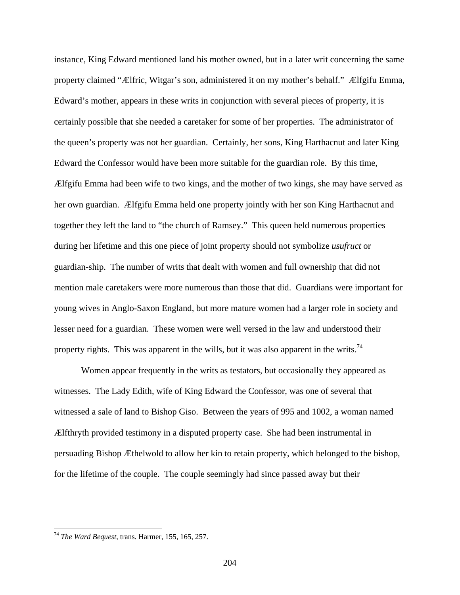instance, King Edward mentioned land his mother owned, but in a later writ concerning the same property claimed "Ælfric, Witgar's son, administered it on my mother's behalf." Ælfgifu Emma, Edward's mother, appears in these writs in conjunction with several pieces of property, it is certainly possible that she needed a caretaker for some of her properties. The administrator of the queen's property was not her guardian. Certainly, her sons, King Harthacnut and later King Edward the Confessor would have been more suitable for the guardian role. By this time, Ælfgifu Emma had been wife to two kings, and the mother of two kings, she may have served as her own guardian. Ælfgifu Emma held one property jointly with her son King Harthacnut and together they left the land to "the church of Ramsey." This queen held numerous properties during her lifetime and this one piece of joint property should not symbolize *usufruct* or guardian-ship. The number of writs that dealt with women and full ownership that did not mention male caretakers were more numerous than those that did. Guardians were important for young wives in Anglo-Saxon England, but more mature women had a larger role in society and lesser need for a guardian. These women were well versed in the law and understood their property rights. This was apparent in the wills, but it was also apparent in the writs.<sup>74</sup>

Women appear frequently in the writs as testators, but occasionally they appeared as witnesses. The Lady Edith, wife of King Edward the Confessor, was one of several that witnessed a sale of land to Bishop Giso. Between the years of 995 and 1002, a woman named Ælfthryth provided testimony in a disputed property case. She had been instrumental in persuading Bishop Æthelwold to allow her kin to retain property, which belonged to the bishop, for the lifetime of the couple. The couple seemingly had since passed away but their

<sup>74</sup> *The Ward Bequest*, trans. Harmer, 155, 165, 257.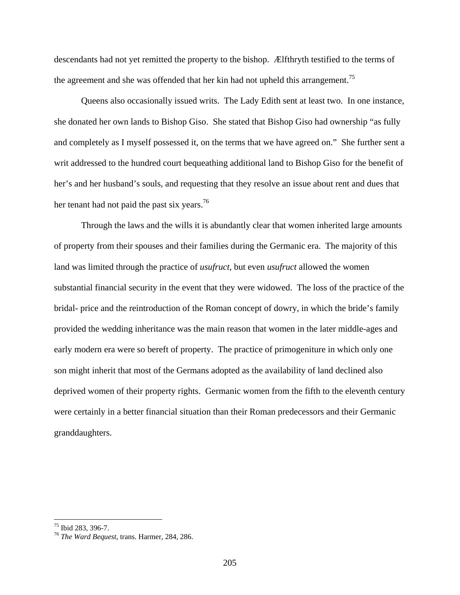descendants had not yet remitted the property to the bishop. Ælfthryth testified to the terms of the agreement and she was offended that her kin had not upheld this arrangement.<sup>75</sup>

Queens also occasionally issued writs. The Lady Edith sent at least two. In one instance, she donated her own lands to Bishop Giso. She stated that Bishop Giso had ownership "as fully and completely as I myself possessed it, on the terms that we have agreed on." She further sent a writ addressed to the hundred court bequeathing additional land to Bishop Giso for the benefit of her's and her husband's souls, and requesting that they resolve an issue about rent and dues that her tenant had not paid the past six years.<sup>76</sup>

Through the laws and the wills it is abundantly clear that women inherited large amounts of property from their spouses and their families during the Germanic era. The majority of this land was limited through the practice of *usufruct*, but even *usufruct* allowed the women substantial financial security in the event that they were widowed. The loss of the practice of the bridal- price and the reintroduction of the Roman concept of dowry*,* in which the bride's family provided the wedding inheritance was the main reason that women in the later middle-ages and early modern era were so bereft of property. The practice of primogeniture in which only one son might inherit that most of the Germans adopted as the availability of land declined also deprived women of their property rights. Germanic women from the fifth to the eleventh century were certainly in a better financial situation than their Roman predecessors and their Germanic granddaughters.

<sup>75</sup> Ibid 283, 396-7.

<sup>76</sup> *The Ward Bequest*, trans. Harmer, 284, 286.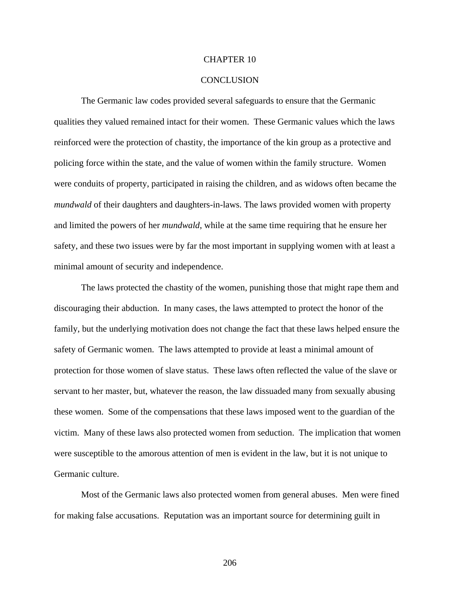## CHAPTER 10

## **CONCLUSION**

 The Germanic law codes provided several safeguards to ensure that the Germanic qualities they valued remained intact for their women. These Germanic values which the laws reinforced were the protection of chastity, the importance of the kin group as a protective and policing force within the state, and the value of women within the family structure. Women were conduits of property, participated in raising the children, and as widows often became the *mundwald* of their daughters and daughters-in-laws. The laws provided women with property and limited the powers of her *mundwald*, while at the same time requiring that he ensure her safety, and these two issues were by far the most important in supplying women with at least a minimal amount of security and independence.

The laws protected the chastity of the women, punishing those that might rape them and discouraging their abduction. In many cases, the laws attempted to protect the honor of the family, but the underlying motivation does not change the fact that these laws helped ensure the safety of Germanic women. The laws attempted to provide at least a minimal amount of protection for those women of slave status. These laws often reflected the value of the slave or servant to her master, but, whatever the reason, the law dissuaded many from sexually abusing these women. Some of the compensations that these laws imposed went to the guardian of the victim. Many of these laws also protected women from seduction. The implication that women were susceptible to the amorous attention of men is evident in the law, but it is not unique to Germanic culture.

 Most of the Germanic laws also protected women from general abuses. Men were fined for making false accusations. Reputation was an important source for determining guilt in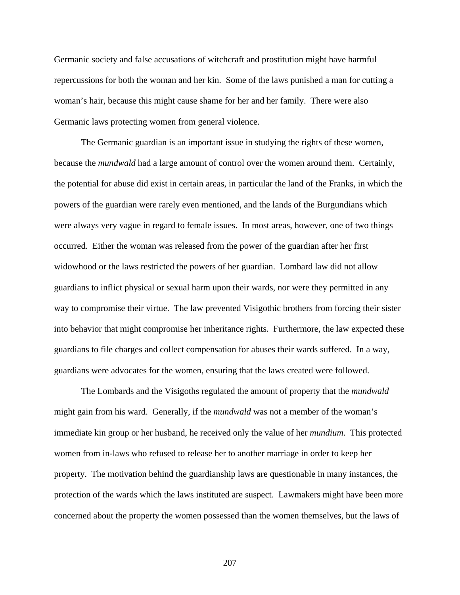Germanic society and false accusations of witchcraft and prostitution might have harmful repercussions for both the woman and her kin. Some of the laws punished a man for cutting a woman's hair, because this might cause shame for her and her family. There were also Germanic laws protecting women from general violence.

 The Germanic guardian is an important issue in studying the rights of these women, because the *mundwald* had a large amount of control over the women around them. Certainly, the potential for abuse did exist in certain areas, in particular the land of the Franks, in which the powers of the guardian were rarely even mentioned, and the lands of the Burgundians which were always very vague in regard to female issues. In most areas, however, one of two things occurred. Either the woman was released from the power of the guardian after her first widowhood or the laws restricted the powers of her guardian. Lombard law did not allow guardians to inflict physical or sexual harm upon their wards, nor were they permitted in any way to compromise their virtue. The law prevented Visigothic brothers from forcing their sister into behavior that might compromise her inheritance rights. Furthermore, the law expected these guardians to file charges and collect compensation for abuses their wards suffered. In a way, guardians were advocates for the women, ensuring that the laws created were followed.

 The Lombards and the Visigoths regulated the amount of property that the *mundwald* might gain from his ward. Generally, if the *mundwald* was not a member of the woman's immediate kin group or her husband, he received only the value of her *mundium*. This protected women from in-laws who refused to release her to another marriage in order to keep her property. The motivation behind the guardianship laws are questionable in many instances, the protection of the wards which the laws instituted are suspect. Lawmakers might have been more concerned about the property the women possessed than the women themselves, but the laws of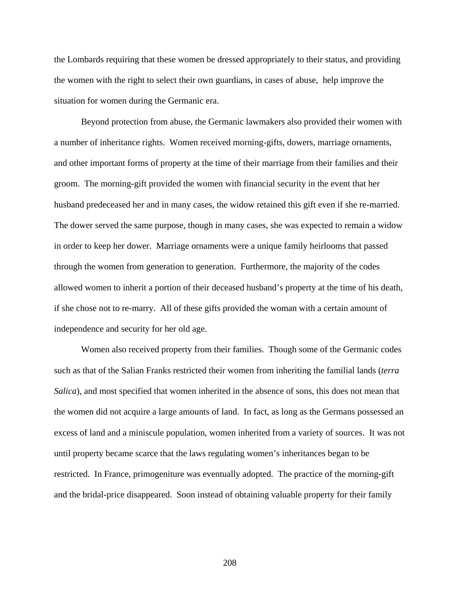the Lombards requiring that these women be dressed appropriately to their status, and providing the women with the right to select their own guardians, in cases of abuse, help improve the situation for women during the Germanic era.

 Beyond protection from abuse, the Germanic lawmakers also provided their women with a number of inheritance rights. Women received morning-gifts, dowers, marriage ornaments, and other important forms of property at the time of their marriage from their families and their groom. The morning-gift provided the women with financial security in the event that her husband predeceased her and in many cases, the widow retained this gift even if she re-married. The dower served the same purpose, though in many cases, she was expected to remain a widow in order to keep her dower. Marriage ornaments were a unique family heirlooms that passed through the women from generation to generation. Furthermore, the majority of the codes allowed women to inherit a portion of their deceased husband's property at the time of his death, if she chose not to re-marry. All of these gifts provided the woman with a certain amount of independence and security for her old age.

Women also received property from their families. Though some of the Germanic codes such as that of the Salian Franks restricted their women from inheriting the familial lands (*terra Salica*), and most specified that women inherited in the absence of sons, this does not mean that the women did not acquire a large amounts of land. In fact, as long as the Germans possessed an excess of land and a miniscule population, women inherited from a variety of sources. It was not until property became scarce that the laws regulating women's inheritances began to be restricted. In France, primogeniture was eventually adopted. The practice of the morning-gift and the bridal-price disappeared. Soon instead of obtaining valuable property for their family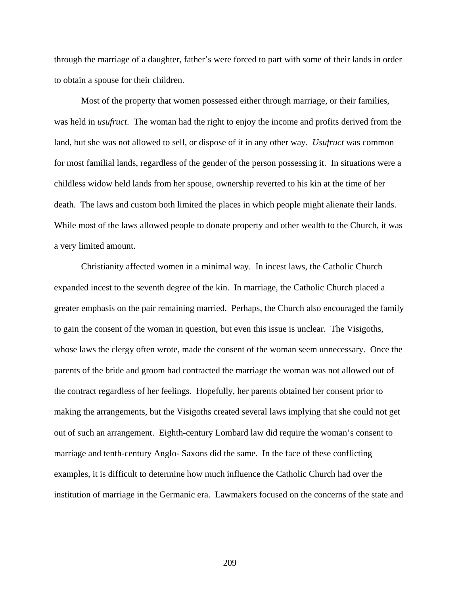through the marriage of a daughter, father's were forced to part with some of their lands in order to obtain a spouse for their children.

Most of the property that women possessed either through marriage, or their families, was held in *usufruct*. The woman had the right to enjoy the income and profits derived from the land, but she was not allowed to sell, or dispose of it in any other way. *Usufruct* was common for most familial lands, regardless of the gender of the person possessing it. In situations were a childless widow held lands from her spouse, ownership reverted to his kin at the time of her death. The laws and custom both limited the places in which people might alienate their lands. While most of the laws allowed people to donate property and other wealth to the Church, it was a very limited amount.

 Christianity affected women in a minimal way. In incest laws, the Catholic Church expanded incest to the seventh degree of the kin. In marriage, the Catholic Church placed a greater emphasis on the pair remaining married. Perhaps, the Church also encouraged the family to gain the consent of the woman in question, but even this issue is unclear. The Visigoths, whose laws the clergy often wrote, made the consent of the woman seem unnecessary. Once the parents of the bride and groom had contracted the marriage the woman was not allowed out of the contract regardless of her feelings. Hopefully, her parents obtained her consent prior to making the arrangements, but the Visigoths created several laws implying that she could not get out of such an arrangement. Eighth-century Lombard law did require the woman's consent to marriage and tenth-century Anglo- Saxons did the same. In the face of these conflicting examples, it is difficult to determine how much influence the Catholic Church had over the institution of marriage in the Germanic era. Lawmakers focused on the concerns of the state and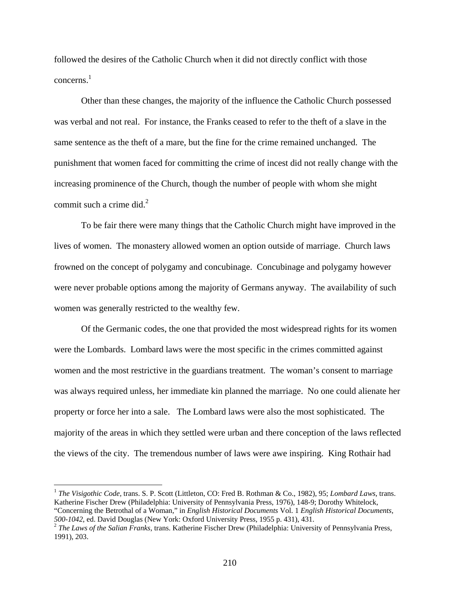followed the desires of the Catholic Church when it did not directly conflict with those concerns. 1

Other than these changes, the majority of the influence the Catholic Church possessed was verbal and not real. For instance, the Franks ceased to refer to the theft of a slave in the same sentence as the theft of a mare, but the fine for the crime remained unchanged. The punishment that women faced for committing the crime of incest did not really change with the increasing prominence of the Church, though the number of people with whom she might commit such a crime did. $^{2}$ 

To be fair there were many things that the Catholic Church might have improved in the lives of women. The monastery allowed women an option outside of marriage. Church laws frowned on the concept of polygamy and concubinage. Concubinage and polygamy however were never probable options among the majority of Germans anyway. The availability of such women was generally restricted to the wealthy few.

 Of the Germanic codes, the one that provided the most widespread rights for its women were the Lombards. Lombard laws were the most specific in the crimes committed against women and the most restrictive in the guardians treatment. The woman's consent to marriage was always required unless, her immediate kin planned the marriage. No one could alienate her property or force her into a sale. The Lombard laws were also the most sophisticated. The majority of the areas in which they settled were urban and there conception of the laws reflected the views of the city. The tremendous number of laws were awe inspiring. King Rothair had

<sup>1</sup> *The Visigothic Code,* trans. S. P. Scott (Littleton, CO: Fred B. Rothman & Co., 1982), 95; *Lombard Laws*, trans. Katherine Fischer Drew (Philadelphia: University of Pennsylvania Press, 1976), 148-9; Dorothy Whitelock, "Concerning the Betrothal of a Woman," in *English Historical Documents* Vol. 1 *English Historical Documents,* 

<sup>&</sup>lt;sup>2</sup> The Laws of the Salian Franks, trans. Katherine Fischer Drew (Philadelphia: University of Pennsylvania Press, 1991), 203.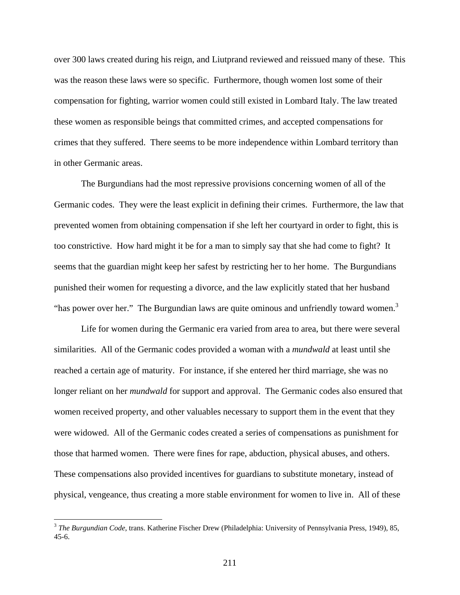over 300 laws created during his reign, and Liutprand reviewed and reissued many of these. This was the reason these laws were so specific. Furthermore, though women lost some of their compensation for fighting, warrior women could still existed in Lombard Italy. The law treated these women as responsible beings that committed crimes, and accepted compensations for crimes that they suffered. There seems to be more independence within Lombard territory than in other Germanic areas.

 The Burgundians had the most repressive provisions concerning women of all of the Germanic codes. They were the least explicit in defining their crimes. Furthermore, the law that prevented women from obtaining compensation if she left her courtyard in order to fight, this is too constrictive. How hard might it be for a man to simply say that she had come to fight? It seems that the guardian might keep her safest by restricting her to her home. The Burgundians punished their women for requesting a divorce, and the law explicitly stated that her husband "has power over her." The Burgundian laws are quite ominous and unfriendly toward women. $3$ 

 Life for women during the Germanic era varied from area to area, but there were several similarities. All of the Germanic codes provided a woman with a *mundwald* at least until she reached a certain age of maturity. For instance, if she entered her third marriage, she was no longer reliant on her *mundwald* for support and approval. The Germanic codes also ensured that women received property, and other valuables necessary to support them in the event that they were widowed. All of the Germanic codes created a series of compensations as punishment for those that harmed women. There were fines for rape, abduction, physical abuses, and others. These compensations also provided incentives for guardians to substitute monetary, instead of physical, vengeance, thus creating a more stable environment for women to live in. All of these

<sup>3</sup> *The Burgundian Code*, trans. Katherine Fischer Drew (Philadelphia: University of Pennsylvania Press, 1949), 85, 45-6.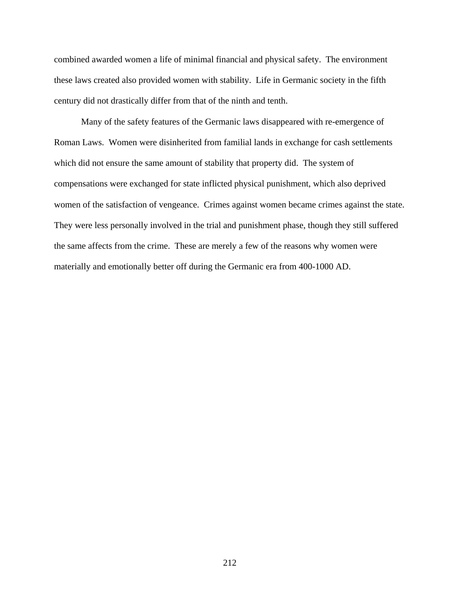combined awarded women a life of minimal financial and physical safety. The environment these laws created also provided women with stability. Life in Germanic society in the fifth century did not drastically differ from that of the ninth and tenth.

Many of the safety features of the Germanic laws disappeared with re-emergence of Roman Laws. Women were disinherited from familial lands in exchange for cash settlements which did not ensure the same amount of stability that property did. The system of compensations were exchanged for state inflicted physical punishment, which also deprived women of the satisfaction of vengeance. Crimes against women became crimes against the state. They were less personally involved in the trial and punishment phase, though they still suffered the same affects from the crime. These are merely a few of the reasons why women were materially and emotionally better off during the Germanic era from 400-1000 AD.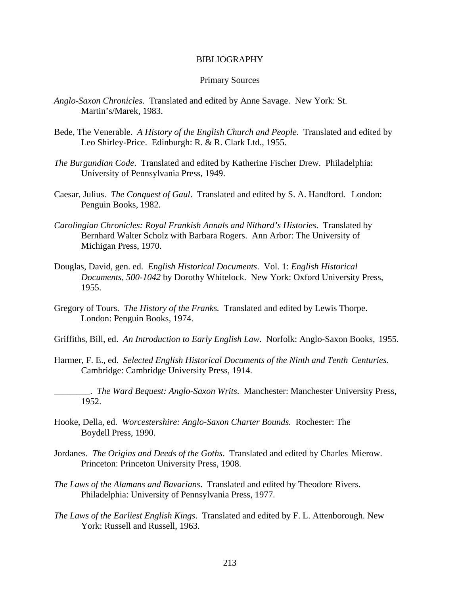## BIBLIOGRAPHY

## Primary Sources

- *Anglo-Saxon Chronicles*. Translated and edited by Anne Savage. New York: St. Martin's/Marek, 1983.
- Bede, The Venerable. *A History of the English Church and People*. Translated and edited by Leo Shirley-Price. Edinburgh: R. & R. Clark Ltd., 1955.
- *The Burgundian Code*. Translated and edited by Katherine Fischer Drew. Philadelphia: University of Pennsylvania Press, 1949.
- Caesar, Julius. *The Conquest of Gaul*. Translated and edited by S. A. Handford. London: Penguin Books, 1982.
- *Carolingian Chronicles: Royal Frankish Annals and Nithard's Histories*. Translated by Bernhard Walter Scholz with Barbara Rogers. Ann Arbor: The University of Michigan Press, 1970.
- Douglas, David, gen. ed. *English Historical Documents*. Vol. 1: *English Historical Documents, 500-1042* by Dorothy Whitelock. New York: Oxford University Press, 1955.
- Gregory of Tours. *The History of the Franks.* Translated and edited by Lewis Thorpe. London: Penguin Books, 1974.
- Griffiths, Bill, ed. *An Introduction to Early English Law*. Norfolk: Anglo-Saxon Books, 1955.
- Harmer, F. E., ed. *Selected English Historical Documents of the Ninth and Tenth Centuries*. Cambridge: Cambridge University Press, 1914.

\_\_\_\_\_\_\_\_. *The Ward Bequest: Anglo-Saxon Writs*. Manchester: Manchester University Press, 1952.

- Hooke, Della, ed. *Worcestershire: Anglo-Saxon Charter Bounds.* Rochester: The Boydell Press, 1990.
- Jordanes. *The Origins and Deeds of the Goths*. Translated and edited by Charles Mierow. Princeton: Princeton University Press, 1908.
- *The Laws of the Alamans and Bavarians*. Translated and edited by Theodore Rivers. Philadelphia: University of Pennsylvania Press, 1977.
- *The Laws of the Earliest English Kings*. Translated and edited by F. L. Attenborough. New York: Russell and Russell, 1963.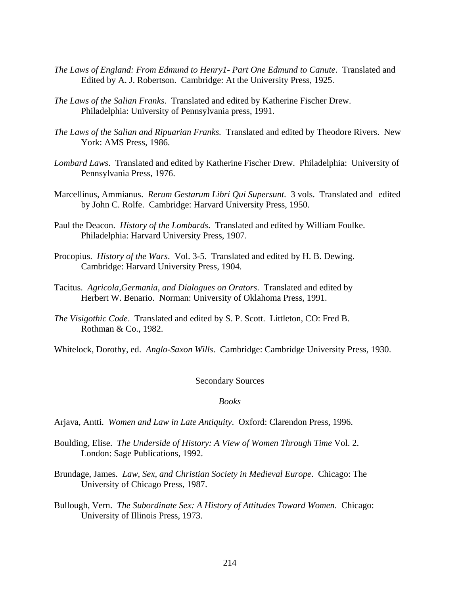- *The Laws of England: From Edmund to Henry1- Part One Edmund to Canute*. Translated and Edited by A. J. Robertson. Cambridge: At the University Press, 1925.
- *The Laws of the Salian Franks*. Translated and edited by Katherine Fischer Drew. Philadelphia: University of Pennsylvania press, 1991.
- *The Laws of the Salian and Ripuarian Franks.* Translated and edited by Theodore Rivers. New York: AMS Press, 1986.
- *Lombard Laws*. Translated and edited by Katherine Fischer Drew. Philadelphia: University of Pennsylvania Press, 1976.
- Marcellinus, Ammianus. *Rerum Gestarum Libri Qui Supersunt.* 3 vols. Translated and edited by John C. Rolfe. Cambridge: Harvard University Press, 1950.
- Paul the Deacon. *History of the Lombards*. Translated and edited by William Foulke. Philadelphia: Harvard University Press, 1907.
- Procopius. *History of the Wars*. Vol. 3-5. Translated and edited by H. B. Dewing. Cambridge: Harvard University Press, 1904.
- Tacitus. *Agricola,Germania, and Dialogues on Orators*. Translated and edited by Herbert W. Benario. Norman: University of Oklahoma Press, 1991.
- *The Visigothic Code*. Translated and edited by S. P. Scott. Littleton, CO: Fred B. Rothman & Co., 1982.

Whitelock, Dorothy, ed. *Anglo-Saxon Wills*. Cambridge: Cambridge University Press, 1930.

Secondary Sources

*Books* 

Arjava, Antti. *Women and Law in Late Antiquity*. Oxford: Clarendon Press, 1996.

- Boulding, Elise. *The Underside of History: A View of Women Through Time* Vol. 2. London: Sage Publications, 1992.
- Brundage, James. *Law, Sex, and Christian Society in Medieval Europe*. Chicago: The University of Chicago Press, 1987.
- Bullough, Vern. *The Subordinate Sex: A History of Attitudes Toward Women*. Chicago: University of Illinois Press, 1973.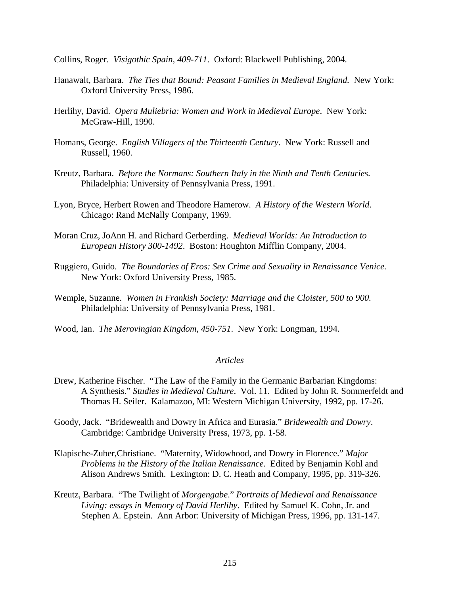- Collins, Roger. *Visigothic Spain, 409-711*. Oxford: Blackwell Publishing, 2004.
- Hanawalt, Barbara. *The Ties that Bound: Peasant Families in Medieval England.* New York: Oxford University Press, 1986.
- Herlihy, David. *Opera Muliebria: Women and Work in Medieval Europe*. New York: McGraw-Hill, 1990.
- Homans, George. *English Villagers of the Thirteenth Century*. New York: Russell and Russell, 1960.
- Kreutz, Barbara. *Before the Normans: Southern Italy in the Ninth and Tenth Centuries.* Philadelphia: University of Pennsylvania Press, 1991.
- Lyon, Bryce, Herbert Rowen and Theodore Hamerow. *A History of the Western World*. Chicago: Rand McNally Company, 1969.
- Moran Cruz, JoAnn H. and Richard Gerberding. *Medieval Worlds: An Introduction to European History 300-1492*. Boston: Houghton Mifflin Company, 2004.
- Ruggiero, Guido. *The Boundaries of Eros: Sex Crime and Sexuality in Renaissance Venice.* New York: Oxford University Press, 1985.
- Wemple, Suzanne. *Women in Frankish Society: Marriage and the Cloister, 500 to 900.* Philadelphia: University of Pennsylvania Press, 1981.
- Wood, Ian. *The Merovingian Kingdom, 450-751*. New York: Longman, 1994.

## *Articles*

- Drew, Katherine Fischer. "The Law of the Family in the Germanic Barbarian Kingdoms: A Synthesis." *Studies in Medieval Culture*. Vol. 11. Edited by John R. Sommerfeldt and Thomas H. Seiler. Kalamazoo, MI: Western Michigan University, 1992, pp. 17-26.
- Goody, Jack. "Bridewealth and Dowry in Africa and Eurasia." *Bridewealth and Dowry*. Cambridge: Cambridge University Press, 1973, pp. 1-58.
- Klapische-Zuber,Christiane. "Maternity, Widowhood, and Dowry in Florence." *Major Problems in the History of the Italian Renaissance*. Edited by Benjamin Kohl and Alison Andrews Smith. Lexington: D. C. Heath and Company, 1995, pp. 319-326.
- Kreutz, Barbara. "The Twilight of *Morgengabe*." *Portraits of Medieval and Renaissance Living: essays in Memory of David Herlihy*. Edited by Samuel K. Cohn, Jr. and Stephen A. Epstein. Ann Arbor: University of Michigan Press, 1996, pp. 131-147.